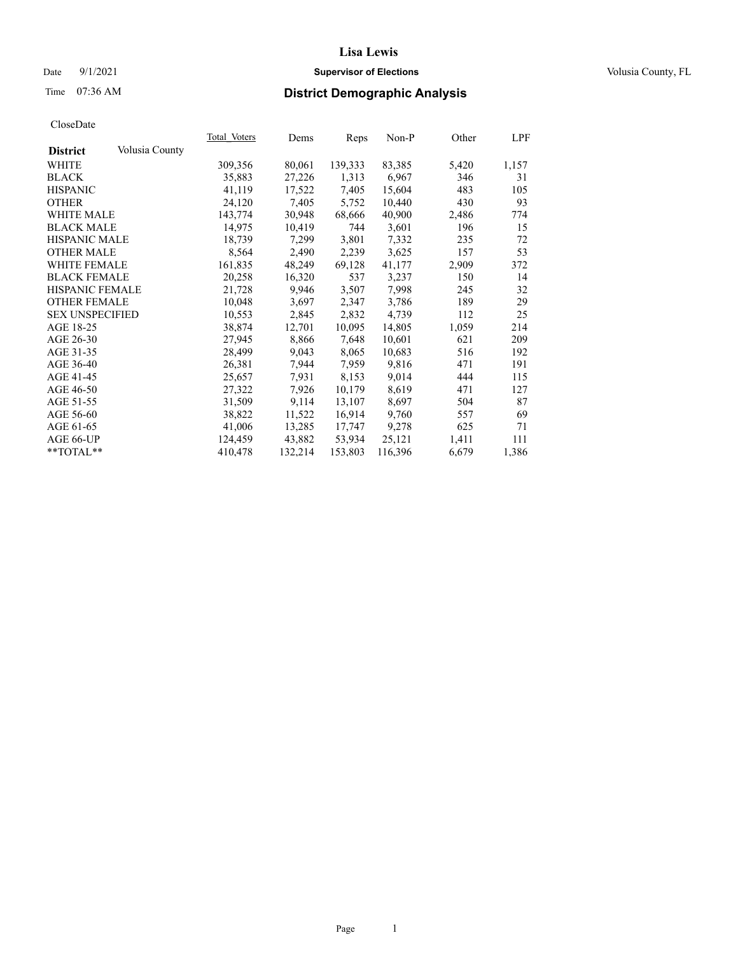## Date 9/1/2021 **Supervisor of Elections Supervisor of Elections** Volusia County, FL

# Time 07:36 AM **District Demographic Analysis**

|                        |                | Total Voters | Dems    | Reps    | Non-P   | Other | LPF   |
|------------------------|----------------|--------------|---------|---------|---------|-------|-------|
| <b>District</b>        | Volusia County |              |         |         |         |       |       |
| WHITE                  |                | 309,356      | 80,061  | 139,333 | 83,385  | 5,420 | 1,157 |
| <b>BLACK</b>           |                | 35,883       | 27,226  | 1,313   | 6,967   | 346   | 31    |
| <b>HISPANIC</b>        |                | 41,119       | 17,522  | 7,405   | 15,604  | 483   | 105   |
| <b>OTHER</b>           |                | 24,120       | 7,405   | 5,752   | 10,440  | 430   | 93    |
| <b>WHITE MALE</b>      |                | 143,774      | 30,948  | 68,666  | 40,900  | 2,486 | 774   |
| <b>BLACK MALE</b>      |                | 14,975       | 10,419  | 744     | 3,601   | 196   | 15    |
| <b>HISPANIC MALE</b>   |                | 18,739       | 7,299   | 3,801   | 7,332   | 235   | 72    |
| <b>OTHER MALE</b>      |                | 8,564        | 2,490   | 2,239   | 3,625   | 157   | 53    |
| <b>WHITE FEMALE</b>    |                | 161,835      | 48,249  | 69,128  | 41,177  | 2,909 | 372   |
| <b>BLACK FEMALE</b>    |                | 20,258       | 16,320  | 537     | 3,237   | 150   | 14    |
| HISPANIC FEMALE        |                | 21,728       | 9,946   | 3,507   | 7,998   | 245   | 32    |
| <b>OTHER FEMALE</b>    |                | 10,048       | 3,697   | 2,347   | 3,786   | 189   | 29    |
| <b>SEX UNSPECIFIED</b> |                | 10,553       | 2,845   | 2,832   | 4,739   | 112   | 25    |
| AGE 18-25              |                | 38,874       | 12,701  | 10,095  | 14,805  | 1,059 | 214   |
| AGE 26-30              |                | 27,945       | 8,866   | 7,648   | 10,601  | 621   | 209   |
| AGE 31-35              |                | 28,499       | 9,043   | 8,065   | 10,683  | 516   | 192   |
| AGE 36-40              |                | 26,381       | 7,944   | 7,959   | 9,816   | 471   | 191   |
| AGE 41-45              |                | 25,657       | 7,931   | 8,153   | 9,014   | 444   | 115   |
| AGE 46-50              |                | 27,322       | 7,926   | 10,179  | 8,619   | 471   | 127   |
| AGE 51-55              |                | 31,509       | 9,114   | 13,107  | 8,697   | 504   | 87    |
| AGE 56-60              |                | 38,822       | 11,522  | 16,914  | 9,760   | 557   | 69    |
| AGE 61-65              |                | 41,006       | 13,285  | 17,747  | 9,278   | 625   | 71    |
| AGE 66-UP              |                | 124,459      | 43,882  | 53,934  | 25,121  | 1,411 | 111   |
| $*$ TOTAL $*$          |                | 410,478      | 132,214 | 153,803 | 116,396 | 6,679 | 1,386 |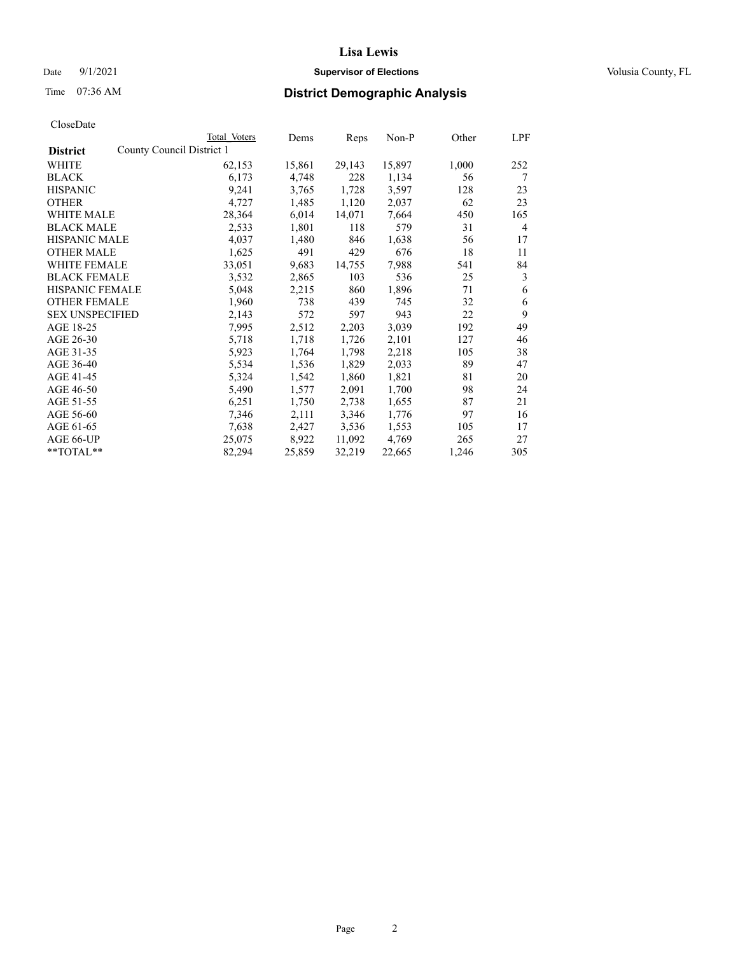## Date 9/1/2021 **Supervisor of Elections Supervisor of Elections** Volusia County, FL

# Time 07:36 AM **District Demographic Analysis**

|                        | Total Voters              | Dems   | Reps   | Non-P  | Other | LPF |
|------------------------|---------------------------|--------|--------|--------|-------|-----|
| <b>District</b>        | County Council District 1 |        |        |        |       |     |
| WHITE                  | 62,153                    | 15,861 | 29,143 | 15,897 | 1,000 | 252 |
| <b>BLACK</b>           | 6,173                     | 4,748  | 228    | 1,134  | 56    | 7   |
| <b>HISPANIC</b>        | 9,241                     | 3,765  | 1,728  | 3,597  | 128   | 23  |
| <b>OTHER</b>           | 4,727                     | 1,485  | 1,120  | 2,037  | 62    | 23  |
| WHITE MALE             | 28,364                    | 6,014  | 14,071 | 7,664  | 450   | 165 |
| <b>BLACK MALE</b>      | 2,533                     | 1,801  | 118    | 579    | 31    | 4   |
| <b>HISPANIC MALE</b>   | 4,037                     | 1,480  | 846    | 1,638  | 56    | 17  |
| <b>OTHER MALE</b>      | 1,625                     | 491    | 429    | 676    | 18    | 11  |
| WHITE FEMALE           | 33,051                    | 9,683  | 14,755 | 7,988  | 541   | 84  |
| <b>BLACK FEMALE</b>    | 3,532                     | 2,865  | 103    | 536    | 25    | 3   |
| <b>HISPANIC FEMALE</b> | 5,048                     | 2,215  | 860    | 1,896  | 71    | 6   |
| <b>OTHER FEMALE</b>    | 1,960                     | 738    | 439    | 745    | 32    | 6   |
| <b>SEX UNSPECIFIED</b> | 2,143                     | 572    | 597    | 943    | 22    | 9   |
| AGE 18-25              | 7,995                     | 2,512  | 2,203  | 3,039  | 192   | 49  |
| AGE 26-30              | 5,718                     | 1,718  | 1,726  | 2,101  | 127   | 46  |
| AGE 31-35              | 5,923                     | 1,764  | 1,798  | 2,218  | 105   | 38  |
| AGE 36-40              | 5,534                     | 1,536  | 1,829  | 2,033  | 89    | 47  |
| AGE 41-45              | 5,324                     | 1,542  | 1,860  | 1,821  | 81    | 20  |
| AGE 46-50              | 5,490                     | 1,577  | 2,091  | 1,700  | 98    | 24  |
| AGE 51-55              | 6,251                     | 1,750  | 2,738  | 1,655  | 87    | 21  |
| AGE 56-60              | 7,346                     | 2,111  | 3,346  | 1,776  | 97    | 16  |
| AGE 61-65              | 7,638                     | 2,427  | 3,536  | 1,553  | 105   | 17  |
| AGE 66-UP              | 25,075                    | 8,922  | 11,092 | 4,769  | 265   | 27  |
| $*$ $TOTAL**$          | 82,294                    | 25,859 | 32,219 | 22,665 | 1,246 | 305 |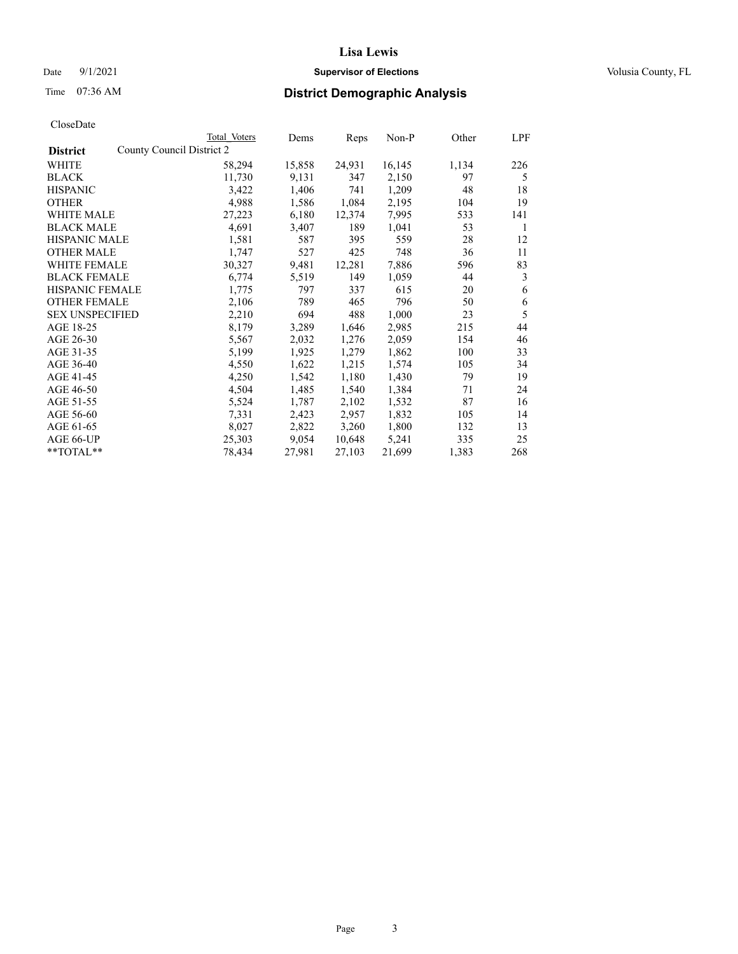## Date 9/1/2021 **Supervisor of Elections Supervisor of Elections** Volusia County, FL

# Time 07:36 AM **District Demographic Analysis**

|                                              | Total Voters | Dems   | Reps   | Non-P  | Other | LPF |
|----------------------------------------------|--------------|--------|--------|--------|-------|-----|
| County Council District 2<br><b>District</b> |              |        |        |        |       |     |
| WHITE                                        | 58,294       | 15,858 | 24,931 | 16,145 | 1,134 | 226 |
| <b>BLACK</b>                                 | 11,730       | 9,131  | 347    | 2,150  | 97    | 5   |
| <b>HISPANIC</b>                              | 3,422        | 1,406  | 741    | 1,209  | 48    | 18  |
| <b>OTHER</b>                                 | 4,988        | 1,586  | 1,084  | 2,195  | 104   | 19  |
| WHITE MALE                                   | 27,223       | 6,180  | 12,374 | 7,995  | 533   | 141 |
| <b>BLACK MALE</b>                            | 4,691        | 3,407  | 189    | 1,041  | 53    | 1   |
| <b>HISPANIC MALE</b>                         | 1,581        | 587    | 395    | 559    | 28    | 12  |
| <b>OTHER MALE</b>                            | 1,747        | 527    | 425    | 748    | 36    | 11  |
| WHITE FEMALE                                 | 30,327       | 9,481  | 12,281 | 7,886  | 596   | 83  |
| <b>BLACK FEMALE</b>                          | 6,774        | 5,519  | 149    | 1,059  | 44    | 3   |
| HISPANIC FEMALE                              | 1,775        | 797    | 337    | 615    | 20    | 6   |
| <b>OTHER FEMALE</b>                          | 2,106        | 789    | 465    | 796    | 50    | 6   |
| <b>SEX UNSPECIFIED</b>                       | 2,210        | 694    | 488    | 1,000  | 23    | 5   |
| AGE 18-25                                    | 8,179        | 3,289  | 1,646  | 2,985  | 215   | 44  |
| AGE 26-30                                    | 5,567        | 2,032  | 1,276  | 2,059  | 154   | 46  |
| AGE 31-35                                    | 5,199        | 1,925  | 1,279  | 1,862  | 100   | 33  |
| AGE 36-40                                    | 4,550        | 1,622  | 1,215  | 1,574  | 105   | 34  |
| AGE 41-45                                    | 4,250        | 1,542  | 1,180  | 1,430  | 79    | 19  |
| AGE 46-50                                    | 4,504        | 1,485  | 1,540  | 1,384  | 71    | 24  |
| AGE 51-55                                    | 5,524        | 1,787  | 2,102  | 1,532  | 87    | 16  |
| AGE 56-60                                    | 7,331        | 2,423  | 2,957  | 1,832  | 105   | 14  |
| AGE 61-65                                    | 8,027        | 2,822  | 3,260  | 1,800  | 132   | 13  |
| AGE 66-UP                                    | 25,303       | 9,054  | 10,648 | 5,241  | 335   | 25  |
| **TOTAL**                                    | 78,434       | 27,981 | 27,103 | 21,699 | 1,383 | 268 |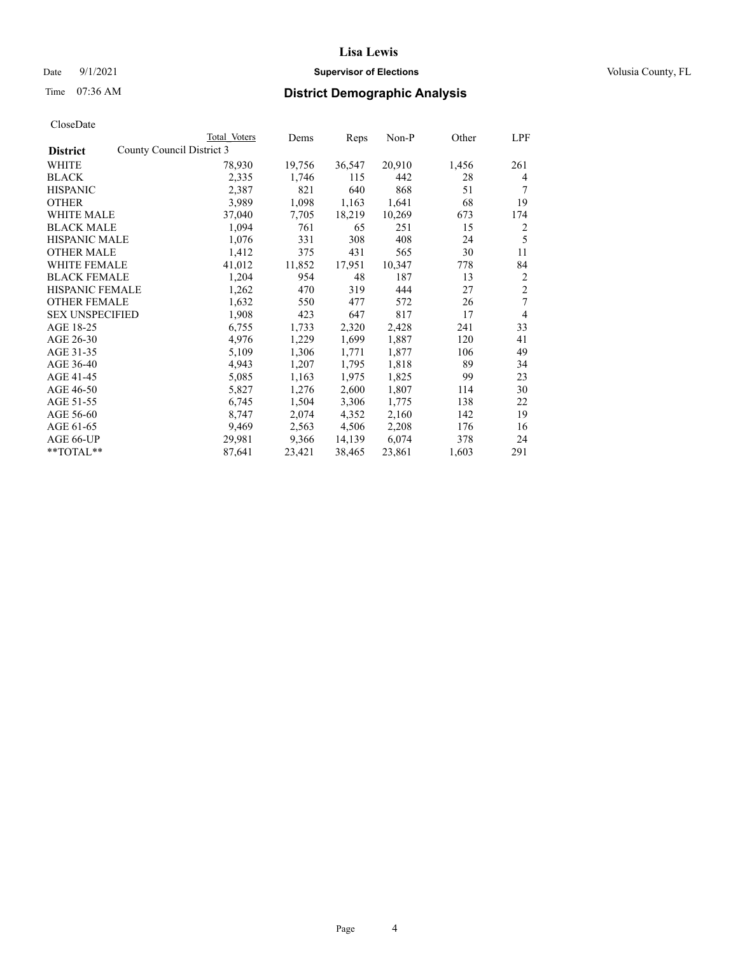## Date 9/1/2021 **Supervisor of Elections Supervisor of Elections** Volusia County, FL

# Time 07:36 AM **District Demographic Analysis**

|                        | Total Voters              | Dems   | Reps   | Non-P  | Other | LPF            |
|------------------------|---------------------------|--------|--------|--------|-------|----------------|
| <b>District</b>        | County Council District 3 |        |        |        |       |                |
| WHITE                  | 78,930                    | 19,756 | 36,547 | 20,910 | 1,456 | 261            |
| <b>BLACK</b>           | 2,335                     | 1,746  | 115    | 442    | 28    | 4              |
| <b>HISPANIC</b>        | 2,387                     | 821    | 640    | 868    | 51    | 7              |
| <b>OTHER</b>           | 3,989                     | 1,098  | 1,163  | 1,641  | 68    | 19             |
| WHITE MALE             | 37,040                    | 7,705  | 18,219 | 10,269 | 673   | 174            |
| <b>BLACK MALE</b>      | 1,094                     | 761    | 65     | 251    | 15    | 2              |
| <b>HISPANIC MALE</b>   | 1,076                     | 331    | 308    | 408    | 24    | 5              |
| <b>OTHER MALE</b>      | 1,412                     | 375    | 431    | 565    | 30    | 11             |
| WHITE FEMALE           | 41,012                    | 11,852 | 17,951 | 10,347 | 778   | 84             |
| <b>BLACK FEMALE</b>    | 1,204                     | 954    | 48     | 187    | 13    | $\overline{2}$ |
| <b>HISPANIC FEMALE</b> | 1,262                     | 470    | 319    | 444    | 27    | $\overline{2}$ |
| <b>OTHER FEMALE</b>    | 1,632                     | 550    | 477    | 572    | 26    | 7              |
| <b>SEX UNSPECIFIED</b> | 1,908                     | 423    | 647    | 817    | 17    | $\overline{4}$ |
| AGE 18-25              | 6,755                     | 1,733  | 2,320  | 2,428  | 241   | 33             |
| AGE 26-30              | 4,976                     | 1,229  | 1,699  | 1,887  | 120   | 41             |
| AGE 31-35              | 5,109                     | 1,306  | 1,771  | 1,877  | 106   | 49             |
| AGE 36-40              | 4,943                     | 1,207  | 1,795  | 1,818  | 89    | 34             |
| AGE 41-45              | 5,085                     | 1,163  | 1,975  | 1,825  | 99    | 23             |
| AGE 46-50              | 5,827                     | 1,276  | 2,600  | 1,807  | 114   | 30             |
| AGE 51-55              | 6,745                     | 1,504  | 3,306  | 1,775  | 138   | 22             |
| AGE 56-60              | 8,747                     | 2,074  | 4,352  | 2,160  | 142   | 19             |
| AGE 61-65              | 9,469                     | 2,563  | 4,506  | 2,208  | 176   | 16             |
| AGE 66-UP              | 29,981                    | 9,366  | 14,139 | 6,074  | 378   | 24             |
| $*$ $TOTAL**$          | 87,641                    | 23,421 | 38,465 | 23,861 | 1,603 | 291            |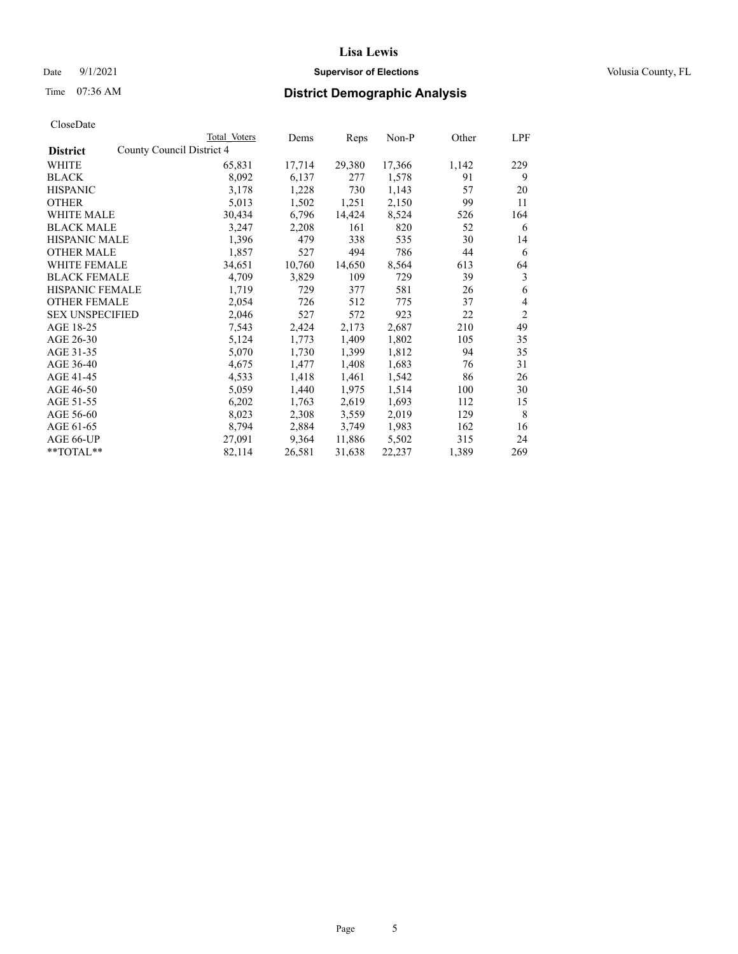## Date 9/1/2021 **Supervisor of Elections Supervisor of Elections** Volusia County, FL

# Time 07:36 AM **District Demographic Analysis**

| CloseDate |
|-----------|
|-----------|

|                                              | Total Voters | Dems   | Reps   | Non-P  | Other | LPF            |
|----------------------------------------------|--------------|--------|--------|--------|-------|----------------|
| County Council District 4<br><b>District</b> |              |        |        |        |       |                |
| WHITE                                        | 65,831       | 17,714 | 29,380 | 17,366 | 1,142 | 229            |
| <b>BLACK</b>                                 | 8,092        | 6,137  | 277    | 1,578  | 91    | 9              |
| <b>HISPANIC</b>                              | 3,178        | 1,228  | 730    | 1,143  | 57    | 20             |
| <b>OTHER</b>                                 | 5,013        | 1,502  | 1,251  | 2,150  | 99    | 11             |
| WHITE MALE                                   | 30,434       | 6,796  | 14,424 | 8,524  | 526   | 164            |
| <b>BLACK MALE</b>                            | 3,247        | 2,208  | 161    | 820    | 52    | 6              |
| <b>HISPANIC MALE</b>                         | 1,396        | 479    | 338    | 535    | 30    | 14             |
| <b>OTHER MALE</b>                            | 1,857        | 527    | 494    | 786    | 44    | 6              |
| <b>WHITE FEMALE</b>                          | 34,651       | 10,760 | 14,650 | 8,564  | 613   | 64             |
| <b>BLACK FEMALE</b>                          | 4,709        | 3,829  | 109    | 729    | 39    | 3              |
| <b>HISPANIC FEMALE</b>                       | 1,719        | 729    | 377    | 581    | 26    | 6              |
| <b>OTHER FEMALE</b>                          | 2,054        | 726    | 512    | 775    | 37    | 4              |
| <b>SEX UNSPECIFIED</b>                       | 2,046        | 527    | 572    | 923    | 22    | $\overline{2}$ |
| AGE 18-25                                    | 7,543        | 2,424  | 2,173  | 2,687  | 210   | 49             |
| AGE 26-30                                    | 5,124        | 1,773  | 1,409  | 1,802  | 105   | 35             |
| AGE 31-35                                    | 5,070        | 1,730  | 1,399  | 1,812  | 94    | 35             |
| AGE 36-40                                    | 4,675        | 1,477  | 1,408  | 1,683  | 76    | 31             |
| AGE 41-45                                    | 4,533        | 1,418  | 1,461  | 1,542  | 86    | 26             |
| AGE 46-50                                    | 5,059        | 1,440  | 1,975  | 1,514  | 100   | 30             |
| AGE 51-55                                    | 6,202        | 1,763  | 2,619  | 1,693  | 112   | 15             |
| AGE 56-60                                    | 8,023        | 2,308  | 3,559  | 2,019  | 129   | 8              |
| AGE 61-65                                    | 8,794        | 2,884  | 3,749  | 1,983  | 162   | 16             |
| AGE 66-UP                                    | 27,091       | 9,364  | 11,886 | 5,502  | 315   | 24             |
| **TOTAL**                                    | 82,114       | 26,581 | 31,638 | 22,237 | 1,389 | 269            |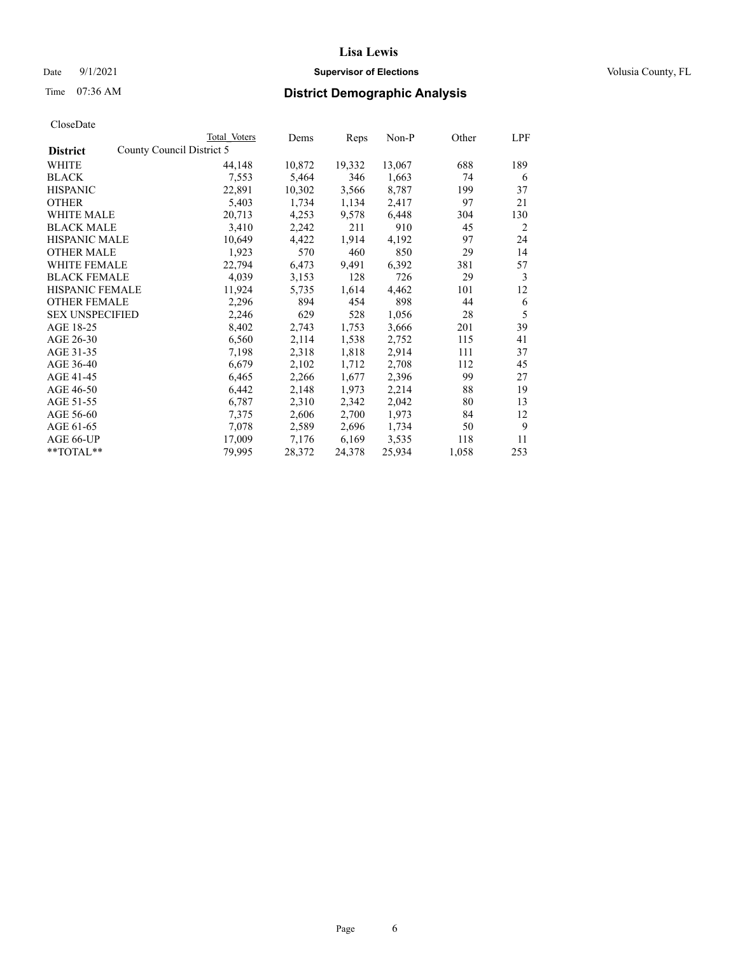## Date 9/1/2021 **Supervisor of Elections Supervisor of Elections** Volusia County, FL

# Time 07:36 AM **District Demographic Analysis**

| Total Voters              | Dems   |        | Non-P  | Other | LPF |
|---------------------------|--------|--------|--------|-------|-----|
| County Council District 5 |        |        |        |       |     |
| 44,148                    | 10,872 | 19,332 | 13,067 | 688   | 189 |
| 7,553                     | 5,464  | 346    | 1,663  | 74    | 6   |
| 22,891                    | 10,302 | 3,566  | 8,787  | 199   | 37  |
| 5,403                     | 1,734  | 1,134  | 2,417  | 97    | 21  |
| 20,713                    | 4,253  | 9,578  | 6,448  | 304   | 130 |
| 3,410                     | 2,242  | 211    | 910    | 45    | 2   |
| 10,649                    | 4,422  | 1,914  | 4,192  | 97    | 24  |
| 1,923                     | 570    | 460    | 850    | 29    | 14  |
| 22,794                    | 6,473  | 9,491  | 6,392  | 381   | 57  |
| 4,039                     | 3,153  | 128    | 726    | 29    | 3   |
| 11,924                    | 5,735  | 1,614  | 4,462  | 101   | 12  |
| 2,296                     | 894    | 454    | 898    | 44    | 6   |
| 2,246                     | 629    | 528    | 1,056  | 28    | 5   |
| 8,402                     | 2,743  | 1,753  | 3,666  | 201   | 39  |
| 6,560                     | 2,114  | 1,538  | 2,752  | 115   | 41  |
| 7,198                     | 2,318  | 1,818  | 2,914  | 111   | 37  |
| 6,679                     | 2,102  | 1,712  | 2,708  | 112   | 45  |
| 6,465                     | 2,266  | 1,677  | 2,396  | 99    | 27  |
| 6,442                     | 2,148  | 1,973  | 2,214  | 88    | 19  |
| 6,787                     | 2,310  | 2,342  | 2,042  | 80    | 13  |
| 7,375                     | 2,606  | 2,700  | 1,973  | 84    | 12  |
| 7,078                     | 2,589  | 2,696  | 1,734  | 50    | 9   |
| 17,009                    | 7,176  | 6,169  | 3,535  | 118   | 11  |
| 79,995                    | 28,372 | 24,378 | 25,934 | 1,058 | 253 |
|                           |        |        | Reps   |       |     |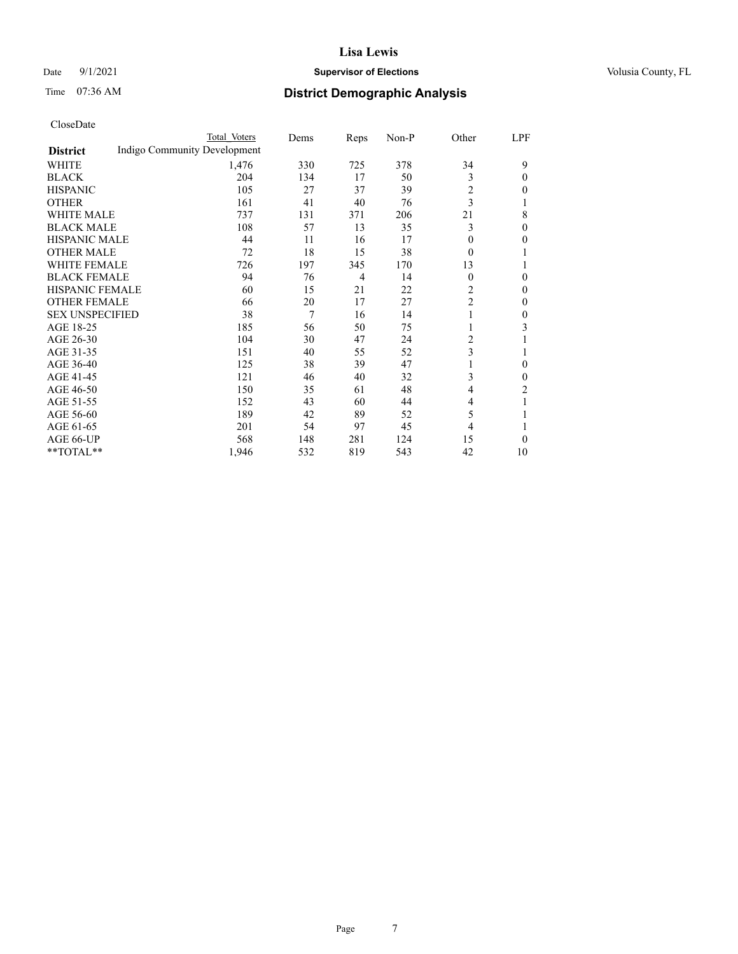## Date 9/1/2021 **Supervisor of Elections Supervisor of Elections** Volusia County, FL

# Time 07:36 AM **District Demographic Analysis**

|                        | Total Voters                 | Dems | Reps           | Non-P | Other          | LPF            |
|------------------------|------------------------------|------|----------------|-------|----------------|----------------|
| <b>District</b>        | Indigo Community Development |      |                |       |                |                |
| WHITE                  | 1,476                        | 330  | 725            | 378   | 34             | 9              |
| <b>BLACK</b>           | 204                          | 134  | 17             | 50    | 3              | $\theta$       |
| <b>HISPANIC</b>        | 105                          | 27   | 37             | 39    | $\overline{c}$ | 0              |
| <b>OTHER</b>           | 161                          | 41   | 40             | 76    | 3              |                |
| <b>WHITE MALE</b>      | 737                          | 131  | 371            | 206   | 21             | 8              |
| <b>BLACK MALE</b>      | 108                          | 57   | 13             | 35    | 3              | $\mathbf{0}$   |
| <b>HISPANIC MALE</b>   | 44                           | 11   | 16             | 17    | 0              | 0              |
| <b>OTHER MALE</b>      | 72                           | 18   | 15             | 38    | $\theta$       |                |
| <b>WHITE FEMALE</b>    | 726                          | 197  | 345            | 170   | 13             |                |
| <b>BLACK FEMALE</b>    | 94                           | 76   | $\overline{4}$ | 14    | $\theta$       | 0              |
| <b>HISPANIC FEMALE</b> | 60                           | 15   | 21             | 22    | 2              | 0              |
| <b>OTHER FEMALE</b>    | 66                           | 20   | 17             | 27    | $\overline{2}$ | 0              |
| <b>SEX UNSPECIFIED</b> | 38                           | 7    | 16             | 14    | 1              | 0              |
| AGE 18-25              | 185                          | 56   | 50             | 75    |                | 3              |
| AGE 26-30              | 104                          | 30   | 47             | 24    | 2              |                |
| AGE 31-35              | 151                          | 40   | 55             | 52    | 3              |                |
| AGE 36-40              | 125                          | 38   | 39             | 47    | 1              | $\theta$       |
| AGE 41-45              | 121                          | 46   | 40             | 32    | 3              | 0              |
| AGE 46-50              | 150                          | 35   | 61             | 48    | 4              | $\overline{2}$ |
| AGE 51-55              | 152                          | 43   | 60             | 44    | 4              |                |
| AGE 56-60              | 189                          | 42   | 89             | 52    | 5              |                |
| AGE 61-65              | 201                          | 54   | 97             | 45    | 4              |                |
| AGE 66-UP              | 568                          | 148  | 281            | 124   | 15             | 0              |
| **TOTAL**              | 1,946                        | 532  | 819            | 543   | 42             | 10             |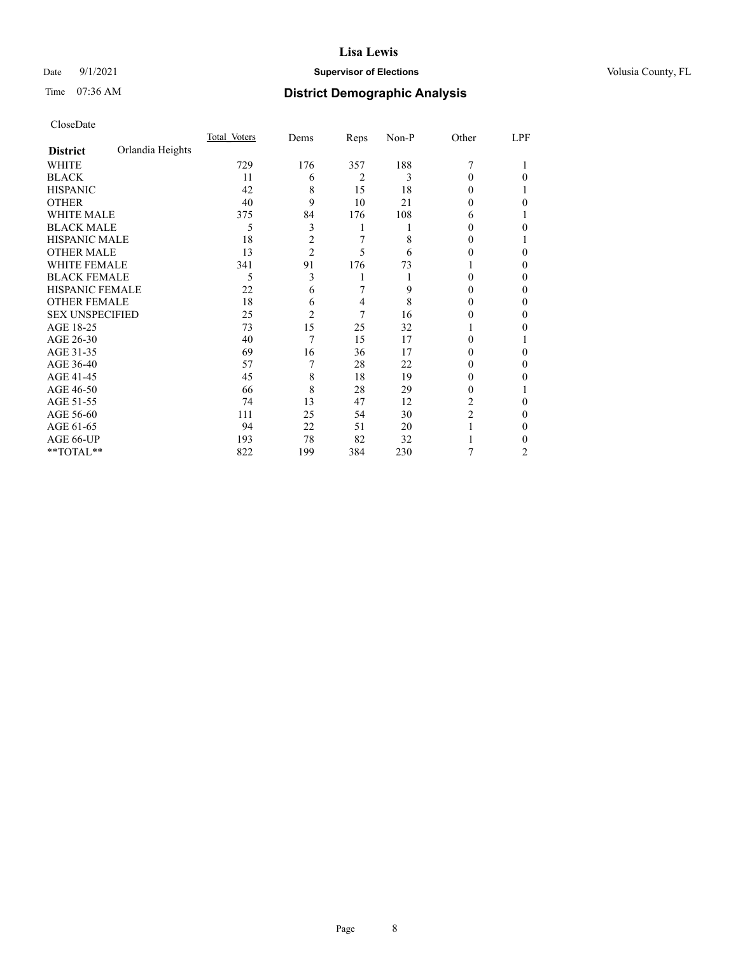## Date 9/1/2021 **Supervisor of Elections Supervisor of Elections** Volusia County, FL

# Time 07:36 AM **District Demographic Analysis**

|                        |                  | Total Voters | Dems           | Reps           | Non-P | Other          | LPF |
|------------------------|------------------|--------------|----------------|----------------|-------|----------------|-----|
| <b>District</b>        | Orlandia Heights |              |                |                |       |                |     |
| WHITE                  |                  | 729          | 176            | 357            | 188   | 7              |     |
| <b>BLACK</b>           |                  | 11           | 6              | $\overline{2}$ | 3     | 0              | 0   |
| <b>HISPANIC</b>        |                  | 42           | 8              | 15             | 18    | 0              |     |
| <b>OTHER</b>           |                  | 40           | 9              | 10             | 21    | 0              | 0   |
| <b>WHITE MALE</b>      |                  | 375          | 84             | 176            | 108   | 6              |     |
| <b>BLACK MALE</b>      |                  | 5            | 3              | 1              |       | 0              | 0   |
| <b>HISPANIC MALE</b>   |                  | 18           | $\overline{c}$ | 7              | 8     | $_{0}$         |     |
| <b>OTHER MALE</b>      |                  | 13           | $\overline{c}$ | 5              | 6     | 0              | 0   |
| <b>WHITE FEMALE</b>    |                  | 341          | 91             | 176            | 73    |                | 0   |
| <b>BLACK FEMALE</b>    |                  | 5            | 3              |                |       | 0              | 0   |
| <b>HISPANIC FEMALE</b> |                  | 22           | 6              | 7              | 9     | $\theta$       | 0   |
| <b>OTHER FEMALE</b>    |                  | 18           | 6              | 4              | 8     | 0              | 0   |
| <b>SEX UNSPECIFIED</b> |                  | 25           | $\overline{2}$ | 7              | 16    | 0              | 0   |
| AGE 18-25              |                  | 73           | 15             | 25             | 32    |                | 0   |
| AGE 26-30              |                  | 40           | 7              | 15             | 17    | 0              |     |
| AGE 31-35              |                  | 69           | 16             | 36             | 17    | 0              | 0   |
| AGE 36-40              |                  | 57           |                | 28             | 22    | 0              | 0   |
| AGE 41-45              |                  | 45           | 8              | 18             | 19    | 0              | 0   |
| AGE 46-50              |                  | 66           | 8              | 28             | 29    | 0              |     |
| AGE 51-55              |                  | 74           | 13             | 47             | 12    | 2              | 0   |
| AGE 56-60              |                  | 111          | 25             | 54             | 30    | $\overline{c}$ | 0   |
| AGE 61-65              |                  | 94           | 22             | 51             | 20    |                | 0   |
| AGE 66-UP              |                  | 193          | 78             | 82             | 32    |                | 0   |
| **TOTAL**              |                  | 822          | 199            | 384            | 230   | 7              | 2   |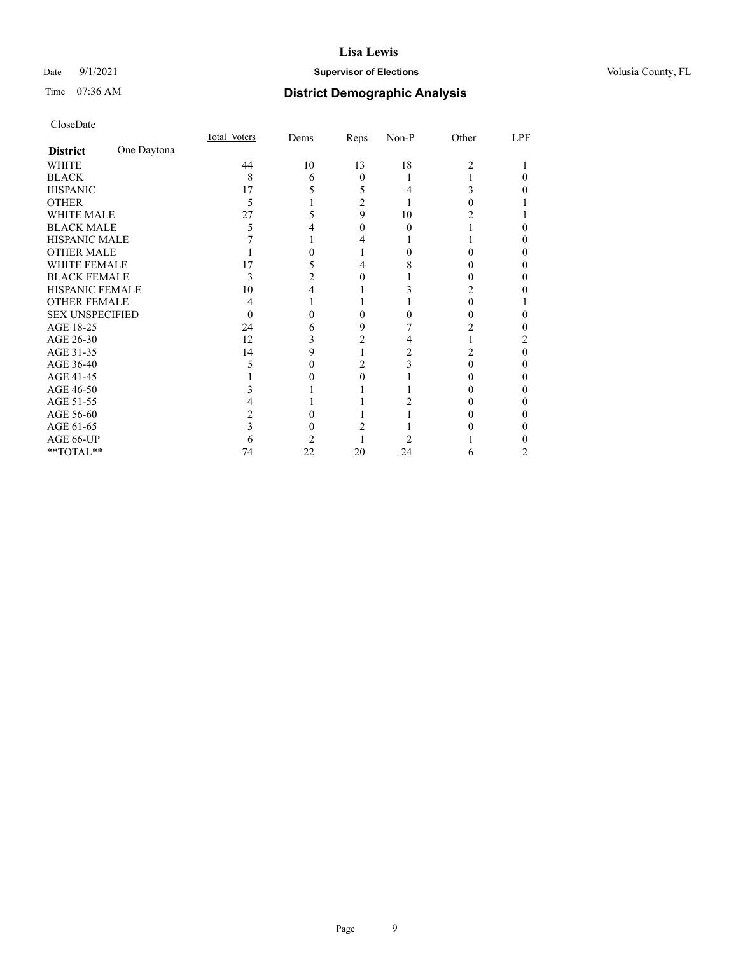## Date 9/1/2021 **Supervisor of Elections Supervisor of Elections** Volusia County, FL

# Time 07:36 AM **District Demographic Analysis**

|                        |             | Total Voters | Dems | Reps     | Non-P | Other          | LPF |
|------------------------|-------------|--------------|------|----------|-------|----------------|-----|
| <b>District</b>        | One Daytona |              |      |          |       |                |     |
| WHITE                  |             | 44           | 10   | 13       | 18    | $\overline{c}$ |     |
| <b>BLACK</b>           |             | 8            | 6    | $\theta$ |       |                |     |
| <b>HISPANIC</b>        |             | 17           | 5    | 5        |       | 3              |     |
| <b>OTHER</b>           |             | 5            |      | 2        |       |                |     |
| <b>WHITE MALE</b>      |             | 27           |      | 9        | 10    |                |     |
| <b>BLACK MALE</b>      |             | 5            |      | 0        | 0     |                |     |
| <b>HISPANIC MALE</b>   |             |              |      |          |       |                |     |
| <b>OTHER MALE</b>      |             |              |      |          |       |                | 0   |
| WHITE FEMALE           |             | 17           |      |          |       |                |     |
| <b>BLACK FEMALE</b>    |             | 3            | 2    | $\theta$ |       | 0              | 0   |
| <b>HISPANIC FEMALE</b> |             | 10           |      |          |       |                |     |
| <b>OTHER FEMALE</b>    |             | 4            |      |          |       | 0              |     |
| <b>SEX UNSPECIFIED</b> |             |              |      |          |       |                |     |
| AGE 18-25              |             | 24           |      | 9        |       | 2              |     |
| AGE 26-30              |             | 12           |      | 2        |       |                | 2   |
| AGE 31-35              |             | 14           | 9    |          |       |                | 0   |
| AGE 36-40              |             | 5            |      | 2        |       | 0              | 0   |
| AGE 41-45              |             |              |      |          |       |                |     |
| AGE 46-50              |             |              |      |          |       |                |     |
| AGE 51-55              |             |              |      |          |       |                |     |
| AGE 56-60              |             |              |      |          |       |                |     |
| AGE 61-65              |             |              |      |          |       |                | 0   |
| AGE 66-UP              |             | h            |      |          |       |                |     |
| **TOTAL**              |             | 74           | 22   | 20       | 24    | 6              |     |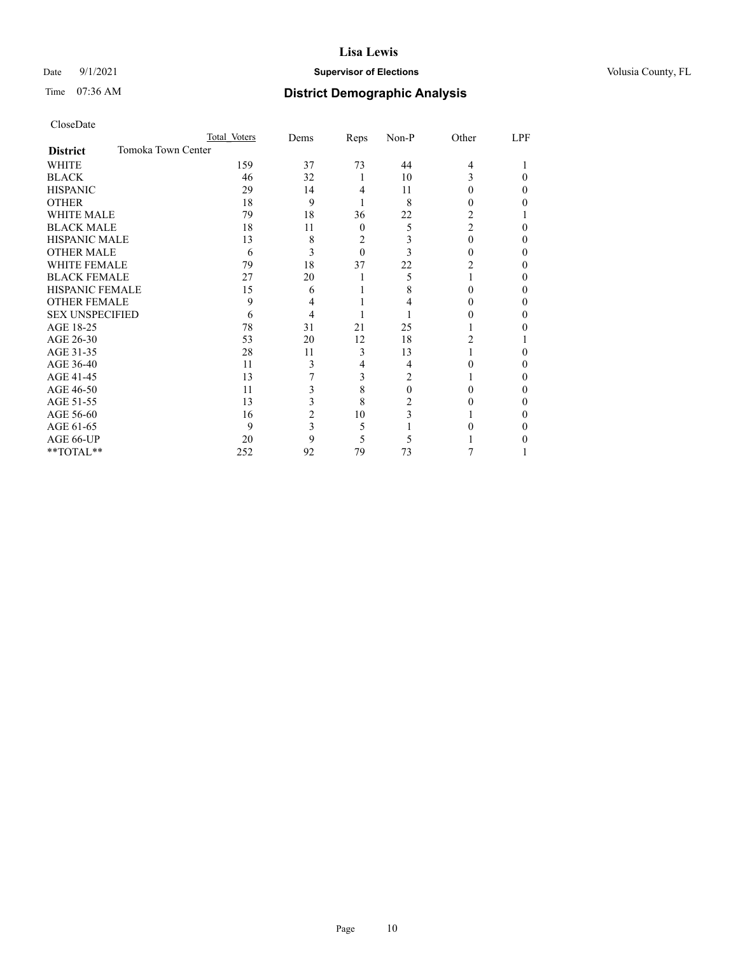## Date 9/1/2021 **Supervisor of Elections Supervisor of Elections** Volusia County, FL

# Time 07:36 AM **District Demographic Analysis**

|                                       | Total Voters | Dems | Reps     | Non-P    | Other          | LPF |
|---------------------------------------|--------------|------|----------|----------|----------------|-----|
| Tomoka Town Center<br><b>District</b> |              |      |          |          |                |     |
| WHITE                                 | 159          | 37   | 73       | 44       | $\overline{4}$ |     |
| <b>BLACK</b>                          | 46           | 32   | 1        | 10       | 3              | 0   |
| <b>HISPANIC</b>                       | 29           | 14   | 4        | 11       | $\theta$       | 0   |
| <b>OTHER</b>                          | 18           | 9    |          | 8        | $_{0}$         |     |
| <b>WHITE MALE</b>                     | 79           | 18   | 36       | 22       | 2              |     |
| <b>BLACK MALE</b>                     | 18           | 11   | $\theta$ | 5        | $\overline{c}$ | 0   |
| <b>HISPANIC MALE</b>                  | 13           | 8    | 2        |          | 0              | 0   |
| <b>OTHER MALE</b>                     | 6            | 3    | $\theta$ | 3        | $_{0}$         | 0   |
| <b>WHITE FEMALE</b>                   | 79           | 18   | 37       | 22       | 2              | 0   |
| <b>BLACK FEMALE</b>                   | 27           | 20   |          | 5        |                | 0   |
| <b>HISPANIC FEMALE</b>                | 15           | 6    |          | 8        |                | 0   |
| <b>OTHER FEMALE</b>                   | 9            | 4    |          |          |                | 0   |
| <b>SEX UNSPECIFIED</b>                | 6            | 4    |          |          |                | 0   |
| AGE 18-25                             | 78           | 31   | 21       | 25       |                |     |
| AGE 26-30                             | 53           | 20   | 12       | 18       | 2              |     |
| AGE 31-35                             | 28           | 11   | 3        | 13       |                | 0   |
| AGE 36-40                             | 11           | 3    | 4        | 4        | 0              | 0   |
| AGE 41-45                             | 13           |      | 3        | 2        |                | 0   |
| AGE 46-50                             | 11           | 3    | 8        | $\theta$ |                | 0   |
| AGE 51-55                             | 13           | 3    | 8        | 2        |                | 0   |
| AGE 56-60                             | 16           | 2    | 10       | 3        |                | 0   |
| AGE 61-65                             | 9            | 3    | 5        |          |                | 0   |
| AGE 66-UP                             | 20           | 9    | 5        | 5        |                |     |
| **TOTAL**                             | 252          | 92   | 79       | 73       |                |     |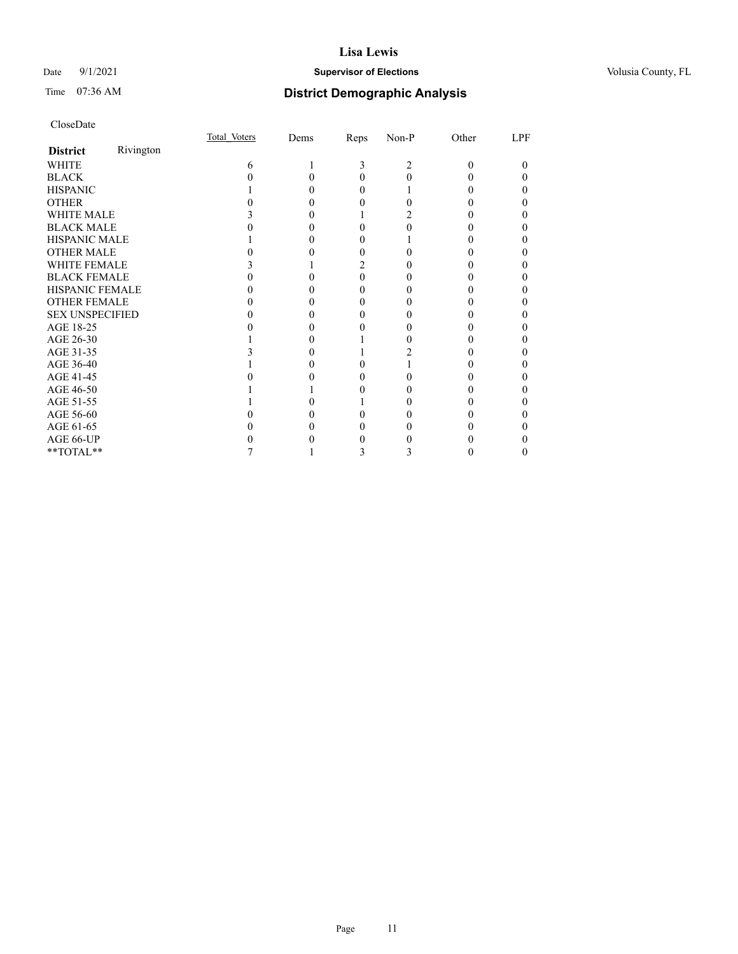## Date 9/1/2021 **Supervisor of Elections Supervisor of Elections** Volusia County, FL

# Time 07:36 AM **District Demographic Analysis**

| CloseDate |
|-----------|
|-----------|

|                                                             |           | Total Voters | Dems | Reps | Non-P | Other | LPF |
|-------------------------------------------------------------|-----------|--------------|------|------|-------|-------|-----|
| <b>District</b>                                             | Rivington |              |      |      |       |       |     |
| WHITE                                                       |           | 6            |      | 3    | 2     | 0     | 0   |
| <b>BLACK</b>                                                |           |              |      |      |       |       |     |
| <b>HISPANIC</b>                                             |           |              |      |      |       |       |     |
| <b>OTHER</b>                                                |           |              |      |      |       |       |     |
| <b>WHITE MALE</b>                                           |           |              |      |      |       |       |     |
| <b>BLACK MALE</b>                                           |           |              |      |      |       |       |     |
| <b>HISPANIC MALE</b>                                        |           |              |      |      |       |       |     |
| <b>OTHER MALE</b>                                           |           |              |      |      |       |       |     |
| <b>WHITE FEMALE</b>                                         |           |              |      |      |       |       |     |
| <b>BLACK FEMALE</b>                                         |           |              |      | 0    |       |       |     |
| HISPANIC FEMALE                                             |           |              |      |      |       |       |     |
| <b>OTHER FEMALE</b>                                         |           |              |      |      |       |       |     |
| <b>SEX UNSPECIFIED</b>                                      |           |              |      |      |       |       |     |
| AGE 18-25                                                   |           |              |      |      |       |       |     |
| AGE 26-30                                                   |           |              |      |      |       |       |     |
| AGE 31-35                                                   |           |              |      |      |       |       |     |
| AGE 36-40                                                   |           |              |      |      |       |       |     |
| AGE 41-45                                                   |           |              |      |      |       |       |     |
| AGE 46-50                                                   |           |              |      |      |       |       |     |
| AGE 51-55                                                   |           |              |      |      |       |       |     |
| AGE 56-60                                                   |           |              |      |      |       |       |     |
| AGE 61-65                                                   |           |              |      |      |       |       |     |
| AGE 66-UP                                                   |           |              |      |      |       |       |     |
| $\mathrm{*}\mathrm{*} \mathrm{TOTAL} \mathrm{*} \mathrm{*}$ |           |              |      | Ć    | 3     |       | 0   |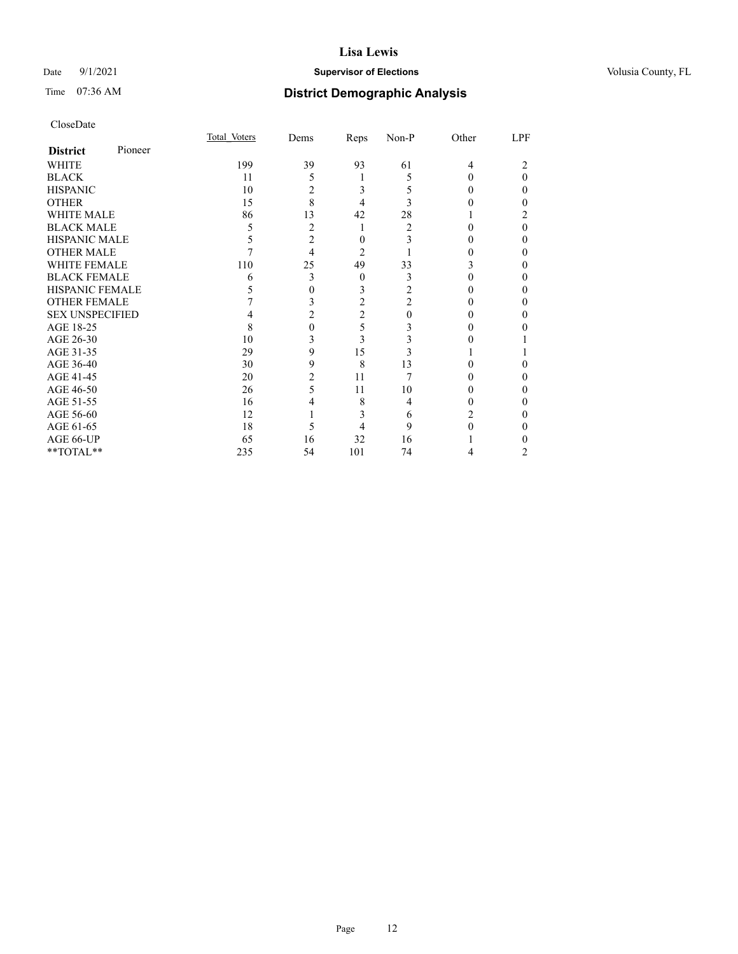## Date 9/1/2021 **Supervisor of Elections Supervisor of Elections** Volusia County, FL

# Time 07:36 AM **District Demographic Analysis**

| CloseDate |
|-----------|
|-----------|

|                        |         | Total Voters | Dems           | Reps           | Non-P | Other | LPF |
|------------------------|---------|--------------|----------------|----------------|-------|-------|-----|
| <b>District</b>        | Pioneer |              |                |                |       |       |     |
| WHITE                  |         | 199          | 39             | 93             | 61    | 4     |     |
| BLACK                  |         | 11           | 5              |                | 5     |       | 0   |
| HISPANIC               |         | 10           | 2              | 3              |       |       | 0   |
| OTHER                  |         | 15           | 8              | 4              |       |       |     |
| WHITE MALE             |         | 86           | 13             | 42             | 28    |       |     |
| <b>BLACK MALE</b>      |         | 5            | $\overline{2}$ |                | 2     |       |     |
| HISPANIC MALE          |         | 5            | 2              | 0              |       |       |     |
| OTHER MALE             |         |              | 4              | $\mathfrak{D}$ |       |       |     |
| WHITE FEMALE           |         | 110          | 25             | 49             | 33    |       |     |
| BLACK FEMALE           |         | 6            | 3              | $\theta$       | 3     |       | 0   |
| HISPANIC FEMALE        |         | 5            | 0              | 3              |       |       |     |
| OTHER FEMALE           |         |              | 3              | $\overline{2}$ |       |       |     |
| <b>SEX UNSPECIFIED</b> |         |              | 2              | $\overline{2}$ |       |       |     |
| AGE 18-25              |         | 8            | 0              | 5              |       |       |     |
| AGE 26-30              |         | 10           | 3              | 3              |       |       |     |
| AGE 31-35              |         | 29           | 9              | 15             |       |       |     |
| AGE 36-40              |         | 30           | 9              | 8              | 13    |       |     |
| AGE 41-45              |         | 20           | 2              | 11             |       |       |     |
| AGE 46-50              |         | 26           | 5              | 11             | 10    |       | 0   |
| AGE 51-55              |         | 16           |                | 8              | 4     |       |     |
| AGE 56-60              |         | 12           |                | 3              | 6     |       |     |
| AGE 61-65              |         | 18           | 5              |                | 9     |       |     |
| AGE 66-UP              |         | 65           | 16             | 32             | 16    |       |     |
| $*$ $TOTAL**$          |         | 235          | 54             | 101            | 74    | 4     | 2   |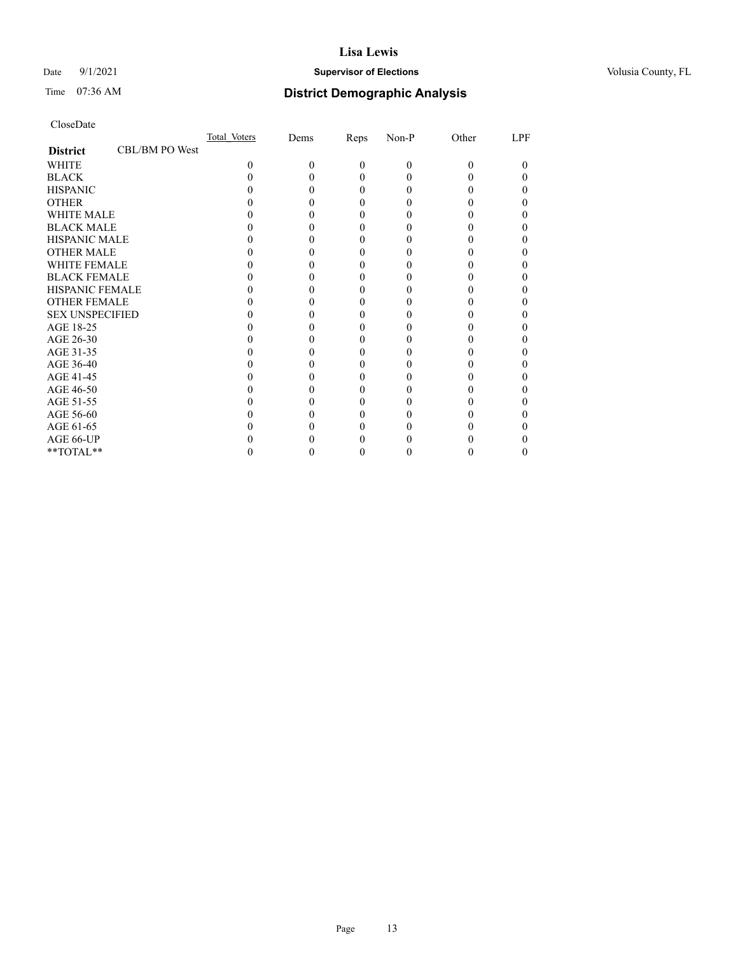## Date 9/1/2021 **Supervisor of Elections Supervisor of Elections** Volusia County, FL

# Time 07:36 AM **District Demographic Analysis**

|                        |                | Total Voters | Dems | Reps     | Non-P    | Other    | LPF |
|------------------------|----------------|--------------|------|----------|----------|----------|-----|
| <b>District</b>        | CBL/BM PO West |              |      |          |          |          |     |
| WHITE                  |                | $\Omega$     | 0    | $\Omega$ | $\theta$ | $\Omega$ | 0   |
| <b>BLACK</b>           |                |              |      | 0        | 0        |          |     |
| <b>HISPANIC</b>        |                |              |      | 0        | 0        |          |     |
| <b>OTHER</b>           |                |              |      |          |          |          |     |
| <b>WHITE MALE</b>      |                |              |      |          |          |          |     |
| <b>BLACK MALE</b>      |                |              |      |          |          |          |     |
| <b>HISPANIC MALE</b>   |                |              |      |          |          |          |     |
| <b>OTHER MALE</b>      |                |              |      |          |          |          |     |
| <b>WHITE FEMALE</b>    |                |              |      |          |          |          |     |
| <b>BLACK FEMALE</b>    |                |              |      |          |          |          |     |
| <b>HISPANIC FEMALE</b> |                |              |      |          |          |          |     |
| <b>OTHER FEMALE</b>    |                |              |      |          |          |          |     |
| <b>SEX UNSPECIFIED</b> |                |              |      |          |          |          |     |
| AGE 18-25              |                |              |      |          |          |          |     |
| AGE 26-30              |                |              |      |          |          |          |     |
| AGE 31-35              |                |              |      |          |          |          |     |
| AGE 36-40              |                |              |      |          |          |          |     |
| AGE 41-45              |                |              |      |          |          |          |     |
| AGE 46-50              |                |              |      |          |          |          |     |
| AGE 51-55              |                |              |      |          |          |          |     |
| AGE 56-60              |                |              |      |          |          |          |     |
| AGE 61-65              |                |              |      |          |          |          |     |
| AGE 66-UP              |                |              |      |          |          |          |     |
| **TOTAL**              |                |              |      | 0        | 0        | 0        | 0   |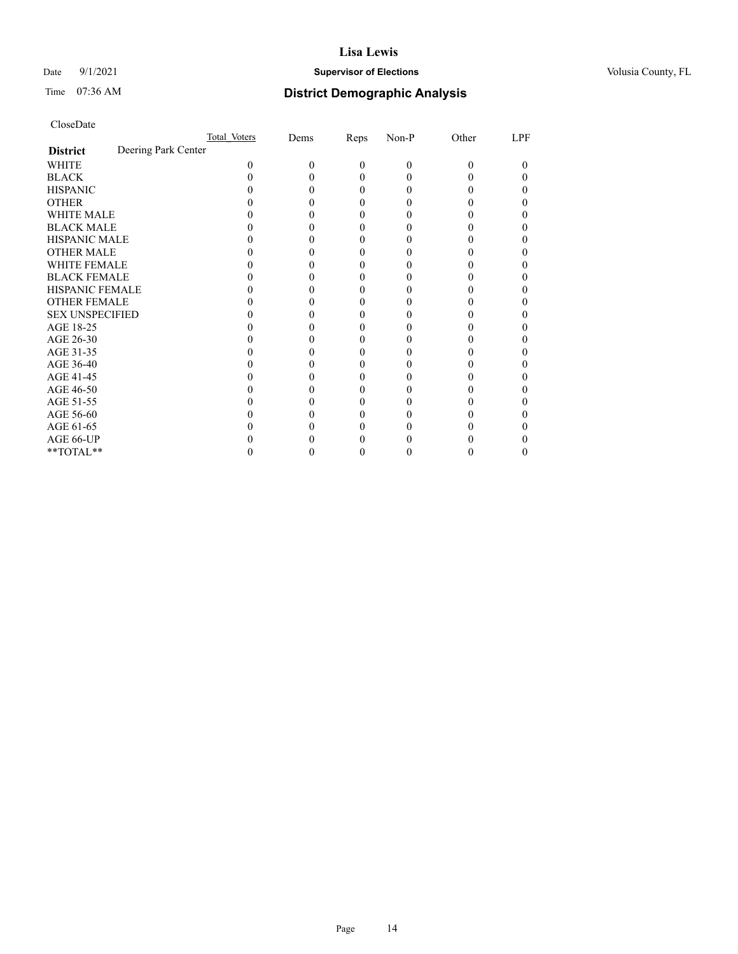## Date 9/1/2021 **Supervisor of Elections Supervisor of Elections** Volusia County, FL

# Time 07:36 AM **District Demographic Analysis**

|                        |                     | Total Voters | Dems | Reps     | Non-P    | Other | LPF |
|------------------------|---------------------|--------------|------|----------|----------|-------|-----|
| <b>District</b>        | Deering Park Center |              |      |          |          |       |     |
| WHITE                  |                     | 0            | 0    | $\theta$ | $\Omega$ | 0     | 0   |
| <b>BLACK</b>           |                     |              |      | 0        |          |       |     |
| <b>HISPANIC</b>        |                     |              |      | $\theta$ |          |       |     |
| <b>OTHER</b>           |                     |              |      |          |          |       |     |
| <b>WHITE MALE</b>      |                     |              |      |          |          |       |     |
| <b>BLACK MALE</b>      |                     |              |      |          |          |       |     |
| <b>HISPANIC MALE</b>   |                     |              |      |          |          |       |     |
| <b>OTHER MALE</b>      |                     |              |      |          |          |       | 0   |
| <b>WHITE FEMALE</b>    |                     |              |      |          |          |       |     |
| <b>BLACK FEMALE</b>    |                     |              |      | 0        |          |       |     |
| HISPANIC FEMALE        |                     |              |      |          |          |       |     |
| <b>OTHER FEMALE</b>    |                     |              |      |          |          |       |     |
| <b>SEX UNSPECIFIED</b> |                     |              |      |          |          |       |     |
| AGE 18-25              |                     |              |      |          |          |       |     |
| AGE 26-30              |                     |              |      |          |          |       |     |
| AGE 31-35              |                     |              |      |          |          |       |     |
| AGE 36-40              |                     |              |      |          |          |       |     |
| AGE 41-45              |                     |              |      |          |          |       |     |
| AGE 46-50              |                     |              |      |          |          |       |     |
| AGE 51-55              |                     |              |      |          |          |       |     |
| AGE 56-60              |                     |              |      |          |          |       |     |
| AGE 61-65              |                     |              |      |          |          |       |     |
| AGE 66-UP              |                     |              |      |          |          |       |     |
| **TOTAL**              |                     |              |      |          |          |       | 0   |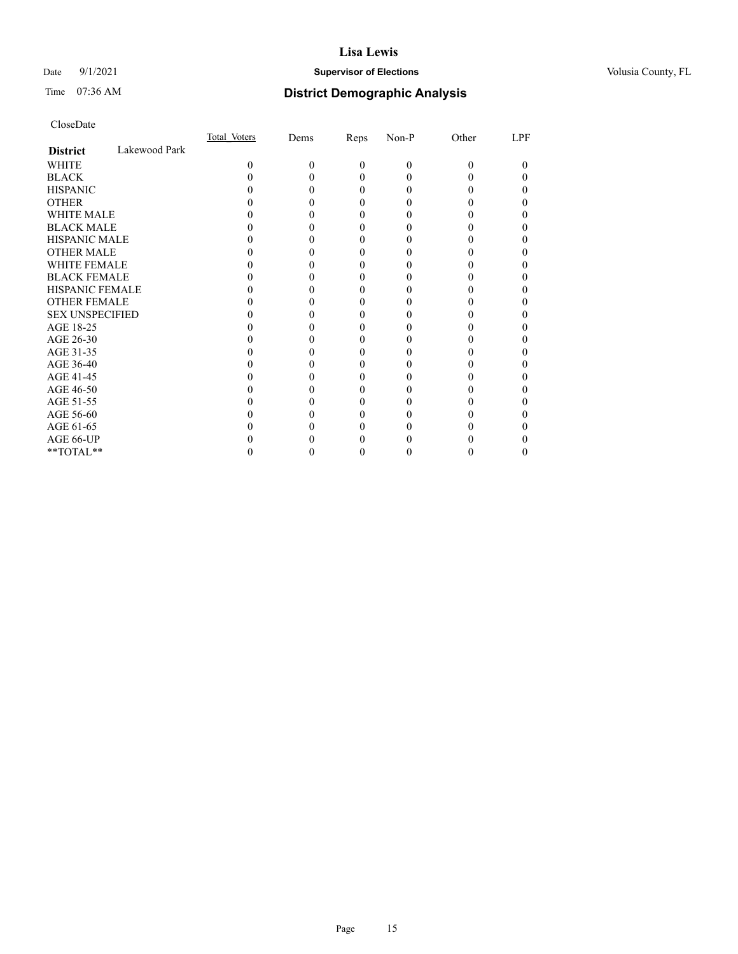## Date 9/1/2021 **Supervisor of Elections Supervisor of Elections** Volusia County, FL

# Time 07:36 AM **District Demographic Analysis**

|                        |               | Total Voters | Dems | Reps     | Non-P | Other | LPF |
|------------------------|---------------|--------------|------|----------|-------|-------|-----|
| <b>District</b>        | Lakewood Park |              |      |          |       |       |     |
| WHITE                  |               | 0            | 0    | $\Omega$ | 0     | 0     | 0   |
| <b>BLACK</b>           |               |              |      | 0        |       |       |     |
| <b>HISPANIC</b>        |               |              |      | $_{0}$   |       |       |     |
| <b>OTHER</b>           |               |              |      |          |       |       |     |
| WHITE MALE             |               |              |      | 0        |       |       | 0   |
| <b>BLACK MALE</b>      |               |              |      |          |       |       |     |
| <b>HISPANIC MALE</b>   |               |              |      |          |       |       |     |
| <b>OTHER MALE</b>      |               |              |      |          |       |       | 0   |
| <b>WHITE FEMALE</b>    |               |              |      |          |       |       |     |
| <b>BLACK FEMALE</b>    |               |              |      |          |       |       | 0   |
| <b>HISPANIC FEMALE</b> |               |              |      |          |       |       |     |
| <b>OTHER FEMALE</b>    |               |              |      | 0        |       |       |     |
| <b>SEX UNSPECIFIED</b> |               |              |      |          |       |       |     |
| AGE 18-25              |               |              |      |          |       |       |     |
| AGE 26-30              |               |              |      |          |       |       |     |
| AGE 31-35              |               |              |      |          |       |       |     |
| AGE 36-40              |               |              |      |          |       |       | 0   |
| AGE 41-45              |               |              |      |          |       |       |     |
| AGE 46-50              |               |              |      | $_{0}$   |       |       | 0   |
| AGE 51-55              |               |              |      |          |       |       |     |
| AGE 56-60              |               |              |      |          |       |       |     |
| AGE 61-65              |               |              |      |          |       |       |     |
| AGE 66-UP              |               |              |      |          |       |       |     |
| **TOTAL**              |               |              |      |          |       |       | 0   |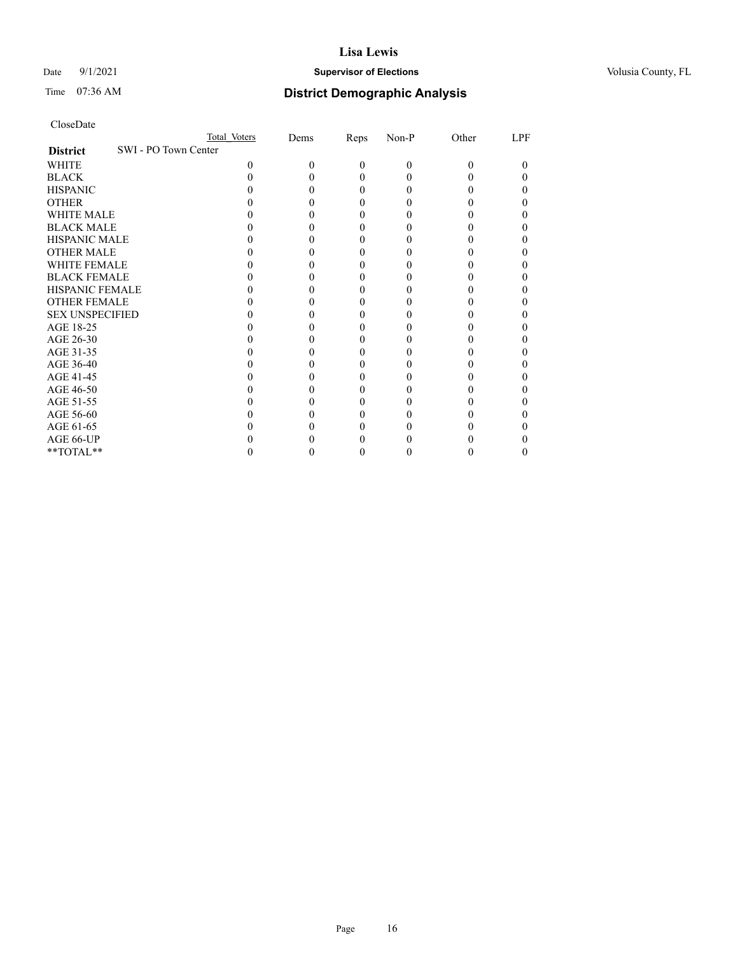## Date 9/1/2021 **Supervisor of Elections Supervisor of Elections** Volusia County, FL

# Time 07:36 AM **District Demographic Analysis**

|                                         | Total Voters | Dems | Reps     | Non-P | Other | LPF |
|-----------------------------------------|--------------|------|----------|-------|-------|-----|
| SWI - PO Town Center<br><b>District</b> |              |      |          |       |       |     |
| WHITE                                   | 0            | 0    | $\Omega$ | 0     | 0     | 0   |
| <b>BLACK</b>                            |              |      |          |       |       |     |
| <b>HISPANIC</b>                         |              |      |          |       |       |     |
| <b>OTHER</b>                            |              |      |          |       |       |     |
| WHITE MALE                              |              |      |          |       |       |     |
| <b>BLACK MALE</b>                       |              |      |          |       |       |     |
| <b>HISPANIC MALE</b>                    |              |      |          |       |       |     |
| <b>OTHER MALE</b>                       |              |      |          |       |       |     |
| <b>WHITE FEMALE</b>                     |              |      |          |       |       |     |
| <b>BLACK FEMALE</b>                     |              |      |          |       |       |     |
| HISPANIC FEMALE                         |              |      |          |       |       |     |
| <b>OTHER FEMALE</b>                     |              |      |          |       |       |     |
| <b>SEX UNSPECIFIED</b>                  |              |      |          |       |       |     |
| AGE 18-25                               |              |      |          |       |       |     |
| AGE 26-30                               |              |      |          |       |       |     |
| AGE 31-35                               |              |      |          |       |       |     |
| AGE 36-40                               |              |      |          |       |       |     |
| AGE 41-45                               |              |      |          |       |       |     |
| AGE 46-50                               |              |      |          |       |       |     |
| AGE 51-55                               |              |      |          |       |       |     |
| AGE 56-60                               |              |      |          |       |       |     |
| AGE 61-65                               |              |      |          |       |       |     |
| AGE 66-UP                               |              |      |          |       |       |     |
| **TOTAL**                               |              |      |          |       |       |     |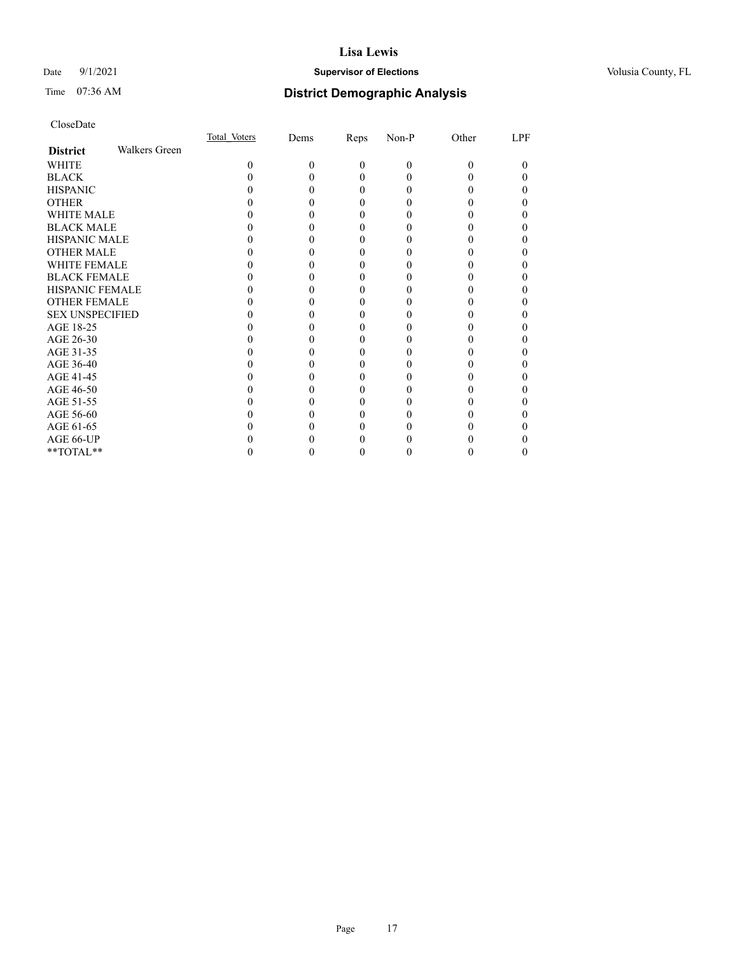## Date 9/1/2021 **Supervisor of Elections Supervisor of Elections** Volusia County, FL

# Time 07:36 AM **District Demographic Analysis**

|                        |                      | Total Voters | Dems | Reps     | Non-P | Other | LPF      |
|------------------------|----------------------|--------------|------|----------|-------|-------|----------|
| <b>District</b>        | <b>Walkers Green</b> |              |      |          |       |       |          |
| WHITE                  |                      | 0            | 0    | $\theta$ | 0     | 0     | $\theta$ |
| <b>BLACK</b>           |                      |              |      | 0        |       |       |          |
| <b>HISPANIC</b>        |                      |              |      | 0        |       |       | 0        |
| <b>OTHER</b>           |                      |              |      |          |       |       |          |
| WHITE MALE             |                      |              |      | 0        |       |       |          |
| <b>BLACK MALE</b>      |                      |              |      |          |       |       |          |
| HISPANIC MALE          |                      |              |      |          |       |       |          |
| <b>OTHER MALE</b>      |                      |              |      |          |       |       |          |
| WHITE FEMALE           |                      |              |      |          |       |       |          |
| <b>BLACK FEMALE</b>    |                      |              |      | 0        |       |       |          |
| <b>HISPANIC FEMALE</b> |                      |              |      |          |       |       |          |
| <b>OTHER FEMALE</b>    |                      |              |      | 0        |       |       |          |
| <b>SEX UNSPECIFIED</b> |                      |              |      |          |       |       |          |
| AGE 18-25              |                      |              |      |          |       |       |          |
| AGE 26-30              |                      |              |      |          |       |       |          |
| AGE 31-35              |                      |              |      |          |       |       |          |
| AGE 36-40              |                      |              |      | 0        |       |       | 0        |
| AGE 41-45              |                      |              |      |          |       |       |          |
| AGE 46-50              |                      |              |      | 0        |       |       |          |
| AGE 51-55              |                      |              |      |          |       |       |          |
| AGE 56-60              |                      |              |      |          |       |       |          |
| AGE 61-65              |                      |              |      |          |       |       |          |
| AGE 66-UP              |                      |              |      |          |       |       |          |
| **TOTAL**              |                      |              |      | 0        |       |       |          |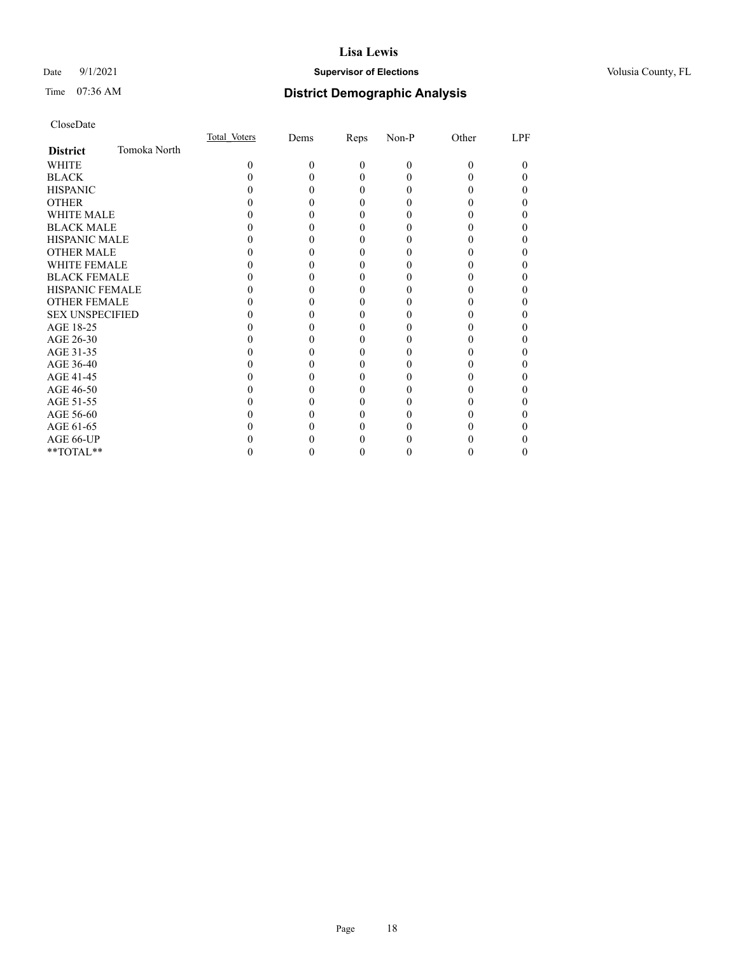## Date 9/1/2021 **Supervisor of Elections Supervisor of Elections** Volusia County, FL

# Time 07:36 AM **District Demographic Analysis**

|                        |              | Total Voters | Dems | Reps     | Non-P    | Other | LPF |
|------------------------|--------------|--------------|------|----------|----------|-------|-----|
| <b>District</b>        | Tomoka North |              |      |          |          |       |     |
| WHITE                  |              | 0            | 0    | $\Omega$ | $\Omega$ | 0     | 0   |
| <b>BLACK</b>           |              |              |      | 0        |          |       |     |
| <b>HISPANIC</b>        |              |              |      | $\theta$ |          |       |     |
| <b>OTHER</b>           |              |              |      |          |          |       |     |
| WHITE MALE             |              |              |      |          |          |       |     |
| <b>BLACK MALE</b>      |              |              |      |          |          |       |     |
| <b>HISPANIC MALE</b>   |              |              |      |          |          |       |     |
| <b>OTHER MALE</b>      |              |              |      |          |          |       |     |
| <b>WHITE FEMALE</b>    |              |              |      |          |          |       |     |
| <b>BLACK FEMALE</b>    |              |              |      |          |          |       |     |
| HISPANIC FEMALE        |              |              |      |          |          |       |     |
| <b>OTHER FEMALE</b>    |              |              |      | 0        |          |       |     |
| <b>SEX UNSPECIFIED</b> |              |              |      |          |          |       |     |
| AGE 18-25              |              |              |      |          |          |       |     |
| AGE 26-30              |              |              |      |          |          |       |     |
| AGE 31-35              |              |              |      |          |          |       |     |
| AGE 36-40              |              |              |      |          |          |       |     |
| AGE 41-45              |              |              |      |          |          |       |     |
| AGE 46-50              |              |              |      | 0        |          |       |     |
| AGE 51-55              |              |              |      |          |          |       |     |
| AGE 56-60              |              |              |      |          |          |       |     |
| AGE 61-65              |              |              |      |          |          |       |     |
| AGE 66-UP              |              |              |      |          |          |       |     |
| **TOTAL**              |              |              |      |          |          |       |     |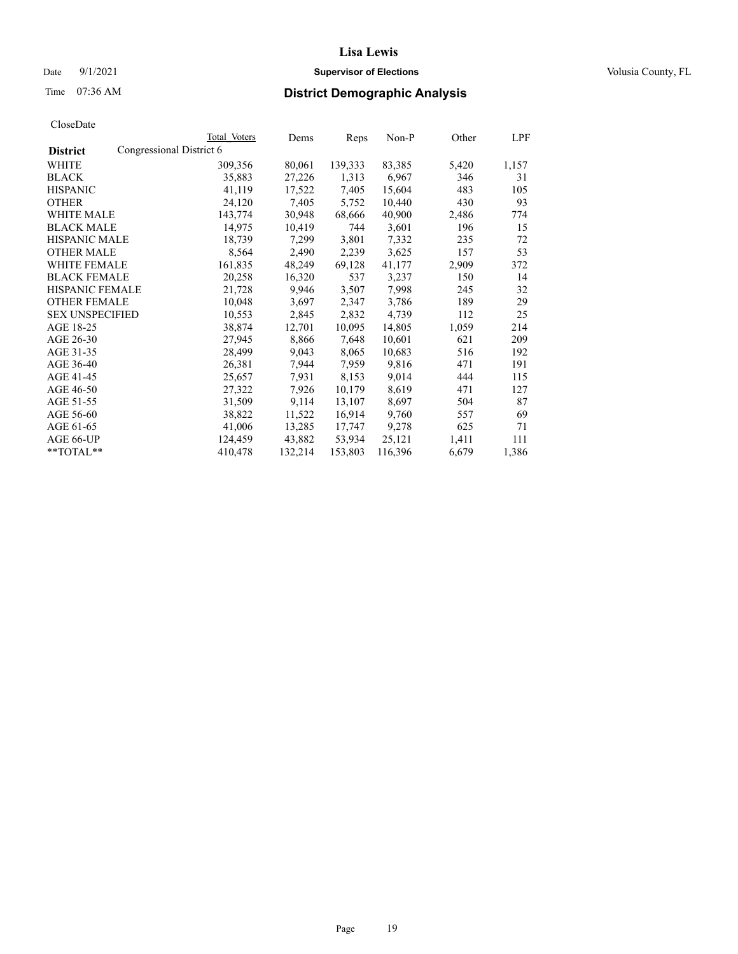## Date 9/1/2021 **Supervisor of Elections Supervisor of Elections** Volusia County, FL

# Time 07:36 AM **District Demographic Analysis**

|                        |                          | Total Voters | Dems    | Reps    | Non-P   | Other | LPF   |
|------------------------|--------------------------|--------------|---------|---------|---------|-------|-------|
| <b>District</b>        | Congressional District 6 |              |         |         |         |       |       |
| WHITE                  |                          | 309,356      | 80,061  | 139,333 | 83,385  | 5,420 | 1,157 |
| <b>BLACK</b>           |                          | 35,883       | 27,226  | 1,313   | 6,967   | 346   | 31    |
| <b>HISPANIC</b>        |                          | 41,119       | 17,522  | 7,405   | 15,604  | 483   | 105   |
| <b>OTHER</b>           |                          | 24,120       | 7,405   | 5,752   | 10,440  | 430   | 93    |
| WHITE MALE             |                          | 143,774      | 30,948  | 68,666  | 40,900  | 2,486 | 774   |
| <b>BLACK MALE</b>      |                          | 14,975       | 10,419  | 744     | 3,601   | 196   | 15    |
| <b>HISPANIC MALE</b>   |                          | 18,739       | 7,299   | 3,801   | 7,332   | 235   | 72    |
| <b>OTHER MALE</b>      |                          | 8,564        | 2,490   | 2,239   | 3,625   | 157   | 53    |
| <b>WHITE FEMALE</b>    |                          | 161,835      | 48,249  | 69,128  | 41,177  | 2,909 | 372   |
| <b>BLACK FEMALE</b>    |                          | 20,258       | 16,320  | 537     | 3,237   | 150   | 14    |
| <b>HISPANIC FEMALE</b> |                          | 21,728       | 9,946   | 3,507   | 7,998   | 245   | 32    |
| <b>OTHER FEMALE</b>    |                          | 10,048       | 3,697   | 2,347   | 3,786   | 189   | 29    |
| <b>SEX UNSPECIFIED</b> |                          | 10,553       | 2,845   | 2,832   | 4,739   | 112   | 25    |
| AGE 18-25              |                          | 38,874       | 12,701  | 10,095  | 14,805  | 1,059 | 214   |
| AGE 26-30              |                          | 27,945       | 8,866   | 7,648   | 10,601  | 621   | 209   |
| AGE 31-35              |                          | 28,499       | 9,043   | 8,065   | 10,683  | 516   | 192   |
| AGE 36-40              |                          | 26,381       | 7,944   | 7,959   | 9,816   | 471   | 191   |
| AGE 41-45              |                          | 25,657       | 7,931   | 8,153   | 9,014   | 444   | 115   |
| AGE 46-50              |                          | 27,322       | 7,926   | 10,179  | 8,619   | 471   | 127   |
| AGE 51-55              |                          | 31,509       | 9,114   | 13,107  | 8,697   | 504   | 87    |
| AGE 56-60              |                          | 38,822       | 11,522  | 16,914  | 9,760   | 557   | 69    |
| AGE 61-65              |                          | 41,006       | 13,285  | 17,747  | 9,278   | 625   | 71    |
| AGE 66-UP              |                          | 124,459      | 43,882  | 53,934  | 25,121  | 1,411 | 111   |
| $*$ $TOTAL**$          |                          | 410,478      | 132,214 | 153,803 | 116,396 | 6,679 | 1,386 |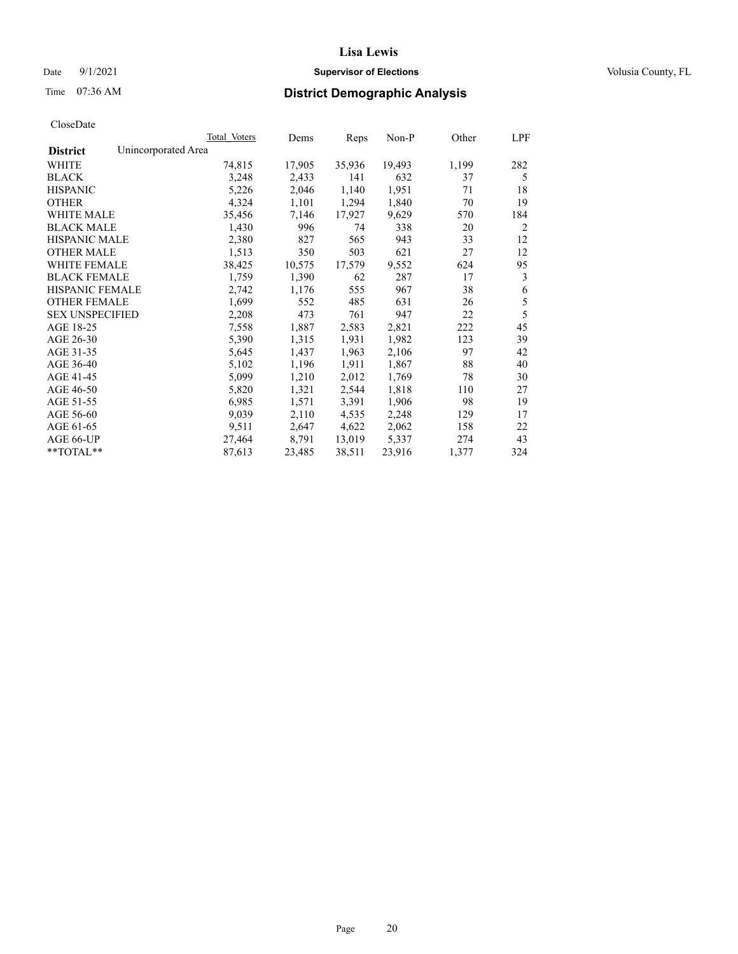## Date 9/1/2021 **Supervisor of Elections Supervisor of Elections** Volusia County, FL

# Time 07:36 AM **District Demographic Analysis**

|                        | Total Voters        | Dems   | Reps   | Non-P  | Other | LPF |
|------------------------|---------------------|--------|--------|--------|-------|-----|
| <b>District</b>        | Unincorporated Area |        |        |        |       |     |
| WHITE                  | 74,815              | 17,905 | 35,936 | 19,493 | 1,199 | 282 |
| <b>BLACK</b>           | 3,248               | 2,433  | 141    | 632    | 37    | 5   |
| <b>HISPANIC</b>        | 5,226               | 2,046  | 1,140  | 1,951  | 71    | 18  |
| <b>OTHER</b>           | 4,324               | 1,101  | 1,294  | 1,840  | 70    | 19  |
| WHITE MALE             | 35,456              | 7,146  | 17,927 | 9,629  | 570   | 184 |
| <b>BLACK MALE</b>      | 1,430               | 996    | 74     | 338    | 20    | 2   |
| <b>HISPANIC MALE</b>   | 2,380               | 827    | 565    | 943    | 33    | 12  |
| <b>OTHER MALE</b>      | 1,513               | 350    | 503    | 621    | 27    | 12  |
| <b>WHITE FEMALE</b>    | 38,425              | 10,575 | 17,579 | 9,552  | 624   | 95  |
| <b>BLACK FEMALE</b>    | 1,759               | 1,390  | 62     | 287    | 17    | 3   |
| <b>HISPANIC FEMALE</b> | 2,742               | 1,176  | 555    | 967    | 38    | 6   |
| <b>OTHER FEMALE</b>    | 1,699               | 552    | 485    | 631    | 26    | 5   |
| <b>SEX UNSPECIFIED</b> | 2,208               | 473    | 761    | 947    | 22    | 5   |
| AGE 18-25              | 7,558               | 1,887  | 2,583  | 2,821  | 222   | 45  |
| AGE 26-30              | 5,390               | 1,315  | 1,931  | 1,982  | 123   | 39  |
| AGE 31-35              | 5,645               | 1,437  | 1,963  | 2,106  | 97    | 42  |
| AGE 36-40              | 5,102               | 1,196  | 1,911  | 1,867  | 88    | 40  |
| AGE 41-45              | 5,099               | 1,210  | 2,012  | 1,769  | 78    | 30  |
| AGE 46-50              | 5,820               | 1,321  | 2,544  | 1,818  | 110   | 27  |
| AGE 51-55              | 6,985               | 1,571  | 3,391  | 1,906  | 98    | 19  |
| AGE 56-60              | 9,039               | 2,110  | 4,535  | 2,248  | 129   | 17  |
| AGE 61-65              | 9,511               | 2,647  | 4,622  | 2,062  | 158   | 22  |
| AGE 66-UP              | 27,464              | 8,791  | 13,019 | 5,337  | 274   | 43  |
| **TOTAL**              | 87,613              | 23,485 | 38,511 | 23,916 | 1,377 | 324 |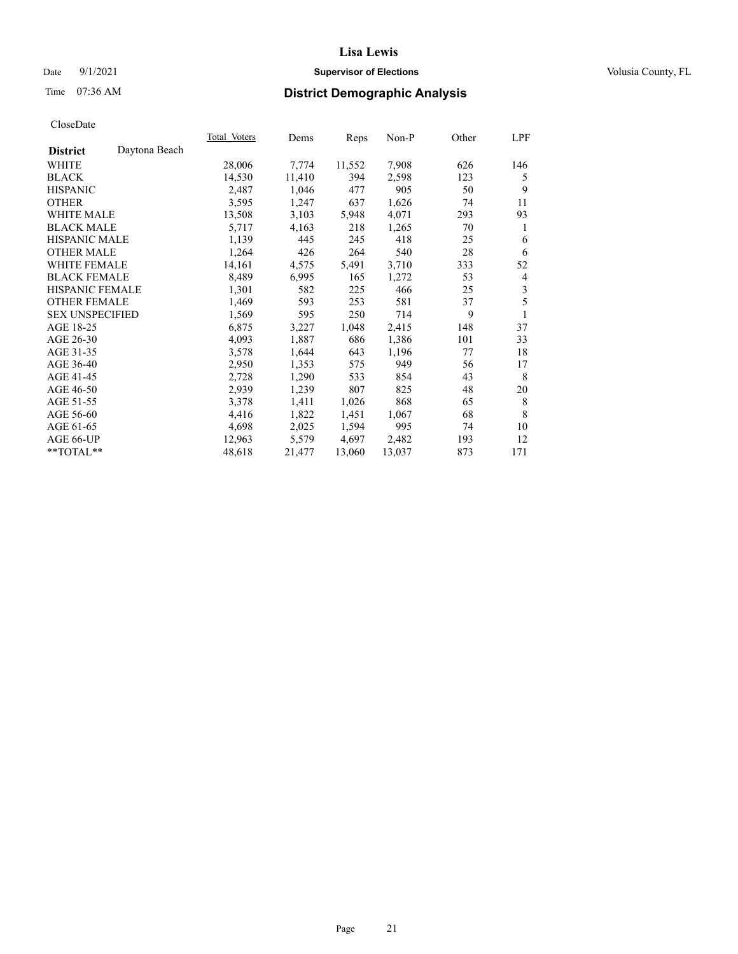## Date 9/1/2021 **Supervisor of Elections Supervisor of Elections** Volusia County, FL

# Time 07:36 AM **District Demographic Analysis**

|                        |               | Total Voters | Dems   | Reps   | Non-P  | Other | LPF |
|------------------------|---------------|--------------|--------|--------|--------|-------|-----|
| <b>District</b>        | Daytona Beach |              |        |        |        |       |     |
| WHITE                  |               | 28,006       | 7,774  | 11,552 | 7,908  | 626   | 146 |
| <b>BLACK</b>           |               | 14,530       | 11,410 | 394    | 2,598  | 123   | 5   |
| <b>HISPANIC</b>        |               | 2,487        | 1,046  | 477    | 905    | 50    | 9   |
| <b>OTHER</b>           |               | 3,595        | 1,247  | 637    | 1,626  | 74    | 11  |
| WHITE MALE             |               | 13,508       | 3,103  | 5,948  | 4,071  | 293   | 93  |
| <b>BLACK MALE</b>      |               | 5,717        | 4,163  | 218    | 1,265  | 70    | 1   |
| <b>HISPANIC MALE</b>   |               | 1,139        | 445    | 245    | 418    | 25    | 6   |
| <b>OTHER MALE</b>      |               | 1,264        | 426    | 264    | 540    | 28    | 6   |
| <b>WHITE FEMALE</b>    |               | 14,161       | 4,575  | 5,491  | 3,710  | 333   | 52  |
| <b>BLACK FEMALE</b>    |               | 8,489        | 6,995  | 165    | 1,272  | 53    | 4   |
| <b>HISPANIC FEMALE</b> |               | 1,301        | 582    | 225    | 466    | 25    | 3   |
| <b>OTHER FEMALE</b>    |               | 1,469        | 593    | 253    | 581    | 37    | 5   |
| <b>SEX UNSPECIFIED</b> |               | 1,569        | 595    | 250    | 714    | 9     | 1   |
| AGE 18-25              |               | 6,875        | 3,227  | 1,048  | 2,415  | 148   | 37  |
| AGE 26-30              |               | 4,093        | 1,887  | 686    | 1,386  | 101   | 33  |
| AGE 31-35              |               | 3,578        | 1,644  | 643    | 1,196  | 77    | 18  |
| AGE 36-40              |               | 2,950        | 1,353  | 575    | 949    | 56    | 17  |
| AGE 41-45              |               | 2,728        | 1,290  | 533    | 854    | 43    | 8   |
| AGE 46-50              |               | 2,939        | 1,239  | 807    | 825    | 48    | 20  |
| AGE 51-55              |               | 3,378        | 1,411  | 1,026  | 868    | 65    | 8   |
| AGE 56-60              |               | 4,416        | 1,822  | 1,451  | 1,067  | 68    | 8   |
| AGE 61-65              |               | 4,698        | 2,025  | 1,594  | 995    | 74    | 10  |
| AGE 66-UP              |               | 12,963       | 5,579  | 4,697  | 2,482  | 193   | 12  |
| $*$ TOTAL $*$          |               | 48,618       | 21,477 | 13,060 | 13,037 | 873   | 171 |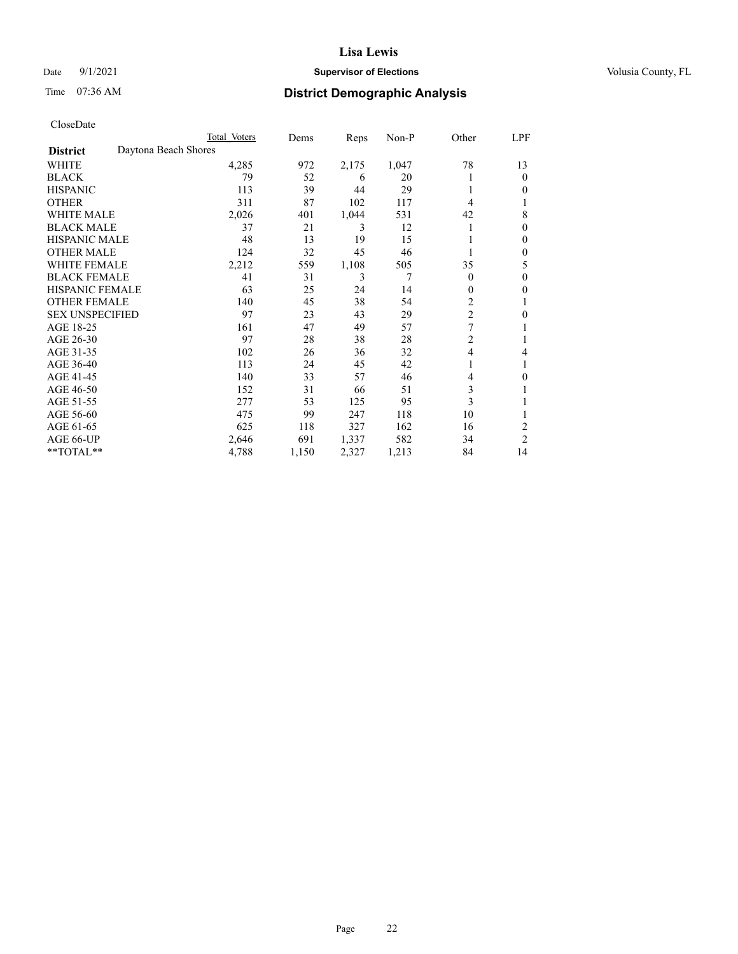## Date 9/1/2021 **Supervisor of Elections Supervisor of Elections** Volusia County, FL

# Time 07:36 AM **District Demographic Analysis**

|                        |                      | Total Voters | Dems  | Reps  | Non-P | Other          | LPF            |
|------------------------|----------------------|--------------|-------|-------|-------|----------------|----------------|
| <b>District</b>        | Daytona Beach Shores |              |       |       |       |                |                |
| WHITE                  |                      | 4,285        | 972   | 2,175 | 1,047 | 78             | 13             |
| <b>BLACK</b>           |                      | 79           | 52    | 6     | 20    |                | $\mathbf{0}$   |
| <b>HISPANIC</b>        |                      | 113          | 39    | 44    | 29    | 1              | $\Omega$       |
| <b>OTHER</b>           |                      | 311          | 87    | 102   | 117   | 4              |                |
| <b>WHITE MALE</b>      |                      | 2,026        | 401   | 1,044 | 531   | 42             | 8              |
| <b>BLACK MALE</b>      |                      | 37           | 21    | 3     | 12    |                | $\mathbf{0}$   |
| <b>HISPANIC MALE</b>   |                      | 48           | 13    | 19    | 15    |                | $\mathbf{0}$   |
| <b>OTHER MALE</b>      |                      | 124          | 32    | 45    | 46    |                | $\mathbf{0}$   |
| WHITE FEMALE           |                      | 2,212        | 559   | 1,108 | 505   | 35             | 5              |
| <b>BLACK FEMALE</b>    |                      | 41           | 31    | 3     | 7     | $\theta$       | $\mathbf{0}$   |
| <b>HISPANIC FEMALE</b> |                      | 63           | 25    | 24    | 14    | $\theta$       | 0              |
| <b>OTHER FEMALE</b>    |                      | 140          | 45    | 38    | 54    | $\overline{c}$ |                |
| <b>SEX UNSPECIFIED</b> |                      | 97           | 23    | 43    | 29    | $\overline{2}$ | $\theta$       |
| AGE 18-25              |                      | 161          | 47    | 49    | 57    | 7              |                |
| AGE 26-30              |                      | 97           | 28    | 38    | 28    | $\overline{c}$ | 1              |
| AGE 31-35              |                      | 102          | 26    | 36    | 32    | $\overline{4}$ | 4              |
| AGE 36-40              |                      | 113          | 24    | 45    | 42    | 1              |                |
| AGE 41-45              |                      | 140          | 33    | 57    | 46    | 4              | 0              |
| AGE 46-50              |                      | 152          | 31    | 66    | 51    | 3              |                |
| AGE 51-55              |                      | 277          | 53    | 125   | 95    | 3              |                |
| AGE 56-60              |                      | 475          | 99    | 247   | 118   | 10             |                |
| AGE 61-65              |                      | 625          | 118   | 327   | 162   | 16             | $\overline{2}$ |
| AGE 66-UP              |                      | 2,646        | 691   | 1,337 | 582   | 34             | $\overline{c}$ |
| **TOTAL**              |                      | 4,788        | 1,150 | 2,327 | 1,213 | 84             | 14             |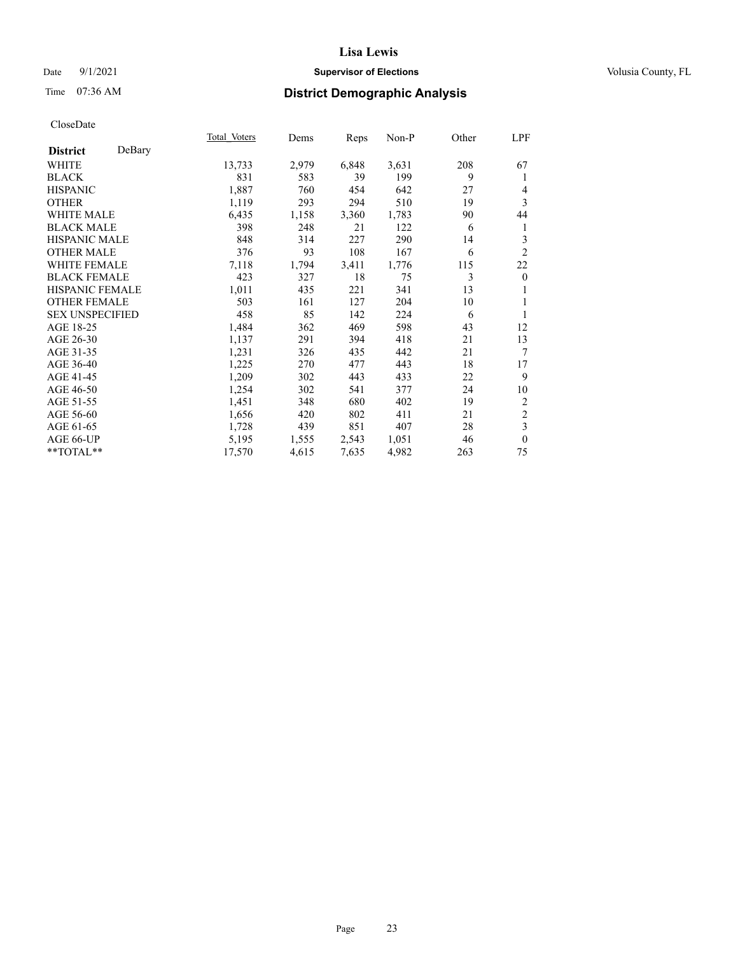## Date 9/1/2021 **Supervisor of Elections Supervisor of Elections** Volusia County, FL

# Time 07:36 AM **District Demographic Analysis**

|                        |        | Total Voters | Dems  | Reps  | Non-P | Other | LPF            |
|------------------------|--------|--------------|-------|-------|-------|-------|----------------|
| <b>District</b>        | DeBary |              |       |       |       |       |                |
| WHITE                  |        | 13,733       | 2,979 | 6,848 | 3,631 | 208   | 67             |
| <b>BLACK</b>           |        | 831          | 583   | 39    | 199   | 9     | 1              |
| <b>HISPANIC</b>        |        | 1,887        | 760   | 454   | 642   | 27    | 4              |
| <b>OTHER</b>           |        | 1,119        | 293   | 294   | 510   | 19    | 3              |
| WHITE MALE             |        | 6,435        | 1,158 | 3,360 | 1,783 | 90    | 44             |
| <b>BLACK MALE</b>      |        | 398          | 248   | 21    | 122   | 6     | 1              |
| <b>HISPANIC MALE</b>   |        | 848          | 314   | 227   | 290   | 14    | 3              |
| <b>OTHER MALE</b>      |        | 376          | 93    | 108   | 167   | 6     | $\overline{2}$ |
| <b>WHITE FEMALE</b>    |        | 7,118        | 1,794 | 3,411 | 1,776 | 115   | 22             |
| <b>BLACK FEMALE</b>    |        | 423          | 327   | 18    | 75    | 3     | $\mathbf{0}$   |
| <b>HISPANIC FEMALE</b> |        | 1,011        | 435   | 221   | 341   | 13    | 1              |
| <b>OTHER FEMALE</b>    |        | 503          | 161   | 127   | 204   | 10    | 1              |
| <b>SEX UNSPECIFIED</b> |        | 458          | 85    | 142   | 224   | 6     | 1              |
| AGE 18-25              |        | 1,484        | 362   | 469   | 598   | 43    | 12             |
| AGE 26-30              |        | 1,137        | 291   | 394   | 418   | 21    | 13             |
| AGE 31-35              |        | 1,231        | 326   | 435   | 442   | 21    | $\tau$         |
| AGE 36-40              |        | 1,225        | 270   | 477   | 443   | 18    | 17             |
| AGE 41-45              |        | 1,209        | 302   | 443   | 433   | 22    | 9              |
| AGE 46-50              |        | 1,254        | 302   | 541   | 377   | 24    | 10             |
| AGE 51-55              |        | 1,451        | 348   | 680   | 402   | 19    | $\overline{2}$ |
| AGE 56-60              |        | 1,656        | 420   | 802   | 411   | 21    | $\sqrt{2}$     |
| AGE 61-65              |        | 1,728        | 439   | 851   | 407   | 28    | 3              |
| AGE 66-UP              |        | 5,195        | 1,555 | 2,543 | 1,051 | 46    | $\theta$       |
| **TOTAL**              |        | 17,570       | 4,615 | 7,635 | 4,982 | 263   | 75             |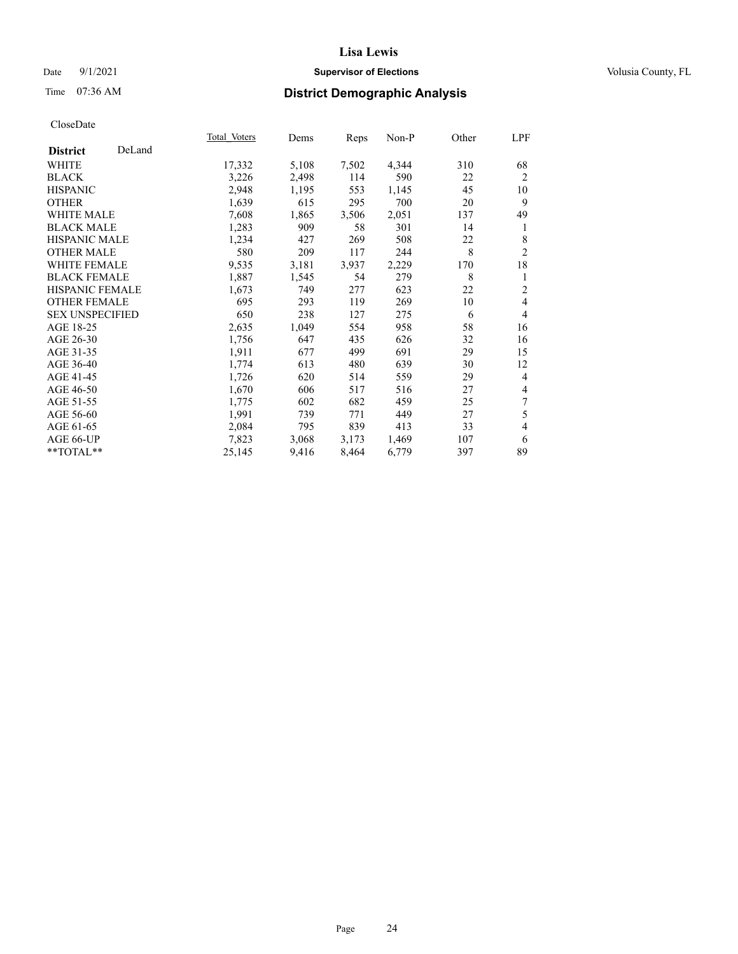## Date 9/1/2021 **Supervisor of Elections Supervisor of Elections** Volusia County, FL

# Time 07:36 AM **District Demographic Analysis**

|                        |        | Total Voters | Dems  | Reps  | Non-P | Other | LPF            |
|------------------------|--------|--------------|-------|-------|-------|-------|----------------|
| <b>District</b>        | DeLand |              |       |       |       |       |                |
| WHITE                  |        | 17,332       | 5,108 | 7,502 | 4,344 | 310   | 68             |
| <b>BLACK</b>           |        | 3,226        | 2,498 | 114   | 590   | 22    | $\overline{2}$ |
| <b>HISPANIC</b>        |        | 2,948        | 1,195 | 553   | 1,145 | 45    | 10             |
| <b>OTHER</b>           |        | 1,639        | 615   | 295   | 700   | 20    | 9              |
| WHITE MALE             |        | 7,608        | 1,865 | 3,506 | 2,051 | 137   | 49             |
| <b>BLACK MALE</b>      |        | 1,283        | 909   | 58    | 301   | 14    | 1              |
| <b>HISPANIC MALE</b>   |        | 1,234        | 427   | 269   | 508   | 22    | 8              |
| <b>OTHER MALE</b>      |        | 580          | 209   | 117   | 244   | 8     | $\overline{2}$ |
| <b>WHITE FEMALE</b>    |        | 9,535        | 3,181 | 3,937 | 2,229 | 170   | 18             |
| <b>BLACK FEMALE</b>    |        | 1,887        | 1,545 | 54    | 279   | 8     | 1              |
| HISPANIC FEMALE        |        | 1,673        | 749   | 277   | 623   | 22    | $\overline{2}$ |
| <b>OTHER FEMALE</b>    |        | 695          | 293   | 119   | 269   | 10    | $\overline{4}$ |
| <b>SEX UNSPECIFIED</b> |        | 650          | 238   | 127   | 275   | 6     | 4              |
| AGE 18-25              |        | 2,635        | 1,049 | 554   | 958   | 58    | 16             |
| AGE 26-30              |        | 1,756        | 647   | 435   | 626   | 32    | 16             |
| AGE 31-35              |        | 1,911        | 677   | 499   | 691   | 29    | 15             |
| AGE 36-40              |        | 1,774        | 613   | 480   | 639   | 30    | 12             |
| AGE 41-45              |        | 1,726        | 620   | 514   | 559   | 29    | 4              |
| AGE 46-50              |        | 1,670        | 606   | 517   | 516   | 27    | 4              |
| AGE 51-55              |        | 1,775        | 602   | 682   | 459   | 25    | 7              |
| AGE 56-60              |        | 1,991        | 739   | 771   | 449   | 27    | 5              |
| AGE 61-65              |        | 2,084        | 795   | 839   | 413   | 33    | 4              |
| AGE 66-UP              |        | 7,823        | 3,068 | 3,173 | 1,469 | 107   | 6              |
| $**TOTAL**$            |        | 25,145       | 9,416 | 8,464 | 6,779 | 397   | 89             |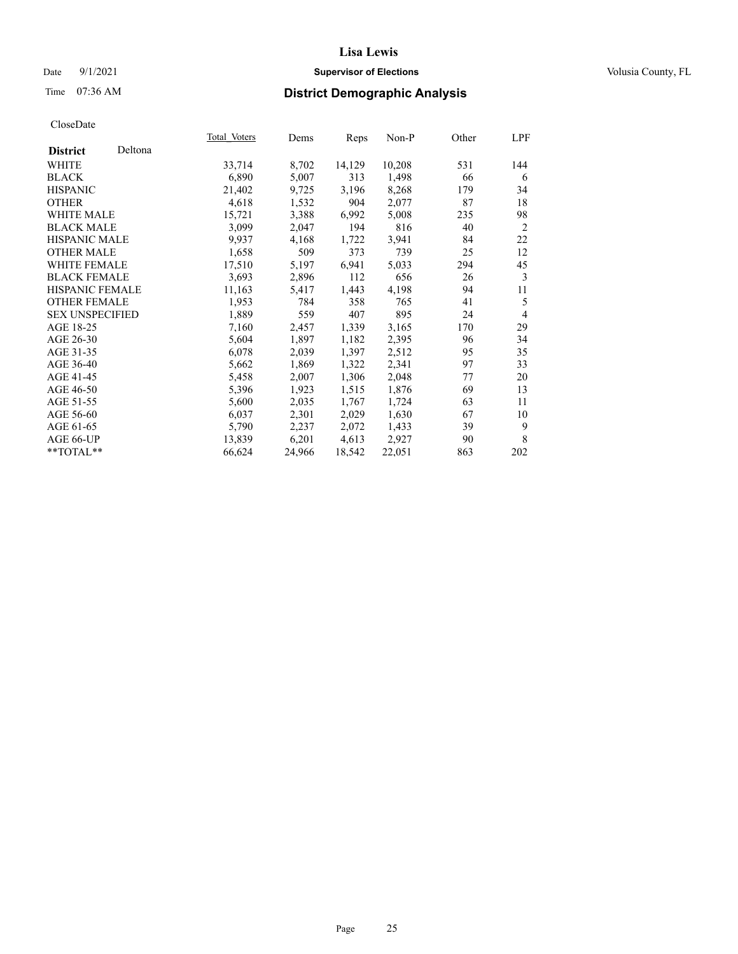## Date 9/1/2021 **Supervisor of Elections Supervisor of Elections** Volusia County, FL

# Time 07:36 AM **District Demographic Analysis**

|                        |         | Total Voters | Dems   | Reps   | Non-P  | Other | LPF            |
|------------------------|---------|--------------|--------|--------|--------|-------|----------------|
| <b>District</b>        | Deltona |              |        |        |        |       |                |
| WHITE                  |         | 33,714       | 8,702  | 14,129 | 10,208 | 531   | 144            |
| <b>BLACK</b>           |         | 6,890        | 5,007  | 313    | 1,498  | 66    | 6              |
| <b>HISPANIC</b>        |         | 21,402       | 9,725  | 3,196  | 8,268  | 179   | 34             |
| <b>OTHER</b>           |         | 4,618        | 1,532  | 904    | 2,077  | 87    | 18             |
| WHITE MALE             |         | 15,721       | 3,388  | 6,992  | 5,008  | 235   | 98             |
| <b>BLACK MALE</b>      |         | 3,099        | 2,047  | 194    | 816    | 40    | 2              |
| <b>HISPANIC MALE</b>   |         | 9,937        | 4,168  | 1,722  | 3,941  | 84    | 22             |
| <b>OTHER MALE</b>      |         | 1,658        | 509    | 373    | 739    | 25    | 12             |
| <b>WHITE FEMALE</b>    |         | 17,510       | 5,197  | 6,941  | 5,033  | 294   | 45             |
| <b>BLACK FEMALE</b>    |         | 3,693        | 2,896  | 112    | 656    | 26    | 3              |
| <b>HISPANIC FEMALE</b> |         | 11,163       | 5,417  | 1,443  | 4,198  | 94    | 11             |
| <b>OTHER FEMALE</b>    |         | 1,953        | 784    | 358    | 765    | 41    | 5              |
| <b>SEX UNSPECIFIED</b> |         | 1,889        | 559    | 407    | 895    | 24    | $\overline{4}$ |
| AGE 18-25              |         | 7,160        | 2,457  | 1,339  | 3,165  | 170   | 29             |
| AGE 26-30              |         | 5,604        | 1,897  | 1,182  | 2,395  | 96    | 34             |
| AGE 31-35              |         | 6,078        | 2,039  | 1,397  | 2,512  | 95    | 35             |
| AGE 36-40              |         | 5,662        | 1,869  | 1,322  | 2,341  | 97    | 33             |
| AGE 41-45              |         | 5,458        | 2,007  | 1,306  | 2,048  | 77    | 20             |
| AGE 46-50              |         | 5,396        | 1,923  | 1,515  | 1,876  | 69    | 13             |
| AGE 51-55              |         | 5,600        | 2,035  | 1,767  | 1,724  | 63    | 11             |
| AGE 56-60              |         | 6,037        | 2,301  | 2,029  | 1,630  | 67    | 10             |
| AGE 61-65              |         | 5,790        | 2,237  | 2,072  | 1,433  | 39    | 9              |
| AGE 66-UP              |         | 13,839       | 6,201  | 4,613  | 2,927  | 90    | 8              |
| $*$ TOTAL $*$          |         | 66,624       | 24,966 | 18,542 | 22,051 | 863   | 202            |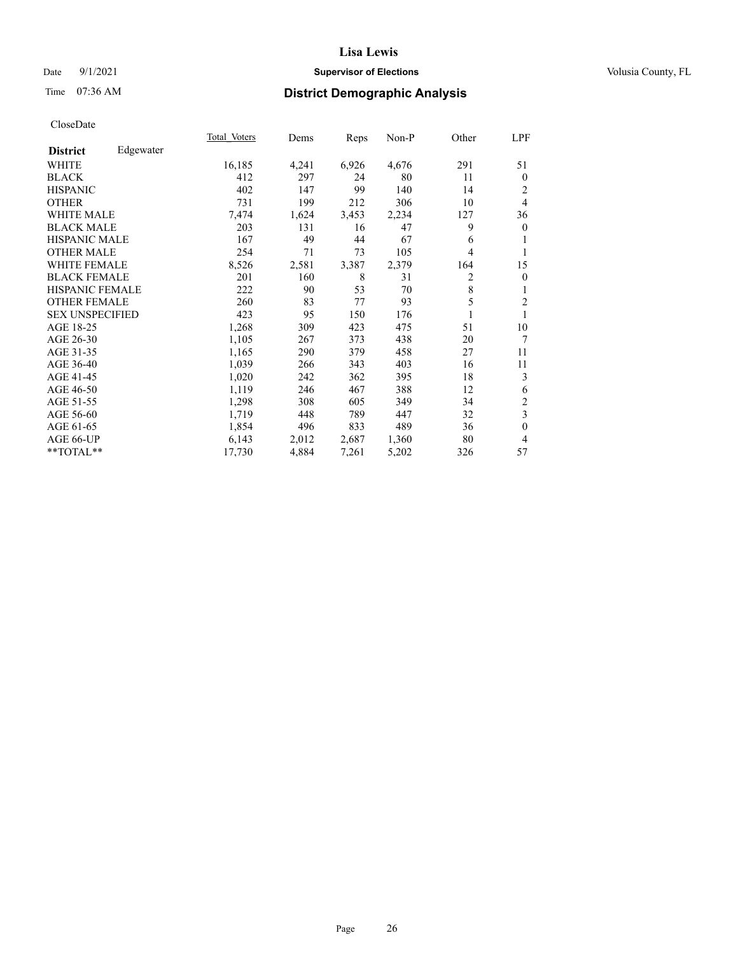## Date 9/1/2021 **Supervisor of Elections Supervisor of Elections** Volusia County, FL

# Time 07:36 AM **District Demographic Analysis**

| Edgewater<br><b>District</b><br>16,185<br>6,926<br>291<br>WHITE<br>4,241<br>4,676<br><b>BLACK</b><br>412<br>297<br>24<br>80<br>11<br>402<br>147<br>99<br><b>HISPANIC</b><br>140<br>14<br>731<br>199<br><b>OTHER</b><br>306<br>212<br>10<br><b>WHITE MALE</b> | 51<br>$\mathbf{0}$      |
|--------------------------------------------------------------------------------------------------------------------------------------------------------------------------------------------------------------------------------------------------------------|-------------------------|
|                                                                                                                                                                                                                                                              |                         |
|                                                                                                                                                                                                                                                              |                         |
|                                                                                                                                                                                                                                                              |                         |
|                                                                                                                                                                                                                                                              | $\overline{2}$          |
|                                                                                                                                                                                                                                                              | $\overline{4}$          |
| 2,234<br>7,474<br>1,624<br>3,453<br>127                                                                                                                                                                                                                      | 36                      |
| 9<br><b>BLACK MALE</b><br>203<br>131<br>47<br>16                                                                                                                                                                                                             | $\theta$                |
| <b>HISPANIC MALE</b><br>49<br>44<br>67<br>167<br>6                                                                                                                                                                                                           |                         |
| <b>OTHER MALE</b><br>254<br>105<br>4<br>71<br>73                                                                                                                                                                                                             | 1                       |
| <b>WHITE FEMALE</b><br>8,526<br>2,379<br>2,581<br>3,387<br>164                                                                                                                                                                                               | 15                      |
| 2<br><b>BLACK FEMALE</b><br>160<br>201<br>8<br>31                                                                                                                                                                                                            | $\mathbf{0}$            |
| 8<br><b>HISPANIC FEMALE</b><br>222<br>90<br>53<br>70                                                                                                                                                                                                         | 1                       |
| 5<br><b>OTHER FEMALE</b><br>83<br>260<br>77<br>93                                                                                                                                                                                                            | $\overline{c}$          |
| <b>SEX UNSPECIFIED</b><br>423<br>95<br>150<br>176                                                                                                                                                                                                            |                         |
| AGE 18-25<br>1,268<br>309<br>423<br>51<br>475                                                                                                                                                                                                                | 10                      |
| 1,105<br>AGE 26-30<br>267<br>438<br>373<br>20                                                                                                                                                                                                                | 7                       |
| AGE 31-35<br>290<br>1,165<br>379<br>458<br>27                                                                                                                                                                                                                | 11                      |
| AGE 36-40<br>1,039<br>343<br>403<br>266<br>16                                                                                                                                                                                                                | 11                      |
| AGE 41-45<br>1,020<br>242<br>362<br>395<br>18                                                                                                                                                                                                                | 3                       |
| AGE 46-50<br>1,119<br>246<br>467<br>388<br>12                                                                                                                                                                                                                | 6                       |
| AGE 51-55<br>1,298<br>308<br>605<br>349<br>34                                                                                                                                                                                                                | 2                       |
| AGE 56-60<br>1,719<br>448<br>789<br>32<br>447                                                                                                                                                                                                                | $\overline{\mathbf{3}}$ |
| AGE 61-65<br>1,854<br>496<br>833<br>489<br>36                                                                                                                                                                                                                | $\mathbf{0}$            |
| AGE 66-UP<br>6,143<br>2,012<br>2,687<br>1,360<br>80                                                                                                                                                                                                          | $\overline{4}$          |
| **TOTAL**<br>17,730<br>4,884<br>7,261<br>5,202<br>326                                                                                                                                                                                                        | 57                      |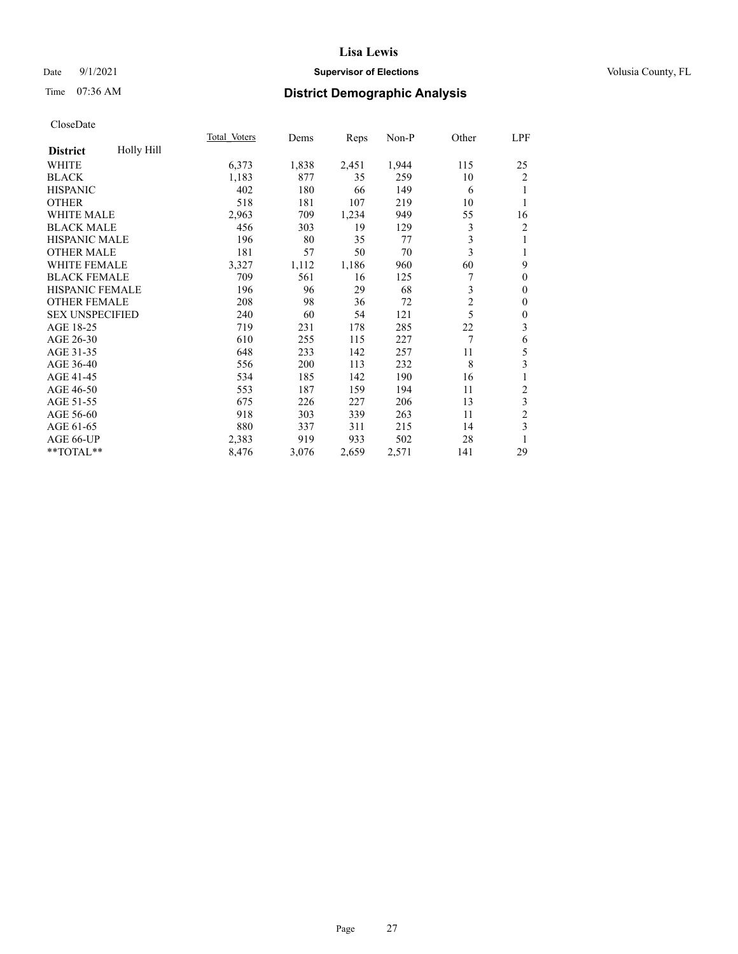## Date 9/1/2021 **Supervisor of Elections Supervisor of Elections** Volusia County, FL

# Time 07:36 AM **District Demographic Analysis**

|                        |            | Total Voters | Dems  | Reps  | Non-P | Other          | LPF              |
|------------------------|------------|--------------|-------|-------|-------|----------------|------------------|
| <b>District</b>        | Holly Hill |              |       |       |       |                |                  |
| WHITE                  |            | 6,373        | 1,838 | 2,451 | 1,944 | 115            | 25               |
| <b>BLACK</b>           |            | 1,183        | 877   | 35    | 259   | 10             | $\overline{2}$   |
| <b>HISPANIC</b>        |            | 402          | 180   | 66    | 149   | 6              | 1                |
| <b>OTHER</b>           |            | 518          | 181   | 107   | 219   | 10             | 1                |
| WHITE MALE             |            | 2,963        | 709   | 1,234 | 949   | 55             | 16               |
| <b>BLACK MALE</b>      |            | 456          | 303   | 19    | 129   | 3              | $\overline{c}$   |
| <b>HISPANIC MALE</b>   |            | 196          | 80    | 35    | 77    | 3              | 1                |
| <b>OTHER MALE</b>      |            | 181          | 57    | 50    | 70    | 3              | 1                |
| WHITE FEMALE           |            | 3,327        | 1,112 | 1,186 | 960   | 60             | 9                |
| <b>BLACK FEMALE</b>    |            | 709          | 561   | 16    | 125   |                | $\theta$         |
| <b>HISPANIC FEMALE</b> |            | 196          | 96    | 29    | 68    | 3              | $\theta$         |
| <b>OTHER FEMALE</b>    |            | 208          | 98    | 36    | 72    | $\overline{2}$ | $\theta$         |
| <b>SEX UNSPECIFIED</b> |            | 240          | 60    | 54    | 121   | 5              | $\boldsymbol{0}$ |
| AGE 18-25              |            | 719          | 231   | 178   | 285   | 22             | 3                |
| AGE 26-30              |            | 610          | 255   | 115   | 227   | 7              | 6                |
| AGE 31-35              |            | 648          | 233   | 142   | 257   | 11             | 5                |
| AGE 36-40              |            | 556          | 200   | 113   | 232   | 8              | 3                |
| AGE 41-45              |            | 534          | 185   | 142   | 190   | 16             | 1                |
| AGE 46-50              |            | 553          | 187   | 159   | 194   | 11             | 2                |
| AGE 51-55              |            | 675          | 226   | 227   | 206   | 13             | 3                |
| AGE 56-60              |            | 918          | 303   | 339   | 263   | 11             | $\overline{2}$   |
| AGE 61-65              |            | 880          | 337   | 311   | 215   | 14             | 3                |
| AGE 66-UP              |            | 2,383        | 919   | 933   | 502   | 28             | 1                |
| **TOTAL**              |            | 8,476        | 3,076 | 2,659 | 2,571 | 141            | 29               |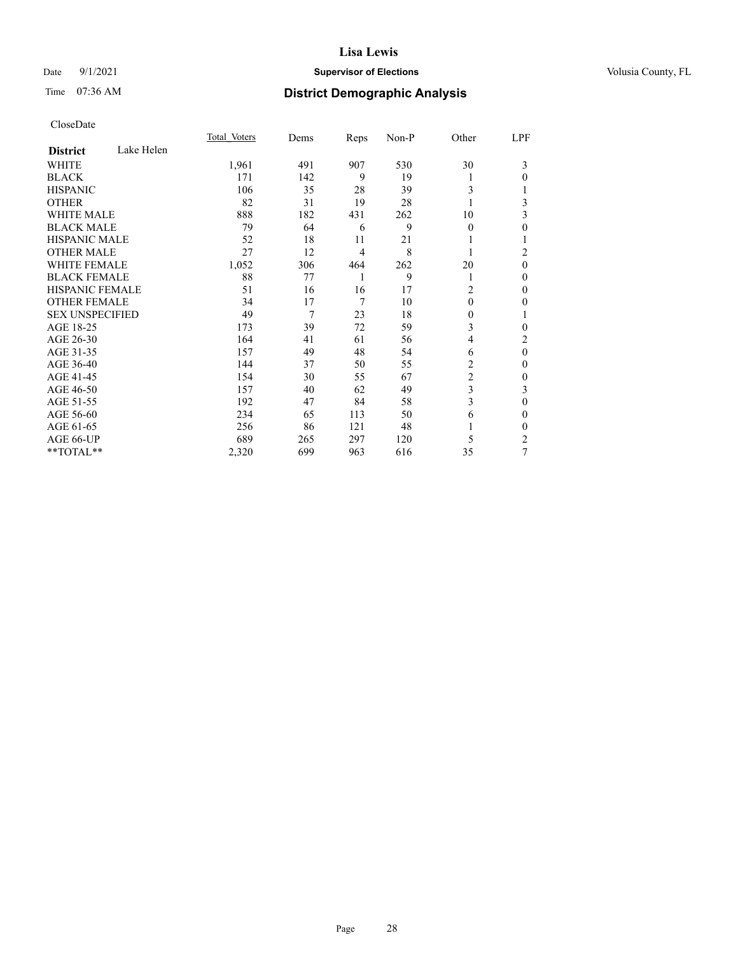## Date 9/1/2021 **Supervisor of Elections Supervisor of Elections** Volusia County, FL

# Time 07:36 AM **District Demographic Analysis**

|                        |            | Total Voters | Dems | Reps | Non-P | Other          | LPF          |
|------------------------|------------|--------------|------|------|-------|----------------|--------------|
| <b>District</b>        | Lake Helen |              |      |      |       |                |              |
| WHITE                  |            | 1,961        | 491  | 907  | 530   | 30             | 3            |
| <b>BLACK</b>           |            | 171          | 142  | 9    | 19    |                | 0            |
| <b>HISPANIC</b>        |            | 106          | 35   | 28   | 39    | 3              |              |
| <b>OTHER</b>           |            | 82           | 31   | 19   | 28    |                | 3            |
| <b>WHITE MALE</b>      |            | 888          | 182  | 431  | 262   | 10             | 3            |
| <b>BLACK MALE</b>      |            | 79           | 64   | 6    | 9     | $\mathbf{0}$   | $\theta$     |
| <b>HISPANIC MALE</b>   |            | 52           | 18   | 11   | 21    |                | 1            |
| <b>OTHER MALE</b>      |            | 27           | 12   | 4    | 8     |                | 2            |
| <b>WHITE FEMALE</b>    |            | 1,052        | 306  | 464  | 262   | 20             | $\theta$     |
| <b>BLACK FEMALE</b>    |            | 88           | 77   | 1    | 9     | 1              | $\theta$     |
| <b>HISPANIC FEMALE</b> |            | 51           | 16   | 16   | 17    | $\overline{c}$ | $\theta$     |
| <b>OTHER FEMALE</b>    |            | 34           | 17   | 7    | 10    | $\theta$       | $\theta$     |
| <b>SEX UNSPECIFIED</b> |            | 49           | 7    | 23   | 18    | 0              | 1            |
| AGE 18-25              |            | 173          | 39   | 72   | 59    | 3              | 0            |
| AGE 26-30              |            | 164          | 41   | 61   | 56    | 4              | 2            |
| AGE 31-35              |            | 157          | 49   | 48   | 54    | 6              | $\mathbf{0}$ |
| AGE 36-40              |            | 144          | 37   | 50   | 55    | 2              | $\theta$     |
| AGE 41-45              |            | 154          | 30   | 55   | 67    | 2              | $\theta$     |
| AGE 46-50              |            | 157          | 40   | 62   | 49    | 3              | 3            |
| AGE 51-55              |            | 192          | 47   | 84   | 58    | 3              | $\theta$     |
| AGE 56-60              |            | 234          | 65   | 113  | 50    | 6              | 0            |
| AGE 61-65              |            | 256          | 86   | 121  | 48    |                | 0            |
| AGE 66-UP              |            | 689          | 265  | 297  | 120   | 5              | 2            |
| **TOTAL**              |            | 2,320        | 699  | 963  | 616   | 35             | 7            |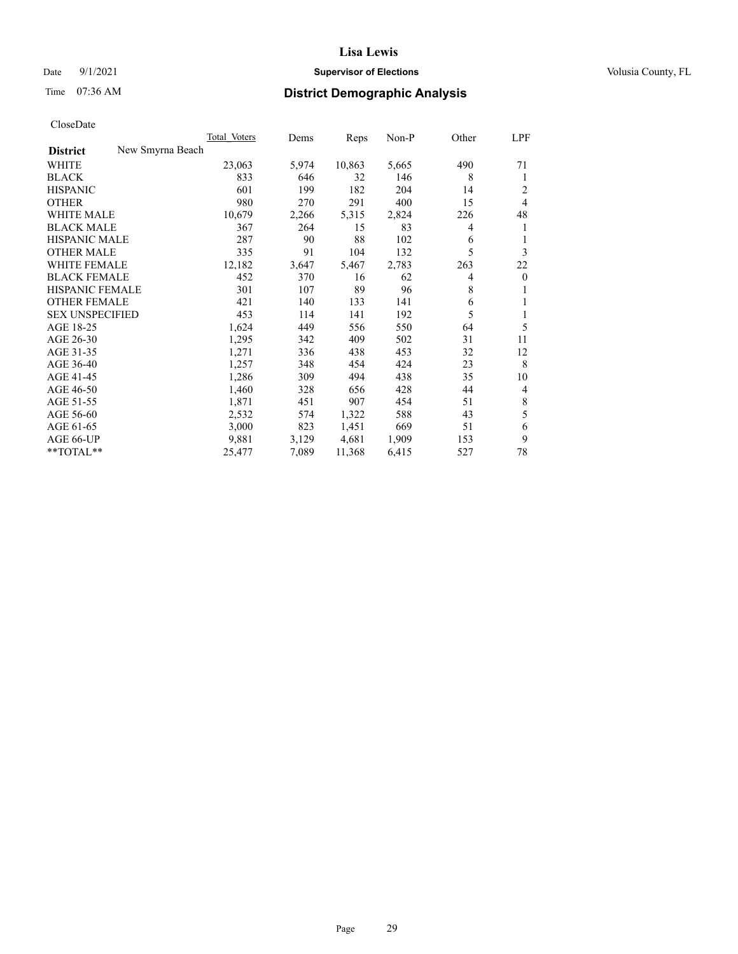## Date 9/1/2021 **Supervisor of Elections Supervisor of Elections** Volusia County, FL

# Time 07:36 AM **District Demographic Analysis**

|                                     | Total Voters | Dems  | Reps   | $Non-P$ | Other | <u>LPF</u>     |
|-------------------------------------|--------------|-------|--------|---------|-------|----------------|
| New Smyrna Beach<br><b>District</b> |              |       |        |         |       |                |
| WHITE                               | 23,063       | 5,974 | 10,863 | 5,665   | 490   | 71             |
| <b>BLACK</b>                        | 833          | 646   | 32     | 146     | 8     | 1              |
| <b>HISPANIC</b>                     | 601          | 199   | 182    | 204     | 14    | $\overline{2}$ |
| <b>OTHER</b>                        | 980          | 270   | 291    | 400     | 15    | $\overline{4}$ |
| <b>WHITE MALE</b>                   | 10,679       | 2,266 | 5,315  | 2,824   | 226   | 48             |
| <b>BLACK MALE</b>                   | 367          | 264   | 15     | 83      | 4     | 1              |
| <b>HISPANIC MALE</b>                | 287          | 90    | 88     | 102     | 6     | 1              |
| <b>OTHER MALE</b>                   | 335          | 91    | 104    | 132     | 5     | 3              |
| WHITE FEMALE                        | 12,182       | 3,647 | 5,467  | 2,783   | 263   | 22             |
| <b>BLACK FEMALE</b>                 | 452          | 370   | 16     | 62      | 4     | $\overline{0}$ |
| <b>HISPANIC FEMALE</b>              | 301          | 107   | 89     | 96      | 8     | 1              |
| <b>OTHER FEMALE</b>                 | 421          | 140   | 133    | 141     | 6     | 1              |
| <b>SEX UNSPECIFIED</b>              | 453          | 114   | 141    | 192     | 5     | 1              |
| AGE 18-25                           | 1,624        | 449   | 556    | 550     | 64    | 5              |
| AGE 26-30                           | 1,295        | 342   | 409    | 502     | 31    | 11             |
| AGE 31-35                           | 1,271        | 336   | 438    | 453     | 32    | 12             |
| AGE 36-40                           | 1,257        | 348   | 454    | 424     | 23    | 8              |
| AGE 41-45                           | 1,286        | 309   | 494    | 438     | 35    | 10             |
| AGE 46-50                           | 1,460        | 328   | 656    | 428     | 44    | $\overline{4}$ |
| AGE 51-55                           | 1,871        | 451   | 907    | 454     | 51    | 8              |
| AGE 56-60                           | 2,532        | 574   | 1,322  | 588     | 43    | 5              |
| AGE 61-65                           | 3,000        | 823   | 1,451  | 669     | 51    | 6              |
| AGE 66-UP                           | 9,881        | 3,129 | 4,681  | 1,909   | 153   | 9              |
| **TOTAL**                           | 25,477       | 7,089 | 11,368 | 6,415   | 527   | 78             |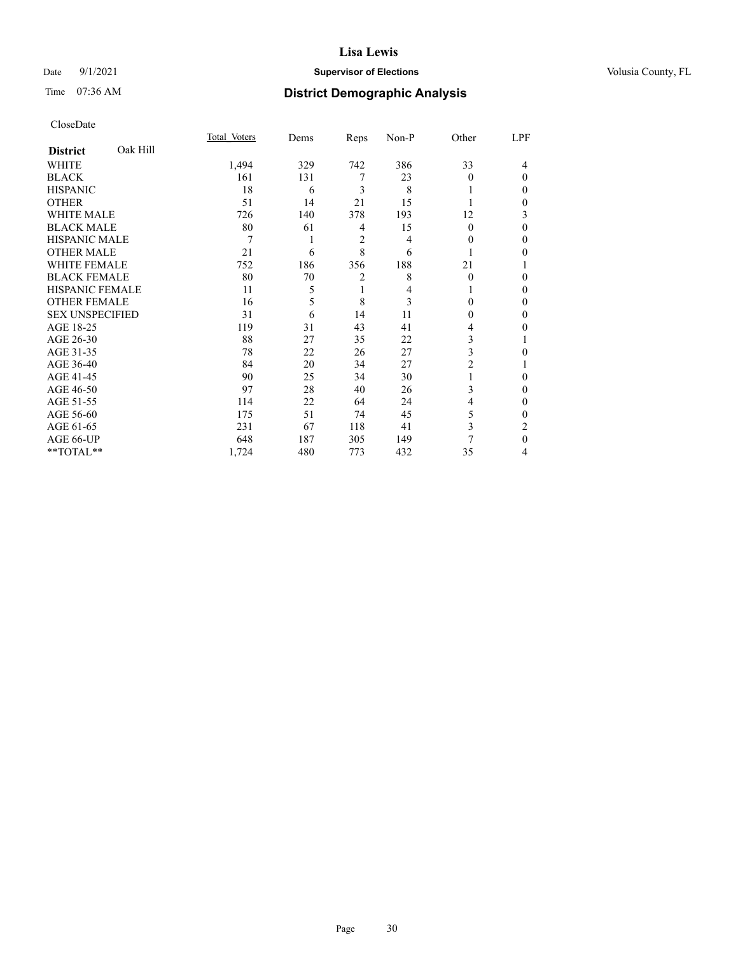## Date 9/1/2021 **Supervisor of Elections Supervisor of Elections** Volusia County, FL

# Time 07:36 AM **District Demographic Analysis**

|                        |          | Total Voters | Dems | Reps           | Non-P | Other    | LPF          |
|------------------------|----------|--------------|------|----------------|-------|----------|--------------|
| <b>District</b>        | Oak Hill |              |      |                |       |          |              |
| WHITE                  |          | 1,494        | 329  | 742            | 386   | 33       | 4            |
| <b>BLACK</b>           |          | 161          | 131  | 7              | 23    | $\Omega$ | $\Omega$     |
| <b>HISPANIC</b>        |          | 18           | 6    | 3              | 8     |          | 0            |
| <b>OTHER</b>           |          | 51           | 14   | 21             | 15    |          | 0            |
| WHITE MALE             |          | 726          | 140  | 378            | 193   | 12       | 3            |
| <b>BLACK MALE</b>      |          | 80           | 61   | 4              | 15    | $\theta$ | $\Omega$     |
| <b>HISPANIC MALE</b>   |          | 7            | 1    | $\overline{2}$ | 4     | 0        | 0            |
| <b>OTHER MALE</b>      |          | 21           | 6    | 8              | 6     | 1        | 0            |
| WHITE FEMALE           |          | 752          | 186  | 356            | 188   | 21       |              |
| <b>BLACK FEMALE</b>    |          | 80           | 70   | 2              | 8     | $\theta$ | 0            |
| <b>HISPANIC FEMALE</b> |          | 11           | 5    | 1              | 4     |          | 0            |
| <b>OTHER FEMALE</b>    |          | 16           | 5    | 8              | 3     | 0        | 0            |
| <b>SEX UNSPECIFIED</b> |          | 31           | 6    | 14             | 11    | $\theta$ | $\Omega$     |
| AGE 18-25              |          | 119          | 31   | 43             | 41    | 4        | 0            |
| AGE 26-30              |          | 88           | 27   | 35             | 22    | 3        |              |
| AGE 31-35              |          | 78           | 22   | 26             | 27    | 3        | 0            |
| AGE 36-40              |          | 84           | 20   | 34             | 27    | 2        |              |
| AGE 41-45              |          | 90           | 25   | 34             | 30    |          | 0            |
| AGE 46-50              |          | 97           | 28   | 40             | 26    | 3        | 0            |
| AGE 51-55              |          | 114          | 22   | 64             | 24    | 4        | $\mathbf{0}$ |
| AGE 56-60              |          | 175          | 51   | 74             | 45    | 5        | 0            |
| AGE 61-65              |          | 231          | 67   | 118            | 41    | 3        | 2            |
| AGE 66-UP              |          | 648          | 187  | 305            | 149   |          | $\theta$     |
| **TOTAL**              |          | 1,724        | 480  | 773            | 432   | 35       | 4            |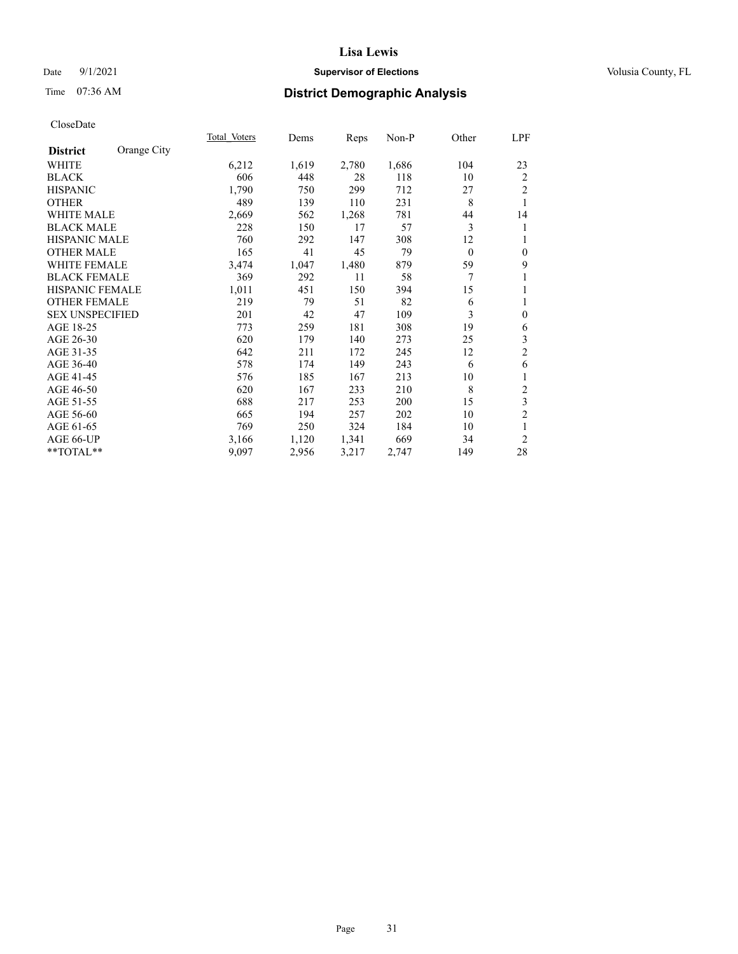## Date 9/1/2021 **Supervisor of Elections Supervisor of Elections** Volusia County, FL

# Time 07:36 AM **District Demographic Analysis**

|                                | Total Voters | Dems  | Reps  | Non-P | Other    | LPF              |
|--------------------------------|--------------|-------|-------|-------|----------|------------------|
| Orange City<br><b>District</b> |              |       |       |       |          |                  |
| WHITE                          | 6,212        | 1,619 | 2,780 | 1,686 | 104      | 23               |
| <b>BLACK</b>                   | 606          | 448   | 28    | 118   | 10       | 2                |
| <b>HISPANIC</b>                | 1,790        | 750   | 299   | 712   | 27       | $\overline{2}$   |
| <b>OTHER</b>                   | 489          | 139   | 110   | 231   | 8        | 1                |
| <b>WHITE MALE</b>              | 2,669        | 562   | 1,268 | 781   | 44       | 14               |
| <b>BLACK MALE</b>              | 228          | 150   | 17    | 57    | 3        | 1                |
| HISPANIC MALE                  | 760          | 292   | 147   | 308   | 12       | 1                |
| <b>OTHER MALE</b>              | 165          | 41    | 45    | 79    | $\theta$ | $\boldsymbol{0}$ |
| <b>WHITE FEMALE</b>            | 3,474        | 1,047 | 1,480 | 879   | 59       | 9                |
| <b>BLACK FEMALE</b>            | 369          | 292   | 11    | 58    | 7        | 1                |
| <b>HISPANIC FEMALE</b>         | 1,011        | 451   | 150   | 394   | 15       | 1                |
| <b>OTHER FEMALE</b>            | 219          | 79    | 51    | 82    | 6        | 1                |
| <b>SEX UNSPECIFIED</b>         | 201          | 42    | 47    | 109   | 3        | $\mathbf{0}$     |
| AGE 18-25                      | 773          | 259   | 181   | 308   | 19       | 6                |
| AGE 26-30                      | 620          | 179   | 140   | 273   | 25       | $\mathfrak{Z}$   |
| AGE 31-35                      | 642          | 211   | 172   | 245   | 12       | $\sqrt{2}$       |
| AGE 36-40                      | 578          | 174   | 149   | 243   | 6        | 6                |
| AGE 41-45                      | 576          | 185   | 167   | 213   | 10       | 1                |
| AGE 46-50                      | 620          | 167   | 233   | 210   | 8        | $\sqrt{2}$       |
| AGE 51-55                      | 688          | 217   | 253   | 200   | 15       | $\mathfrak{Z}$   |
| AGE 56-60                      | 665          | 194   | 257   | 202   | 10       | $\overline{2}$   |
| AGE 61-65                      | 769          | 250   | 324   | 184   | 10       | 1                |
| AGE 66-UP                      | 3,166        | 1,120 | 1,341 | 669   | 34       | $\overline{2}$   |
| **TOTAL**                      | 9,097        | 2,956 | 3,217 | 2,747 | 149      | 28               |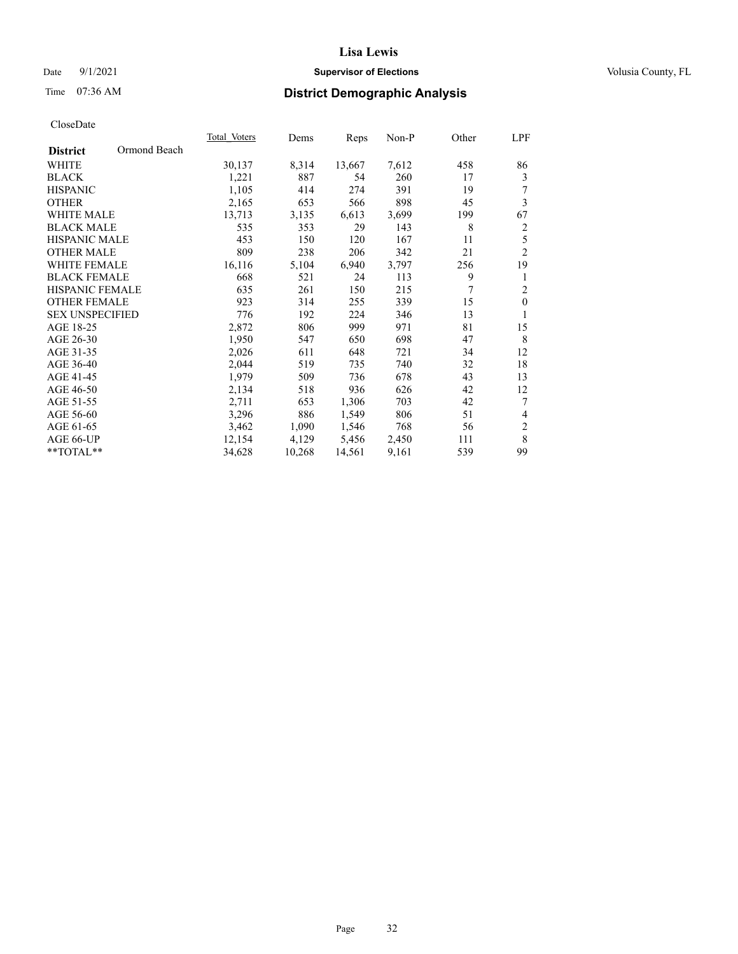## Date 9/1/2021 **Supervisor of Elections Supervisor of Elections** Volusia County, FL

# Time 07:36 AM **District Demographic Analysis**

|                        |              | Total Voters | Dems   | Reps   | Non-P | Other | LPF            |
|------------------------|--------------|--------------|--------|--------|-------|-------|----------------|
| <b>District</b>        | Ormond Beach |              |        |        |       |       |                |
| WHITE                  |              | 30,137       | 8,314  | 13,667 | 7,612 | 458   | 86             |
| <b>BLACK</b>           |              | 1,221        | 887    | 54     | 260   | 17    | 3              |
| <b>HISPANIC</b>        |              | 1,105        | 414    | 274    | 391   | 19    | 7              |
| <b>OTHER</b>           |              | 2,165        | 653    | 566    | 898   | 45    | 3              |
| <b>WHITE MALE</b>      |              | 13,713       | 3,135  | 6,613  | 3,699 | 199   | 67             |
| <b>BLACK MALE</b>      |              | 535          | 353    | 29     | 143   | 8     | $\overline{c}$ |
| <b>HISPANIC MALE</b>   |              | 453          | 150    | 120    | 167   | 11    | 5              |
| <b>OTHER MALE</b>      |              | 809          | 238    | 206    | 342   | 21    | $\overline{2}$ |
| WHITE FEMALE           |              | 16,116       | 5,104  | 6,940  | 3,797 | 256   | 19             |
| <b>BLACK FEMALE</b>    |              | 668          | 521    | 24     | 113   | 9     | 1              |
| HISPANIC FEMALE        |              | 635          | 261    | 150    | 215   | 7     | $\overline{c}$ |
| <b>OTHER FEMALE</b>    |              | 923          | 314    | 255    | 339   | 15    | $\mathbf{0}$   |
| <b>SEX UNSPECIFIED</b> |              | 776          | 192    | 224    | 346   | 13    | 1              |
| AGE 18-25              |              | 2,872        | 806    | 999    | 971   | 81    | 15             |
| AGE 26-30              |              | 1,950        | 547    | 650    | 698   | 47    | 8              |
| AGE 31-35              |              | 2,026        | 611    | 648    | 721   | 34    | 12             |
| AGE 36-40              |              | 2,044        | 519    | 735    | 740   | 32    | 18             |
| AGE 41-45              |              | 1,979        | 509    | 736    | 678   | 43    | 13             |
| AGE 46-50              |              | 2,134        | 518    | 936    | 626   | 42    | 12             |
| AGE 51-55              |              | 2,711        | 653    | 1,306  | 703   | 42    | 7              |
| AGE 56-60              |              | 3,296        | 886    | 1,549  | 806   | 51    | 4              |
| AGE 61-65              |              | 3,462        | 1,090  | 1,546  | 768   | 56    | $\overline{c}$ |
| AGE 66-UP              |              | 12,154       | 4,129  | 5,456  | 2,450 | 111   | $\,$ 8 $\,$    |
| $**TOTAL**$            |              | 34,628       | 10,268 | 14,561 | 9,161 | 539   | 99             |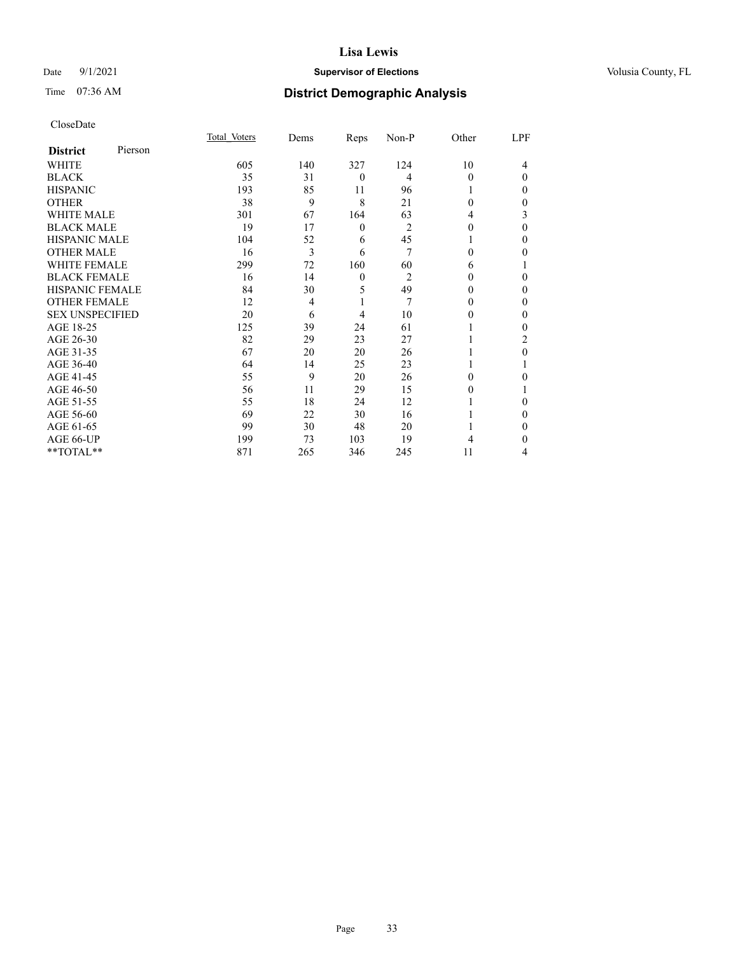## Date 9/1/2021 **Supervisor of Elections Supervisor of Elections** Volusia County, FL

# Time 07:36 AM **District Demographic Analysis**

|                        |         | Total Voters | Dems | Reps         | Non-P          | Other    | LPF      |
|------------------------|---------|--------------|------|--------------|----------------|----------|----------|
| <b>District</b>        | Pierson |              |      |              |                |          |          |
| WHITE                  |         | 605          | 140  | 327          | 124            | 10       | 4        |
| <b>BLACK</b>           |         | 35           | 31   | $\theta$     | 4              | $\Omega$ | $\Omega$ |
| <b>HISPANIC</b>        |         | 193          | 85   | 11           | 96             |          | 0        |
| <b>OTHER</b>           |         | 38           | 9    | 8            | 21             | 0        | 0        |
| WHITE MALE             |         | 301          | 67   | 164          | 63             | 4        | 3        |
| <b>BLACK MALE</b>      |         | 19           | 17   | $\theta$     | $\overline{2}$ | 0        | 0        |
| <b>HISPANIC MALE</b>   |         | 104          | 52   | 6            | 45             |          | 0        |
| <b>OTHER MALE</b>      |         | 16           | 3    | 6            | 7              | $\theta$ | 0        |
| WHITE FEMALE           |         | 299          | 72   | 160          | 60             | 6        |          |
| <b>BLACK FEMALE</b>    |         | 16           | 14   | $\mathbf{0}$ | $\overline{c}$ | $\Omega$ | $\Omega$ |
| <b>HISPANIC FEMALE</b> |         | 84           | 30   | 5            | 49             | 0        | 0        |
| <b>OTHER FEMALE</b>    |         | 12           | 4    | 1            | 7              | 0        | 0        |
| <b>SEX UNSPECIFIED</b> |         | 20           | 6    | 4            | 10             | 0        | 0        |
| AGE 18-25              |         | 125          | 39   | 24           | 61             |          | 0        |
| AGE 26-30              |         | 82           | 29   | 23           | 27             |          | 2        |
| AGE 31-35              |         | 67           | 20   | 20           | 26             |          | 0        |
| AGE 36-40              |         | 64           | 14   | 25           | 23             | 1        |          |
| AGE 41-45              |         | 55           | 9    | 20           | 26             | 0        | 0        |
| AGE 46-50              |         | 56           | 11   | 29           | 15             | 0        |          |
| AGE 51-55              |         | 55           | 18   | 24           | 12             |          | 0        |
| AGE 56-60              |         | 69           | 22   | 30           | 16             |          | 0        |
| AGE 61-65              |         | 99           | 30   | 48           | 20             |          | 0        |
| AGE 66-UP              |         | 199          | 73   | 103          | 19             | 4        | 0        |
| **TOTAL**              |         | 871          | 265  | 346          | 245            | 11       | 4        |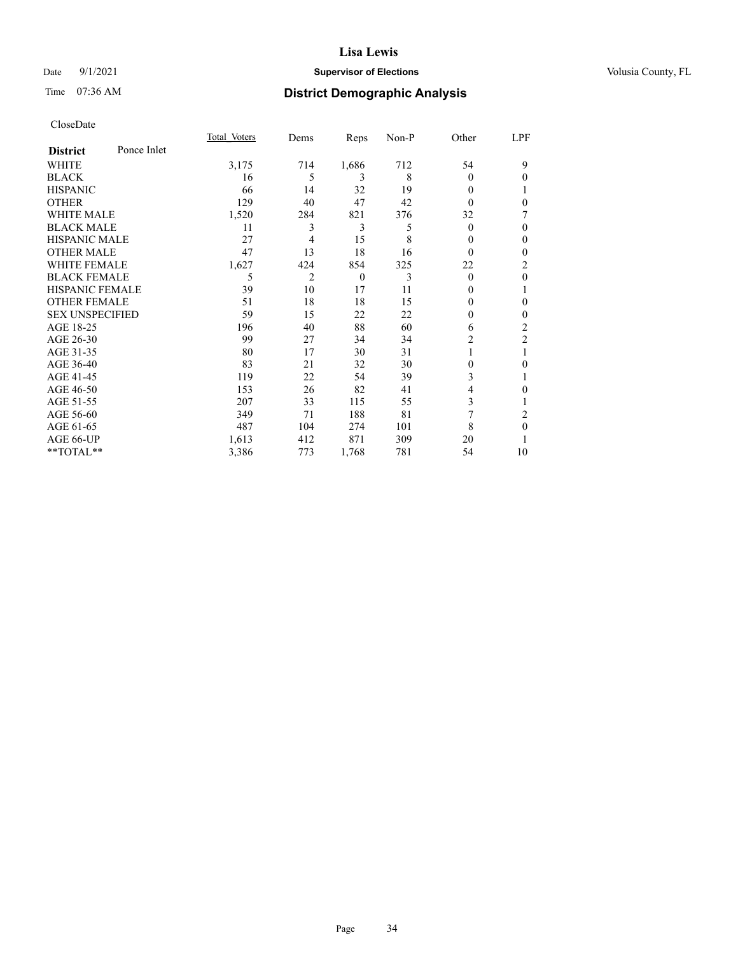## Date 9/1/2021 **Supervisor of Elections Supervisor of Elections** Volusia County, FL

# Time 07:36 AM **District Demographic Analysis**

|                        |             | Total Voters | Dems           | Reps     | Non-P | Other    | LPF            |
|------------------------|-------------|--------------|----------------|----------|-------|----------|----------------|
| <b>District</b>        | Ponce Inlet |              |                |          |       |          |                |
| WHITE                  |             | 3,175        | 714            | 1,686    | 712   | 54       | 9              |
| <b>BLACK</b>           |             | 16           | 5              | 3        | 8     | 0        | $\mathbf{0}$   |
| <b>HISPANIC</b>        |             | 66           | 14             | 32       | 19    | 0        |                |
| <b>OTHER</b>           |             | 129          | 40             | 47       | 42    | $\Omega$ | 0              |
| WHITE MALE             |             | 1,520        | 284            | 821      | 376   | 32       | 7              |
| <b>BLACK MALE</b>      |             | 11           | 3              | 3        | 5     | $\Omega$ | $\theta$       |
| <b>HISPANIC MALE</b>   |             | 27           | 4              | 15       | 8     | 0        | $\mathbf{0}$   |
| <b>OTHER MALE</b>      |             | 47           | 13             | 18       | 16    | $\theta$ | 0              |
| <b>WHITE FEMALE</b>    |             | 1,627        | 424            | 854      | 325   | 22       | 2              |
| <b>BLACK FEMALE</b>    |             | 5            | $\overline{2}$ | $\theta$ | 3     | $\theta$ | $\mathbf{0}$   |
| <b>HISPANIC FEMALE</b> |             | 39           | 10             | 17       | 11    | 0        | 1              |
| <b>OTHER FEMALE</b>    |             | 51           | 18             | 18       | 15    | 0        | 0              |
| <b>SEX UNSPECIFIED</b> |             | 59           | 15             | 22       | 22    | 0        | $\mathbf{0}$   |
| AGE 18-25              |             | 196          | 40             | 88       | 60    | 6        | 2              |
| AGE 26-30              |             | 99           | 27             | 34       | 34    | 2        | $\mathfrak{2}$ |
| AGE 31-35              |             | 80           | 17             | 30       | 31    |          |                |
| AGE 36-40              |             | 83           | 21             | 32       | 30    | $\theta$ | 0              |
| AGE 41-45              |             | 119          | 22             | 54       | 39    | 3        | 1              |
| AGE 46-50              |             | 153          | 26             | 82       | 41    | 4        | 0              |
| AGE 51-55              |             | 207          | 33             | 115      | 55    | 3        | 1              |
| AGE 56-60              |             | 349          | 71             | 188      | 81    | 7        | 2              |
| AGE 61-65              |             | 487          | 104            | 274      | 101   | 8        | $\theta$       |
| AGE 66-UP              |             | 1,613        | 412            | 871      | 309   | 20       |                |
| **TOTAL**              |             | 3,386        | 773            | 1,768    | 781   | 54       | 10             |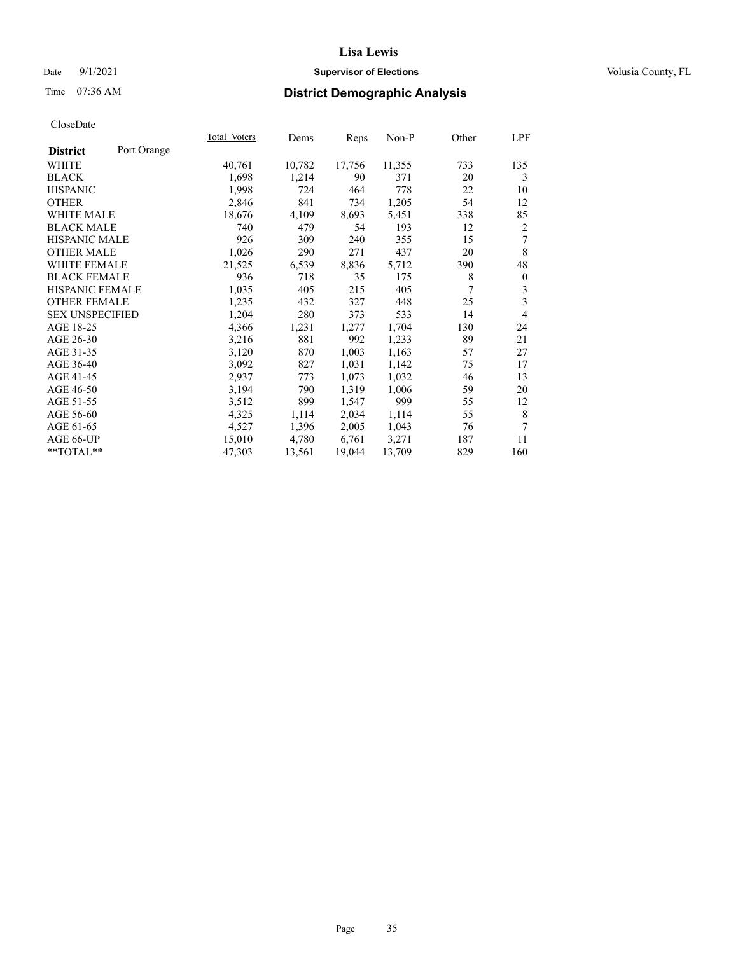## Date 9/1/2021 **Supervisor of Elections Supervisor of Elections** Volusia County, FL

# Time 07:36 AM **District Demographic Analysis**

|                        |             | Total Voters | Dems   | Reps   | Non-P  | Other | LPF          |
|------------------------|-------------|--------------|--------|--------|--------|-------|--------------|
| <b>District</b>        | Port Orange |              |        |        |        |       |              |
| WHITE                  |             | 40,761       | 10,782 | 17,756 | 11,355 | 733   | 135          |
| <b>BLACK</b>           |             | 1,698        | 1,214  | 90     | 371    | 20    | 3            |
| <b>HISPANIC</b>        |             | 1,998        | 724    | 464    | 778    | 22    | 10           |
| <b>OTHER</b>           |             | 2,846        | 841    | 734    | 1,205  | 54    | 12           |
| WHITE MALE             |             | 18,676       | 4,109  | 8,693  | 5,451  | 338   | 85           |
| <b>BLACK MALE</b>      |             | 740          | 479    | 54     | 193    | 12    | 2            |
| <b>HISPANIC MALE</b>   |             | 926          | 309    | 240    | 355    | 15    | 7            |
| <b>OTHER MALE</b>      |             | 1,026        | 290    | 271    | 437    | 20    | 8            |
| <b>WHITE FEMALE</b>    |             | 21,525       | 6,539  | 8,836  | 5,712  | 390   | 48           |
| <b>BLACK FEMALE</b>    |             | 936          | 718    | 35     | 175    | 8     | $\mathbf{0}$ |
| <b>HISPANIC FEMALE</b> |             | 1,035        | 405    | 215    | 405    | 7     | 3            |
| <b>OTHER FEMALE</b>    |             | 1,235        | 432    | 327    | 448    | 25    | 3            |
| <b>SEX UNSPECIFIED</b> |             | 1,204        | 280    | 373    | 533    | 14    | 4            |
| AGE 18-25              |             | 4,366        | 1,231  | 1,277  | 1,704  | 130   | 24           |
| AGE 26-30              |             | 3,216        | 881    | 992    | 1,233  | 89    | 21           |
| AGE 31-35              |             | 3,120        | 870    | 1,003  | 1,163  | 57    | 27           |
| AGE 36-40              |             | 3,092        | 827    | 1,031  | 1,142  | 75    | 17           |
| AGE 41-45              |             | 2,937        | 773    | 1,073  | 1,032  | 46    | 13           |
| AGE 46-50              |             | 3,194        | 790    | 1,319  | 1,006  | 59    | 20           |
| AGE 51-55              |             | 3,512        | 899    | 1,547  | 999    | 55    | 12           |
| AGE 56-60              |             | 4,325        | 1,114  | 2,034  | 1,114  | 55    | 8            |
| AGE 61-65              |             | 4,527        | 1,396  | 2,005  | 1,043  | 76    | 7            |
| AGE 66-UP              |             | 15,010       | 4,780  | 6,761  | 3,271  | 187   | 11           |
| $*$ TOTAL $*$          |             | 47,303       | 13,561 | 19,044 | 13,709 | 829   | 160          |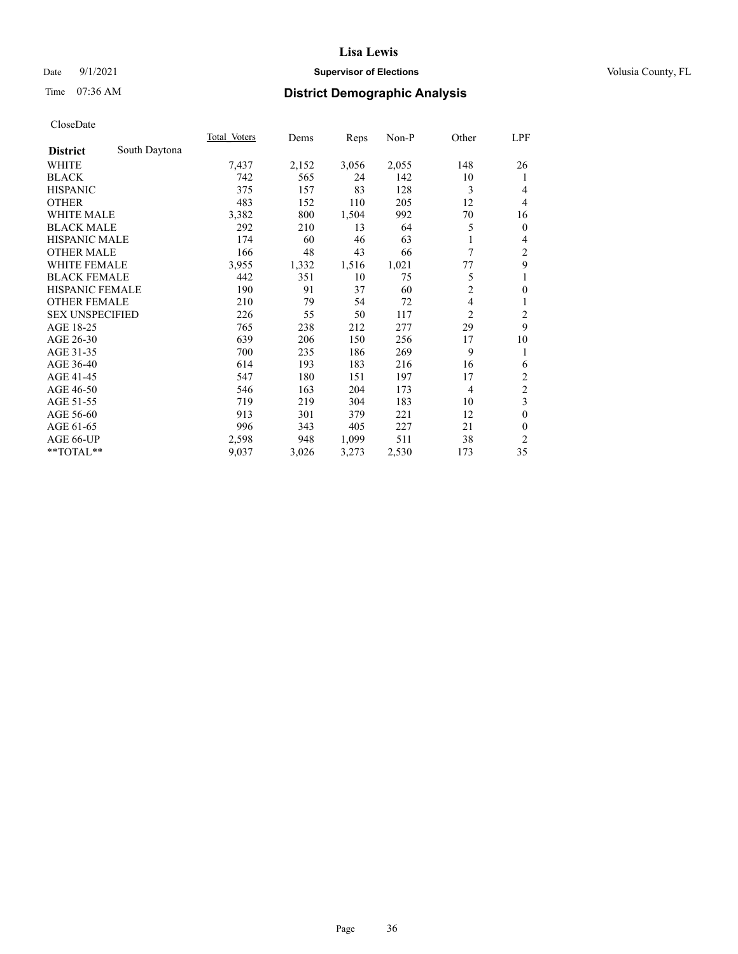## Date 9/1/2021 **Supervisor of Elections Supervisor of Elections** Volusia County, FL

# Time 07:36 AM **District Demographic Analysis**

|                        |               | Total Voters | Dems  | Reps  | $Non-P$ | Other          | LPF                     |
|------------------------|---------------|--------------|-------|-------|---------|----------------|-------------------------|
| <b>District</b>        | South Daytona |              |       |       |         |                |                         |
| WHITE                  |               | 7,437        | 2,152 | 3,056 | 2,055   | 148            | 26                      |
| <b>BLACK</b>           |               | 742          | 565   | 24    | 142     | 10             | 1                       |
| <b>HISPANIC</b>        |               | 375          | 157   | 83    | 128     | 3              | 4                       |
| <b>OTHER</b>           |               | 483          | 152   | 110   | 205     | 12             | 4                       |
| <b>WHITE MALE</b>      |               | 3,382        | 800   | 1,504 | 992     | 70             | 16                      |
| <b>BLACK MALE</b>      |               | 292          | 210   | 13    | 64      | 5              | $\mathbf{0}$            |
| <b>HISPANIC MALE</b>   |               | 174          | 60    | 46    | 63      |                | 4                       |
| <b>OTHER MALE</b>      |               | 166          | 48    | 43    | 66      | 7              | 2                       |
| WHITE FEMALE           |               | 3,955        | 1,332 | 1,516 | 1,021   | 77             | 9                       |
| <b>BLACK FEMALE</b>    |               | 442          | 351   | 10    | 75      | 5              | 1                       |
| <b>HISPANIC FEMALE</b> |               | 190          | 91    | 37    | 60      | $\overline{2}$ | $\mathbf{0}$            |
| <b>OTHER FEMALE</b>    |               | 210          | 79    | 54    | 72      | 4              | 1                       |
| <b>SEX UNSPECIFIED</b> |               | 226          | 55    | 50    | 117     | 2              | $\overline{\mathbf{c}}$ |
| AGE 18-25              |               | 765          | 238   | 212   | 277     | 29             | 9                       |
| AGE 26-30              |               | 639          | 206   | 150   | 256     | 17             | 10                      |
| AGE 31-35              |               | 700          | 235   | 186   | 269     | 9              | 1                       |
| AGE 36-40              |               | 614          | 193   | 183   | 216     | 16             | 6                       |
| AGE 41-45              |               | 547          | 180   | 151   | 197     | 17             | 2                       |
| AGE 46-50              |               | 546          | 163   | 204   | 173     | $\overline{4}$ | $\overline{c}$          |
| AGE 51-55              |               | 719          | 219   | 304   | 183     | 10             | 3                       |
| AGE 56-60              |               | 913          | 301   | 379   | 221     | 12             | $\theta$                |
| AGE 61-65              |               | 996          | 343   | 405   | 227     | 21             | $\theta$                |
| AGE 66-UP              |               | 2,598        | 948   | 1,099 | 511     | 38             | 2                       |
| **TOTAL**              |               | 9,037        | 3,026 | 3,273 | 2,530   | 173            | 35                      |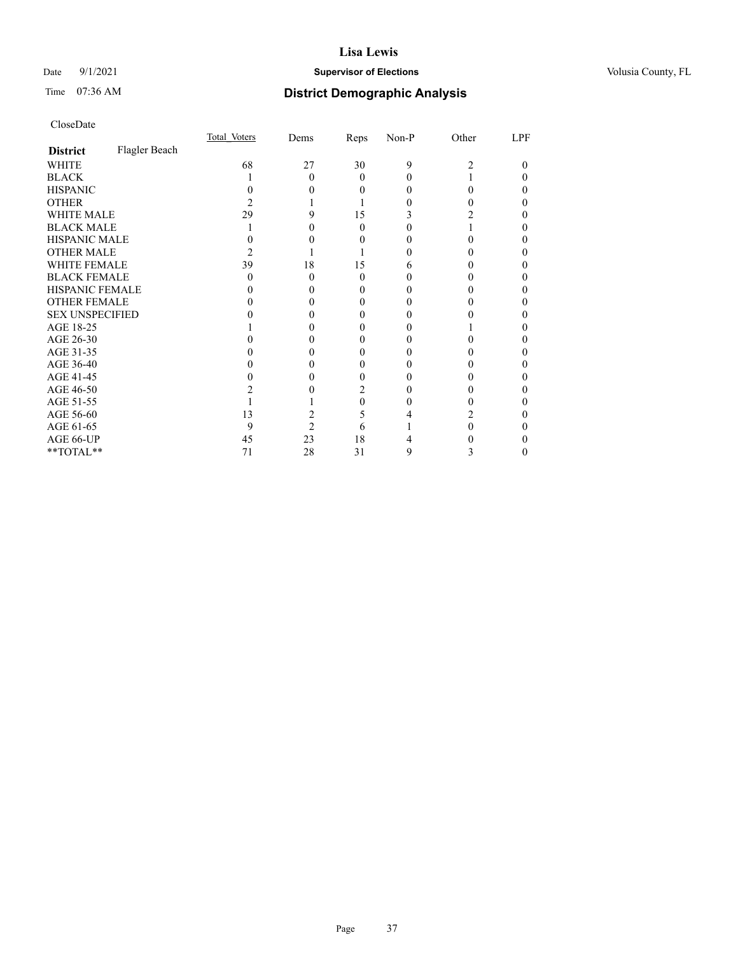### Date 9/1/2021 **Supervisor of Elections Supervisor of Elections** Volusia County, FL

# Time 07:36 AM **District Demographic Analysis**

|                        |               | Total Voters | Dems           | Reps     | Non-P | Other | LPF |
|------------------------|---------------|--------------|----------------|----------|-------|-------|-----|
| <b>District</b>        | Flagler Beach |              |                |          |       |       |     |
| WHITE                  |               | 68           | 27             | 30       | 9     | 2     | 0   |
| <b>BLACK</b>           |               |              | 0              | 0        |       |       |     |
| <b>HISPANIC</b>        |               |              |                | $_{0}$   |       | 0     |     |
| <b>OTHER</b>           |               |              |                |          |       |       |     |
| WHITE MALE             |               | 29           |                | 15       |       |       |     |
| <b>BLACK MALE</b>      |               |              |                | 0        |       |       |     |
| <b>HISPANIC MALE</b>   |               |              |                |          |       |       |     |
| <b>OTHER MALE</b>      |               |              |                |          |       |       |     |
| <b>WHITE FEMALE</b>    |               | 39           | 18             | 15       |       |       |     |
| <b>BLACK FEMALE</b>    |               | $\theta$     | 0              | $\theta$ |       |       |     |
| HISPANIC FEMALE        |               |              |                |          |       |       |     |
| <b>OTHER FEMALE</b>    |               |              |                | $_{0}$   |       |       |     |
| <b>SEX UNSPECIFIED</b> |               |              |                |          |       |       |     |
| AGE 18-25              |               |              |                |          |       |       |     |
| AGE 26-30              |               |              |                |          |       |       |     |
| AGE 31-35              |               |              |                |          |       |       |     |
| AGE 36-40              |               |              |                | 0        |       |       |     |
| AGE 41-45              |               |              |                |          |       |       |     |
| AGE 46-50              |               |              |                |          |       |       |     |
| AGE 51-55              |               |              |                | 0        |       |       |     |
| AGE 56-60              |               | 13           |                | 5        |       |       |     |
| AGE 61-65              |               | 9            | $\mathfrak{D}$ | 6        |       |       |     |
| AGE 66-UP              |               | 45           | 23             | 18       |       |       |     |
| **TOTAL**              |               | 71           | 28             | 31       | 9     | 3     |     |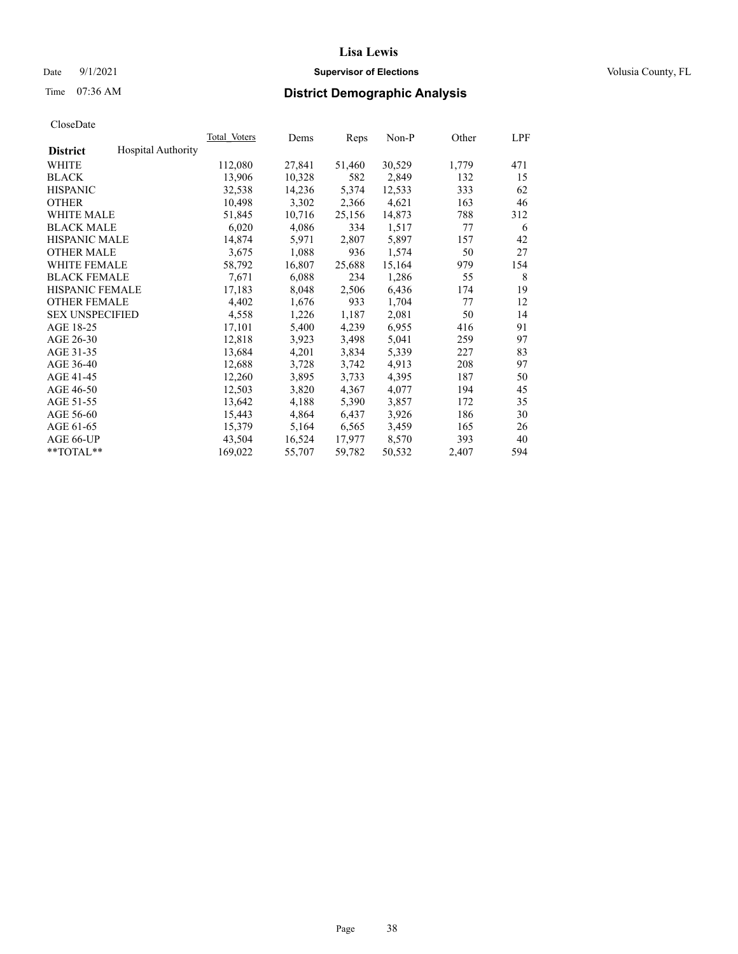### Date 9/1/2021 **Supervisor of Elections Supervisor of Elections** Volusia County, FL

# Time 07:36 AM **District Demographic Analysis**

|                        |                           | Total Voters | Dems   | Reps   | Non-P  | Other | LPF |
|------------------------|---------------------------|--------------|--------|--------|--------|-------|-----|
| <b>District</b>        | <b>Hospital Authority</b> |              |        |        |        |       |     |
| WHITE                  |                           | 112,080      | 27,841 | 51,460 | 30,529 | 1,779 | 471 |
| <b>BLACK</b>           |                           | 13,906       | 10,328 | 582    | 2,849  | 132   | 15  |
| <b>HISPANIC</b>        |                           | 32,538       | 14,236 | 5,374  | 12,533 | 333   | 62  |
| <b>OTHER</b>           |                           | 10,498       | 3,302  | 2,366  | 4,621  | 163   | 46  |
| WHITE MALE             |                           | 51,845       | 10,716 | 25,156 | 14,873 | 788   | 312 |
| <b>BLACK MALE</b>      |                           | 6,020        | 4,086  | 334    | 1,517  | 77    | 6   |
| <b>HISPANIC MALE</b>   |                           | 14,874       | 5,971  | 2,807  | 5,897  | 157   | 42  |
| <b>OTHER MALE</b>      |                           | 3,675        | 1,088  | 936    | 1,574  | 50    | 27  |
| <b>WHITE FEMALE</b>    |                           | 58,792       | 16,807 | 25,688 | 15,164 | 979   | 154 |
| <b>BLACK FEMALE</b>    |                           | 7,671        | 6,088  | 234    | 1,286  | 55    | 8   |
| <b>HISPANIC FEMALE</b> |                           | 17,183       | 8,048  | 2,506  | 6,436  | 174   | 19  |
| <b>OTHER FEMALE</b>    |                           | 4,402        | 1,676  | 933    | 1,704  | 77    | 12  |
| <b>SEX UNSPECIFIED</b> |                           | 4,558        | 1,226  | 1,187  | 2,081  | 50    | 14  |
| AGE 18-25              |                           | 17,101       | 5,400  | 4,239  | 6,955  | 416   | 91  |
| AGE 26-30              |                           | 12,818       | 3,923  | 3,498  | 5,041  | 259   | 97  |
| AGE 31-35              |                           | 13,684       | 4,201  | 3,834  | 5,339  | 227   | 83  |
| AGE 36-40              |                           | 12,688       | 3,728  | 3,742  | 4,913  | 208   | 97  |
| AGE 41-45              |                           | 12,260       | 3,895  | 3,733  | 4,395  | 187   | 50  |
| AGE 46-50              |                           | 12,503       | 3,820  | 4,367  | 4,077  | 194   | 45  |
| AGE 51-55              |                           | 13,642       | 4,188  | 5,390  | 3,857  | 172   | 35  |
| AGE 56-60              |                           | 15,443       | 4,864  | 6,437  | 3,926  | 186   | 30  |
| AGE 61-65              |                           | 15,379       | 5,164  | 6,565  | 3,459  | 165   | 26  |
| AGE 66-UP              |                           | 43,504       | 16,524 | 17,977 | 8,570  | 393   | 40  |
| $*$ TOTAL $*$          |                           | 169,022      | 55,707 | 59,782 | 50,532 | 2,407 | 594 |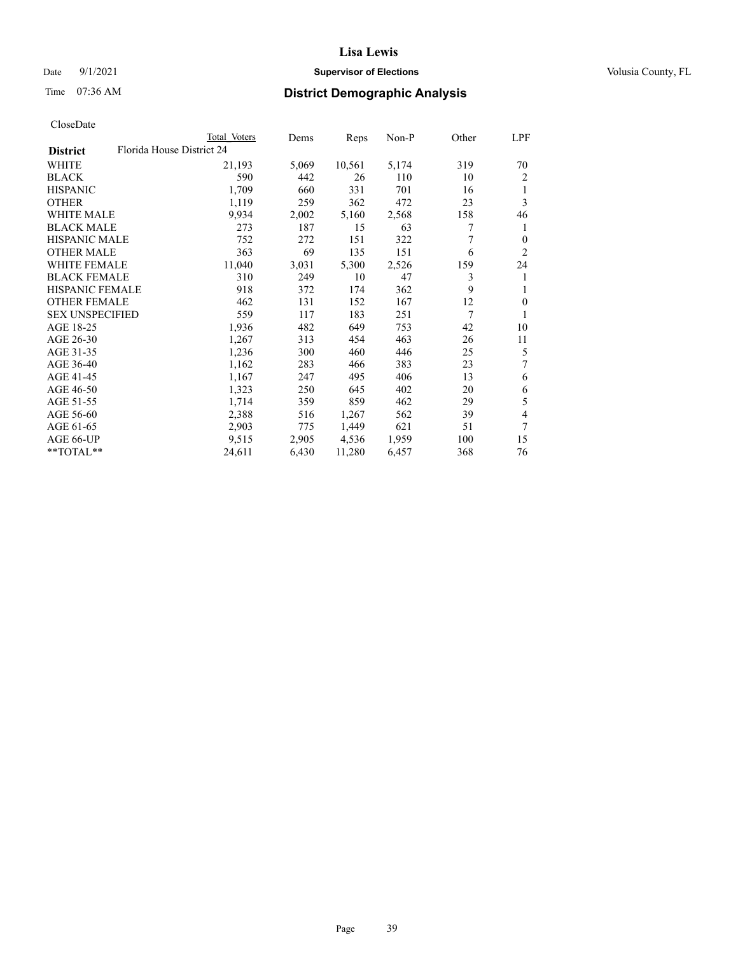### Date 9/1/2021 **Supervisor of Elections Supervisor of Elections** Volusia County, FL

# Time 07:36 AM **District Demographic Analysis**

| CloseDate |
|-----------|
|-----------|

|                        |                           | Total Voters | Dems  | Reps   | $Non-P$ | Other | LPF            |
|------------------------|---------------------------|--------------|-------|--------|---------|-------|----------------|
| <b>District</b>        | Florida House District 24 |              |       |        |         |       |                |
| WHITE                  |                           | 21,193       | 5,069 | 10,561 | 5,174   | 319   | 70             |
| <b>BLACK</b>           |                           | 590          | 442   | 26     | 110     | 10    | 2              |
| <b>HISPANIC</b>        |                           | 1,709        | 660   | 331    | 701     | 16    | 1              |
| <b>OTHER</b>           |                           | 1,119        | 259   | 362    | 472     | 23    | 3              |
| <b>WHITE MALE</b>      |                           | 9,934        | 2,002 | 5,160  | 2,568   | 158   | 46             |
| <b>BLACK MALE</b>      |                           | 273          | 187   | 15     | 63      | 7     | 1              |
| <b>HISPANIC MALE</b>   |                           | 752          | 272   | 151    | 322     | 7     | $\theta$       |
| <b>OTHER MALE</b>      |                           | 363          | 69    | 135    | 151     | 6     | $\overline{2}$ |
| WHITE FEMALE           |                           | 11,040       | 3,031 | 5,300  | 2,526   | 159   | 24             |
| <b>BLACK FEMALE</b>    |                           | 310          | 249   | 10     | 47      | 3     | 1              |
| HISPANIC FEMALE        |                           | 918          | 372   | 174    | 362     | 9     | 1              |
| <b>OTHER FEMALE</b>    |                           | 462          | 131   | 152    | 167     | 12    | $\mathbf{0}$   |
| <b>SEX UNSPECIFIED</b> |                           | 559          | 117   | 183    | 251     | 7     |                |
| AGE 18-25              |                           | 1,936        | 482   | 649    | 753     | 42    | 10             |
| AGE 26-30              |                           | 1,267        | 313   | 454    | 463     | 26    | 11             |
| AGE 31-35              |                           | 1,236        | 300   | 460    | 446     | 25    | 5              |
| AGE 36-40              |                           | 1,162        | 283   | 466    | 383     | 23    | 7              |
| AGE 41-45              |                           | 1,167        | 247   | 495    | 406     | 13    | 6              |
| AGE 46-50              |                           | 1,323        | 250   | 645    | 402     | 20    | 6              |
| AGE 51-55              |                           | 1,714        | 359   | 859    | 462     | 29    | 5              |
| AGE 56-60              |                           | 2,388        | 516   | 1,267  | 562     | 39    | 4              |
| AGE 61-65              |                           | 2,903        | 775   | 1,449  | 621     | 51    | 7              |
| AGE 66-UP              |                           | 9,515        | 2,905 | 4,536  | 1,959   | 100   | 15             |
| **TOTAL**              |                           | 24,611       | 6,430 | 11,280 | 6,457   | 368   | 76             |
|                        |                           |              |       |        |         |       |                |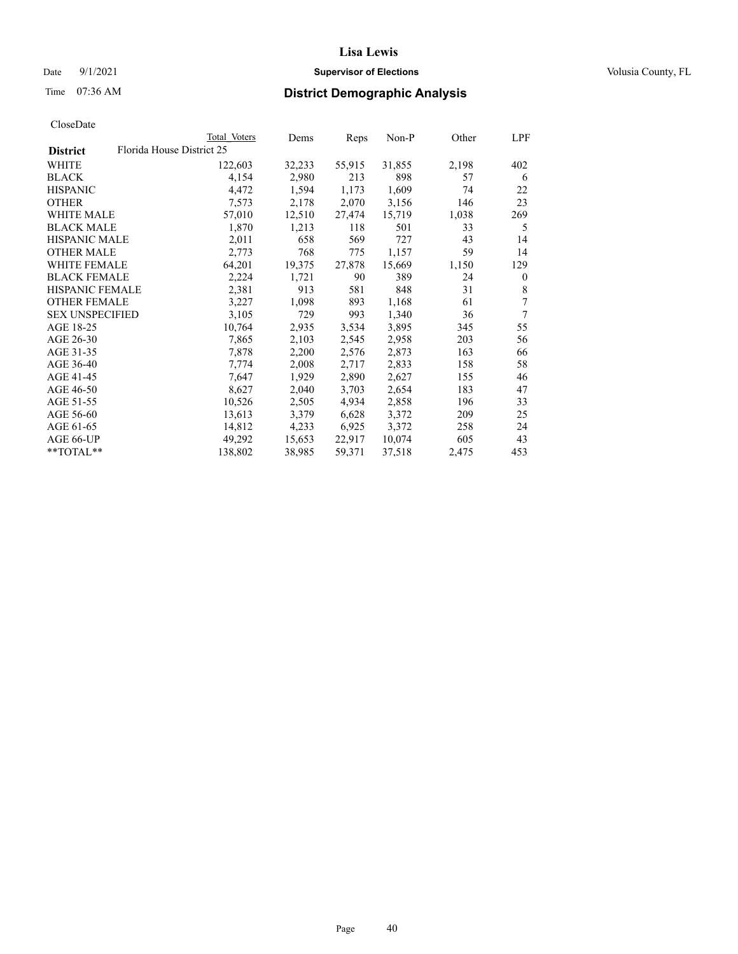### Date 9/1/2021 **Supervisor of Elections Supervisor of Elections** Volusia County, FL

# Time 07:36 AM **District Demographic Analysis**

|                                              | Total Voters | Dems   | Reps   | Non-P  | Other | LPF      |
|----------------------------------------------|--------------|--------|--------|--------|-------|----------|
| Florida House District 25<br><b>District</b> |              |        |        |        |       |          |
| <b>WHITE</b>                                 | 122,603      | 32,233 | 55,915 | 31,855 | 2,198 | 402      |
| <b>BLACK</b>                                 | 4,154        | 2,980  | 213    | 898    | 57    | 6        |
| <b>HISPANIC</b>                              | 4,472        | 1,594  | 1,173  | 1,609  | 74    | 22       |
| <b>OTHER</b>                                 | 7,573        | 2,178  | 2,070  | 3,156  | 146   | 23       |
| <b>WHITE MALE</b>                            | 57,010       | 12,510 | 27,474 | 15,719 | 1,038 | 269      |
| <b>BLACK MALE</b>                            | 1,870        | 1,213  | 118    | 501    | 33    | 5        |
| <b>HISPANIC MALE</b>                         | 2,011        | 658    | 569    | 727    | 43    | 14       |
| <b>OTHER MALE</b>                            | 2,773        | 768    | 775    | 1,157  | 59    | 14       |
| <b>WHITE FEMALE</b>                          | 64,201       | 19,375 | 27,878 | 15,669 | 1,150 | 129      |
| <b>BLACK FEMALE</b>                          | 2,224        | 1,721  | 90     | 389    | 24    | $\bf{0}$ |
| <b>HISPANIC FEMALE</b>                       | 2,381        | 913    | 581    | 848    | 31    | 8        |
| <b>OTHER FEMALE</b>                          | 3,227        | 1,098  | 893    | 1,168  | 61    | 7        |
| <b>SEX UNSPECIFIED</b>                       | 3,105        | 729    | 993    | 1,340  | 36    | $\tau$   |
| AGE 18-25                                    | 10,764       | 2,935  | 3,534  | 3,895  | 345   | 55       |
| AGE 26-30                                    | 7,865        | 2,103  | 2,545  | 2,958  | 203   | 56       |
| AGE 31-35                                    | 7,878        | 2,200  | 2,576  | 2,873  | 163   | 66       |
| AGE 36-40                                    | 7,774        | 2,008  | 2,717  | 2,833  | 158   | 58       |
| AGE 41-45                                    | 7,647        | 1,929  | 2,890  | 2,627  | 155   | 46       |
| AGE 46-50                                    | 8,627        | 2,040  | 3,703  | 2,654  | 183   | 47       |
| AGE 51-55                                    | 10,526       | 2,505  | 4,934  | 2,858  | 196   | 33       |
| AGE 56-60                                    | 13,613       | 3,379  | 6,628  | 3,372  | 209   | 25       |
| AGE 61-65                                    | 14,812       | 4,233  | 6,925  | 3,372  | 258   | 24       |
| AGE 66-UP                                    | 49,292       | 15,653 | 22,917 | 10,074 | 605   | 43       |
| **TOTAL**                                    | 138,802      | 38,985 | 59,371 | 37,518 | 2,475 | 453      |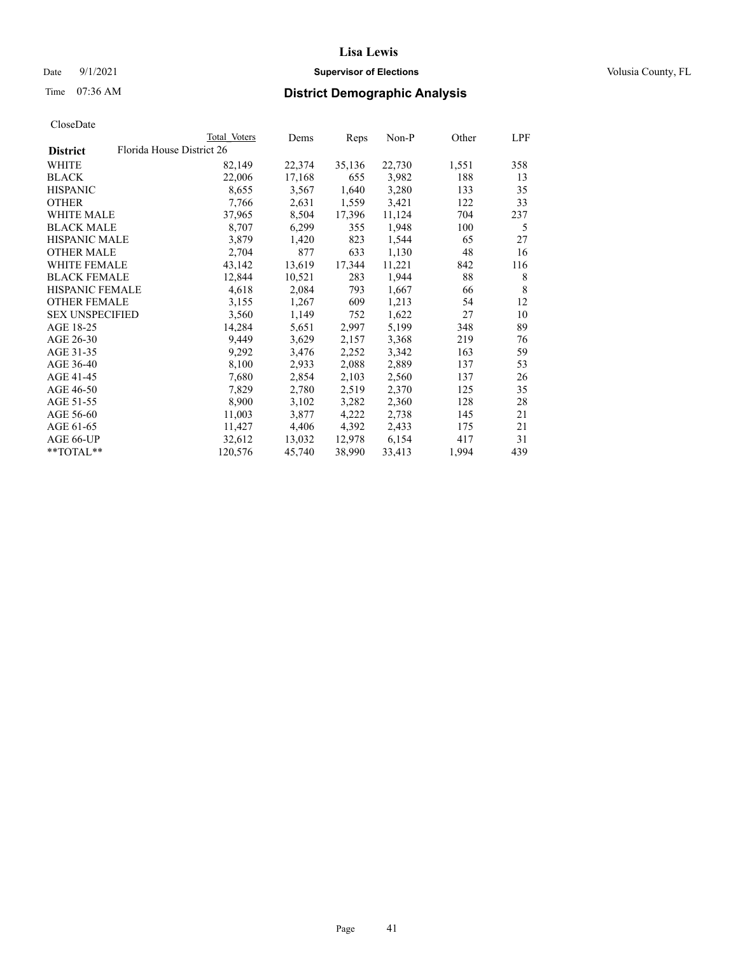### Date 9/1/2021 **Supervisor of Elections Supervisor of Elections** Volusia County, FL

# Time 07:36 AM **District Demographic Analysis**

|                        |                           | Total Voters | Dems   | Reps   | Non-P  | Other | LPF |
|------------------------|---------------------------|--------------|--------|--------|--------|-------|-----|
| <b>District</b>        | Florida House District 26 |              |        |        |        |       |     |
| WHITE                  |                           | 82,149       | 22,374 | 35,136 | 22,730 | 1,551 | 358 |
| <b>BLACK</b>           |                           | 22,006       | 17,168 | 655    | 3,982  | 188   | 13  |
| <b>HISPANIC</b>        |                           | 8,655        | 3,567  | 1,640  | 3,280  | 133   | 35  |
| <b>OTHER</b>           |                           | 7,766        | 2,631  | 1,559  | 3,421  | 122   | 33  |
| WHITE MALE             |                           | 37,965       | 8,504  | 17,396 | 11,124 | 704   | 237 |
| <b>BLACK MALE</b>      |                           | 8,707        | 6,299  | 355    | 1,948  | 100   | 5   |
| <b>HISPANIC MALE</b>   |                           | 3,879        | 1,420  | 823    | 1,544  | 65    | 27  |
| <b>OTHER MALE</b>      |                           | 2,704        | 877    | 633    | 1,130  | 48    | 16  |
| <b>WHITE FEMALE</b>    |                           | 43,142       | 13,619 | 17,344 | 11,221 | 842   | 116 |
| <b>BLACK FEMALE</b>    |                           | 12,844       | 10,521 | 283    | 1,944  | 88    | 8   |
| <b>HISPANIC FEMALE</b> |                           | 4,618        | 2,084  | 793    | 1,667  | 66    | 8   |
| <b>OTHER FEMALE</b>    |                           | 3,155        | 1,267  | 609    | 1,213  | 54    | 12  |
| <b>SEX UNSPECIFIED</b> |                           | 3,560        | 1,149  | 752    | 1,622  | 27    | 10  |
| AGE 18-25              |                           | 14,284       | 5,651  | 2,997  | 5,199  | 348   | 89  |
| AGE 26-30              |                           | 9,449        | 3,629  | 2,157  | 3,368  | 219   | 76  |
| AGE 31-35              |                           | 9,292        | 3,476  | 2,252  | 3,342  | 163   | 59  |
| AGE 36-40              |                           | 8,100        | 2,933  | 2,088  | 2,889  | 137   | 53  |
| AGE 41-45              |                           | 7,680        | 2,854  | 2,103  | 2,560  | 137   | 26  |
| AGE 46-50              |                           | 7,829        | 2,780  | 2,519  | 2,370  | 125   | 35  |
| AGE 51-55              |                           | 8,900        | 3,102  | 3,282  | 2,360  | 128   | 28  |
| AGE 56-60              |                           | 11,003       | 3,877  | 4,222  | 2,738  | 145   | 21  |
| AGE 61-65              |                           | 11,427       | 4,406  | 4,392  | 2,433  | 175   | 21  |
| AGE 66-UP              |                           | 32,612       | 13,032 | 12,978 | 6,154  | 417   | 31  |
| $*$ $TOTAL**$          |                           | 120,576      | 45,740 | 38,990 | 33,413 | 1,994 | 439 |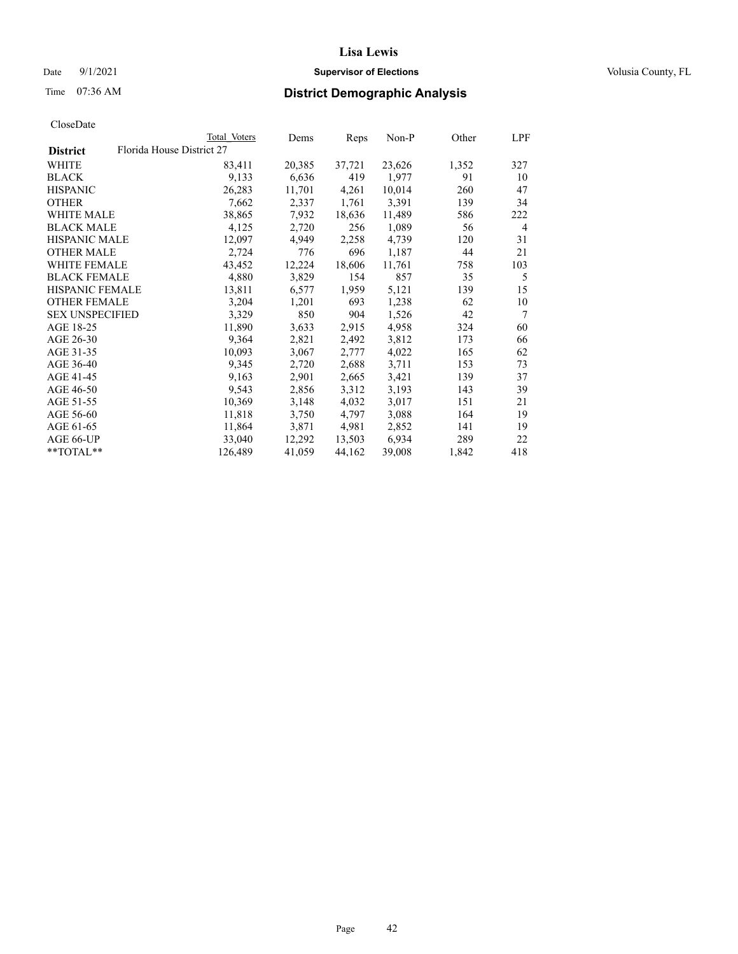Date 9/1/2021 **Supervisor of Elections Supervisor of Elections** Volusia County, FL

# Time 07:36 AM **District Demographic Analysis**

| CloseDate |
|-----------|
|-----------|

|                        |                           | Total Voters | Dems   | Reps   | Non-P  | Other | LPF            |
|------------------------|---------------------------|--------------|--------|--------|--------|-------|----------------|
| <b>District</b>        | Florida House District 27 |              |        |        |        |       |                |
| WHITE                  |                           | 83,411       | 20,385 | 37,721 | 23,626 | 1,352 | 327            |
| BLACK                  |                           | 9,133        | 6,636  | 419    | 1,977  | 91    | 10             |
| <b>HISPANIC</b>        |                           | 26,283       | 11,701 | 4,261  | 10,014 | 260   | 47             |
| OTHER                  |                           | 7,662        | 2,337  | 1,761  | 3,391  | 139   | 34             |
| WHITE MALE             |                           | 38,865       | 7,932  | 18,636 | 11,489 | 586   | 222            |
| <b>BLACK MALE</b>      |                           | 4,125        | 2,720  | 256    | 1,089  | 56    | $\overline{4}$ |
| <b>HISPANIC MALE</b>   |                           | 12,097       | 4,949  | 2,258  | 4,739  | 120   | 31             |
| OTHER MALE             |                           | 2,724        | 776    | 696    | 1,187  | 44    | 21             |
| WHITE FEMALE           |                           | 43,452       | 12,224 | 18,606 | 11,761 | 758   | 103            |
| <b>BLACK FEMALE</b>    |                           | 4,880        | 3,829  | 154    | 857    | 35    | 5              |
| <b>HISPANIC FEMALE</b> |                           | 13,811       | 6,577  | 1,959  | 5,121  | 139   | 15             |
| <b>OTHER FEMALE</b>    |                           | 3,204        | 1,201  | 693    | 1,238  | 62    | 10             |
| <b>SEX UNSPECIFIED</b> |                           | 3,329        | 850    | 904    | 1,526  | 42    | 7              |
| AGE 18-25              |                           | 11,890       | 3,633  | 2,915  | 4,958  | 324   | 60             |
| AGE 26-30              |                           | 9,364        | 2,821  | 2,492  | 3,812  | 173   | 66             |
| AGE 31-35              |                           | 10,093       | 3,067  | 2,777  | 4,022  | 165   | 62             |
| AGE 36-40              |                           | 9,345        | 2,720  | 2,688  | 3,711  | 153   | 73             |
| AGE 41-45              |                           | 9,163        | 2,901  | 2,665  | 3,421  | 139   | 37             |
| AGE 46-50              |                           | 9,543        | 2,856  | 3,312  | 3,193  | 143   | 39             |
| AGE 51-55              |                           | 10,369       | 3,148  | 4,032  | 3,017  | 151   | 21             |
| AGE 56-60              |                           | 11,818       | 3,750  | 4,797  | 3,088  | 164   | 19             |
| AGE 61-65              |                           | 11,864       | 3,871  | 4,981  | 2,852  | 141   | 19             |
| AGE 66-UP              |                           | 33,040       | 12,292 | 13,503 | 6,934  | 289   | 22             |
| **TOTAL**              |                           | 126,489      | 41,059 | 44,162 | 39,008 | 1,842 | 418            |
|                        |                           |              |        |        |        |       |                |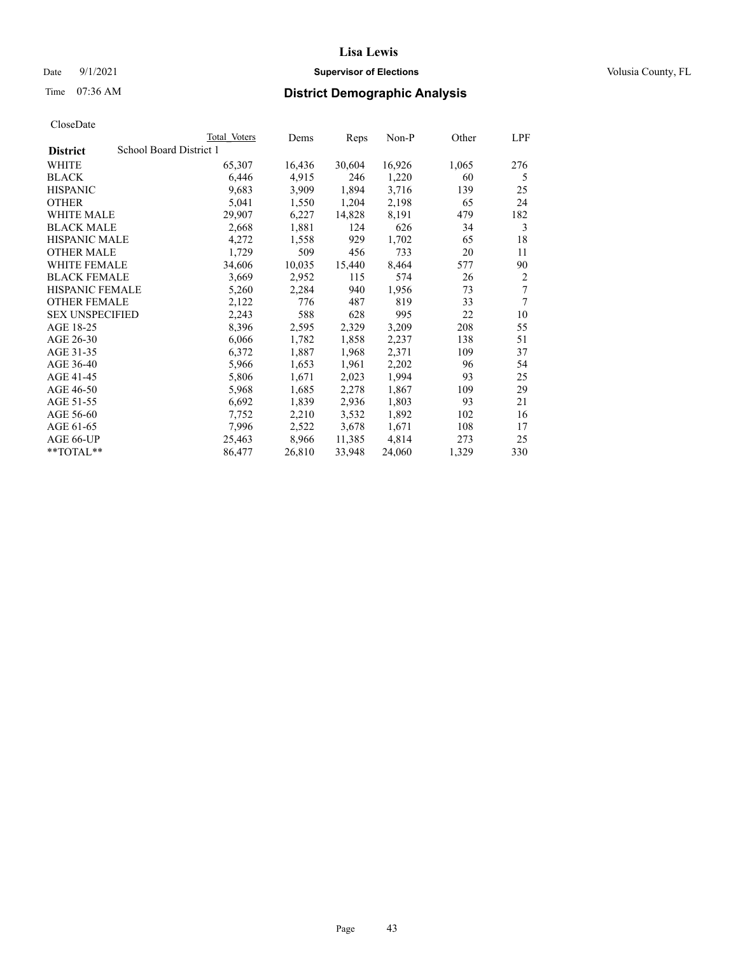### Date 9/1/2021 **Supervisor of Elections Supervisor of Elections** Volusia County, FL

# Time 07:36 AM **District Demographic Analysis**

|                        | Total Voters            | Dems   | Reps   | Non-P  | Other | LPF            |
|------------------------|-------------------------|--------|--------|--------|-------|----------------|
| <b>District</b>        | School Board District 1 |        |        |        |       |                |
| WHITE                  | 65,307                  | 16,436 | 30,604 | 16,926 | 1,065 | 276            |
| <b>BLACK</b>           | 6,446                   | 4,915  | 246    | 1,220  | 60    | 5              |
| <b>HISPANIC</b>        | 9,683                   | 3,909  | 1,894  | 3,716  | 139   | 25             |
| <b>OTHER</b>           | 5,041                   | 1,550  | 1,204  | 2,198  | 65    | 24             |
| WHITE MALE             | 29,907                  | 6,227  | 14,828 | 8,191  | 479   | 182            |
| <b>BLACK MALE</b>      | 2,668                   | 1,881  | 124    | 626    | 34    | 3              |
| <b>HISPANIC MALE</b>   | 4,272                   | 1,558  | 929    | 1,702  | 65    | 18             |
| <b>OTHER MALE</b>      | 1,729                   | 509    | 456    | 733    | 20    | 11             |
| WHITE FEMALE           | 34,606                  | 10,035 | 15,440 | 8,464  | 577   | 90             |
| <b>BLACK FEMALE</b>    | 3,669                   | 2,952  | 115    | 574    | 26    | $\overline{2}$ |
| <b>HISPANIC FEMALE</b> | 5,260                   | 2,284  | 940    | 1,956  | 73    | 7              |
| <b>OTHER FEMALE</b>    | 2,122                   | 776    | 487    | 819    | 33    | 7              |
| <b>SEX UNSPECIFIED</b> | 2,243                   | 588    | 628    | 995    | 22    | 10             |
| AGE 18-25              | 8,396                   | 2,595  | 2,329  | 3,209  | 208   | 55             |
| AGE 26-30              | 6,066                   | 1,782  | 1,858  | 2,237  | 138   | 51             |
| AGE 31-35              | 6,372                   | 1,887  | 1,968  | 2,371  | 109   | 37             |
| AGE 36-40              | 5,966                   | 1,653  | 1,961  | 2,202  | 96    | 54             |
| AGE 41-45              | 5,806                   | 1,671  | 2,023  | 1,994  | 93    | 25             |
| AGE 46-50              | 5,968                   | 1,685  | 2,278  | 1,867  | 109   | 29             |
| AGE 51-55              | 6,692                   | 1,839  | 2,936  | 1,803  | 93    | 21             |
| AGE 56-60              | 7,752                   | 2,210  | 3,532  | 1,892  | 102   | 16             |
| AGE 61-65              | 7,996                   | 2,522  | 3,678  | 1,671  | 108   | 17             |
| AGE 66-UP              | 25,463                  | 8,966  | 11,385 | 4,814  | 273   | 25             |
| $*$ $TOTAL**$          | 86,477                  | 26,810 | 33,948 | 24,060 | 1,329 | 330            |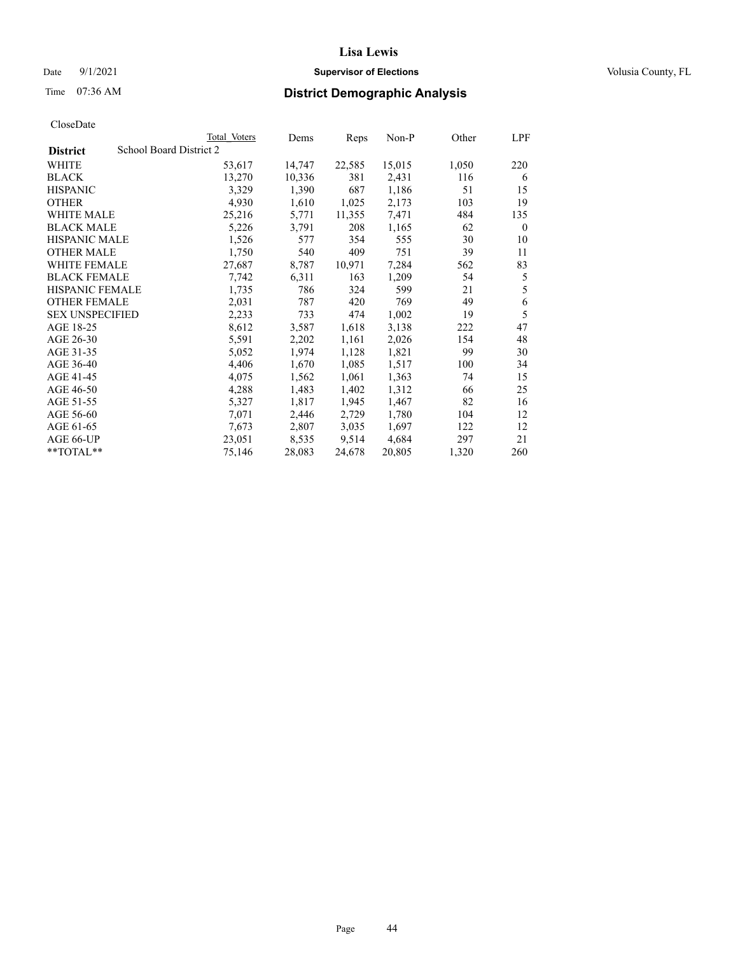### **Lisa Lewis** Date 9/1/2021 **Supervisor of Elections Supervisor of Elections** Volusia County, FL

# Time 07:36 AM **District Demographic Analysis**

|                        | Total Voters            | Dems   | Reps   | Non-P  | Other | LPF          |
|------------------------|-------------------------|--------|--------|--------|-------|--------------|
| <b>District</b>        | School Board District 2 |        |        |        |       |              |
| WHITE                  | 53,617                  | 14,747 | 22,585 | 15,015 | 1,050 | 220          |
| <b>BLACK</b>           | 13,270                  | 10,336 | 381    | 2,431  | 116   | 6            |
| <b>HISPANIC</b>        | 3,329                   | 1,390  | 687    | 1,186  | 51    | 15           |
| <b>OTHER</b>           | 4,930                   | 1,610  | 1,025  | 2,173  | 103   | 19           |
| WHITE MALE             | 25,216                  | 5,771  | 11,355 | 7,471  | 484   | 135          |
| <b>BLACK MALE</b>      | 5,226                   | 3,791  | 208    | 1,165  | 62    | $\mathbf{0}$ |
| <b>HISPANIC MALE</b>   | 1,526                   | 577    | 354    | 555    | 30    | 10           |
| <b>OTHER MALE</b>      | 1,750                   | 540    | 409    | 751    | 39    | 11           |
| <b>WHITE FEMALE</b>    | 27,687                  | 8,787  | 10,971 | 7,284  | 562   | 83           |
| <b>BLACK FEMALE</b>    | 7,742                   | 6,311  | 163    | 1,209  | 54    | 5            |
| <b>HISPANIC FEMALE</b> | 1,735                   | 786    | 324    | 599    | 21    | 5            |
| <b>OTHER FEMALE</b>    | 2,031                   | 787    | 420    | 769    | 49    | 6            |
| <b>SEX UNSPECIFIED</b> | 2,233                   | 733    | 474    | 1,002  | 19    | 5            |
| AGE 18-25              | 8,612                   | 3,587  | 1,618  | 3,138  | 222   | 47           |
| AGE 26-30              | 5,591                   | 2,202  | 1,161  | 2,026  | 154   | 48           |
| AGE 31-35              | 5,052                   | 1,974  | 1,128  | 1,821  | 99    | 30           |
| AGE 36-40              | 4,406                   | 1,670  | 1,085  | 1,517  | 100   | 34           |
| AGE 41-45              | 4,075                   | 1,562  | 1,061  | 1,363  | 74    | 15           |
| AGE 46-50              | 4,288                   | 1,483  | 1,402  | 1,312  | 66    | 25           |
| AGE 51-55              | 5,327                   | 1,817  | 1,945  | 1,467  | 82    | 16           |
| AGE 56-60              | 7,071                   | 2,446  | 2,729  | 1,780  | 104   | 12           |
| AGE 61-65              | 7,673                   | 2,807  | 3,035  | 1,697  | 122   | 12           |
| AGE 66-UP              | 23,051                  | 8,535  | 9,514  | 4,684  | 297   | 21           |
| $**TOTAL**$            | 75,146                  | 28,083 | 24,678 | 20,805 | 1,320 | 260          |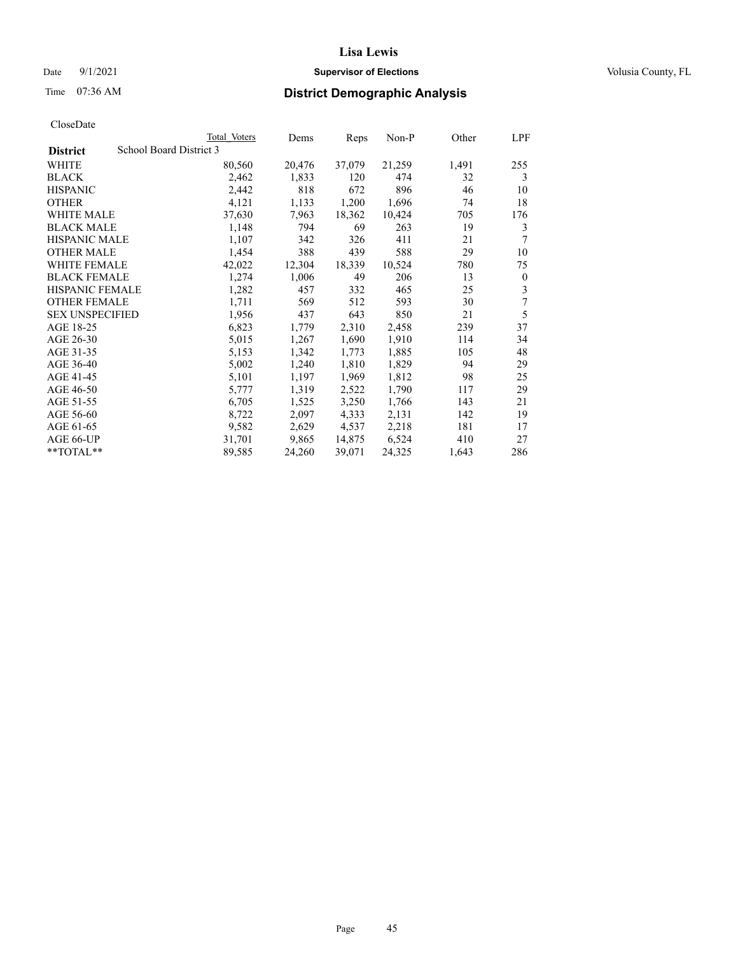### Date 9/1/2021 **Supervisor of Elections Supervisor of Elections** Volusia County, FL

# Time 07:36 AM **District Demographic Analysis**

|                                            | Total Voters | Dems   | Reps   | Non-P  | Other | LPF          |
|--------------------------------------------|--------------|--------|--------|--------|-------|--------------|
| School Board District 3<br><b>District</b> |              |        |        |        |       |              |
| WHITE                                      | 80,560       | 20,476 | 37,079 | 21,259 | 1,491 | 255          |
| <b>BLACK</b>                               | 2,462        | 1,833  | 120    | 474    | 32    | 3            |
| <b>HISPANIC</b>                            | 2,442        | 818    | 672    | 896    | 46    | 10           |
| <b>OTHER</b>                               | 4,121        | 1,133  | 1,200  | 1,696  | 74    | 18           |
| WHITE MALE                                 | 37,630       | 7,963  | 18,362 | 10,424 | 705   | 176          |
| <b>BLACK MALE</b>                          | 1,148        | 794    | 69     | 263    | 19    | 3            |
| <b>HISPANIC MALE</b>                       | 1,107        | 342    | 326    | 411    | 21    | 7            |
| <b>OTHER MALE</b>                          | 1,454        | 388    | 439    | 588    | 29    | 10           |
| WHITE FEMALE                               | 42,022       | 12,304 | 18,339 | 10,524 | 780   | 75           |
| <b>BLACK FEMALE</b>                        | 1,274        | 1,006  | 49     | 206    | 13    | $\mathbf{0}$ |
| <b>HISPANIC FEMALE</b>                     | 1,282        | 457    | 332    | 465    | 25    | 3            |
| <b>OTHER FEMALE</b>                        | 1,711        | 569    | 512    | 593    | 30    | 7            |
| <b>SEX UNSPECIFIED</b>                     | 1,956        | 437    | 643    | 850    | 21    | 5            |
| AGE 18-25                                  | 6,823        | 1,779  | 2,310  | 2,458  | 239   | 37           |
| AGE 26-30                                  | 5,015        | 1,267  | 1,690  | 1,910  | 114   | 34           |
| AGE 31-35                                  | 5,153        | 1,342  | 1,773  | 1,885  | 105   | 48           |
| AGE 36-40                                  | 5,002        | 1,240  | 1,810  | 1,829  | 94    | 29           |
| AGE 41-45                                  | 5,101        | 1,197  | 1,969  | 1,812  | 98    | 25           |
| AGE 46-50                                  | 5,777        | 1,319  | 2,522  | 1,790  | 117   | 29           |
| AGE 51-55                                  | 6,705        | 1,525  | 3,250  | 1,766  | 143   | 21           |
| AGE 56-60                                  | 8,722        | 2,097  | 4,333  | 2,131  | 142   | 19           |
| AGE 61-65                                  | 9,582        | 2,629  | 4,537  | 2,218  | 181   | 17           |
| AGE 66-UP                                  | 31,701       | 9,865  | 14,875 | 6,524  | 410   | 27           |
| **TOTAL**                                  | 89,585       | 24,260 | 39,071 | 24,325 | 1,643 | 286          |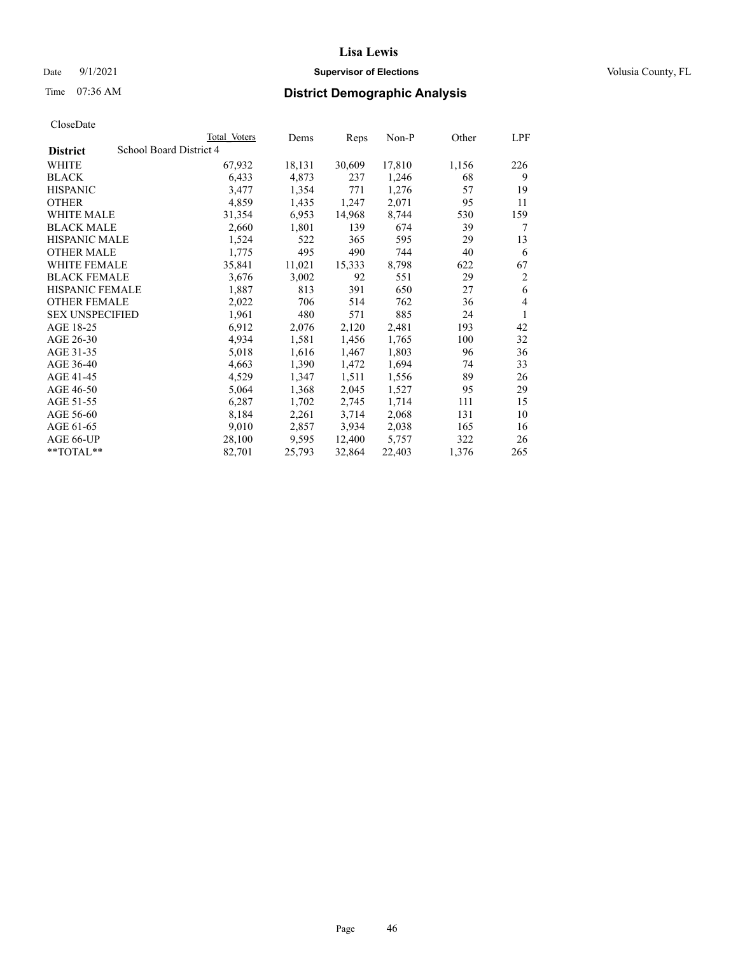### Date 9/1/2021 **Supervisor of Elections Supervisor of Elections** Volusia County, FL

# Time 07:36 AM **District Demographic Analysis**

|                        | Total Voters            | Dems   | Reps   | Non-P  | Other | LPF |
|------------------------|-------------------------|--------|--------|--------|-------|-----|
| <b>District</b>        | School Board District 4 |        |        |        |       |     |
| WHITE                  | 67,932                  | 18,131 | 30,609 | 17,810 | 1,156 | 226 |
| <b>BLACK</b>           | 6,433                   | 4,873  | 237    | 1,246  | 68    | 9   |
| <b>HISPANIC</b>        | 3,477                   | 1,354  | 771    | 1,276  | 57    | 19  |
| <b>OTHER</b>           | 4,859                   | 1,435  | 1,247  | 2,071  | 95    | 11  |
| WHITE MALE             | 31,354                  | 6,953  | 14,968 | 8,744  | 530   | 159 |
| <b>BLACK MALE</b>      | 2,660                   | 1,801  | 139    | 674    | 39    | 7   |
| <b>HISPANIC MALE</b>   | 1,524                   | 522    | 365    | 595    | 29    | 13  |
| <b>OTHER MALE</b>      | 1,775                   | 495    | 490    | 744    | 40    | 6   |
| <b>WHITE FEMALE</b>    | 35,841                  | 11,021 | 15,333 | 8,798  | 622   | 67  |
| <b>BLACK FEMALE</b>    | 3,676                   | 3,002  | 92     | 551    | 29    | 2   |
| <b>HISPANIC FEMALE</b> | 1,887                   | 813    | 391    | 650    | 27    | 6   |
| <b>OTHER FEMALE</b>    | 2,022                   | 706    | 514    | 762    | 36    | 4   |
| <b>SEX UNSPECIFIED</b> | 1,961                   | 480    | 571    | 885    | 24    | 1   |
| AGE 18-25              | 6,912                   | 2,076  | 2,120  | 2,481  | 193   | 42  |
| AGE 26-30              | 4,934                   | 1,581  | 1,456  | 1,765  | 100   | 32  |
| AGE 31-35              | 5,018                   | 1,616  | 1,467  | 1,803  | 96    | 36  |
| AGE 36-40              | 4,663                   | 1,390  | 1,472  | 1,694  | 74    | 33  |
| AGE 41-45              | 4,529                   | 1,347  | 1,511  | 1,556  | 89    | 26  |
| AGE 46-50              | 5,064                   | 1,368  | 2,045  | 1,527  | 95    | 29  |
| AGE 51-55              | 6,287                   | 1,702  | 2,745  | 1,714  | 111   | 15  |
| AGE 56-60              | 8,184                   | 2,261  | 3,714  | 2,068  | 131   | 10  |
| AGE 61-65              | 9,010                   | 2,857  | 3,934  | 2,038  | 165   | 16  |
| AGE 66-UP              | 28,100                  | 9,595  | 12,400 | 5,757  | 322   | 26  |
| **TOTAL**              | 82,701                  | 25,793 | 32,864 | 22,403 | 1,376 | 265 |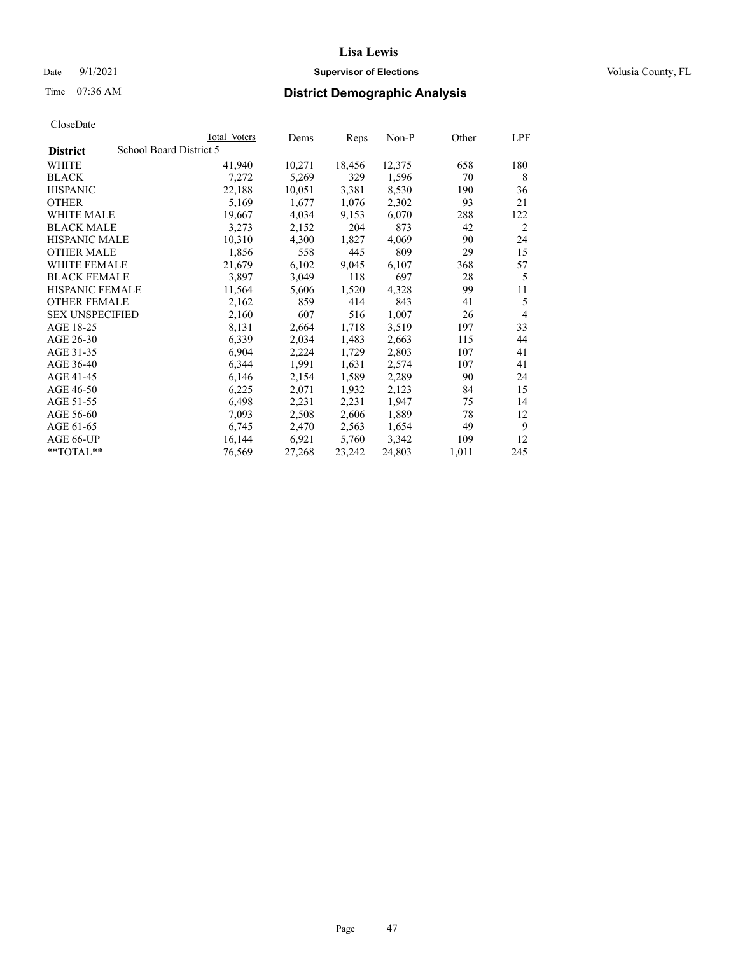### Date 9/1/2021 **Supervisor of Elections Supervisor of Elections** Volusia County, FL

# Time 07:36 AM **District Demographic Analysis**

|                        | Total Voters            | Dems   | Reps   | Non-P  | Other | LPF            |
|------------------------|-------------------------|--------|--------|--------|-------|----------------|
| <b>District</b>        | School Board District 5 |        |        |        |       |                |
| WHITE                  | 41,940                  | 10,271 | 18,456 | 12,375 | 658   | 180            |
| <b>BLACK</b>           | 7,272                   | 5,269  | 329    | 1,596  | 70    | 8              |
| <b>HISPANIC</b>        | 22,188                  | 10,051 | 3,381  | 8,530  | 190   | 36             |
| <b>OTHER</b>           | 5,169                   | 1,677  | 1,076  | 2,302  | 93    | 21             |
| WHITE MALE             | 19,667                  | 4,034  | 9,153  | 6,070  | 288   | 122            |
| <b>BLACK MALE</b>      | 3,273                   | 2,152  | 204    | 873    | 42    | 2              |
| <b>HISPANIC MALE</b>   | 10,310                  | 4,300  | 1,827  | 4,069  | 90    | 24             |
| <b>OTHER MALE</b>      | 1,856                   | 558    | 445    | 809    | 29    | 15             |
| WHITE FEMALE           | 21,679                  | 6,102  | 9,045  | 6,107  | 368   | 57             |
| <b>BLACK FEMALE</b>    | 3,897                   | 3,049  | 118    | 697    | 28    | 5              |
| <b>HISPANIC FEMALE</b> | 11,564                  | 5,606  | 1,520  | 4,328  | 99    | 11             |
| <b>OTHER FEMALE</b>    | 2,162                   | 859    | 414    | 843    | 41    | 5              |
| <b>SEX UNSPECIFIED</b> | 2,160                   | 607    | 516    | 1,007  | 26    | $\overline{4}$ |
| AGE 18-25              | 8,131                   | 2,664  | 1,718  | 3,519  | 197   | 33             |
| AGE 26-30              | 6,339                   | 2,034  | 1,483  | 2,663  | 115   | 44             |
| AGE 31-35              | 6,904                   | 2,224  | 1,729  | 2,803  | 107   | 41             |
| AGE 36-40              | 6,344                   | 1,991  | 1,631  | 2,574  | 107   | 41             |
| AGE 41-45              | 6,146                   | 2,154  | 1,589  | 2,289  | 90    | 24             |
| AGE 46-50              | 6,225                   | 2,071  | 1,932  | 2,123  | 84    | 15             |
| AGE 51-55              | 6,498                   | 2,231  | 2,231  | 1,947  | 75    | 14             |
| AGE 56-60              | 7,093                   | 2,508  | 2,606  | 1,889  | 78    | 12             |
| AGE 61-65              | 6,745                   | 2,470  | 2,563  | 1,654  | 49    | 9              |
| AGE 66-UP              | 16,144                  | 6,921  | 5,760  | 3,342  | 109   | 12             |
| **TOTAL**              | 76,569                  | 27,268 | 23,242 | 24,803 | 1,011 | 245            |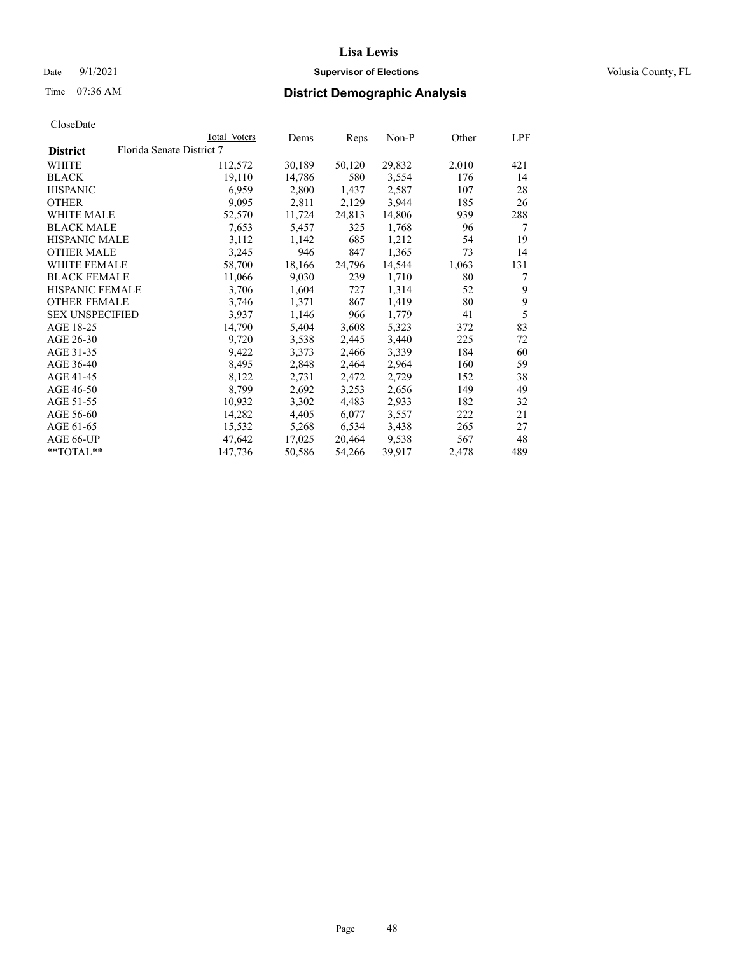### Date 9/1/2021 **Supervisor of Elections Supervisor of Elections** Volusia County, FL

# Time 07:36 AM **District Demographic Analysis**

|                        |                           | Total Voters | Dems   | Reps   | Non-P  | Other | LPF |
|------------------------|---------------------------|--------------|--------|--------|--------|-------|-----|
| <b>District</b>        | Florida Senate District 7 |              |        |        |        |       |     |
| WHITE                  |                           | 112,572      | 30,189 | 50,120 | 29,832 | 2,010 | 421 |
| <b>BLACK</b>           |                           | 19,110       | 14,786 | 580    | 3,554  | 176   | 14  |
| <b>HISPANIC</b>        |                           | 6,959        | 2,800  | 1,437  | 2,587  | 107   | 28  |
| <b>OTHER</b>           |                           | 9,095        | 2,811  | 2,129  | 3,944  | 185   | 26  |
| WHITE MALE             |                           | 52,570       | 11,724 | 24,813 | 14,806 | 939   | 288 |
| <b>BLACK MALE</b>      |                           | 7,653        | 5,457  | 325    | 1,768  | 96    | 7   |
| <b>HISPANIC MALE</b>   |                           | 3,112        | 1,142  | 685    | 1,212  | 54    | 19  |
| <b>OTHER MALE</b>      |                           | 3,245        | 946    | 847    | 1,365  | 73    | 14  |
| <b>WHITE FEMALE</b>    |                           | 58,700       | 18,166 | 24,796 | 14,544 | 1,063 | 131 |
| <b>BLACK FEMALE</b>    |                           | 11,066       | 9,030  | 239    | 1,710  | 80    | 7   |
| <b>HISPANIC FEMALE</b> |                           | 3,706        | 1,604  | 727    | 1,314  | 52    | 9   |
| <b>OTHER FEMALE</b>    |                           | 3,746        | 1,371  | 867    | 1,419  | 80    | 9   |
| <b>SEX UNSPECIFIED</b> |                           | 3,937        | 1,146  | 966    | 1,779  | 41    | 5   |
| AGE 18-25              |                           | 14,790       | 5,404  | 3,608  | 5,323  | 372   | 83  |
| AGE 26-30              |                           | 9,720        | 3,538  | 2,445  | 3,440  | 225   | 72  |
| AGE 31-35              |                           | 9,422        | 3,373  | 2,466  | 3,339  | 184   | 60  |
| AGE 36-40              |                           | 8,495        | 2,848  | 2,464  | 2,964  | 160   | 59  |
| AGE 41-45              |                           | 8,122        | 2,731  | 2,472  | 2,729  | 152   | 38  |
| AGE 46-50              |                           | 8,799        | 2,692  | 3,253  | 2,656  | 149   | 49  |
| AGE 51-55              |                           | 10,932       | 3,302  | 4,483  | 2,933  | 182   | 32  |
| AGE 56-60              |                           | 14,282       | 4,405  | 6,077  | 3,557  | 222   | 21  |
| AGE 61-65              |                           | 15,532       | 5,268  | 6,534  | 3,438  | 265   | 27  |
| AGE 66-UP              |                           | 47,642       | 17,025 | 20,464 | 9,538  | 567   | 48  |
| $*$ TOTAL $*$          |                           | 147,736      | 50,586 | 54,266 | 39,917 | 2,478 | 489 |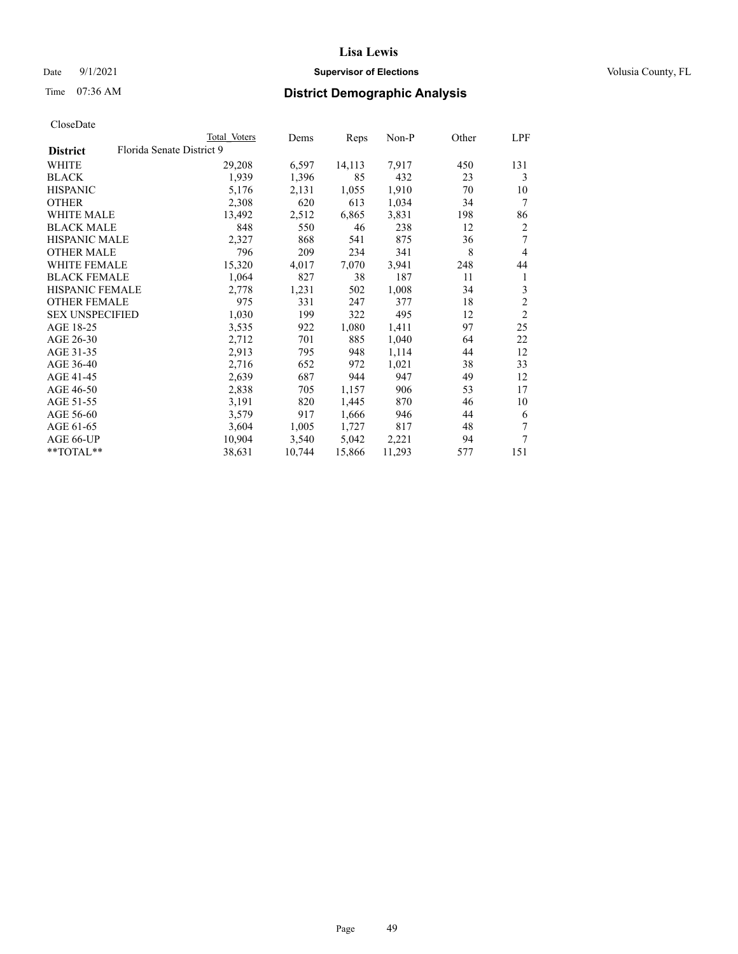### Date 9/1/2021 **Supervisor of Elections Supervisor of Elections** Volusia County, FL

# Time 07:36 AM **District Demographic Analysis**

|                                              | Total Voters | Dems   | Reps   | Non-P  | Other | LPF            |
|----------------------------------------------|--------------|--------|--------|--------|-------|----------------|
| Florida Senate District 9<br><b>District</b> |              |        |        |        |       |                |
| WHITE                                        | 29,208       | 6,597  | 14,113 | 7,917  | 450   | 131            |
| <b>BLACK</b>                                 | 1,939        | 1,396  | 85     | 432    | 23    | 3              |
| <b>HISPANIC</b>                              | 5,176        | 2,131  | 1,055  | 1,910  | 70    | 10             |
| <b>OTHER</b>                                 | 2,308        | 620    | 613    | 1,034  | 34    | 7              |
| WHITE MALE                                   | 13,492       | 2,512  | 6,865  | 3,831  | 198   | 86             |
| <b>BLACK MALE</b>                            | 848          | 550    | 46     | 238    | 12    | 2              |
| <b>HISPANIC MALE</b>                         | 2,327        | 868    | 541    | 875    | 36    | 7              |
| <b>OTHER MALE</b>                            | 796          | 209    | 234    | 341    | 8     | $\overline{4}$ |
| <b>WHITE FEMALE</b>                          | 15,320       | 4,017  | 7,070  | 3,941  | 248   | 44             |
| <b>BLACK FEMALE</b>                          | 1,064        | 827    | 38     | 187    | 11    | 1              |
| <b>HISPANIC FEMALE</b>                       | 2,778        | 1,231  | 502    | 1,008  | 34    | 3              |
| <b>OTHER FEMALE</b>                          | 975          | 331    | 247    | 377    | 18    | $\overline{c}$ |
| <b>SEX UNSPECIFIED</b>                       | 1,030        | 199    | 322    | 495    | 12    | $\overline{2}$ |
| AGE 18-25                                    | 3,535        | 922    | 1,080  | 1,411  | 97    | 25             |
| AGE 26-30                                    | 2,712        | 701    | 885    | 1,040  | 64    | 22             |
| AGE 31-35                                    | 2,913        | 795    | 948    | 1,114  | 44    | 12             |
| AGE 36-40                                    | 2,716        | 652    | 972    | 1,021  | 38    | 33             |
| AGE 41-45                                    | 2,639        | 687    | 944    | 947    | 49    | 12             |
| AGE 46-50                                    | 2,838        | 705    | 1,157  | 906    | 53    | 17             |
| AGE 51-55                                    | 3,191        | 820    | 1,445  | 870    | 46    | 10             |
| AGE 56-60                                    | 3,579        | 917    | 1,666  | 946    | 44    | 6              |
| AGE 61-65                                    | 3,604        | 1,005  | 1,727  | 817    | 48    | 7              |
| AGE 66-UP                                    | 10,904       | 3,540  | 5,042  | 2,221  | 94    | 7              |
| $*$ TOTAL $*$                                | 38,631       | 10,744 | 15,866 | 11,293 | 577   | 151            |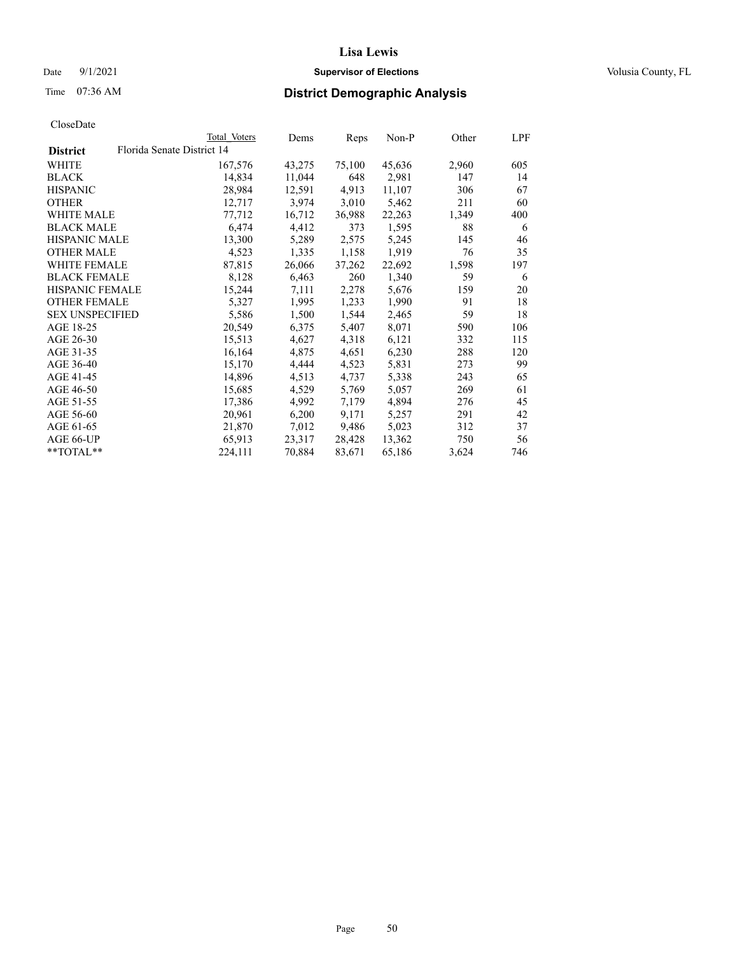### Date 9/1/2021 **Supervisor of Elections Supervisor of Elections** Volusia County, FL

# Time 07:36 AM **District Demographic Analysis**

| CloseDate |
|-----------|
|-----------|

|                        |                            | Total Voters | Dems   | Reps   | Non-P  | Other | LPF |
|------------------------|----------------------------|--------------|--------|--------|--------|-------|-----|
| <b>District</b>        | Florida Senate District 14 |              |        |        |        |       |     |
| WHITE                  |                            | 167,576      | 43,275 | 75,100 | 45,636 | 2,960 | 605 |
| <b>BLACK</b>           |                            | 14,834       | 11,044 | 648    | 2,981  | 147   | 14  |
| <b>HISPANIC</b>        |                            | 28,984       | 12,591 | 4,913  | 11,107 | 306   | 67  |
| <b>OTHER</b>           |                            | 12,717       | 3,974  | 3,010  | 5,462  | 211   | 60  |
| WHITE MALE             |                            | 77,712       | 16,712 | 36,988 | 22,263 | 1,349 | 400 |
| <b>BLACK MALE</b>      |                            | 6,474        | 4,412  | 373    | 1,595  | 88    | 6   |
| <b>HISPANIC MALE</b>   |                            | 13,300       | 5,289  | 2,575  | 5,245  | 145   | 46  |
| <b>OTHER MALE</b>      |                            | 4,523        | 1,335  | 1,158  | 1,919  | 76    | 35  |
| <b>WHITE FEMALE</b>    |                            | 87,815       | 26,066 | 37,262 | 22,692 | 1,598 | 197 |
| <b>BLACK FEMALE</b>    |                            | 8,128        | 6,463  | 260    | 1,340  | 59    | 6   |
| HISPANIC FEMALE        |                            | 15,244       | 7,111  | 2,278  | 5,676  | 159   | 20  |
| <b>OTHER FEMALE</b>    |                            | 5,327        | 1,995  | 1,233  | 1,990  | 91    | 18  |
| <b>SEX UNSPECIFIED</b> |                            | 5,586        | 1,500  | 1,544  | 2,465  | 59    | 18  |
| AGE 18-25              |                            | 20,549       | 6,375  | 5,407  | 8,071  | 590   | 106 |
| AGE 26-30              |                            | 15,513       | 4,627  | 4,318  | 6,121  | 332   | 115 |
| AGE 31-35              |                            | 16,164       | 4,875  | 4,651  | 6,230  | 288   | 120 |
| AGE 36-40              |                            | 15,170       | 4,444  | 4,523  | 5,831  | 273   | 99  |
| AGE 41-45              |                            | 14,896       | 4,513  | 4,737  | 5,338  | 243   | 65  |
| AGE 46-50              |                            | 15,685       | 4,529  | 5,769  | 5,057  | 269   | 61  |
| AGE 51-55              |                            | 17,386       | 4,992  | 7,179  | 4,894  | 276   | 45  |
| AGE 56-60              |                            | 20,961       | 6,200  | 9,171  | 5,257  | 291   | 42  |
| AGE 61-65              |                            | 21,870       | 7,012  | 9,486  | 5,023  | 312   | 37  |
| AGE 66-UP              |                            | 65,913       | 23,317 | 28,428 | 13,362 | 750   | 56  |
| $*$ TOTAL $*$          |                            | 224,111      | 70,884 | 83,671 | 65,186 | 3,624 | 746 |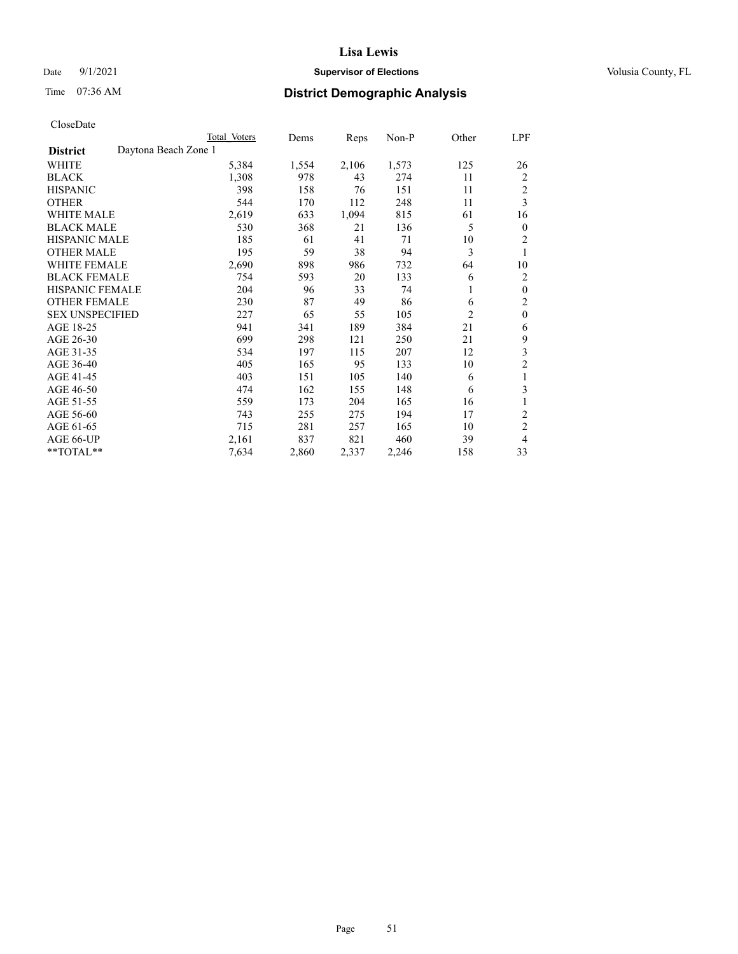### Date 9/1/2021 **Supervisor of Elections Supervisor of Elections** Volusia County, FL

# Time 07:36 AM **District Demographic Analysis**

|                        |                      | Total Voters | Dems  | Reps  | Non-P | Other          | LPF                     |
|------------------------|----------------------|--------------|-------|-------|-------|----------------|-------------------------|
| <b>District</b>        | Daytona Beach Zone 1 |              |       |       |       |                |                         |
| WHITE                  |                      | 5,384        | 1,554 | 2,106 | 1,573 | 125            | 26                      |
| <b>BLACK</b>           |                      | 1,308        | 978   | 43    | 274   | 11             | 2                       |
| <b>HISPANIC</b>        |                      | 398          | 158   | 76    | 151   | 11             | 2                       |
| <b>OTHER</b>           |                      | 544          | 170   | 112   | 248   | 11             | 3                       |
| <b>WHITE MALE</b>      |                      | 2,619        | 633   | 1,094 | 815   | 61             | 16                      |
| <b>BLACK MALE</b>      |                      | 530          | 368   | 21    | 136   | 5              | $\mathbf{0}$            |
| <b>HISPANIC MALE</b>   |                      | 185          | 61    | 41    | 71    | 10             | $\overline{2}$          |
| <b>OTHER MALE</b>      |                      | 195          | 59    | 38    | 94    | 3              | 1                       |
| <b>WHITE FEMALE</b>    |                      | 2,690        | 898   | 986   | 732   | 64             | 10                      |
| <b>BLACK FEMALE</b>    |                      | 754          | 593   | 20    | 133   | 6              | 2                       |
| <b>HISPANIC FEMALE</b> |                      | 204          | 96    | 33    | 74    | 1              | $\mathbf{0}$            |
| <b>OTHER FEMALE</b>    |                      | 230          | 87    | 49    | 86    | 6              | $\overline{2}$          |
| <b>SEX UNSPECIFIED</b> |                      | 227          | 65    | 55    | 105   | $\overline{2}$ | $\mathbf{0}$            |
| AGE 18-25              |                      | 941          | 341   | 189   | 384   | 21             | 6                       |
| AGE 26-30              |                      | 699          | 298   | 121   | 250   | 21             | 9                       |
| AGE 31-35              |                      | 534          | 197   | 115   | 207   | 12             | $\overline{\mathbf{3}}$ |
| AGE 36-40              |                      | 405          | 165   | 95    | 133   | 10             | $\mathfrak{2}$          |
| AGE 41-45              |                      | 403          | 151   | 105   | 140   | 6              | 1                       |
| AGE 46-50              |                      | 474          | 162   | 155   | 148   | 6              | 3                       |
| AGE 51-55              |                      | 559          | 173   | 204   | 165   | 16             | 1                       |
| AGE 56-60              |                      | 743          | 255   | 275   | 194   | 17             | $\overline{2}$          |
| AGE 61-65              |                      | 715          | 281   | 257   | 165   | 10             | $\overline{2}$          |
| AGE 66-UP              |                      | 2,161        | 837   | 821   | 460   | 39             | 4                       |
| **TOTAL**              |                      | 7,634        | 2,860 | 2,337 | 2,246 | 158            | 33                      |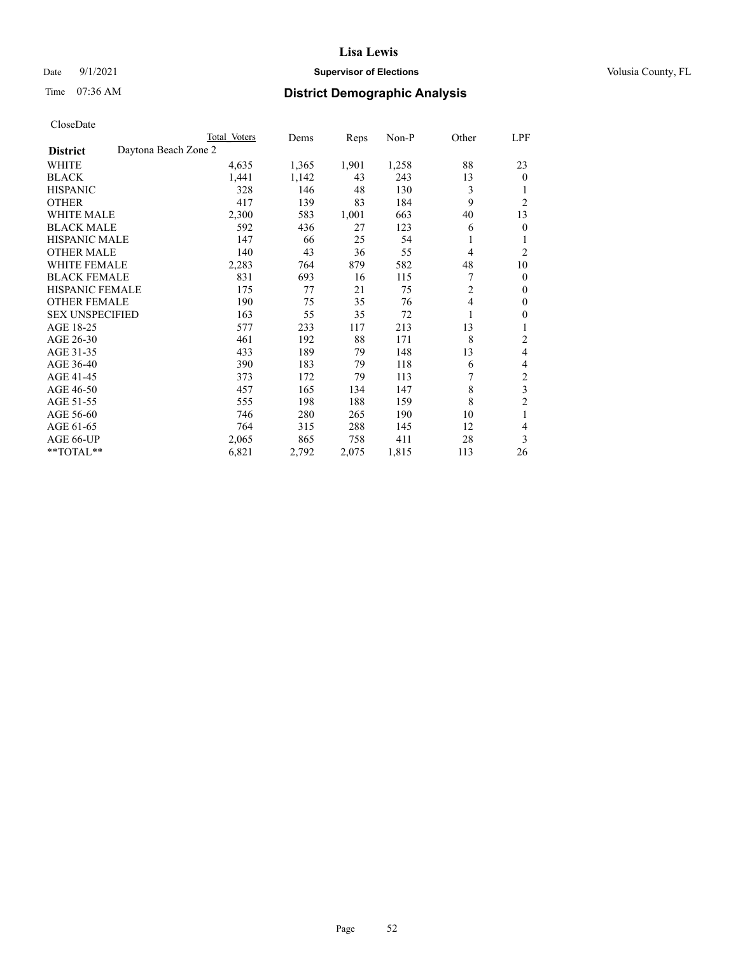### Date 9/1/2021 **Supervisor of Elections Supervisor of Elections** Volusia County, FL

# Time 07:36 AM **District Demographic Analysis**

|                        |                      | Total Voters | Dems  | Reps  | Non-P | Other          | LPF            |
|------------------------|----------------------|--------------|-------|-------|-------|----------------|----------------|
| <b>District</b>        | Daytona Beach Zone 2 |              |       |       |       |                |                |
| WHITE                  |                      | 4,635        | 1,365 | 1,901 | 1,258 | 88             | 23             |
| <b>BLACK</b>           |                      | 1,441        | 1,142 | 43    | 243   | 13             | $\mathbf{0}$   |
| <b>HISPANIC</b>        |                      | 328          | 146   | 48    | 130   | 3              | 1              |
| <b>OTHER</b>           |                      | 417          | 139   | 83    | 184   | 9              | $\overline{2}$ |
| <b>WHITE MALE</b>      |                      | 2,300        | 583   | 1,001 | 663   | 40             | 13             |
| <b>BLACK MALE</b>      |                      | 592          | 436   | 27    | 123   | 6              | $\mathbf{0}$   |
| <b>HISPANIC MALE</b>   |                      | 147          | 66    | 25    | 54    | 1              | 1              |
| <b>OTHER MALE</b>      |                      | 140          | 43    | 36    | 55    | 4              | $\overline{2}$ |
| <b>WHITE FEMALE</b>    |                      | 2,283        | 764   | 879   | 582   | 48             | 10             |
| <b>BLACK FEMALE</b>    |                      | 831          | 693   | 16    | 115   |                | $\mathbf{0}$   |
| <b>HISPANIC FEMALE</b> |                      | 175          | 77    | 21    | 75    | $\overline{2}$ | $\Omega$       |
| <b>OTHER FEMALE</b>    |                      | 190          | 75    | 35    | 76    | 4              | $\theta$       |
| <b>SEX UNSPECIFIED</b> |                      | 163          | 55    | 35    | 72    | 1              | $\theta$       |
| AGE 18-25              |                      | 577          | 233   | 117   | 213   | 13             | 1              |
| AGE 26-30              |                      | 461          | 192   | 88    | 171   | 8              | 2              |
| AGE 31-35              |                      | 433          | 189   | 79    | 148   | 13             | 4              |
| AGE 36-40              |                      | 390          | 183   | 79    | 118   | 6              | 4              |
| AGE 41-45              |                      | 373          | 172   | 79    | 113   |                | 2              |
| AGE 46-50              |                      | 457          | 165   | 134   | 147   | 8              | 3              |
| AGE 51-55              |                      | 555          | 198   | 188   | 159   | 8              | $\overline{c}$ |
| AGE 56-60              |                      | 746          | 280   | 265   | 190   | 10             | 1              |
| AGE 61-65              |                      | 764          | 315   | 288   | 145   | 12             | 4              |
| AGE 66-UP              |                      | 2,065        | 865   | 758   | 411   | 28             | 3              |
| **TOTAL**              |                      | 6,821        | 2,792 | 2,075 | 1,815 | 113            | 26             |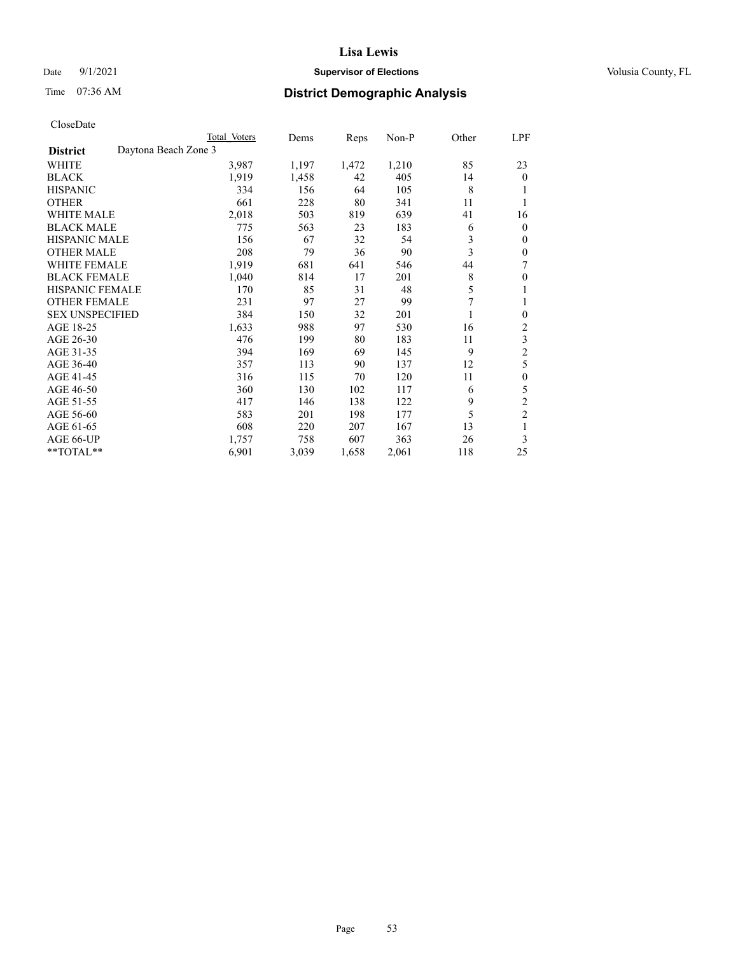### Date 9/1/2021 **Supervisor of Elections Supervisor of Elections** Volusia County, FL

# Time 07:36 AM **District Demographic Analysis**

|                                         | Total Voters | Dems  | Reps  | $Non-P$ | Other | LPF            |
|-----------------------------------------|--------------|-------|-------|---------|-------|----------------|
| Daytona Beach Zone 3<br><b>District</b> |              |       |       |         |       |                |
| WHITE                                   | 3,987        | 1,197 | 1,472 | 1,210   | 85    | 23             |
| <b>BLACK</b>                            | 1,919        | 1,458 | 42    | 405     | 14    | $\Omega$       |
| <b>HISPANIC</b>                         | 334          | 156   | 64    | 105     | 8     |                |
| <b>OTHER</b>                            | 661          | 228   | 80    | 341     | 11    |                |
| <b>WHITE MALE</b>                       | 2,018        | 503   | 819   | 639     | 41    | 16             |
| <b>BLACK MALE</b>                       | 775          | 563   | 23    | 183     | 6     | 0              |
| <b>HISPANIC MALE</b>                    | 156          | 67    | 32    | 54      | 3     | 0              |
| <b>OTHER MALE</b>                       | 208          | 79    | 36    | 90      | 3     | 0              |
| <b>WHITE FEMALE</b>                     | 1,919        | 681   | 641   | 546     | 44    | 7              |
| <b>BLACK FEMALE</b>                     | 1,040        | 814   | 17    | 201     | 8     | 0              |
| HISPANIC FEMALE                         | 170          | 85    | 31    | 48      | 5     | 1              |
| <b>OTHER FEMALE</b>                     | 231          | 97    | 27    | 99      | 7     | 1              |
| <b>SEX UNSPECIFIED</b>                  | 384          | 150   | 32    | 201     |       | 0              |
| AGE 18-25                               | 1,633        | 988   | 97    | 530     | 16    | $\overline{c}$ |
| AGE 26-30                               | 476          | 199   | 80    | 183     | 11    | 3              |
| AGE 31-35                               | 394          | 169   | 69    | 145     | 9     | $\overline{2}$ |
| AGE 36-40                               | 357          | 113   | 90    | 137     | 12    | 5              |
| AGE 41-45                               | 316          | 115   | 70    | 120     | 11    | $\mathbf{0}$   |
| AGE 46-50                               | 360          | 130   | 102   | 117     | 6     | 5              |
| AGE 51-55                               | 417          | 146   | 138   | 122     | 9     | 2              |
| AGE 56-60                               | 583          | 201   | 198   | 177     | 5     | $\overline{2}$ |
| AGE 61-65                               | 608          | 220   | 207   | 167     | 13    | 1              |
| AGE 66-UP                               | 1,757        | 758   | 607   | 363     | 26    | 3              |
| **TOTAL**                               | 6,901        | 3,039 | 1,658 | 2,061   | 118   | 25             |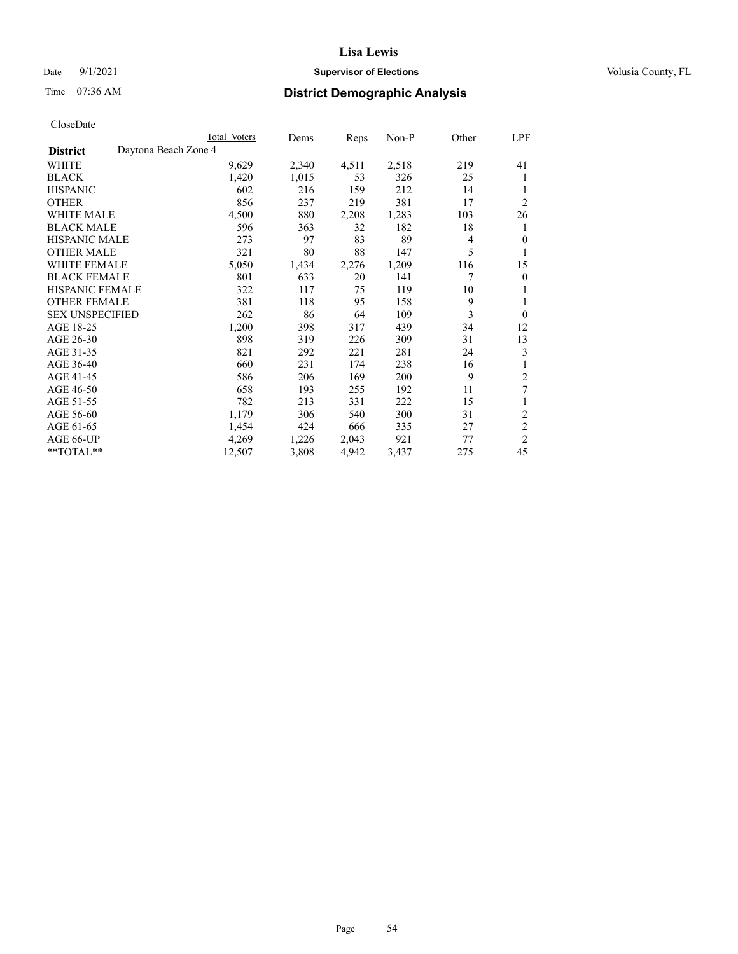### Date 9/1/2021 **Supervisor of Elections Supervisor of Elections** Volusia County, FL

# Time 07:36 AM **District Demographic Analysis**

|                        |                      | Total Voters | Dems  | Reps  | Non-P | Other | LPF            |
|------------------------|----------------------|--------------|-------|-------|-------|-------|----------------|
| <b>District</b>        | Daytona Beach Zone 4 |              |       |       |       |       |                |
| WHITE                  |                      | 9,629        | 2,340 | 4,511 | 2,518 | 219   | 41             |
| <b>BLACK</b>           |                      | 1,420        | 1,015 | 53    | 326   | 25    | 1              |
| <b>HISPANIC</b>        |                      | 602          | 216   | 159   | 212   | 14    | 1              |
| <b>OTHER</b>           |                      | 856          | 237   | 219   | 381   | 17    | $\overline{2}$ |
| WHITE MALE             |                      | 4,500        | 880   | 2,208 | 1,283 | 103   | 26             |
| <b>BLACK MALE</b>      |                      | 596          | 363   | 32    | 182   | 18    | 1              |
| <b>HISPANIC MALE</b>   |                      | 273          | 97    | 83    | 89    | 4     | $\mathbf{0}$   |
| <b>OTHER MALE</b>      |                      | 321          | 80    | 88    | 147   | 5     | 1              |
| <b>WHITE FEMALE</b>    |                      | 5,050        | 1,434 | 2,276 | 1,209 | 116   | 15             |
| <b>BLACK FEMALE</b>    |                      | 801          | 633   | 20    | 141   | 7     | $\mathbf{0}$   |
| HISPANIC FEMALE        |                      | 322          | 117   | 75    | 119   | 10    | 1              |
| <b>OTHER FEMALE</b>    |                      | 381          | 118   | 95    | 158   | 9     | 1              |
| <b>SEX UNSPECIFIED</b> |                      | 262          | 86    | 64    | 109   | 3     | $\mathbf{0}$   |
| AGE 18-25              |                      | 1,200        | 398   | 317   | 439   | 34    | 12             |
| AGE 26-30              |                      | 898          | 319   | 226   | 309   | 31    | 13             |
| AGE 31-35              |                      | 821          | 292   | 221   | 281   | 24    | 3              |
| AGE 36-40              |                      | 660          | 231   | 174   | 238   | 16    |                |
| AGE 41-45              |                      | 586          | 206   | 169   | 200   | 9     | 2              |
| AGE 46-50              |                      | 658          | 193   | 255   | 192   | 11    | 7              |
| AGE 51-55              |                      | 782          | 213   | 331   | 222   | 15    | 1              |
| AGE 56-60              |                      | 1,179        | 306   | 540   | 300   | 31    | $\sqrt{2}$     |
| AGE 61-65              |                      | 1,454        | 424   | 666   | 335   | 27    | $\overline{2}$ |
| AGE 66-UP              |                      | 4,269        | 1,226 | 2,043 | 921   | 77    | $\overline{2}$ |
| **TOTAL**              |                      | 12,507       | 3,808 | 4,942 | 3,437 | 275   | 45             |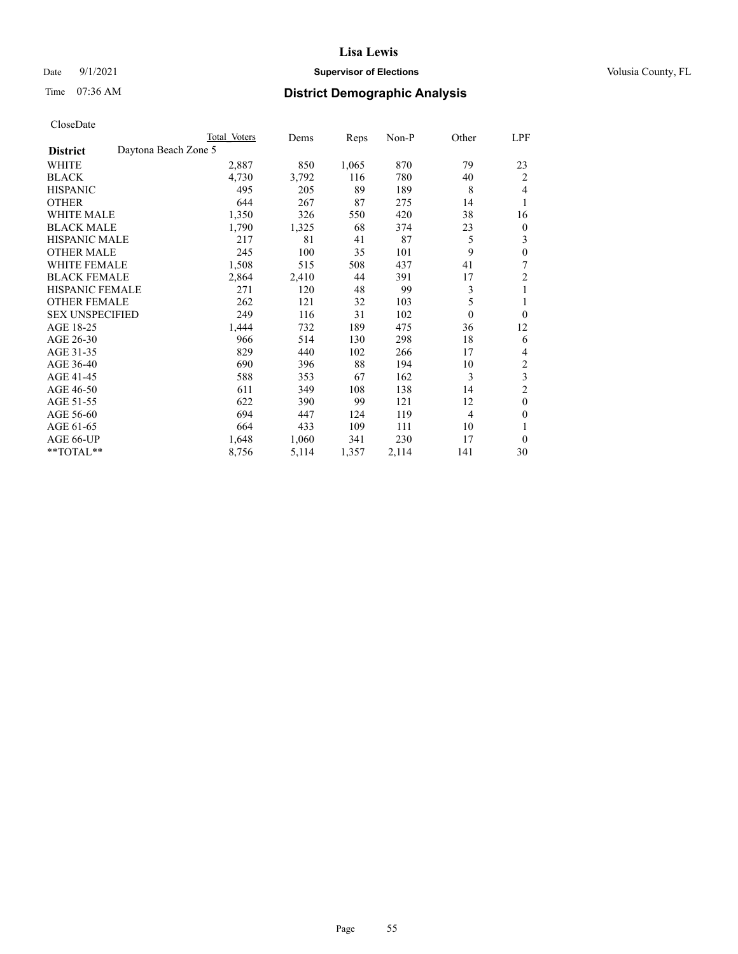### Date 9/1/2021 **Supervisor of Elections Supervisor of Elections** Volusia County, FL

# Time 07:36 AM **District Demographic Analysis**

|                        |                      | Total Voters | Dems  | Reps  | Non-P | Other    | LPF              |
|------------------------|----------------------|--------------|-------|-------|-------|----------|------------------|
| <b>District</b>        | Daytona Beach Zone 5 |              |       |       |       |          |                  |
| WHITE                  |                      | 2,887        | 850   | 1,065 | 870   | 79       | 23               |
| <b>BLACK</b>           |                      | 4,730        | 3,792 | 116   | 780   | 40       | $\overline{2}$   |
| <b>HISPANIC</b>        |                      | 495          | 205   | 89    | 189   | 8        | 4                |
| <b>OTHER</b>           |                      | 644          | 267   | 87    | 275   | 14       | 1                |
| <b>WHITE MALE</b>      |                      | 1,350        | 326   | 550   | 420   | 38       | 16               |
| <b>BLACK MALE</b>      |                      | 1,790        | 1,325 | 68    | 374   | 23       | $\boldsymbol{0}$ |
| <b>HISPANIC MALE</b>   |                      | 217          | 81    | 41    | 87    | 5        | 3                |
| <b>OTHER MALE</b>      |                      | 245          | 100   | 35    | 101   | 9        | $\theta$         |
| WHITE FEMALE           |                      | 1,508        | 515   | 508   | 437   | 41       | 7                |
| <b>BLACK FEMALE</b>    |                      | 2,864        | 2,410 | 44    | 391   | 17       | $\overline{c}$   |
| <b>HISPANIC FEMALE</b> |                      | 271          | 120   | 48    | 99    | 3        | 1                |
| <b>OTHER FEMALE</b>    |                      | 262          | 121   | 32    | 103   | 5        | 1                |
| <b>SEX UNSPECIFIED</b> |                      | 249          | 116   | 31    | 102   | $\theta$ | $\theta$         |
| AGE 18-25              |                      | 1,444        | 732   | 189   | 475   | 36       | 12               |
| AGE 26-30              |                      | 966          | 514   | 130   | 298   | 18       | 6                |
| AGE 31-35              |                      | 829          | 440   | 102   | 266   | 17       | 4                |
| AGE 36-40              |                      | 690          | 396   | 88    | 194   | 10       | 2                |
| AGE 41-45              |                      | 588          | 353   | 67    | 162   | 3        | 3                |
| AGE 46-50              |                      | 611          | 349   | 108   | 138   | 14       | $\overline{c}$   |
| AGE 51-55              |                      | 622          | 390   | 99    | 121   | 12       | $\theta$         |
| AGE 56-60              |                      | 694          | 447   | 124   | 119   | 4        | $\theta$         |
| AGE 61-65              |                      | 664          | 433   | 109   | 111   | 10       | 1                |
| AGE 66-UP              |                      | 1,648        | 1,060 | 341   | 230   | 17       | $\theta$         |
| **TOTAL**              |                      | 8,756        | 5,114 | 1,357 | 2,114 | 141      | 30               |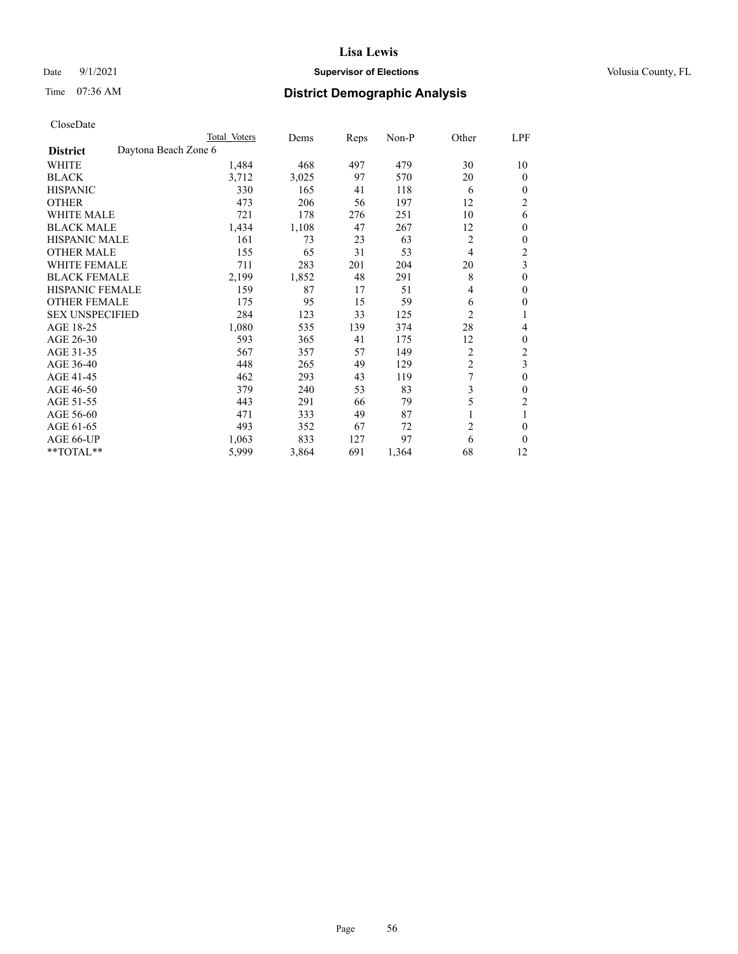### Date 9/1/2021 **Supervisor of Elections Supervisor of Elections** Volusia County, FL

# Time 07:36 AM **District Demographic Analysis**

|                        |                      | Total Voters | Dems  | Reps | Non-P | Other          | LPF            |
|------------------------|----------------------|--------------|-------|------|-------|----------------|----------------|
| <b>District</b>        | Daytona Beach Zone 6 |              |       |      |       |                |                |
| WHITE                  |                      | 1,484        | 468   | 497  | 479   | 30             | 10             |
| <b>BLACK</b>           |                      | 3,712        | 3,025 | 97   | 570   | 20             | $\theta$       |
| <b>HISPANIC</b>        |                      | 330          | 165   | 41   | 118   | 6              | 0              |
| <b>OTHER</b>           |                      | 473          | 206   | 56   | 197   | 12             | $\overline{c}$ |
| WHITE MALE             |                      | 721          | 178   | 276  | 251   | 10             | 6              |
| <b>BLACK MALE</b>      |                      | 1,434        | 1,108 | 47   | 267   | 12             | $\mathbf{0}$   |
| <b>HISPANIC MALE</b>   |                      | 161          | 73    | 23   | 63    | 2              | 0              |
| <b>OTHER MALE</b>      |                      | 155          | 65    | 31   | 53    | $\overline{4}$ | 2              |
| <b>WHITE FEMALE</b>    |                      | 711          | 283   | 201  | 204   | 20             | 3              |
| <b>BLACK FEMALE</b>    |                      | 2,199        | 1,852 | 48   | 291   | 8              | $\theta$       |
| <b>HISPANIC FEMALE</b> |                      | 159          | 87    | 17   | 51    | 4              | 0              |
| <b>OTHER FEMALE</b>    |                      | 175          | 95    | 15   | 59    | 6              | 0              |
| <b>SEX UNSPECIFIED</b> |                      | 284          | 123   | 33   | 125   | $\overline{2}$ |                |
| AGE 18-25              |                      | 1,080        | 535   | 139  | 374   | 28             | 4              |
| AGE 26-30              |                      | 593          | 365   | 41   | 175   | 12             | $\theta$       |
| AGE 31-35              |                      | 567          | 357   | 57   | 149   | 2              | $\overline{c}$ |
| AGE 36-40              |                      | 448          | 265   | 49   | 129   | 2              | 3              |
| AGE 41-45              |                      | 462          | 293   | 43   | 119   | 7              | 0              |
| AGE 46-50              |                      | 379          | 240   | 53   | 83    | 3              | 0              |
| AGE 51-55              |                      | 443          | 291   | 66   | 79    | 5              | 2              |
| AGE 56-60              |                      | 471          | 333   | 49   | 87    |                |                |
| AGE 61-65              |                      | 493          | 352   | 67   | 72    | $\overline{c}$ | 0              |
| AGE 66-UP              |                      | 1,063        | 833   | 127  | 97    | 6              | 0              |
| **TOTAL**              |                      | 5,999        | 3,864 | 691  | 1,364 | 68             | 12             |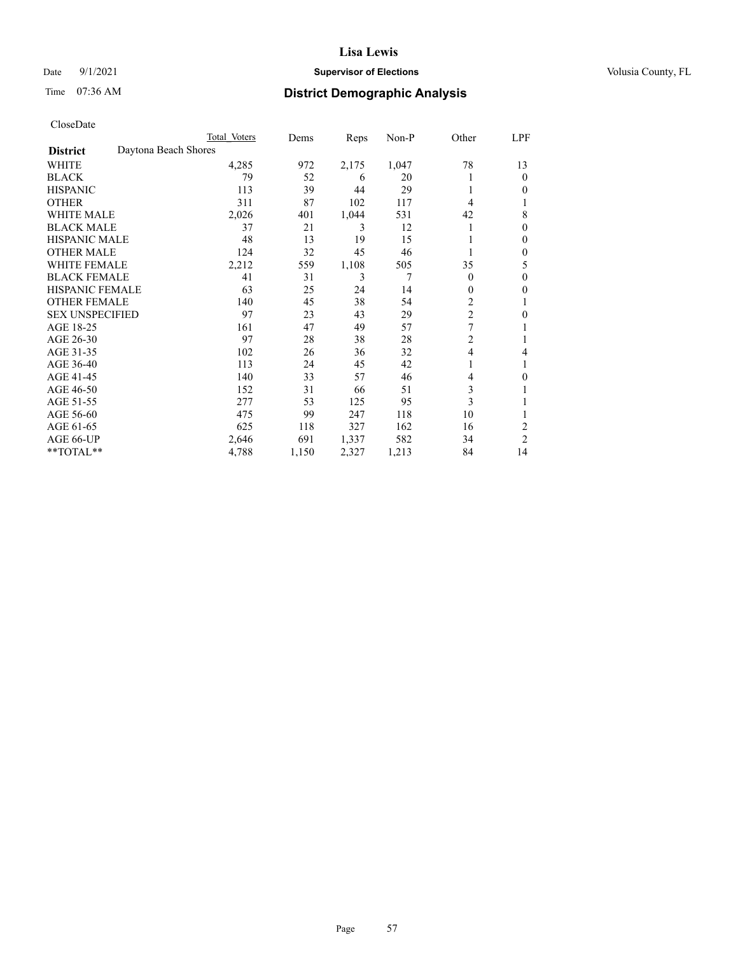### Date 9/1/2021 **Supervisor of Elections Supervisor of Elections** Volusia County, FL

# Time 07:36 AM **District Demographic Analysis**

|                        |                      | Total Voters | Dems  | Reps  | Non-P | Other          | LPF            |
|------------------------|----------------------|--------------|-------|-------|-------|----------------|----------------|
| <b>District</b>        | Daytona Beach Shores |              |       |       |       |                |                |
| WHITE                  |                      | 4,285        | 972   | 2,175 | 1,047 | 78             | 13             |
| <b>BLACK</b>           |                      | 79           | 52    | 6     | 20    |                | $\mathbf{0}$   |
| <b>HISPANIC</b>        |                      | 113          | 39    | 44    | 29    | 1              | $\Omega$       |
| <b>OTHER</b>           |                      | 311          | 87    | 102   | 117   | 4              |                |
| <b>WHITE MALE</b>      |                      | 2,026        | 401   | 1,044 | 531   | 42             | 8              |
| <b>BLACK MALE</b>      |                      | 37           | 21    | 3     | 12    |                | $\mathbf{0}$   |
| <b>HISPANIC MALE</b>   |                      | 48           | 13    | 19    | 15    |                | $\mathbf{0}$   |
| <b>OTHER MALE</b>      |                      | 124          | 32    | 45    | 46    |                | $\mathbf{0}$   |
| WHITE FEMALE           |                      | 2,212        | 559   | 1,108 | 505   | 35             | 5              |
| <b>BLACK FEMALE</b>    |                      | 41           | 31    | 3     | 7     | $\theta$       | $\mathbf{0}$   |
| <b>HISPANIC FEMALE</b> |                      | 63           | 25    | 24    | 14    | $\theta$       | 0              |
| <b>OTHER FEMALE</b>    |                      | 140          | 45    | 38    | 54    | $\overline{c}$ |                |
| <b>SEX UNSPECIFIED</b> |                      | 97           | 23    | 43    | 29    | $\overline{2}$ | $\theta$       |
| AGE 18-25              |                      | 161          | 47    | 49    | 57    | 7              |                |
| AGE 26-30              |                      | 97           | 28    | 38    | 28    | $\overline{c}$ | 1              |
| AGE 31-35              |                      | 102          | 26    | 36    | 32    | $\overline{4}$ | 4              |
| AGE 36-40              |                      | 113          | 24    | 45    | 42    | 1              |                |
| AGE 41-45              |                      | 140          | 33    | 57    | 46    | 4              | 0              |
| AGE 46-50              |                      | 152          | 31    | 66    | 51    | 3              |                |
| AGE 51-55              |                      | 277          | 53    | 125   | 95    | 3              |                |
| AGE 56-60              |                      | 475          | 99    | 247   | 118   | 10             |                |
| AGE 61-65              |                      | 625          | 118   | 327   | 162   | 16             | $\overline{2}$ |
| AGE 66-UP              |                      | 2,646        | 691   | 1,337 | 582   | 34             | $\overline{c}$ |
| **TOTAL**              |                      | 4,788        | 1,150 | 2,327 | 1,213 | 84             | 14             |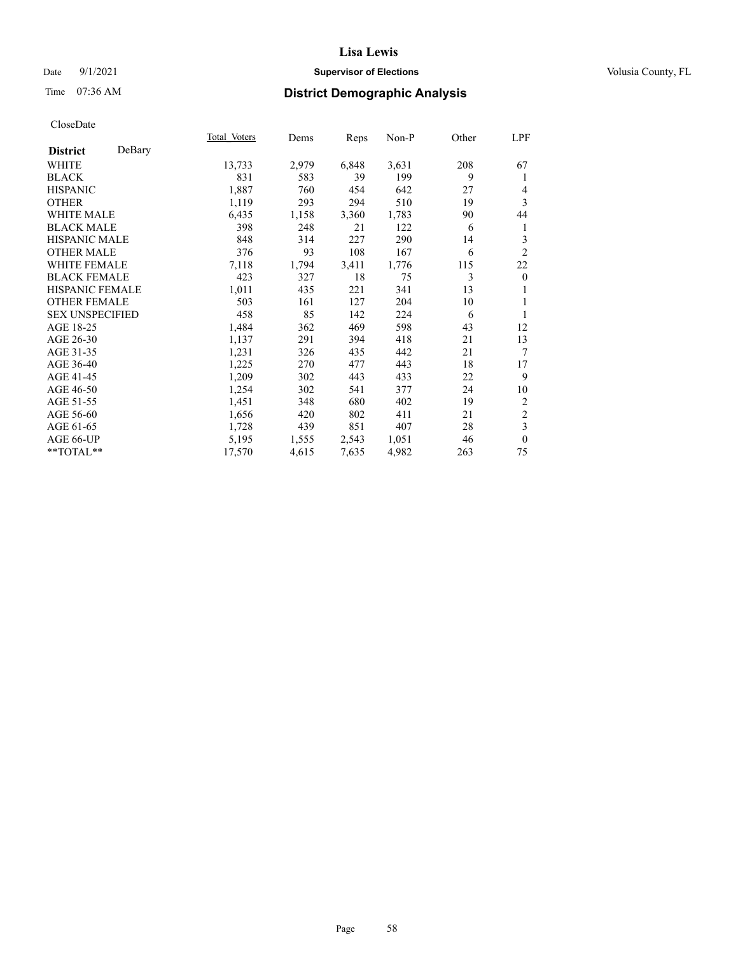### Date 9/1/2021 **Supervisor of Elections Supervisor of Elections** Volusia County, FL

# Time 07:36 AM **District Demographic Analysis**

|                        |        | Total Voters | Dems  | Reps  | Non-P | Other | LPF                     |
|------------------------|--------|--------------|-------|-------|-------|-------|-------------------------|
| <b>District</b>        | DeBary |              |       |       |       |       |                         |
| WHITE                  |        | 13,733       | 2,979 | 6,848 | 3,631 | 208   | 67                      |
| <b>BLACK</b>           |        | 831          | 583   | 39    | 199   | 9     | 1                       |
| <b>HISPANIC</b>        |        | 1,887        | 760   | 454   | 642   | 27    | 4                       |
| <b>OTHER</b>           |        | 1,119        | 293   | 294   | 510   | 19    | 3                       |
| WHITE MALE             |        | 6,435        | 1,158 | 3,360 | 1,783 | 90    | 44                      |
| <b>BLACK MALE</b>      |        | 398          | 248   | 21    | 122   | 6     | 1                       |
| <b>HISPANIC MALE</b>   |        | 848          | 314   | 227   | 290   | 14    | 3                       |
| <b>OTHER MALE</b>      |        | 376          | 93    | 108   | 167   | 6     | $\overline{2}$          |
| <b>WHITE FEMALE</b>    |        | 7,118        | 1,794 | 3,411 | 1,776 | 115   | 22                      |
| <b>BLACK FEMALE</b>    |        | 423          | 327   | 18    | 75    | 3     | $\boldsymbol{0}$        |
| <b>HISPANIC FEMALE</b> |        | 1,011        | 435   | 221   | 341   | 13    |                         |
| <b>OTHER FEMALE</b>    |        | 503          | 161   | 127   | 204   | 10    | 1                       |
| <b>SEX UNSPECIFIED</b> |        | 458          | 85    | 142   | 224   | 6     | 1                       |
| AGE 18-25              |        | 1,484        | 362   | 469   | 598   | 43    | 12                      |
| AGE 26-30              |        | 1,137        | 291   | 394   | 418   | 21    | 13                      |
| AGE 31-35              |        | 1,231        | 326   | 435   | 442   | 21    | 7                       |
| AGE 36-40              |        | 1,225        | 270   | 477   | 443   | 18    | 17                      |
| AGE 41-45              |        | 1,209        | 302   | 443   | 433   | 22    | 9                       |
| AGE 46-50              |        | 1,254        | 302   | 541   | 377   | 24    | 10                      |
| AGE 51-55              |        | 1,451        | 348   | 680   | 402   | 19    | 2                       |
| AGE 56-60              |        | 1,656        | 420   | 802   | 411   | 21    | $\overline{c}$          |
| AGE 61-65              |        | 1,728        | 439   | 851   | 407   | 28    | $\overline{\mathbf{3}}$ |
| AGE 66-UP              |        | 5,195        | 1,555 | 2,543 | 1,051 | 46    | $\mathbf{0}$            |
| **TOTAL**              |        | 17,570       | 4,615 | 7,635 | 4,982 | 263   | 75                      |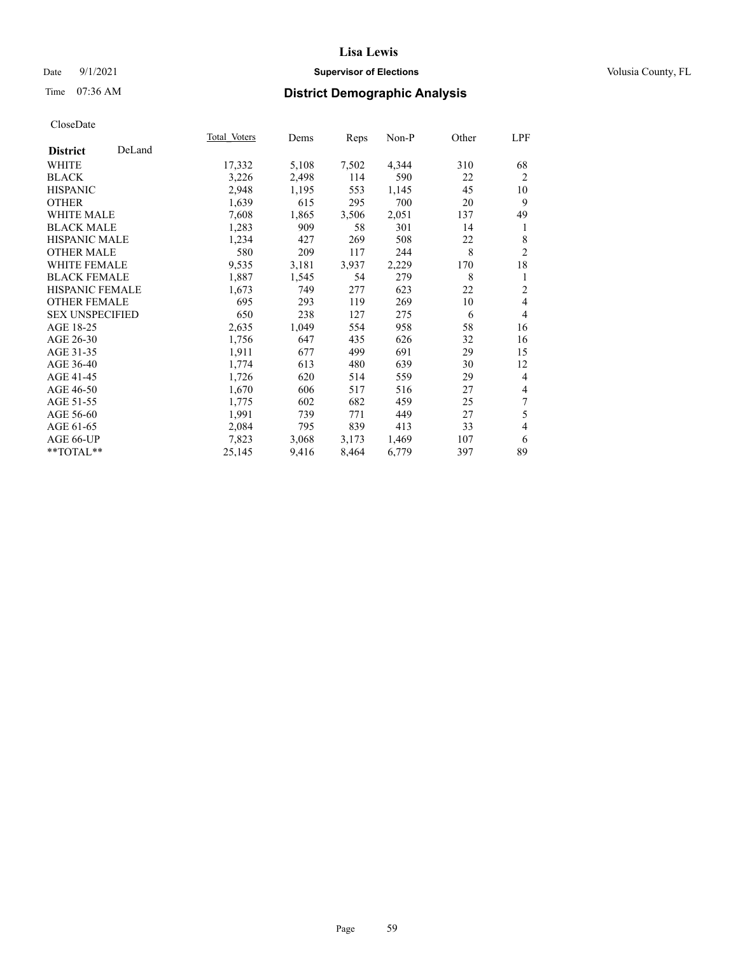### Date 9/1/2021 **Supervisor of Elections Supervisor of Elections** Volusia County, FL

# Time 07:36 AM **District Demographic Analysis**

|                        |        | Total Voters | Dems  | Reps  | Non-P | Other | LPF            |
|------------------------|--------|--------------|-------|-------|-------|-------|----------------|
| <b>District</b>        | DeLand |              |       |       |       |       |                |
| WHITE                  |        | 17,332       | 5,108 | 7,502 | 4,344 | 310   | 68             |
| <b>BLACK</b>           |        | 3,226        | 2,498 | 114   | 590   | 22    | $\overline{2}$ |
| <b>HISPANIC</b>        |        | 2,948        | 1,195 | 553   | 1,145 | 45    | 10             |
| <b>OTHER</b>           |        | 1,639        | 615   | 295   | 700   | 20    | 9              |
| WHITE MALE             |        | 7,608        | 1,865 | 3,506 | 2,051 | 137   | 49             |
| <b>BLACK MALE</b>      |        | 1,283        | 909   | 58    | 301   | 14    | 1              |
| <b>HISPANIC MALE</b>   |        | 1,234        | 427   | 269   | 508   | 22    | 8              |
| <b>OTHER MALE</b>      |        | 580          | 209   | 117   | 244   | 8     | $\overline{2}$ |
| <b>WHITE FEMALE</b>    |        | 9,535        | 3,181 | 3,937 | 2,229 | 170   | 18             |
| <b>BLACK FEMALE</b>    |        | 1,887        | 1,545 | 54    | 279   | 8     | 1              |
| <b>HISPANIC FEMALE</b> |        | 1,673        | 749   | 277   | 623   | 22    | $\overline{2}$ |
| <b>OTHER FEMALE</b>    |        | 695          | 293   | 119   | 269   | 10    | 4              |
| <b>SEX UNSPECIFIED</b> |        | 650          | 238   | 127   | 275   | 6     | 4              |
| AGE 18-25              |        | 2,635        | 1,049 | 554   | 958   | 58    | 16             |
| AGE 26-30              |        | 1,756        | 647   | 435   | 626   | 32    | 16             |
| AGE 31-35              |        | 1,911        | 677   | 499   | 691   | 29    | 15             |
| AGE 36-40              |        | 1,774        | 613   | 480   | 639   | 30    | 12             |
| AGE 41-45              |        | 1,726        | 620   | 514   | 559   | 29    | 4              |
| AGE 46-50              |        | 1,670        | 606   | 517   | 516   | 27    | 4              |
| AGE 51-55              |        | 1,775        | 602   | 682   | 459   | 25    | 7              |
| AGE 56-60              |        | 1,991        | 739   | 771   | 449   | 27    | 5              |
| AGE 61-65              |        | 2,084        | 795   | 839   | 413   | 33    | 4              |
| AGE 66-UP              |        | 7,823        | 3,068 | 3,173 | 1,469 | 107   | 6              |
| $**TOTAL**$            |        | 25,145       | 9,416 | 8,464 | 6,779 | 397   | 89             |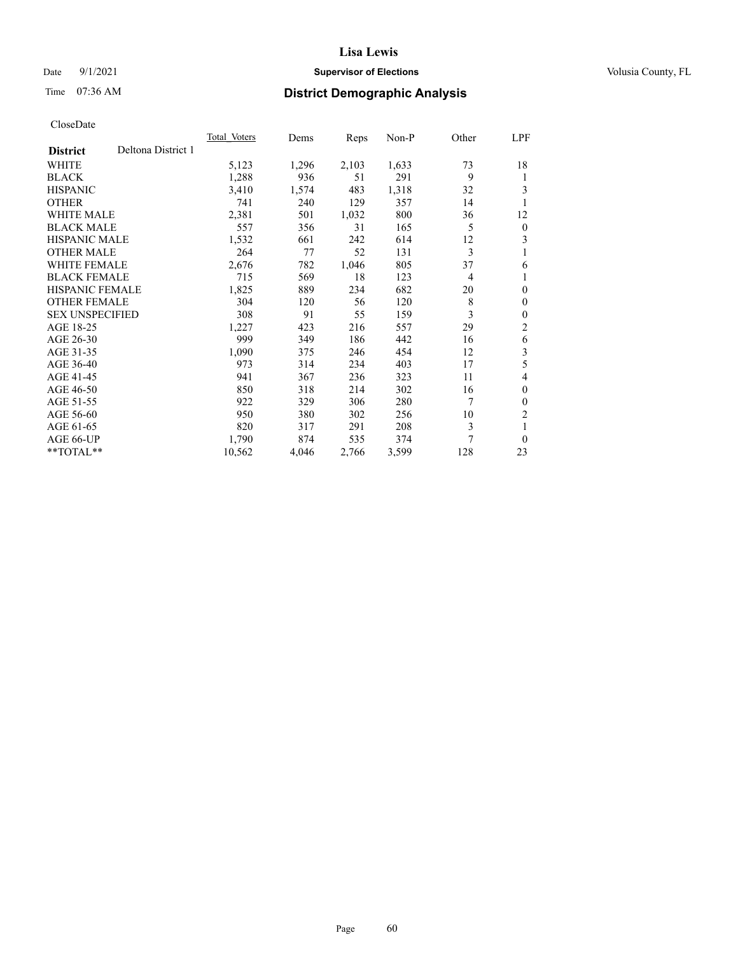### Date 9/1/2021 **Supervisor of Elections Supervisor of Elections** Volusia County, FL

# Time 07:36 AM **District Demographic Analysis**

|                                       | Total Voters | Dems  | Reps  | Non-P | Other          | LPF            |
|---------------------------------------|--------------|-------|-------|-------|----------------|----------------|
| Deltona District 1<br><b>District</b> |              |       |       |       |                |                |
| WHITE                                 | 5,123        | 1,296 | 2,103 | 1,633 | 73             | 18             |
| <b>BLACK</b>                          | 1,288        | 936   | 51    | 291   | 9              | 1              |
| <b>HISPANIC</b>                       | 3,410        | 1,574 | 483   | 1,318 | 32             | 3              |
| <b>OTHER</b>                          | 741          | 240   | 129   | 357   | 14             | 1              |
| WHITE MALE                            | 2,381        | 501   | 1,032 | 800   | 36             | 12             |
| <b>BLACK MALE</b>                     | 557          | 356   | 31    | 165   | 5              | $\mathbf{0}$   |
| <b>HISPANIC MALE</b>                  | 1,532        | 661   | 242   | 614   | 12             | 3              |
| <b>OTHER MALE</b>                     | 264          | 77    | 52    | 131   | 3              | 1              |
| WHITE FEMALE                          | 2,676        | 782   | 1,046 | 805   | 37             | 6              |
| <b>BLACK FEMALE</b>                   | 715          | 569   | 18    | 123   | $\overline{4}$ | 1              |
| HISPANIC FEMALE                       | 1,825        | 889   | 234   | 682   | 20             | $\theta$       |
| <b>OTHER FEMALE</b>                   | 304          | 120   | 56    | 120   | 8              | $\mathbf{0}$   |
| <b>SEX UNSPECIFIED</b>                | 308          | 91    | 55    | 159   | 3              | $\theta$       |
| AGE 18-25                             | 1,227        | 423   | 216   | 557   | 29             | 2              |
| AGE 26-30                             | 999          | 349   | 186   | 442   | 16             | 6              |
| AGE 31-35                             | 1,090        | 375   | 246   | 454   | 12             | 3              |
| AGE 36-40                             | 973          | 314   | 234   | 403   | 17             | 5              |
| AGE 41-45                             | 941          | 367   | 236   | 323   | 11             | 4              |
| AGE 46-50                             | 850          | 318   | 214   | 302   | 16             | $\theta$       |
| AGE 51-55                             | 922          | 329   | 306   | 280   | 7              | $\theta$       |
| AGE 56-60                             | 950          | 380   | 302   | 256   | 10             | $\overline{c}$ |
| AGE 61-65                             | 820          | 317   | 291   | 208   | 3              | 1              |
| AGE 66-UP                             | 1,790        | 874   | 535   | 374   | 7              | $\theta$       |
| **TOTAL**                             | 10,562       | 4,046 | 2,766 | 3,599 | 128            | 23             |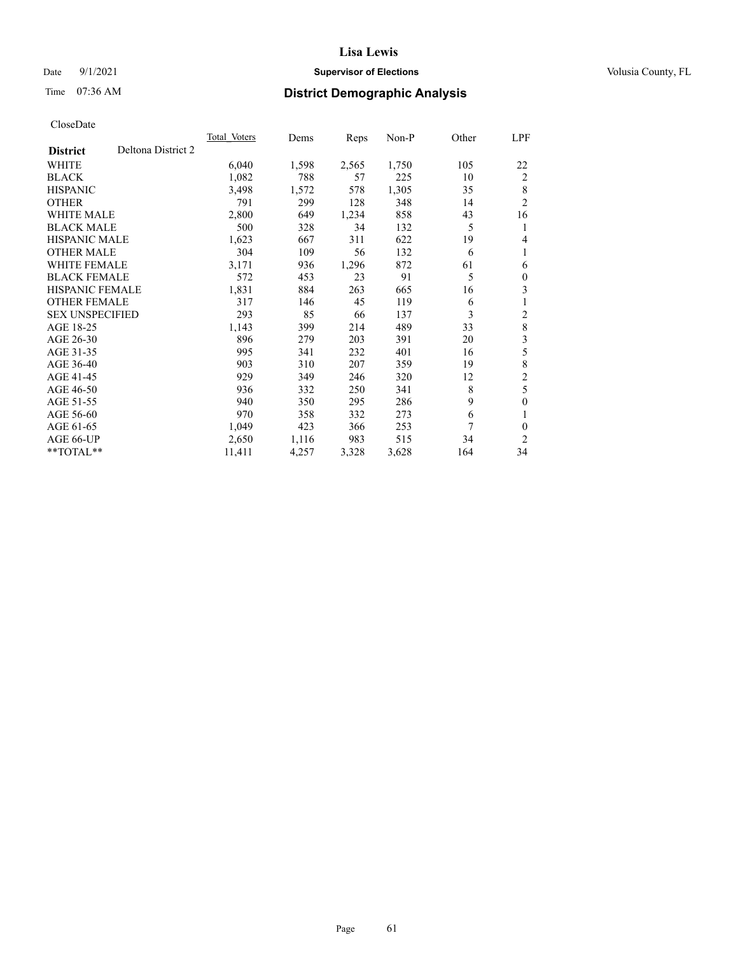### Date 9/1/2021 **Supervisor of Elections Supervisor of Elections** Volusia County, FL

# Time 07:36 AM **District Demographic Analysis**

|                        |                    | Total Voters | Dems  | Reps  | Non-P | Other | LPF            |
|------------------------|--------------------|--------------|-------|-------|-------|-------|----------------|
| <b>District</b>        | Deltona District 2 |              |       |       |       |       |                |
| WHITE                  |                    | 6,040        | 1,598 | 2,565 | 1,750 | 105   | 22             |
| <b>BLACK</b>           |                    | 1,082        | 788   | 57    | 225   | 10    | 2              |
| <b>HISPANIC</b>        |                    | 3,498        | 1,572 | 578   | 1,305 | 35    | 8              |
| <b>OTHER</b>           |                    | 791          | 299   | 128   | 348   | 14    | $\overline{2}$ |
| WHITE MALE             |                    | 2,800        | 649   | 1,234 | 858   | 43    | 16             |
| <b>BLACK MALE</b>      |                    | 500          | 328   | 34    | 132   | 5     | 1              |
| <b>HISPANIC MALE</b>   |                    | 1,623        | 667   | 311   | 622   | 19    | 4              |
| <b>OTHER MALE</b>      |                    | 304          | 109   | 56    | 132   | 6     | 1              |
| WHITE FEMALE           |                    | 3,171        | 936   | 1,296 | 872   | 61    | 6              |
| <b>BLACK FEMALE</b>    |                    | 572          | 453   | 23    | 91    | 5     | $\mathbf{0}$   |
| <b>HISPANIC FEMALE</b> |                    | 1,831        | 884   | 263   | 665   | 16    | 3              |
| <b>OTHER FEMALE</b>    |                    | 317          | 146   | 45    | 119   | 6     | 1              |
| <b>SEX UNSPECIFIED</b> |                    | 293          | 85    | 66    | 137   | 3     | $\overline{2}$ |
| AGE 18-25              |                    | 1,143        | 399   | 214   | 489   | 33    | 8              |
| AGE 26-30              |                    | 896          | 279   | 203   | 391   | 20    | 3              |
| AGE 31-35              |                    | 995          | 341   | 232   | 401   | 16    | 5              |
| AGE 36-40              |                    | 903          | 310   | 207   | 359   | 19    | $\,$ $\,$      |
| AGE 41-45              |                    | 929          | 349   | 246   | 320   | 12    | $\overline{c}$ |
| AGE 46-50              |                    | 936          | 332   | 250   | 341   | 8     | 5              |
| AGE 51-55              |                    | 940          | 350   | 295   | 286   | 9     | $\theta$       |
| AGE 56-60              |                    | 970          | 358   | 332   | 273   | 6     | 1              |
| AGE 61-65              |                    | 1,049        | 423   | 366   | 253   | 7     | $\mathbf{0}$   |
| AGE 66-UP              |                    | 2,650        | 1,116 | 983   | 515   | 34    | $\overline{2}$ |
| **TOTAL**              |                    | 11,411       | 4,257 | 3,328 | 3,628 | 164   | 34             |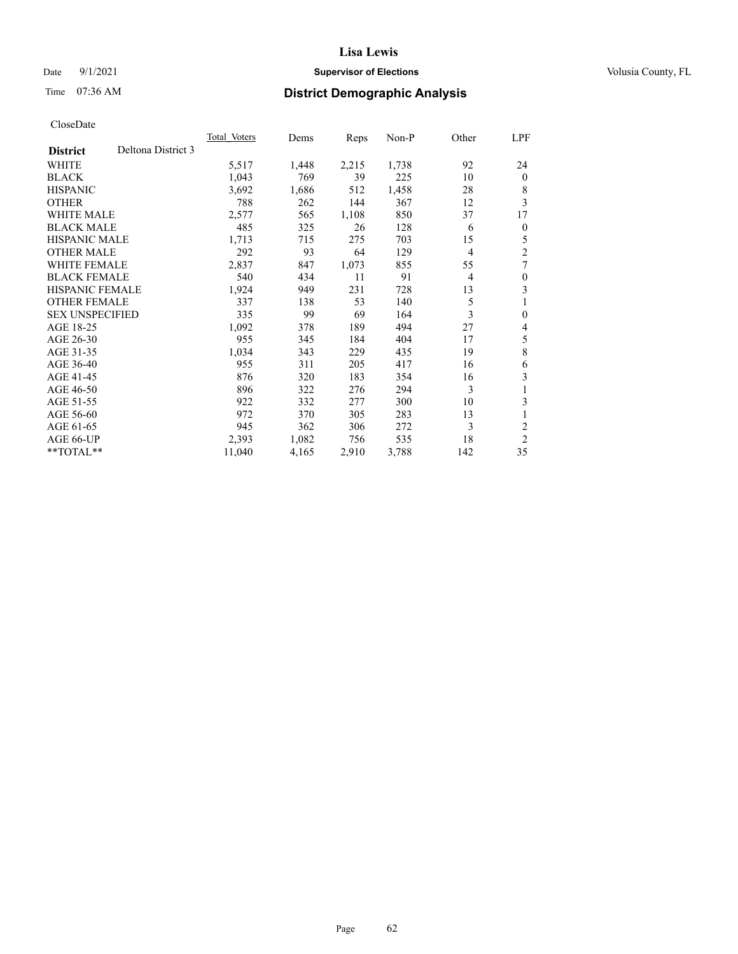### Date 9/1/2021 **Supervisor of Elections Supervisor of Elections** Volusia County, FL

# Time 07:36 AM **District Demographic Analysis**

|                        |                    | Total Voters | Dems  | Reps  | $Non-P$ | Other          | LPF          |
|------------------------|--------------------|--------------|-------|-------|---------|----------------|--------------|
| <b>District</b>        | Deltona District 3 |              |       |       |         |                |              |
| WHITE                  |                    | 5,517        | 1,448 | 2,215 | 1,738   | 92             | 24           |
| <b>BLACK</b>           |                    | 1,043        | 769   | 39    | 225     | 10             | $\theta$     |
| <b>HISPANIC</b>        |                    | 3,692        | 1,686 | 512   | 1,458   | 28             | 8            |
| <b>OTHER</b>           |                    | 788          | 262   | 144   | 367     | 12             | 3            |
| <b>WHITE MALE</b>      |                    | 2,577        | 565   | 1,108 | 850     | 37             | 17           |
| <b>BLACK MALE</b>      |                    | 485          | 325   | 26    | 128     | 6              | $\mathbf{0}$ |
| <b>HISPANIC MALE</b>   |                    | 1,713        | 715   | 275   | 703     | 15             | 5            |
| <b>OTHER MALE</b>      |                    | 292          | 93    | 64    | 129     | $\overline{4}$ | 2            |
| <b>WHITE FEMALE</b>    |                    | 2,837        | 847   | 1,073 | 855     | 55             | 7            |
| <b>BLACK FEMALE</b>    |                    | 540          | 434   | 11    | 91      | 4              | $\theta$     |
| <b>HISPANIC FEMALE</b> |                    | 1,924        | 949   | 231   | 728     | 13             | 3            |
| <b>OTHER FEMALE</b>    |                    | 337          | 138   | 53    | 140     | 5              | 1            |
| <b>SEX UNSPECIFIED</b> |                    | 335          | 99    | 69    | 164     | 3              | $\theta$     |
| AGE 18-25              |                    | 1,092        | 378   | 189   | 494     | 27             | 4            |
| AGE 26-30              |                    | 955          | 345   | 184   | 404     | 17             | 5            |
| AGE 31-35              |                    | 1,034        | 343   | 229   | 435     | 19             | 8            |
| AGE 36-40              |                    | 955          | 311   | 205   | 417     | 16             | 6            |
| AGE 41-45              |                    | 876          | 320   | 183   | 354     | 16             | 3            |
| AGE 46-50              |                    | 896          | 322   | 276   | 294     | 3              |              |
| AGE 51-55              |                    | 922          | 332   | 277   | 300     | 10             | 3            |
| AGE 56-60              |                    | 972          | 370   | 305   | 283     | 13             | 1            |
| AGE 61-65              |                    | 945          | 362   | 306   | 272     | 3              | 2            |
| AGE 66-UP              |                    | 2,393        | 1,082 | 756   | 535     | 18             | 2            |
| $*$ $TOTAL**$          |                    | 11,040       | 4,165 | 2,910 | 3,788   | 142            | 35           |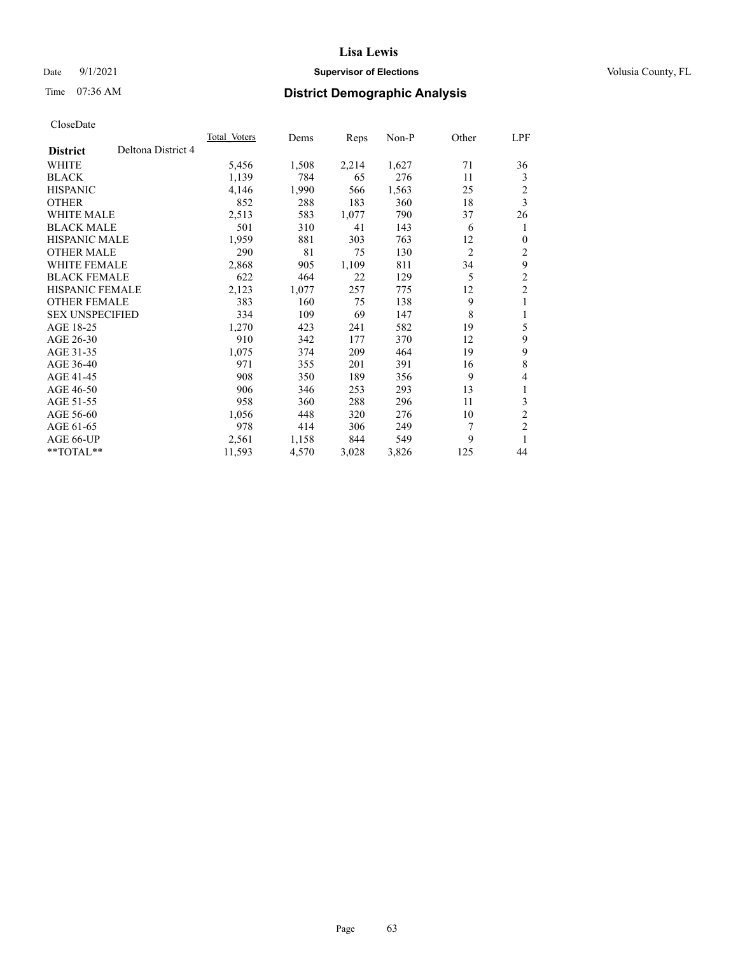### Date 9/1/2021 **Supervisor of Elections Supervisor of Elections** Volusia County, FL

# Time 07:36 AM **District Demographic Analysis**

| <b>Total Voters</b> | Dems  | Reps  | $Non-P$ | Other          | LPF                     |
|---------------------|-------|-------|---------|----------------|-------------------------|
|                     |       |       |         |                |                         |
| 5,456               | 1,508 | 2,214 | 1,627   | 71             | 36                      |
| 1,139               | 784   | 65    | 276     | 11             | 3                       |
| 4,146               | 1,990 | 566   | 1,563   | 25             | $\overline{c}$          |
| 852                 | 288   | 183   | 360     | 18             | 3                       |
| 2,513               | 583   | 1,077 | 790     | 37             | 26                      |
| 501                 | 310   | 41    | 143     | 6              | 1                       |
| 1,959               | 881   | 303   | 763     | 12             | $\theta$                |
| 290                 | 81    | 75    | 130     | $\overline{2}$ | 2                       |
| 2,868               | 905   |       | 811     | 34             | 9                       |
| 622                 | 464   | 22    | 129     | 5              | 2                       |
| 2,123               | 1,077 | 257   | 775     | 12             | $\overline{c}$          |
| 383                 | 160   | 75    | 138     | 9              | 1                       |
| 334                 | 109   | 69    | 147     | 8              | 1                       |
| 1,270               | 423   | 241   | 582     | 19             | 5                       |
| 910                 | 342   | 177   | 370     | 12             | 9                       |
| 1,075               | 374   | 209   | 464     | 19             | 9                       |
| 971                 | 355   | 201   | 391     | 16             | 8                       |
| 908                 | 350   | 189   | 356     | 9              | 4                       |
| 906                 | 346   | 253   | 293     | 13             | 1                       |
| 958                 | 360   | 288   | 296     | 11             | 3                       |
| 1,056               | 448   | 320   | 276     | 10             | $\overline{c}$          |
| 978                 | 414   | 306   | 249     | 7              | $\overline{\mathbf{c}}$ |
| 2,561               | 1,158 | 844   | 549     | 9              | 1                       |
| 11,593              | 4,570 | 3,028 | 3,826   | 125            | 44                      |
|                     |       |       | 1,109   |                |                         |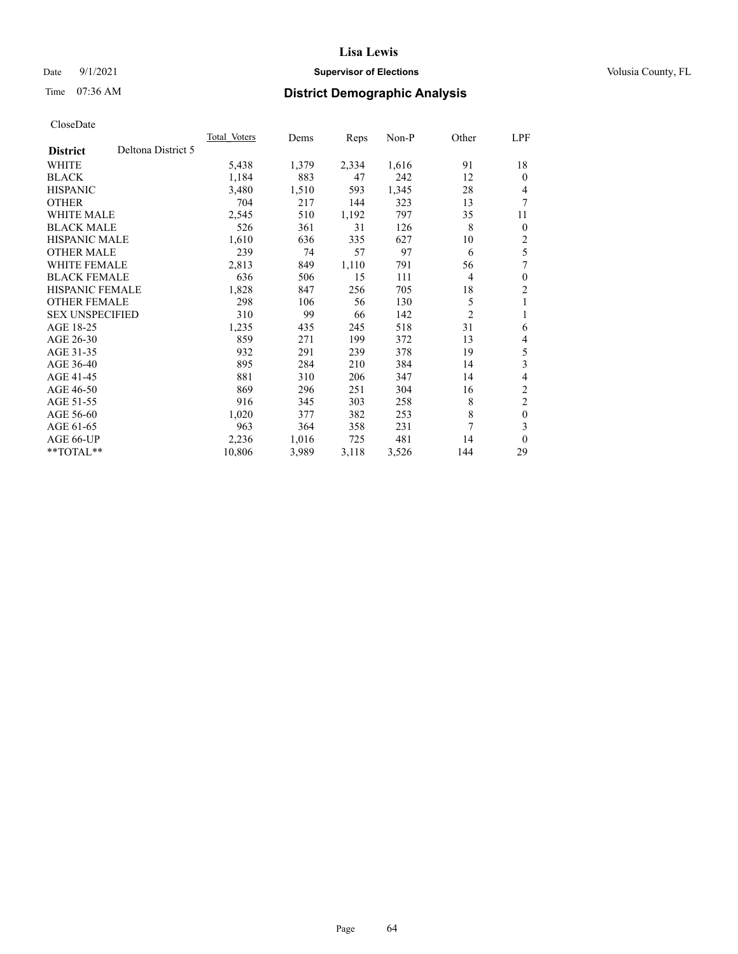### Date 9/1/2021 **Supervisor of Elections Supervisor of Elections** Volusia County, FL

# Time 07:36 AM **District Demographic Analysis**

| Total Voters | Dems  | Reps  | $Non-P$ | Other          | LPF                     |
|--------------|-------|-------|---------|----------------|-------------------------|
|              |       |       |         |                |                         |
| 5,438        | 1,379 | 2,334 | 1,616   | 91             | 18                      |
| 1,184        | 883   | 47    | 242     | 12             | $\theta$                |
| 3,480        | 1,510 | 593   | 1,345   | 28             | 4                       |
| 704          | 217   | 144   | 323     | 13             | 7                       |
| 2,545        | 510   | 1,192 | 797     | 35             | 11                      |
| 526          | 361   | 31    | 126     | 8              | $\theta$                |
| 1,610        | 636   | 335   | 627     | 10             | 2                       |
| 239          | 74    | 57    | 97      | 6              | 5                       |
| 2,813        | 849   | 1,110 | 791     | 56             | 7                       |
| 636          | 506   | 15    | 111     | 4              | $\theta$                |
| 1,828        | 847   | 256   | 705     | 18             | 2                       |
| 298          | 106   | 56    | 130     | 5              | 1                       |
| 310          | 99    | 66    | 142     | $\overline{2}$ | 1                       |
| 1,235        | 435   | 245   | 518     | 31             | 6                       |
| 859          | 271   | 199   | 372     | 13             | 4                       |
| 932          | 291   | 239   | 378     | 19             | 5                       |
| 895          | 284   | 210   | 384     | 14             | 3                       |
| 881          | 310   | 206   | 347     | 14             | 4                       |
| 869          | 296   | 251   | 304     | 16             | $\overline{\mathbf{c}}$ |
| 916          | 345   | 303   | 258     | 8              | 2                       |
| 1,020        | 377   | 382   | 253     | 8              | $\mathbf{0}$            |
| 963          | 364   | 358   | 231     | 7              | 3                       |
| 2,236        | 1,016 | 725   | 481     | 14             | $\theta$                |
| 10,806       | 3,989 | 3,118 | 3,526   | 144            | 29                      |
|              |       |       |         |                |                         |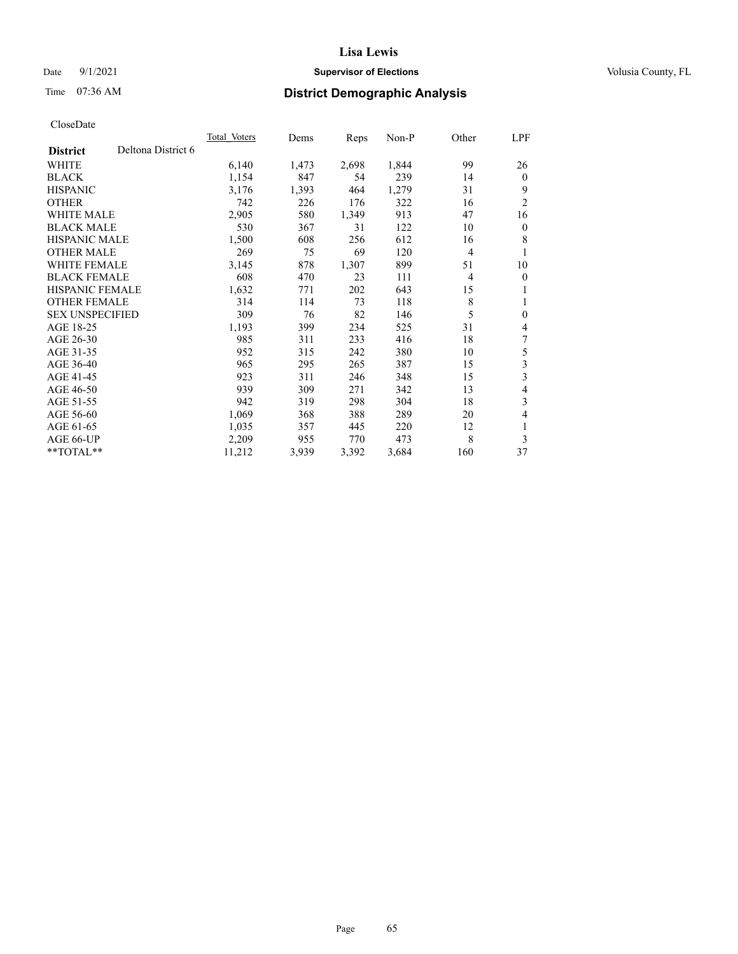### Date 9/1/2021 **Supervisor of Elections Supervisor of Elections** Volusia County, FL

# Time 07:36 AM **District Demographic Analysis**

|                        |                    | Total Voters | Dems  | Reps  | Non-P | Other          | LPF            |
|------------------------|--------------------|--------------|-------|-------|-------|----------------|----------------|
| <b>District</b>        | Deltona District 6 |              |       |       |       |                |                |
| WHITE                  |                    | 6,140        | 1,473 | 2,698 | 1,844 | 99             | 26             |
| <b>BLACK</b>           |                    | 1,154        | 847   | 54    | 239   | 14             | $\mathbf{0}$   |
| <b>HISPANIC</b>        |                    | 3,176        | 1,393 | 464   | 1,279 | 31             | 9              |
| <b>OTHER</b>           |                    | 742          | 226   | 176   | 322   | 16             | $\overline{2}$ |
| WHITE MALE             |                    | 2,905        | 580   | 1,349 | 913   | 47             | 16             |
| <b>BLACK MALE</b>      |                    | 530          | 367   | 31    | 122   | 10             | $\mathbf{0}$   |
| <b>HISPANIC MALE</b>   |                    | 1,500        | 608   | 256   | 612   | 16             | 8              |
| <b>OTHER MALE</b>      |                    | 269          | 75    | 69    | 120   | $\overline{4}$ | 1              |
| WHITE FEMALE           |                    | 3,145        | 878   | 1,307 | 899   | 51             | 10             |
| <b>BLACK FEMALE</b>    |                    | 608          | 470   | 23    | 111   | 4              | $\mathbf{0}$   |
| <b>HISPANIC FEMALE</b> |                    | 1,632        | 771   | 202   | 643   | 15             | 1              |
| <b>OTHER FEMALE</b>    |                    | 314          | 114   | 73    | 118   | 8              | 1              |
| <b>SEX UNSPECIFIED</b> |                    | 309          | 76    | 82    | 146   | 5              | $\mathbf{0}$   |
| AGE 18-25              |                    | 1,193        | 399   | 234   | 525   | 31             | 4              |
| AGE 26-30              |                    | 985          | 311   | 233   | 416   | 18             | 7              |
| AGE 31-35              |                    | 952          | 315   | 242   | 380   | 10             | 5              |
| AGE 36-40              |                    | 965          | 295   | 265   | 387   | 15             | 3              |
| AGE 41-45              |                    | 923          | 311   | 246   | 348   | 15             | 3              |
| AGE 46-50              |                    | 939          | 309   | 271   | 342   | 13             | 4              |
| AGE 51-55              |                    | 942          | 319   | 298   | 304   | 18             | 3              |
| AGE 56-60              |                    | 1,069        | 368   | 388   | 289   | 20             | 4              |
| AGE 61-65              |                    | 1,035        | 357   | 445   | 220   | 12             | 1              |
| AGE 66-UP              |                    | 2,209        | 955   | 770   | 473   | 8              | 3              |
| **TOTAL**              |                    | 11,212       | 3,939 | 3,392 | 3,684 | 160            | 37             |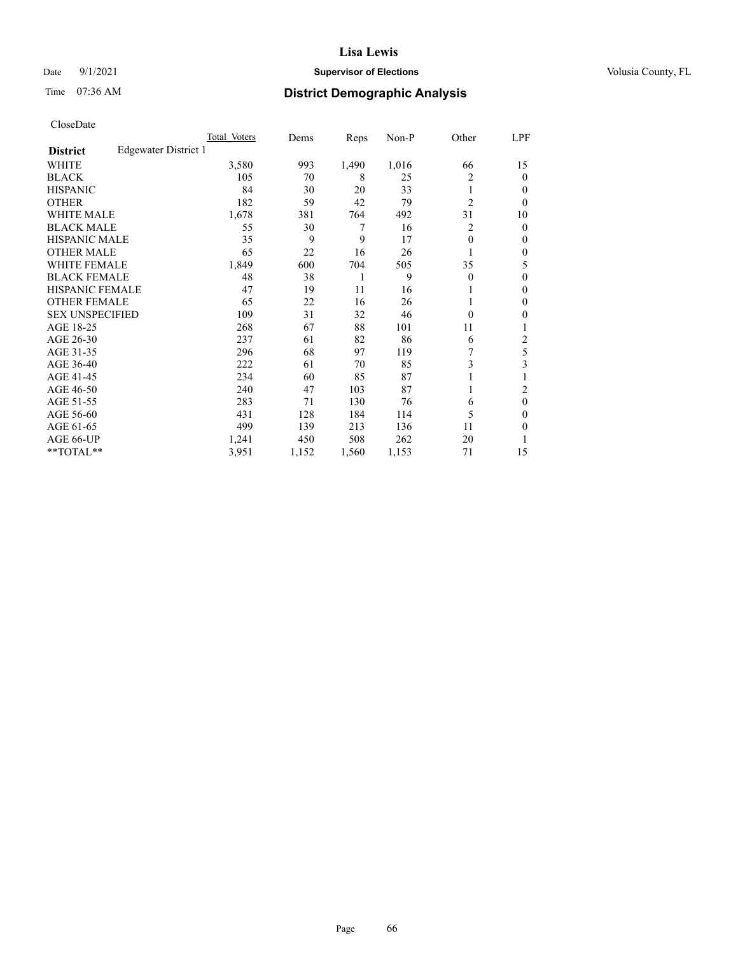### Date 9/1/2021 **Supervisor of Elections Supervisor of Elections** Volusia County, FL

# Time 07:36 AM **District Demographic Analysis**

|                        |                      | Total Voters | Dems  | Reps  | Non-P | Other          | LPF    |
|------------------------|----------------------|--------------|-------|-------|-------|----------------|--------|
| <b>District</b>        | Edgewater District 1 |              |       |       |       |                |        |
| WHITE                  |                      | 3,580        | 993   | 1,490 | 1,016 | 66             | 15     |
| <b>BLACK</b>           |                      | 105          | 70    | 8     | 25    | 2              | 0      |
| <b>HISPANIC</b>        |                      | 84           | 30    | 20    | 33    | 1              | $_{0}$ |
| <b>OTHER</b>           |                      | 182          | 59    | 42    | 79    | $\overline{2}$ | 0      |
| <b>WHITE MALE</b>      |                      | 1,678        | 381   | 764   | 492   | 31             | 10     |
| <b>BLACK MALE</b>      |                      | 55           | 30    | 7     | 16    | 2              | 0      |
| <b>HISPANIC MALE</b>   |                      | 35           | 9     | 9     | 17    | $\theta$       | 0      |
| <b>OTHER MALE</b>      |                      | 65           | 22    | 16    | 26    |                | 0      |
| <b>WHITE FEMALE</b>    |                      | 1,849        | 600   | 704   | 505   | 35             | 5      |
| <b>BLACK FEMALE</b>    |                      | 48           | 38    | 1     | 9     | $\Omega$       | 0      |
| <b>HISPANIC FEMALE</b> |                      | 47           | 19    | 11    | 16    |                | 0      |
| <b>OTHER FEMALE</b>    |                      | 65           | 22    | 16    | 26    |                | 0      |
| <b>SEX UNSPECIFIED</b> |                      | 109          | 31    | 32    | 46    | $\Omega$       | 0      |
| AGE 18-25              |                      | 268          | 67    | 88    | 101   | 11             |        |
| AGE 26-30              |                      | 237          | 61    | 82    | 86    | 6              | 2      |
| AGE 31-35              |                      | 296          | 68    | 97    | 119   |                | 5      |
| AGE 36-40              |                      | 222          | 61    | 70    | 85    | 3              | 3      |
| AGE 41-45              |                      | 234          | 60    | 85    | 87    |                |        |
| AGE 46-50              |                      | 240          | 47    | 103   | 87    |                | 2      |
| AGE 51-55              |                      | 283          | 71    | 130   | 76    | 6              | 0      |
| AGE 56-60              |                      | 431          | 128   | 184   | 114   | 5              | 0      |
| AGE 61-65              |                      | 499          | 139   | 213   | 136   | 11             | 0      |
| AGE 66-UP              |                      | 1,241        | 450   | 508   | 262   | 20             |        |
| **TOTAL**              |                      | 3,951        | 1,152 | 1,560 | 1,153 | 71             | 15     |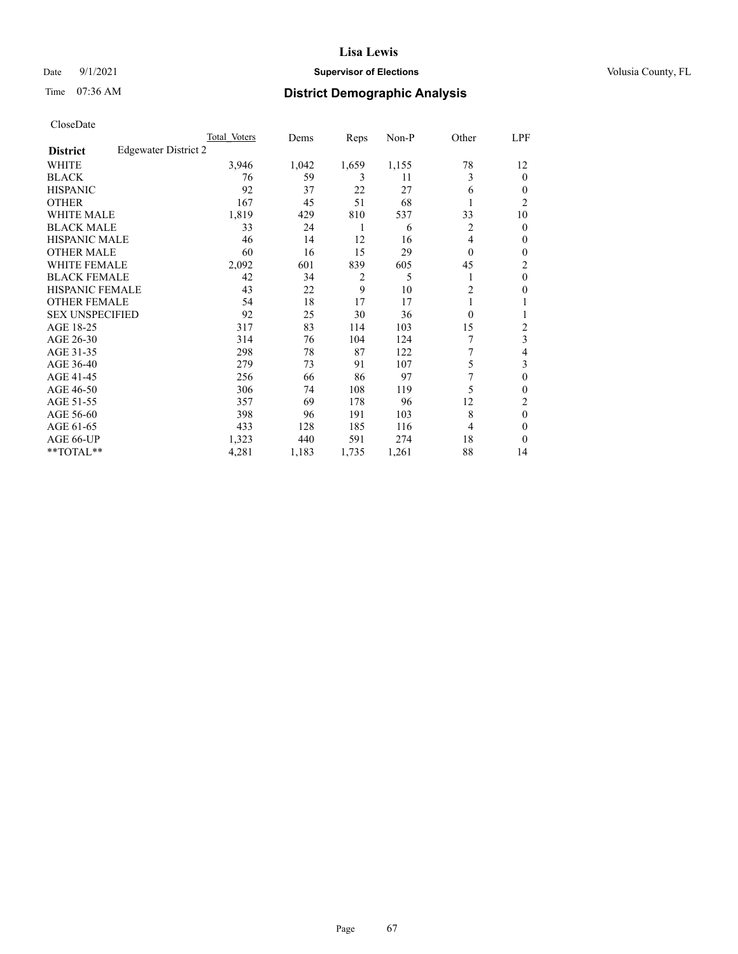### Date 9/1/2021 **Supervisor of Elections Supervisor of Elections** Volusia County, FL

# Time 07:36 AM **District Demographic Analysis**

|                        |                      | Total Voters | Dems  | Reps           | Non-P | Other          | LPF            |
|------------------------|----------------------|--------------|-------|----------------|-------|----------------|----------------|
| <b>District</b>        | Edgewater District 2 |              |       |                |       |                |                |
| WHITE                  |                      | 3,946        | 1,042 | 1,659          | 1,155 | 78             | 12             |
| <b>BLACK</b>           |                      | 76           | 59    | 3              | 11    | 3              | 0              |
| <b>HISPANIC</b>        |                      | 92           | 37    | 22             | 27    | 6              | $_{0}$         |
| <b>OTHER</b>           |                      | 167          | 45    | 51             | 68    |                | $\overline{2}$ |
| WHITE MALE             |                      | 1,819        | 429   | 810            | 537   | 33             | 10             |
| <b>BLACK MALE</b>      |                      | 33           | 24    | 1              | 6     | 2              | 0              |
| <b>HISPANIC MALE</b>   |                      | 46           | 14    | 12             | 16    | 4              | 0              |
| <b>OTHER MALE</b>      |                      | 60           | 16    | 15             | 29    | $\Omega$       | 0              |
| <b>WHITE FEMALE</b>    |                      | 2,092        | 601   | 839            | 605   | 45             | 2              |
| <b>BLACK FEMALE</b>    |                      | 42           | 34    | $\overline{2}$ | 5     |                | $\theta$       |
| <b>HISPANIC FEMALE</b> |                      | 43           | 22    | 9              | 10    | $\overline{c}$ | 0              |
| <b>OTHER FEMALE</b>    |                      | 54           | 18    | 17             | 17    |                |                |
| <b>SEX UNSPECIFIED</b> |                      | 92           | 25    | 30             | 36    | $\Omega$       |                |
| AGE 18-25              |                      | 317          | 83    | 114            | 103   | 15             | 2              |
| AGE 26-30              |                      | 314          | 76    | 104            | 124   | 7              | 3              |
| AGE 31-35              |                      | 298          | 78    | 87             | 122   | 7              | 4              |
| AGE 36-40              |                      | 279          | 73    | 91             | 107   | 5              | 3              |
| AGE 41-45              |                      | 256          | 66    | 86             | 97    | 7              | 0              |
| AGE 46-50              |                      | 306          | 74    | 108            | 119   | 5              | 0              |
| AGE 51-55              |                      | 357          | 69    | 178            | 96    | 12             | 2              |
| AGE 56-60              |                      | 398          | 96    | 191            | 103   | 8              | $\theta$       |
| AGE 61-65              |                      | 433          | 128   | 185            | 116   | 4              | 0              |
| AGE 66-UP              |                      | 1,323        | 440   | 591            | 274   | 18             | 0              |
| **TOTAL**              |                      | 4,281        | 1,183 | 1,735          | 1,261 | 88             | 14             |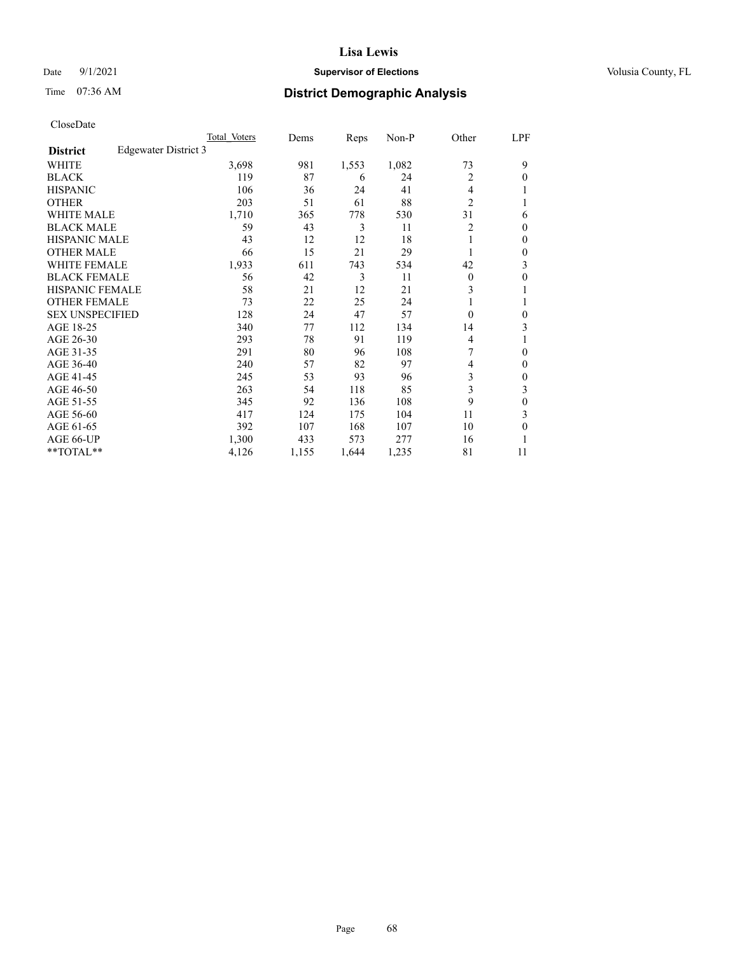### Date 9/1/2021 **Supervisor of Elections Supervisor of Elections** Volusia County, FL

# Time 07:36 AM **District Demographic Analysis**

|                                         | Total Voters | Dems  | Reps  | $Non-P$ | Other          | LPF |
|-----------------------------------------|--------------|-------|-------|---------|----------------|-----|
| Edgewater District 3<br><b>District</b> |              |       |       |         |                |     |
| WHITE                                   | 3,698        | 981   | 1,553 | 1,082   | 73             | 9   |
| <b>BLACK</b>                            | 119          | 87    | 6     | 24      | 2              | 0   |
| <b>HISPANIC</b>                         | 106          | 36    | 24    | 41      | 4              |     |
| <b>OTHER</b>                            | 203          | 51    | 61    | 88      | $\overline{2}$ |     |
| <b>WHITE MALE</b>                       | 1,710        | 365   | 778   | 530     | 31             | 6   |
| <b>BLACK MALE</b>                       | 59           | 43    | 3     | 11      | 2              | 0   |
| <b>HISPANIC MALE</b>                    | 43           | 12    | 12    | 18      |                | 0   |
| <b>OTHER MALE</b>                       | 66           | 15    | 21    | 29      |                | 0   |
| WHITE FEMALE                            | 1,933        | 611   | 743   | 534     | 42             | 3   |
| <b>BLACK FEMALE</b>                     | 56           | 42    | 3     | 11      | $\theta$       | 0   |
| <b>HISPANIC FEMALE</b>                  | 58           | 21    | 12    | 21      | 3              |     |
| <b>OTHER FEMALE</b>                     | 73           | 22    | 25    | 24      |                |     |
| <b>SEX UNSPECIFIED</b>                  | 128          | 24    | 47    | 57      | $\theta$       | 0   |
| AGE 18-25                               | 340          | 77    | 112   | 134     | 14             | 3   |
| AGE 26-30                               | 293          | 78    | 91    | 119     | 4              |     |
| AGE 31-35                               | 291          | 80    | 96    | 108     | 7              | 0   |
| AGE 36-40                               | 240          | 57    | 82    | 97      | 4              | 0   |
| AGE 41-45                               | 245          | 53    | 93    | 96      | 3              | 0   |
| AGE 46-50                               | 263          | 54    | 118   | 85      | 3              | 3   |
| AGE 51-55                               | 345          | 92    | 136   | 108     | 9              | 0   |
| AGE 56-60                               | 417          | 124   | 175   | 104     | 11             | 3   |
| AGE 61-65                               | 392          | 107   | 168   | 107     | 10             | 0   |
| AGE 66-UP                               | 1,300        | 433   | 573   | 277     | 16             |     |
| **TOTAL**                               | 4,126        | 1,155 | 1,644 | 1,235   | 81             | 11  |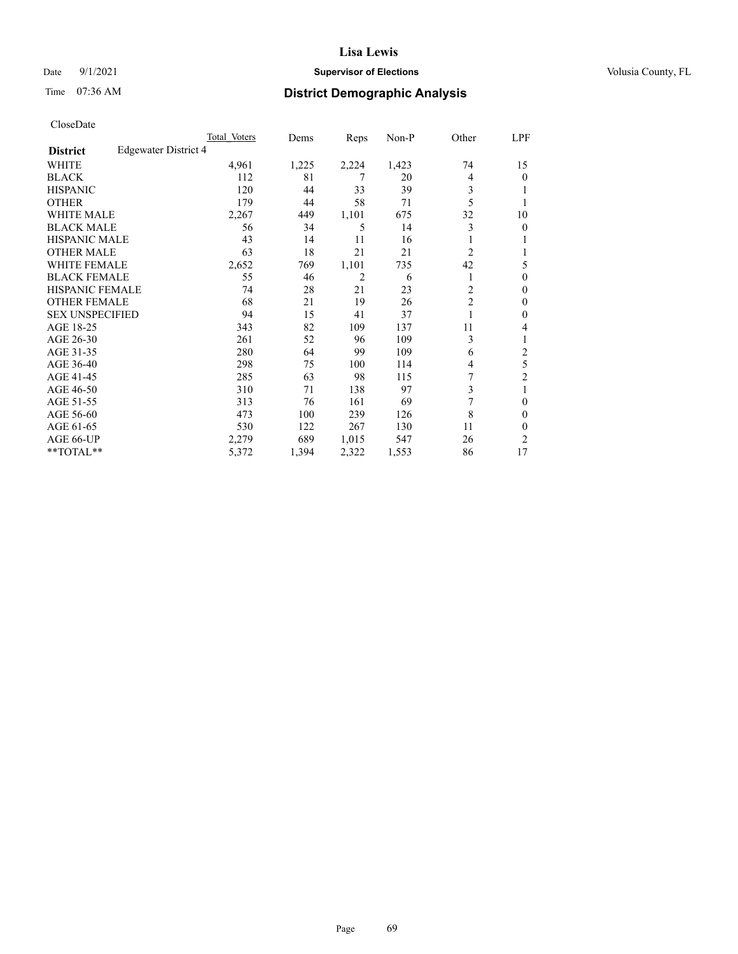### Date 9/1/2021 **Supervisor of Elections Supervisor of Elections** Volusia County, FL

# Time 07:36 AM **District Demographic Analysis**

|                        |                      | Total Voters | Dems  | Reps  | Non-P | Other          | LPF            |
|------------------------|----------------------|--------------|-------|-------|-------|----------------|----------------|
| <b>District</b>        | Edgewater District 4 |              |       |       |       |                |                |
| WHITE                  |                      | 4,961        | 1,225 | 2,224 | 1,423 | 74             | 15             |
| <b>BLACK</b>           |                      | 112          | 81    | 7     | 20    | 4              | $\mathbf{0}$   |
| <b>HISPANIC</b>        |                      | 120          | 44    | 33    | 39    | 3              | 1              |
| <b>OTHER</b>           |                      | 179          | 44    | 58    | 71    | 5              |                |
| <b>WHITE MALE</b>      |                      | 2,267        | 449   | 1,101 | 675   | 32             | 10             |
| <b>BLACK MALE</b>      |                      | 56           | 34    | 5     | 14    | 3              | $\mathbf{0}$   |
| <b>HISPANIC MALE</b>   |                      | 43           | 14    | 11    | 16    |                | 1              |
| <b>OTHER MALE</b>      |                      | 63           | 18    | 21    | 21    | 2              | 1              |
| <b>WHITE FEMALE</b>    |                      | 2,652        | 769   | 1,101 | 735   | 42             | 5              |
| <b>BLACK FEMALE</b>    |                      | 55           | 46    | 2     | 6     |                | $\theta$       |
| <b>HISPANIC FEMALE</b> |                      | 74           | 28    | 21    | 23    | $\overline{2}$ | $\Omega$       |
| <b>OTHER FEMALE</b>    |                      | 68           | 21    | 19    | 26    | $\overline{c}$ | $\theta$       |
| <b>SEX UNSPECIFIED</b> |                      | 94           | 15    | 41    | 37    |                | $\theta$       |
| AGE 18-25              |                      | 343          | 82    | 109   | 137   | 11             | 4              |
| AGE 26-30              |                      | 261          | 52    | 96    | 109   | 3              | 1              |
| AGE 31-35              |                      | 280          | 64    | 99    | 109   | 6              | $\overline{c}$ |
| AGE 36-40              |                      | 298          | 75    | 100   | 114   | 4              | 5              |
| AGE 41-45              |                      | 285          | 63    | 98    | 115   | 7              | 2              |
| AGE 46-50              |                      | 310          | 71    | 138   | 97    | 3              | 1              |
| AGE 51-55              |                      | 313          | 76    | 161   | 69    | 7              | $\theta$       |
| AGE 56-60              |                      | 473          | 100   | 239   | 126   | 8              | $\theta$       |
| AGE 61-65              |                      | 530          | 122   | 267   | 130   | 11             | $\theta$       |
| AGE 66-UP              |                      | 2,279        | 689   | 1,015 | 547   | 26             | $\overline{2}$ |
| **TOTAL**              |                      | 5,372        | 1,394 | 2,322 | 1,553 | 86             | 17             |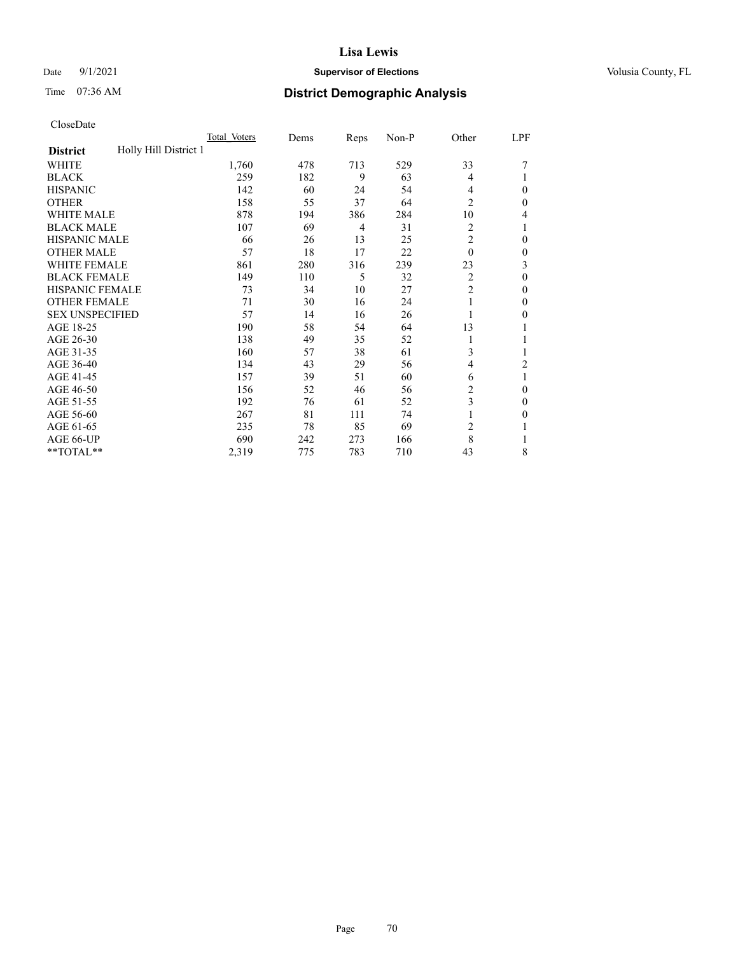### Date 9/1/2021 **Supervisor of Elections Supervisor of Elections** Volusia County, FL

# Time 07:36 AM **District Demographic Analysis**

|                                          | Total Voters | Dems | Reps | Non-P | Other          | LPF          |
|------------------------------------------|--------------|------|------|-------|----------------|--------------|
| Holly Hill District 1<br><b>District</b> |              |      |      |       |                |              |
| WHITE                                    | 1,760        | 478  | 713  | 529   | 33             |              |
| <b>BLACK</b>                             | 259          | 182  | 9    | 63    | 4              |              |
| <b>HISPANIC</b>                          | 142          | 60   | 24   | 54    | 4              | $\theta$     |
| <b>OTHER</b>                             | 158          | 55   | 37   | 64    | $\overline{2}$ | $\Omega$     |
| <b>WHITE MALE</b>                        | 878          | 194  | 386  | 284   | 10             | 4            |
| <b>BLACK MALE</b>                        | 107          | 69   | 4    | 31    | 2              | 1            |
| <b>HISPANIC MALE</b>                     | 66           | 26   | 13   | 25    | $\overline{2}$ | $\theta$     |
| <b>OTHER MALE</b>                        | 57           | 18   | 17   | 22    | $\theta$       | $\mathbf{0}$ |
| WHITE FEMALE                             | 861          | 280  | 316  | 239   | 23             | 3            |
| <b>BLACK FEMALE</b>                      | 149          | 110  | 5    | 32    | $\overline{c}$ | $\theta$     |
| <b>HISPANIC FEMALE</b>                   | 73           | 34   | 10   | 27    | $\overline{2}$ | $\Omega$     |
| <b>OTHER FEMALE</b>                      | 71           | 30   | 16   | 24    |                | $\theta$     |
| <b>SEX UNSPECIFIED</b>                   | 57           | 14   | 16   | 26    |                | $\theta$     |
| AGE 18-25                                | 190          | 58   | 54   | 64    | 13             | 1            |
| AGE 26-30                                | 138          | 49   | 35   | 52    | 1              | 1            |
| AGE 31-35                                | 160          | 57   | 38   | 61    | 3              | 1            |
| AGE 36-40                                | 134          | 43   | 29   | 56    | 4              | 2            |
| AGE 41-45                                | 157          | 39   | 51   | 60    | 6              | 1            |
| AGE 46-50                                | 156          | 52   | 46   | 56    | 2              | $\theta$     |
| AGE 51-55                                | 192          | 76   | 61   | 52    | 3              | $\Omega$     |
| AGE 56-60                                | 267          | 81   | 111  | 74    |                | $\theta$     |
| AGE 61-65                                | 235          | 78   | 85   | 69    | $\overline{2}$ | 1            |
| AGE 66-UP                                | 690          | 242  | 273  | 166   | 8              |              |
| **TOTAL**                                | 2,319        | 775  | 783  | 710   | 43             | 8            |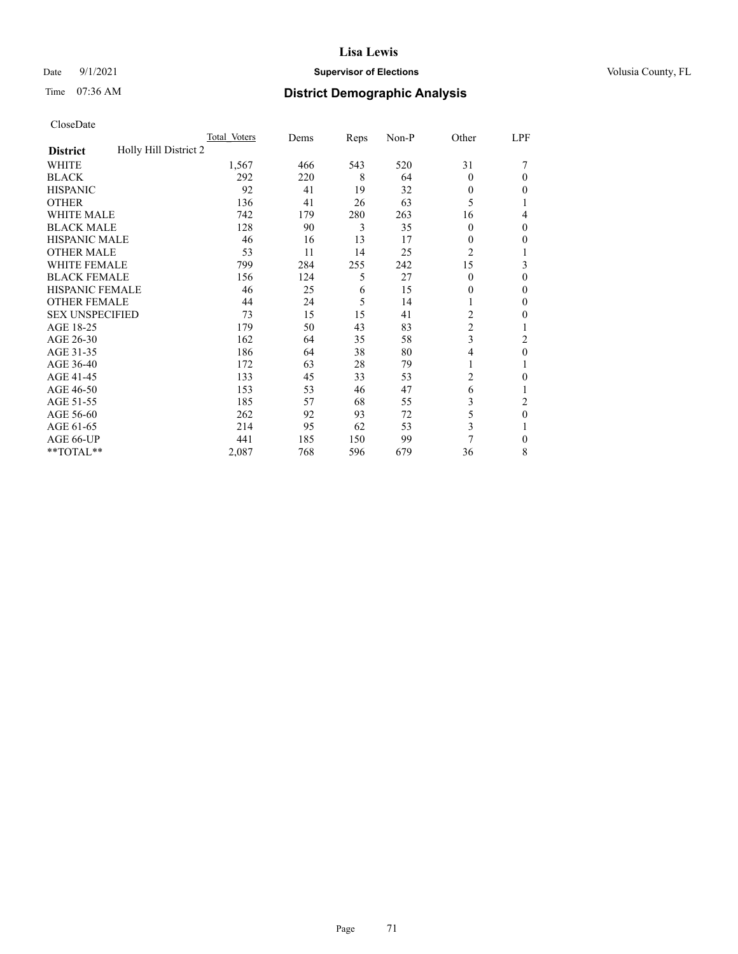### Date 9/1/2021 **Supervisor of Elections Supervisor of Elections** Volusia County, FL

# Time 07:36 AM **District Demographic Analysis**

|                                          | Total Voters | Dems | Reps | Non-P | Other          | LPF            |
|------------------------------------------|--------------|------|------|-------|----------------|----------------|
| Holly Hill District 2<br><b>District</b> |              |      |      |       |                |                |
| WHITE                                    | 1,567        | 466  | 543  | 520   | 31             |                |
| <b>BLACK</b>                             | 292          | 220  | 8    | 64    | $\Omega$       | 0              |
| <b>HISPANIC</b>                          | 92           | 41   | 19   | 32    | 0              | 0              |
| <b>OTHER</b>                             | 136          | 41   | 26   | 63    | 5              |                |
| WHITE MALE                               | 742          | 179  | 280  | 263   | 16             | 4              |
| <b>BLACK MALE</b>                        | 128          | 90   | 3    | 35    | $\Omega$       | 0              |
| <b>HISPANIC MALE</b>                     | 46           | 16   | 13   | 17    | 0              | 0              |
| <b>OTHER MALE</b>                        | 53           | 11   | 14   | 25    | $\overline{2}$ | 1              |
| WHITE FEMALE                             | 799          | 284  | 255  | 242   | 15             | 3              |
| <b>BLACK FEMALE</b>                      | 156          | 124  | 5    | 27    | $\Omega$       | 0              |
| <b>HISPANIC FEMALE</b>                   | 46           | 25   | 6    | 15    | 0              | 0              |
| <b>OTHER FEMALE</b>                      | 44           | 24   | 5    | 14    |                | 0              |
| <b>SEX UNSPECIFIED</b>                   | 73           | 15   | 15   | 41    | $\overline{c}$ | 0              |
| AGE 18-25                                | 179          | 50   | 43   | 83    | $\overline{2}$ |                |
| AGE 26-30                                | 162          | 64   | 35   | 58    | 3              | 2              |
| AGE 31-35                                | 186          | 64   | 38   | 80    | 4              | 0              |
| AGE 36-40                                | 172          | 63   | 28   | 79    | 1              |                |
| AGE 41-45                                | 133          | 45   | 33   | 53    | 2              | 0              |
| AGE 46-50                                | 153          | 53   | 46   | 47    | 6              |                |
| AGE 51-55                                | 185          | 57   | 68   | 55    | 3              | $\overline{c}$ |
| AGE 56-60                                | 262          | 92   | 93   | 72    | 5              | $\theta$       |
| AGE 61-65                                | 214          | 95   | 62   | 53    | 3              |                |
| AGE 66-UP                                | 441          | 185  | 150  | 99    | 7              | 0              |
| **TOTAL**                                | 2,087        | 768  | 596  | 679   | 36             | 8              |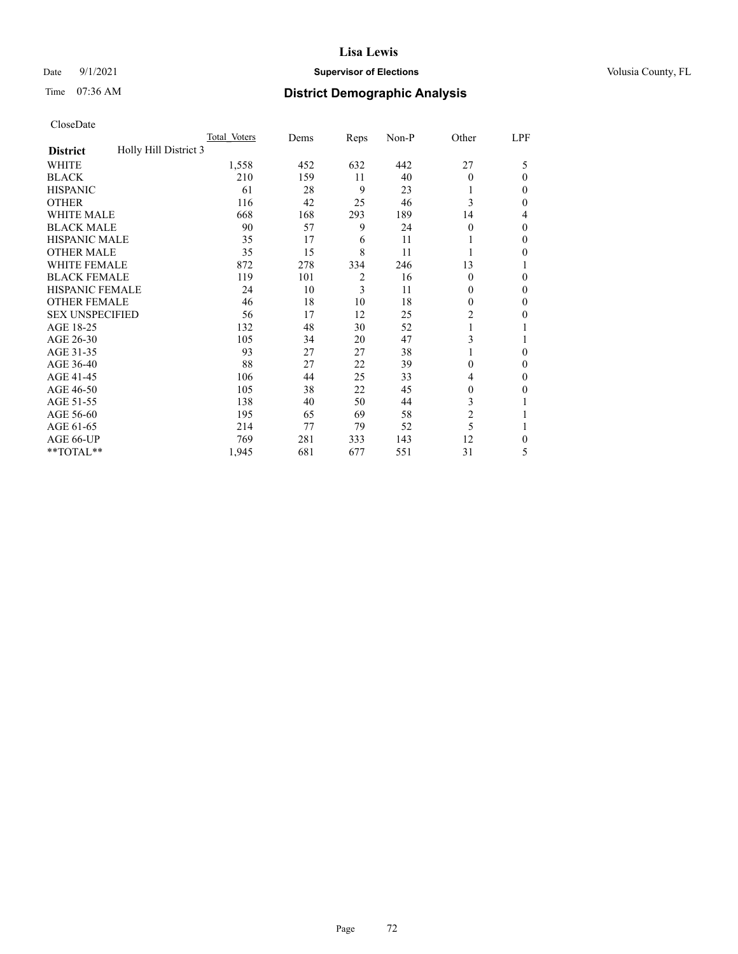### **Lisa Lewis** Date 9/1/2021 **Supervisor of Elections Supervisor of Elections** Volusia County, FL

# Time 07:36 AM **District Demographic Analysis**

|                                          | Total Voters | Dems | Reps           | Non-P | Other          | LPF    |
|------------------------------------------|--------------|------|----------------|-------|----------------|--------|
| Holly Hill District 3<br><b>District</b> |              |      |                |       |                |        |
| WHITE                                    | 1,558        | 452  | 632            | 442   | 27             | 5      |
| <b>BLACK</b>                             | 210          | 159  | 11             | 40    | $\Omega$       | 0      |
| <b>HISPANIC</b>                          | 61           | 28   | 9              | 23    |                | $_{0}$ |
| <b>OTHER</b>                             | 116          | 42   | 25             | 46    | 3              | 0      |
| WHITE MALE                               | 668          | 168  | 293            | 189   | 14             | 4      |
| <b>BLACK MALE</b>                        | 90           | 57   | 9              | 24    | $\Omega$       | 0      |
| <b>HISPANIC MALE</b>                     | 35           | 17   | 6              | 11    |                | 0      |
| <b>OTHER MALE</b>                        | 35           | 15   | 8              | 11    |                | 0      |
| WHITE FEMALE                             | 872          | 278  | 334            | 246   | 13             |        |
| <b>BLACK FEMALE</b>                      | 119          | 101  | $\overline{2}$ | 16    | $\Omega$       | 0      |
| <b>HISPANIC FEMALE</b>                   | 24           | 10   | 3              | 11    | 0              | 0      |
| <b>OTHER FEMALE</b>                      | 46           | 18   | 10             | 18    | 0              | 0      |
| <b>SEX UNSPECIFIED</b>                   | 56           | 17   | 12             | 25    | $\overline{2}$ | 0      |
| AGE 18-25                                | 132          | 48   | 30             | 52    |                |        |
| AGE 26-30                                | 105          | 34   | 20             | 47    | 3              |        |
| AGE 31-35                                | 93           | 27   | 27             | 38    |                | 0      |
| AGE 36-40                                | 88           | 27   | 22             | 39    | 0              | 0      |
| AGE 41-45                                | 106          | 44   | 25             | 33    | 4              | 0      |
| AGE 46-50                                | 105          | 38   | 22             | 45    | 0              | 0      |
| AGE 51-55                                | 138          | 40   | 50             | 44    | 3              |        |
| AGE 56-60                                | 195          | 65   | 69             | 58    | $\overline{c}$ |        |
| AGE 61-65                                | 214          | 77   | 79             | 52    | 5              |        |
| AGE 66-UP                                | 769          | 281  | 333            | 143   | 12             | 0      |
| **TOTAL**                                | 1,945        | 681  | 677            | 551   | 31             | 5      |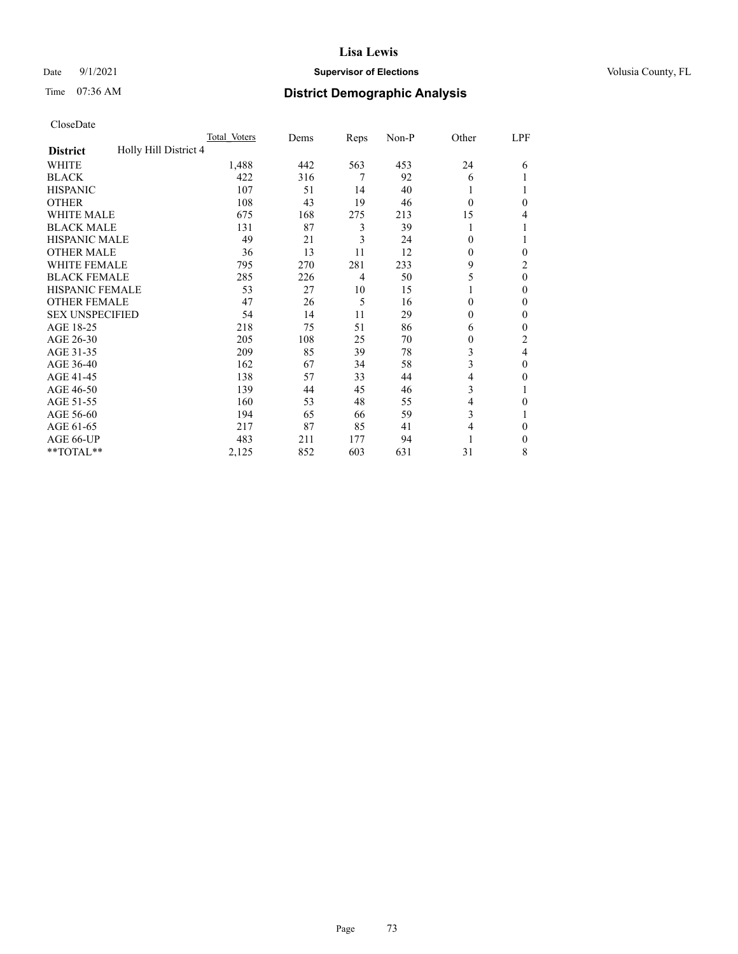### Date 9/1/2021 **Supervisor of Elections Supervisor of Elections** Volusia County, FL

# Time 07:36 AM **District Demographic Analysis**

|                                          | Total Voters | Dems | Reps           | Non-P | Other        | LPF            |
|------------------------------------------|--------------|------|----------------|-------|--------------|----------------|
| Holly Hill District 4<br><b>District</b> |              |      |                |       |              |                |
| WHITE                                    | 1,488        | 442  | 563            | 453   | 24           | 6              |
| <b>BLACK</b>                             | 422          | 316  | 7              | 92    | 6            |                |
| <b>HISPANIC</b>                          | 107          | 51   | 14             | 40    | 1            |                |
| <b>OTHER</b>                             | 108          | 43   | 19             | 46    | $\theta$     | $\theta$       |
| <b>WHITE MALE</b>                        | 675          | 168  | 275            | 213   | 15           | 4              |
| <b>BLACK MALE</b>                        | 131          | 87   | 3              | 39    |              |                |
| <b>HISPANIC MALE</b>                     | 49           | 21   | 3              | 24    | $\theta$     | 1              |
| <b>OTHER MALE</b>                        | 36           | 13   | 11             | 12    | $\Omega$     | $\Omega$       |
| <b>WHITE FEMALE</b>                      | 795          | 270  | 281            | 233   | 9            | $\overline{c}$ |
| <b>BLACK FEMALE</b>                      | 285          | 226  | $\overline{4}$ | 50    | 5            | $\theta$       |
| <b>HISPANIC FEMALE</b>                   | 53           | 27   | 10             | 15    |              | $\Omega$       |
| <b>OTHER FEMALE</b>                      | 47           | 26   | 5              | 16    | $\theta$     | $\theta$       |
| <b>SEX UNSPECIFIED</b>                   | 54           | 14   | 11             | 29    | $\theta$     | $\theta$       |
| AGE 18-25                                | 218          | 75   | 51             | 86    | 6            | $\theta$       |
| AGE 26-30                                | 205          | 108  | 25             | 70    | $\mathbf{0}$ | 2              |
| AGE 31-35                                | 209          | 85   | 39             | 78    | 3            | 4              |
| AGE 36-40                                | 162          | 67   | 34             | 58    | 3            | $\theta$       |
| AGE 41-45                                | 138          | 57   | 33             | 44    | 4            | $\theta$       |
| AGE 46-50                                | 139          | 44   | 45             | 46    | 3            |                |
| AGE 51-55                                | 160          | 53   | 48             | 55    | 4            | 0              |
| AGE 56-60                                | 194          | 65   | 66             | 59    | 3            |                |
| AGE 61-65                                | 217          | 87   | 85             | 41    | 4            | $\theta$       |
| AGE 66-UP                                | 483          | 211  | 177            | 94    |              | $\Omega$       |
| **TOTAL**                                | 2,125        | 852  | 603            | 631   | 31           | 8              |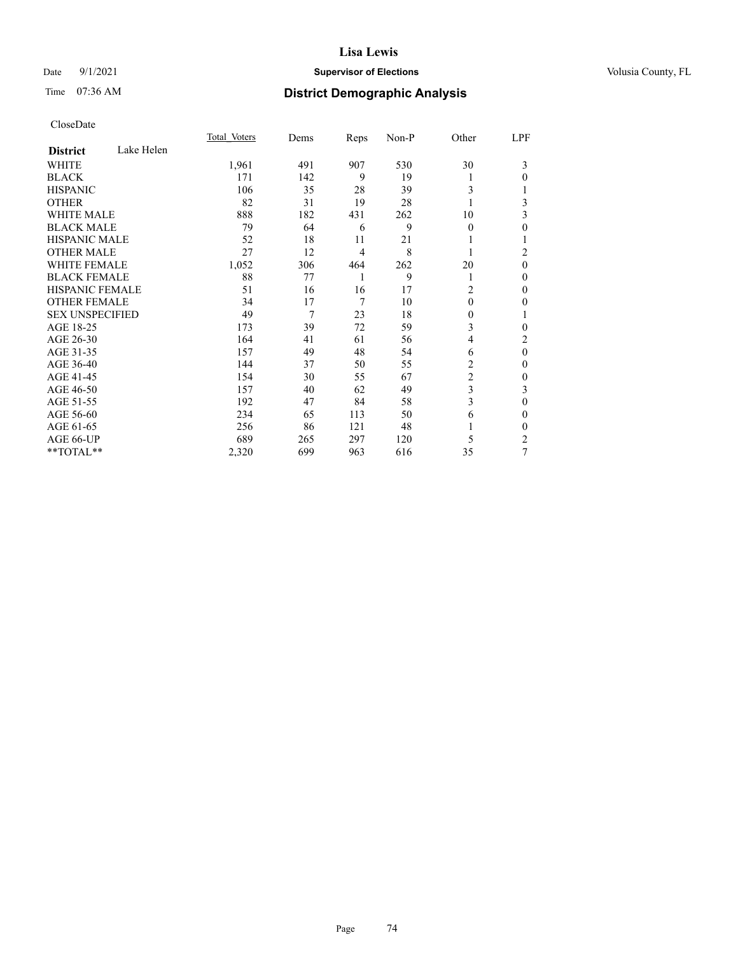### Date 9/1/2021 **Supervisor of Elections Supervisor of Elections** Volusia County, FL

# Time 07:36 AM **District Demographic Analysis**

|                        |            | Total Voters | Dems | Reps | Non-P | Other          | LPF          |
|------------------------|------------|--------------|------|------|-------|----------------|--------------|
| <b>District</b>        | Lake Helen |              |      |      |       |                |              |
| WHITE                  |            | 1,961        | 491  | 907  | 530   | 30             | 3            |
| <b>BLACK</b>           |            | 171          | 142  | 9    | 19    |                | 0            |
| <b>HISPANIC</b>        |            | 106          | 35   | 28   | 39    | 3              |              |
| <b>OTHER</b>           |            | 82           | 31   | 19   | 28    |                | 3            |
| <b>WHITE MALE</b>      |            | 888          | 182  | 431  | 262   | 10             | 3            |
| <b>BLACK MALE</b>      |            | 79           | 64   | 6    | 9     | $\mathbf{0}$   | $\theta$     |
| <b>HISPANIC MALE</b>   |            | 52           | 18   | 11   | 21    |                | 1            |
| <b>OTHER MALE</b>      |            | 27           | 12   | 4    | 8     |                | 2            |
| <b>WHITE FEMALE</b>    |            | 1,052        | 306  | 464  | 262   | 20             | $\theta$     |
| <b>BLACK FEMALE</b>    |            | 88           | 77   | 1    | 9     | 1              | $\theta$     |
| <b>HISPANIC FEMALE</b> |            | 51           | 16   | 16   | 17    | $\overline{c}$ | $\theta$     |
| <b>OTHER FEMALE</b>    |            | 34           | 17   | 7    | 10    | $\theta$       | $\theta$     |
| <b>SEX UNSPECIFIED</b> |            | 49           | 7    | 23   | 18    | 0              | 1            |
| AGE 18-25              |            | 173          | 39   | 72   | 59    | 3              | 0            |
| AGE 26-30              |            | 164          | 41   | 61   | 56    | 4              | 2            |
| AGE 31-35              |            | 157          | 49   | 48   | 54    | 6              | $\mathbf{0}$ |
| AGE 36-40              |            | 144          | 37   | 50   | 55    | 2              | $\theta$     |
| AGE 41-45              |            | 154          | 30   | 55   | 67    | 2              | $\theta$     |
| AGE 46-50              |            | 157          | 40   | 62   | 49    | 3              | 3            |
| AGE 51-55              |            | 192          | 47   | 84   | 58    | 3              | $\theta$     |
| AGE 56-60              |            | 234          | 65   | 113  | 50    | 6              | 0            |
| AGE 61-65              |            | 256          | 86   | 121  | 48    |                | 0            |
| AGE 66-UP              |            | 689          | 265  | 297  | 120   | 5              | 2            |
| **TOTAL**              |            | 2,320        | 699  | 963  | 616   | 35             | 7            |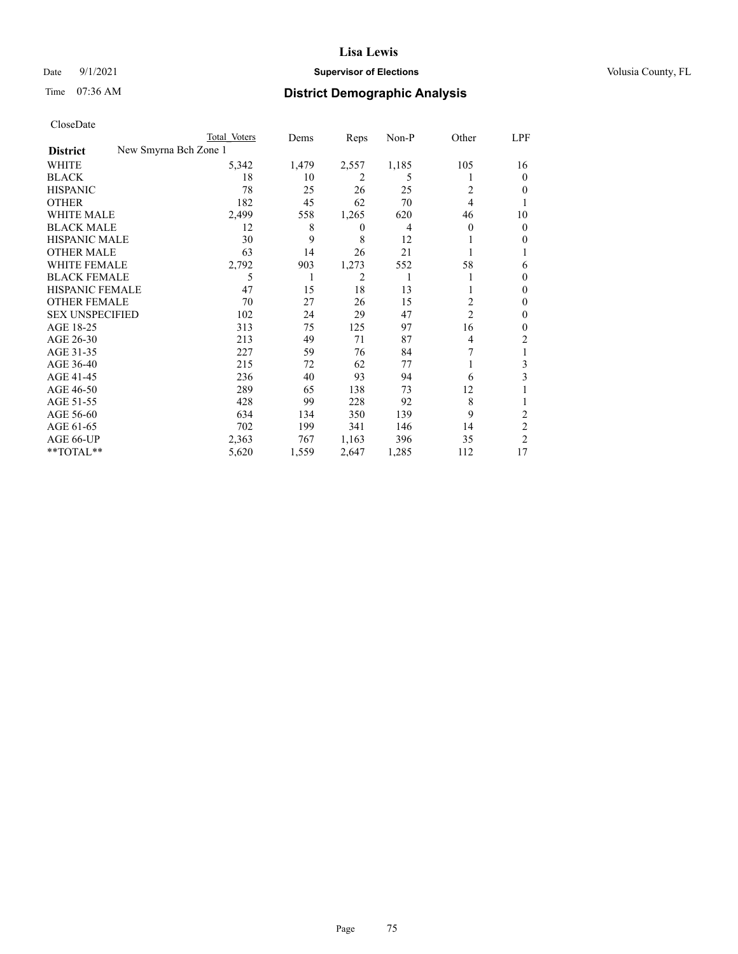### Date 9/1/2021 **Supervisor of Elections Supervisor of Elections** Volusia County, FL

|                                          | Total Voters | Dems  | Reps     | Non-P | Other          | LPF            |
|------------------------------------------|--------------|-------|----------|-------|----------------|----------------|
| New Smyrna Bch Zone 1<br><b>District</b> |              |       |          |       |                |                |
| WHITE                                    | 5,342        | 1,479 | 2,557    | 1,185 | 105            | 16             |
| <b>BLACK</b>                             | 18           | 10    | 2        | 5     |                | $\Omega$       |
| <b>HISPANIC</b>                          | 78           | 25    | 26       | 25    | 2              | $_{0}$         |
| <b>OTHER</b>                             | 182          | 45    | 62       | 70    | 4              |                |
| <b>WHITE MALE</b>                        | 2,499        | 558   | 1,265    | 620   | 46             | 10             |
| <b>BLACK MALE</b>                        | 12           | 8     | $\theta$ | 4     | $\Omega$       | 0              |
| <b>HISPANIC MALE</b>                     | 30           | 9     | 8        | 12    |                | 0              |
| <b>OTHER MALE</b>                        | 63           | 14    | 26       | 21    |                |                |
| <b>WHITE FEMALE</b>                      | 2,792        | 903   | 1,273    | 552   | 58             | 6              |
| <b>BLACK FEMALE</b>                      | 5            |       | 2        |       |                | $_{0}$         |
| HISPANIC FEMALE                          | 47           | 15    | 18       | 13    |                | $_{0}$         |
| <b>OTHER FEMALE</b>                      | 70           | 27    | 26       | 15    | 2              | $_{0}$         |
| <b>SEX UNSPECIFIED</b>                   | 102          | 24    | 29       | 47    | $\overline{2}$ | 0              |
| AGE 18-25                                | 313          | 75    | 125      | 97    | 16             | 0              |
| AGE 26-30                                | 213          | 49    | 71       | 87    | 4              | 2              |
| AGE 31-35                                | 227          | 59    | 76       | 84    |                |                |
| AGE 36-40                                | 215          | 72    | 62       | 77    |                | 3              |
| AGE 41-45                                | 236          | 40    | 93       | 94    | 6              | 3              |
| AGE 46-50                                | 289          | 65    | 138      | 73    | 12             |                |
| AGE 51-55                                | 428          | 99    | 228      | 92    | 8              |                |
| AGE 56-60                                | 634          | 134   | 350      | 139   | 9              | 2              |
| AGE 61-65                                | 702          | 199   | 341      | 146   | 14             | 2              |
| AGE 66-UP                                | 2,363        | 767   | 1,163    | 396   | 35             | $\overline{2}$ |
| **TOTAL**                                | 5,620        | 1,559 | 2,647    | 1,285 | 112            | 17             |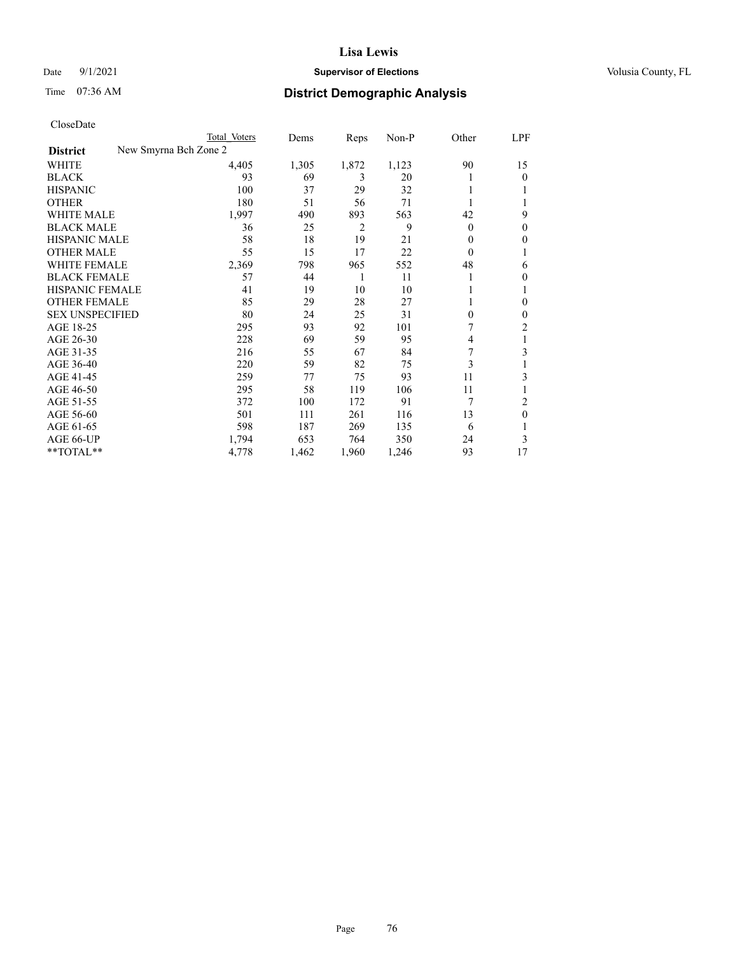### Date 9/1/2021 **Supervisor of Elections Supervisor of Elections** Volusia County, FL

| CloseDate |
|-----------|
|-----------|

|                                          | Total Voters | Dems  | Reps  | Non-P | Other            | LPF |
|------------------------------------------|--------------|-------|-------|-------|------------------|-----|
| New Smyrna Bch Zone 2<br><b>District</b> |              |       |       |       |                  |     |
| WHITE                                    | 4,405        | 1,305 | 1,872 | 1,123 | 90               | 15  |
| <b>BLACK</b>                             | 93           | 69    | 3     | 20    |                  | 0   |
| <b>HISPANIC</b>                          | 100          | 37    | 29    | 32    |                  |     |
| <b>OTHER</b>                             | 180          | 51    | 56    | 71    |                  |     |
| <b>WHITE MALE</b>                        | 1,997        | 490   | 893   | 563   | 42               | 9   |
| <b>BLACK MALE</b>                        | 36           | 25    | 2     | 9     | $\overline{0}$   | 0   |
| <b>HISPANIC MALE</b>                     | 58           | 18    | 19    | 21    | 0                | 0   |
| <b>OTHER MALE</b>                        | 55           | 15    | 17    | 22    | $\boldsymbol{0}$ |     |
| <b>WHITE FEMALE</b>                      | 2,369        | 798   | 965   | 552   | 48               | 6   |
| <b>BLACK FEMALE</b>                      | 57           | 44    | 1     | 11    |                  | 0   |
| <b>HISPANIC FEMALE</b>                   | 41           | 19    | 10    | 10    |                  |     |
| <b>OTHER FEMALE</b>                      | 85           | 29    | 28    | 27    |                  | 0   |
| <b>SEX UNSPECIFIED</b>                   | 80           | 24    | 25    | 31    | $\theta$         | 0   |
| AGE 18-25                                | 295          | 93    | 92    | 101   |                  | 2   |
| AGE 26-30                                | 228          | 69    | 59    | 95    | 4                |     |
| AGE 31-35                                | 216          | 55    | 67    | 84    |                  | 3   |
| AGE 36-40                                | 220          | 59    | 82    | 75    | 3                |     |
| AGE 41-45                                | 259          | 77    | 75    | 93    | 11               | 3   |
| AGE 46-50                                | 295          | 58    | 119   | 106   | 11               |     |
| AGE 51-55                                | 372          | 100   | 172   | 91    | 7                | 2   |
| AGE 56-60                                | 501          | 111   | 261   | 116   | 13               | 0   |
| AGE 61-65                                | 598          | 187   | 269   | 135   | 6                |     |
| AGE 66-UP                                | 1,794        | 653   | 764   | 350   | 24               | 3   |
| **TOTAL**                                | 4,778        | 1,462 | 1,960 | 1,246 | 93               | 17  |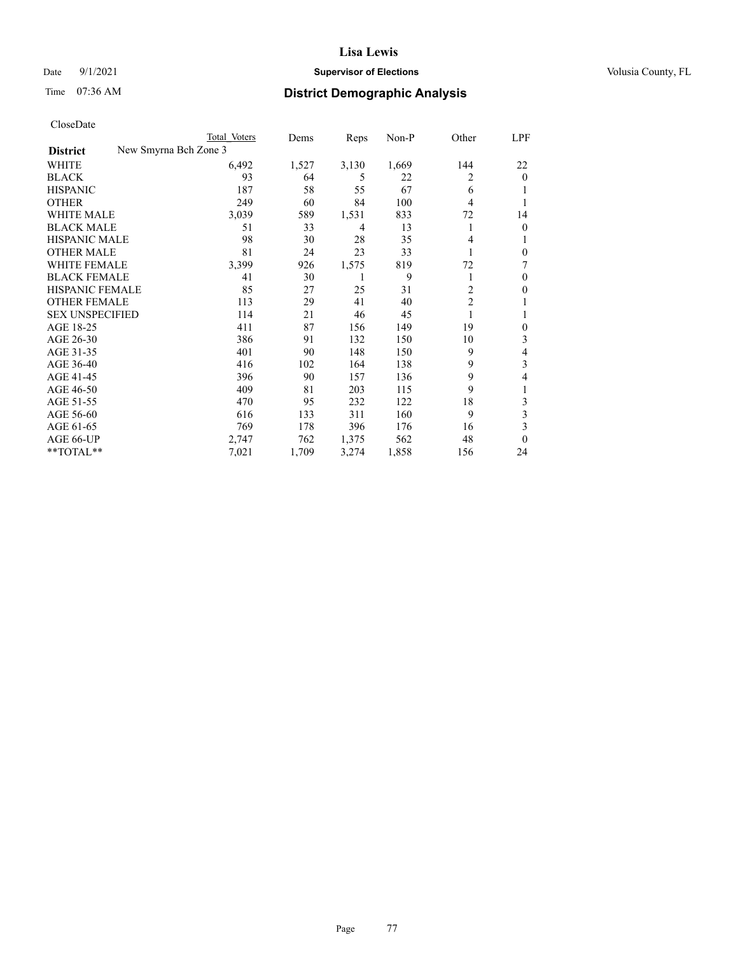### Date 9/1/2021 **Supervisor of Elections Supervisor of Elections** Volusia County, FL

|                        | Total Voters          | Dems  | Reps  | Non-P | Other          | LPF            |
|------------------------|-----------------------|-------|-------|-------|----------------|----------------|
| <b>District</b>        | New Smyrna Bch Zone 3 |       |       |       |                |                |
| WHITE                  | 6,492                 | 1,527 | 3,130 | 1,669 | 144            | 22             |
| <b>BLACK</b>           | 93                    | 64    | 5     | 22    | 2              | $\overline{0}$ |
| <b>HISPANIC</b>        | 187                   | 58    | 55    | 67    | 6              |                |
| <b>OTHER</b>           | 249                   | 60    | 84    | 100   | 4              |                |
| WHITE MALE             | 3,039                 | 589   | 1,531 | 833   | 72             | 14             |
| <b>BLACK MALE</b>      | 51                    | 33    | 4     | 13    | 1              | $\overline{0}$ |
| <b>HISPANIC MALE</b>   | 98                    | 30    | 28    | 35    | 4              |                |
| <b>OTHER MALE</b>      | 81                    | 24    | 23    | 33    | 1              | 0              |
| WHITE FEMALE           | 3,399                 | 926   | 1,575 | 819   | 72             | 7              |
| <b>BLACK FEMALE</b>    | 41                    | 30    |       | 9     | 1              | 0              |
| <b>HISPANIC FEMALE</b> | 85                    | 27    | 25    | 31    | $\overline{2}$ | 0              |
| <b>OTHER FEMALE</b>    | 113                   | 29    | 41    | 40    | $\overline{c}$ |                |
| <b>SEX UNSPECIFIED</b> | 114                   | 21    | 46    | 45    | 1              |                |
| AGE 18-25              | 411                   | 87    | 156   | 149   | 19             | 0              |
| AGE 26-30              | 386                   | 91    | 132   | 150   | 10             | 3              |
| AGE 31-35              | 401                   | 90    | 148   | 150   | 9              | 4              |
| AGE 36-40              | 416                   | 102   | 164   | 138   | 9              | 3              |
| AGE 41-45              | 396                   | 90    | 157   | 136   | 9              | 4              |
| AGE 46-50              | 409                   | 81    | 203   | 115   | 9              | l              |
| AGE 51-55              | 470                   | 95    | 232   | 122   | 18             | 3              |
| AGE 56-60              | 616                   | 133   | 311   | 160   | 9              | 3              |
| AGE 61-65              | 769                   | 178   | 396   | 176   | 16             | 3              |
| AGE 66-UP              | 2,747                 | 762   | 1,375 | 562   | 48             | 0              |
| **TOTAL**              | 7,021                 | 1,709 | 3,274 | 1,858 | 156            | 24             |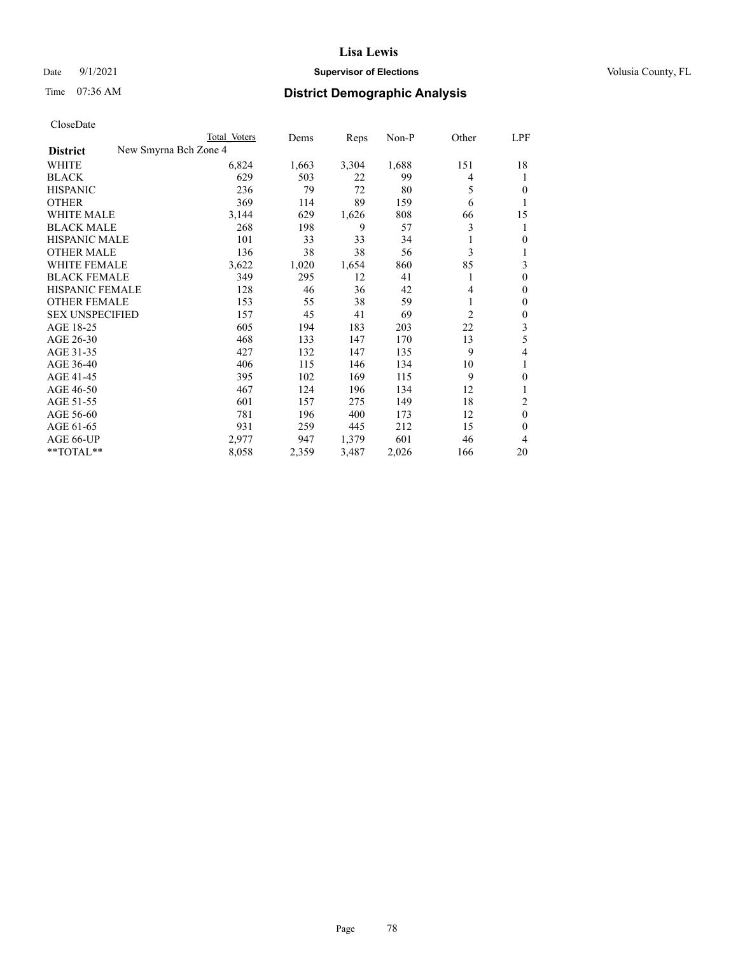### Date 9/1/2021 **Supervisor of Elections Supervisor of Elections** Volusia County, FL

|                                          | Total Voters | Dems  | Reps  | Non-P | Other          | LPF            |
|------------------------------------------|--------------|-------|-------|-------|----------------|----------------|
| New Smyrna Bch Zone 4<br><b>District</b> |              |       |       |       |                |                |
| WHITE                                    | 6,824        | 1,663 | 3,304 | 1,688 | 151            | 18             |
| <b>BLACK</b>                             | 629          | 503   | 22    | 99    | 4              | 1              |
| <b>HISPANIC</b>                          | 236          | 79    | 72    | 80    | 5              | 0              |
| <b>OTHER</b>                             | 369          | 114   | 89    | 159   | 6              | 1              |
| <b>WHITE MALE</b>                        | 3,144        | 629   | 1,626 | 808   | 66             | 15             |
| <b>BLACK MALE</b>                        | 268          | 198   | 9     | 57    | 3              | 1              |
| <b>HISPANIC MALE</b>                     | 101          | 33    | 33    | 34    | 1              | 0              |
| <b>OTHER MALE</b>                        | 136          | 38    | 38    | 56    | 3              |                |
| <b>WHITE FEMALE</b>                      | 3,622        | 1,020 | 1,654 | 860   | 85             | 3              |
| <b>BLACK FEMALE</b>                      | 349          | 295   | 12    | 41    | 1              | $\overline{0}$ |
| HISPANIC FEMALE                          | 128          | 46    | 36    | 42    | 4              | 0              |
| <b>OTHER FEMALE</b>                      | 153          | 55    | 38    | 59    | 1              | 0              |
| <b>SEX UNSPECIFIED</b>                   | 157          | 45    | 41    | 69    | $\overline{c}$ | 0              |
| AGE 18-25                                | 605          | 194   | 183   | 203   | 22             | 3              |
| AGE 26-30                                | 468          | 133   | 147   | 170   | 13             | 5              |
| AGE 31-35                                | 427          | 132   | 147   | 135   | 9              | 4              |
| AGE 36-40                                | 406          | 115   | 146   | 134   | 10             | 1              |
| AGE 41-45                                | 395          | 102   | 169   | 115   | 9              | 0              |
| AGE 46-50                                | 467          | 124   | 196   | 134   | 12             |                |
| AGE 51-55                                | 601          | 157   | 275   | 149   | 18             | 2              |
| AGE 56-60                                | 781          | 196   | 400   | 173   | 12             | $\mathbf{0}$   |
| AGE 61-65                                | 931          | 259   | 445   | 212   | 15             | 0              |
| AGE 66-UP                                | 2,977        | 947   | 1,379 | 601   | 46             | 4              |
| **TOTAL**                                | 8,058        | 2,359 | 3,487 | 2,026 | 166            | 20             |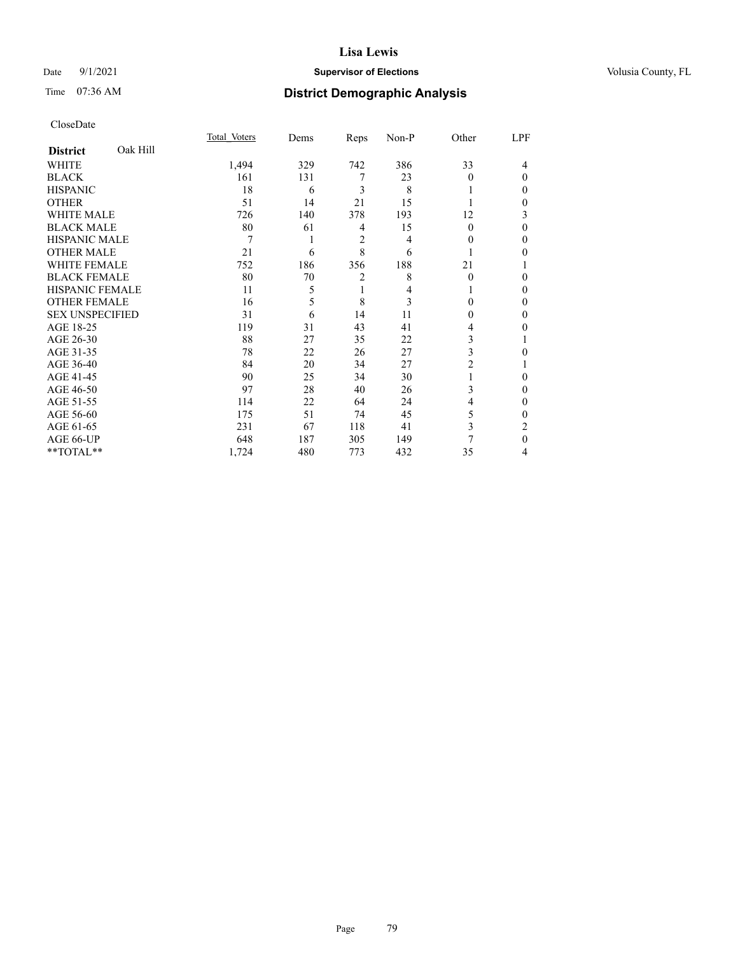### Date 9/1/2021 **Supervisor of Elections Supervisor of Elections** Volusia County, FL

# Time 07:36 AM **District Demographic Analysis**

|                        |          | Total Voters | Dems | Reps           | Non-P | Other    | LPF          |
|------------------------|----------|--------------|------|----------------|-------|----------|--------------|
| <b>District</b>        | Oak Hill |              |      |                |       |          |              |
| WHITE                  |          | 1,494        | 329  | 742            | 386   | 33       | 4            |
| <b>BLACK</b>           |          | 161          | 131  | 7              | 23    | $\Omega$ | $\Omega$     |
| <b>HISPANIC</b>        |          | 18           | 6    | 3              | 8     |          | 0            |
| <b>OTHER</b>           |          | 51           | 14   | 21             | 15    |          | 0            |
| WHITE MALE             |          | 726          | 140  | 378            | 193   | 12       | 3            |
| <b>BLACK MALE</b>      |          | 80           | 61   | 4              | 15    | $\theta$ | $\Omega$     |
| <b>HISPANIC MALE</b>   |          | 7            | 1    | $\overline{2}$ | 4     | 0        | 0            |
| <b>OTHER MALE</b>      |          | 21           | 6    | 8              | 6     | 1        | 0            |
| WHITE FEMALE           |          | 752          | 186  | 356            | 188   | 21       |              |
| <b>BLACK FEMALE</b>    |          | 80           | 70   | 2              | 8     | $\theta$ | 0            |
| <b>HISPANIC FEMALE</b> |          | 11           | 5    | 1              | 4     |          | 0            |
| <b>OTHER FEMALE</b>    |          | 16           | 5    | 8              | 3     | 0        | 0            |
| <b>SEX UNSPECIFIED</b> |          | 31           | 6    | 14             | 11    | $\theta$ | $\Omega$     |
| AGE 18-25              |          | 119          | 31   | 43             | 41    | 4        | 0            |
| AGE 26-30              |          | 88           | 27   | 35             | 22    | 3        |              |
| AGE 31-35              |          | 78           | 22   | 26             | 27    | 3        | 0            |
| AGE 36-40              |          | 84           | 20   | 34             | 27    | 2        |              |
| AGE 41-45              |          | 90           | 25   | 34             | 30    |          | 0            |
| AGE 46-50              |          | 97           | 28   | 40             | 26    | 3        | 0            |
| AGE 51-55              |          | 114          | 22   | 64             | 24    | 4        | $\mathbf{0}$ |
| AGE 56-60              |          | 175          | 51   | 74             | 45    | 5        | 0            |
| AGE 61-65              |          | 231          | 67   | 118            | 41    | 3        | 2            |
| AGE 66-UP              |          | 648          | 187  | 305            | 149   |          | $\theta$     |
| **TOTAL**              |          | 1,724        | 480  | 773            | 432   | 35       | 4            |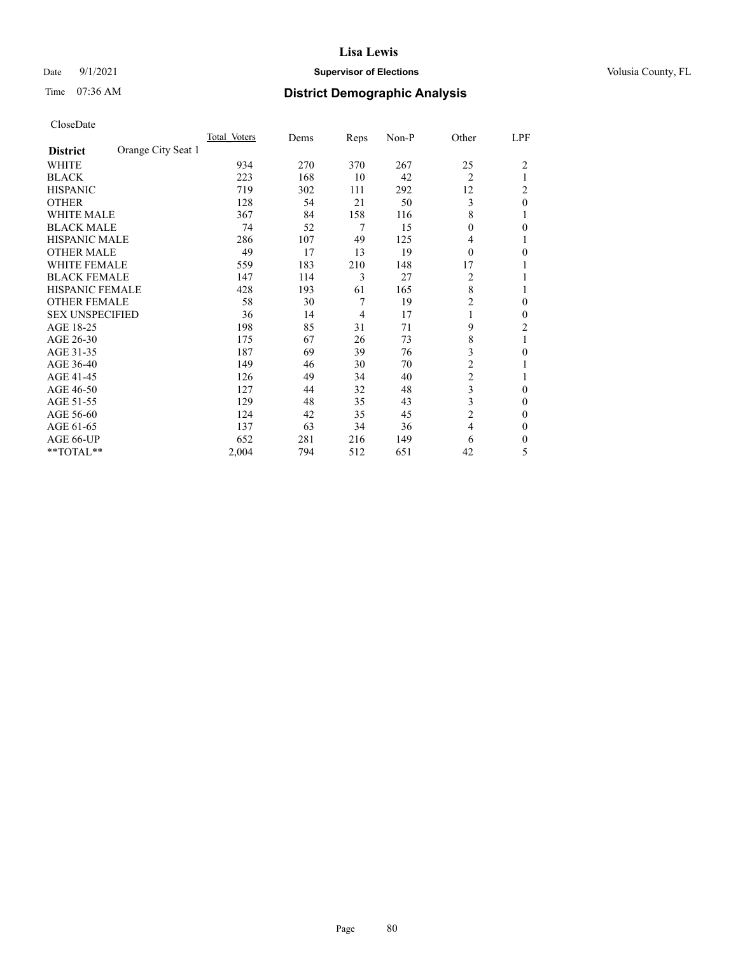### Date 9/1/2021 **Supervisor of Elections Supervisor of Elections** Volusia County, FL

# Time 07:36 AM **District Demographic Analysis**

|                        |                    | Total Voters | Dems | Reps           | Non-P | Other          | LPF            |
|------------------------|--------------------|--------------|------|----------------|-------|----------------|----------------|
| <b>District</b>        | Orange City Seat 1 |              |      |                |       |                |                |
| WHITE                  |                    | 934          | 270  | 370            | 267   | 25             | $\overline{2}$ |
| <b>BLACK</b>           |                    | 223          | 168  | 10             | 42    | $\overline{2}$ |                |
| <b>HISPANIC</b>        |                    | 719          | 302  | 111            | 292   | 12             | 2              |
| <b>OTHER</b>           |                    | 128          | 54   | 21             | 50    | 3              | $\theta$       |
| WHITE MALE             |                    | 367          | 84   | 158            | 116   | 8              |                |
| <b>BLACK MALE</b>      |                    | 74           | 52   | 7              | 15    | $\theta$       | 0              |
| HISPANIC MALE          |                    | 286          | 107  | 49             | 125   | 4              |                |
| <b>OTHER MALE</b>      |                    | 49           | 17   | 13             | 19    | $\Omega$       | 0              |
| WHITE FEMALE           |                    | 559          | 183  | 210            | 148   | 17             |                |
| <b>BLACK FEMALE</b>    |                    | 147          | 114  | 3              | 27    | 2              |                |
| <b>HISPANIC FEMALE</b> |                    | 428          | 193  | 61             | 165   | 8              |                |
| <b>OTHER FEMALE</b>    |                    | 58           | 30   | 7              | 19    | $\overline{c}$ | 0              |
| <b>SEX UNSPECIFIED</b> |                    | 36           | 14   | $\overline{4}$ | 17    | 1              | 0              |
| AGE 18-25              |                    | 198          | 85   | 31             | 71    | 9              | $\overline{2}$ |
| AGE 26-30              |                    | 175          | 67   | 26             | 73    | 8              | 1              |
| AGE 31-35              |                    | 187          | 69   | 39             | 76    | 3              | 0              |
| AGE 36-40              |                    | 149          | 46   | 30             | 70    | 2              |                |
| AGE 41-45              |                    | 126          | 49   | 34             | 40    | $\overline{c}$ |                |
| AGE 46-50              |                    | 127          | 44   | 32             | 48    | 3              | $\Omega$       |
| AGE 51-55              |                    | 129          | 48   | 35             | 43    | 3              | 0              |
| AGE 56-60              |                    | 124          | 42   | 35             | 45    | $\overline{c}$ | 0              |
| AGE 61-65              |                    | 137          | 63   | 34             | 36    | 4              | $\theta$       |
| AGE 66-UP              |                    | 652          | 281  | 216            | 149   | 6              | 0              |
| $*$ $TOTAL**$          |                    | 2,004        | 794  | 512            | 651   | 42             | 5              |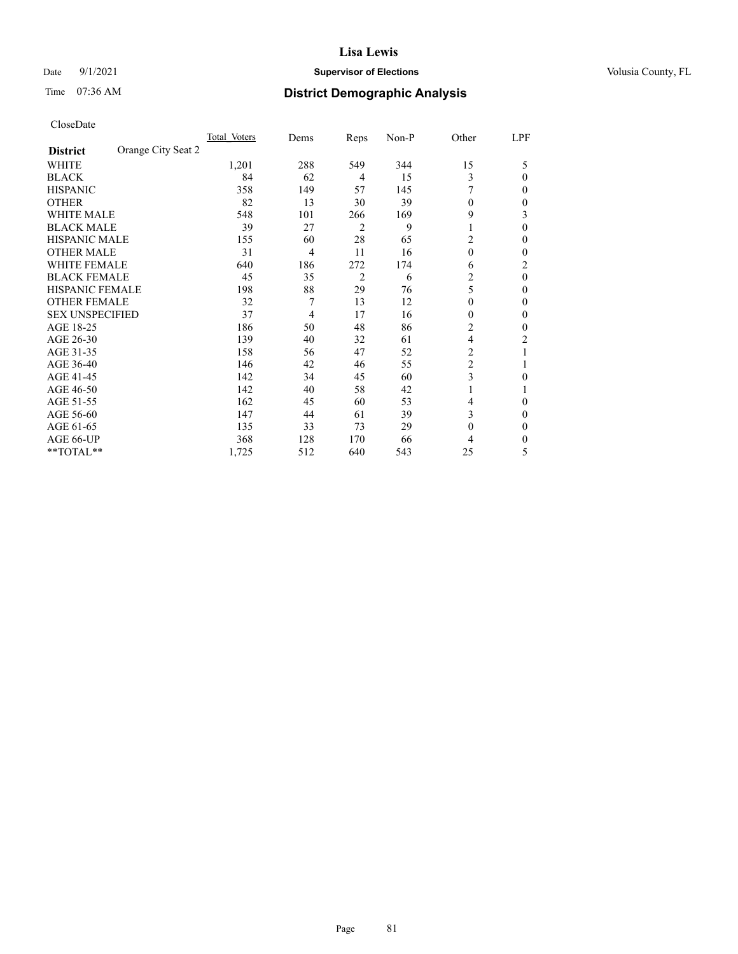### Date 9/1/2021 **Supervisor of Elections Supervisor of Elections** Volusia County, FL

# Time 07:36 AM **District Demographic Analysis**

|                        |                    | Total Voters | Dems | Reps           | Non-P | Other          | LPF      |
|------------------------|--------------------|--------------|------|----------------|-------|----------------|----------|
| <b>District</b>        | Orange City Seat 2 |              |      |                |       |                |          |
| WHITE                  |                    | 1,201        | 288  | 549            | 344   | 15             | 5        |
| <b>BLACK</b>           |                    | 84           | 62   | 4              | 15    | 3              | 0        |
| <b>HISPANIC</b>        |                    | 358          | 149  | 57             | 145   |                | 0        |
| <b>OTHER</b>           |                    | 82           | 13   | 30             | 39    | $\theta$       | 0        |
| <b>WHITE MALE</b>      |                    | 548          | 101  | 266            | 169   | 9              | 3        |
| <b>BLACK MALE</b>      |                    | 39           | 27   | 2              | 9     | 1              | $\theta$ |
| <b>HISPANIC MALE</b>   |                    | 155          | 60   | 28             | 65    | 2              | 0        |
| <b>OTHER MALE</b>      |                    | 31           | 4    | 11             | 16    | $\theta$       | 0        |
| <b>WHITE FEMALE</b>    |                    | 640          | 186  | 272            | 174   | 6              | 2        |
| <b>BLACK FEMALE</b>    |                    | 45           | 35   | $\overline{2}$ | 6     | 2              | $\theta$ |
| <b>HISPANIC FEMALE</b> |                    | 198          | 88   | 29             | 76    | 5              | 0        |
| <b>OTHER FEMALE</b>    |                    | 32           | 7    | 13             | 12    | $\theta$       | 0        |
| <b>SEX UNSPECIFIED</b> |                    | 37           | 4    | 17             | 16    | $\theta$       | 0        |
| AGE 18-25              |                    | 186          | 50   | 48             | 86    | 2              | 0        |
| AGE 26-30              |                    | 139          | 40   | 32             | 61    | $\overline{4}$ | 2        |
| AGE 31-35              |                    | 158          | 56   | 47             | 52    | 2              |          |
| AGE 36-40              |                    | 146          | 42   | 46             | 55    | $\overline{c}$ |          |
| AGE 41-45              |                    | 142          | 34   | 45             | 60    | 3              | 0        |
| AGE 46-50              |                    | 142          | 40   | 58             | 42    | 1              |          |
| AGE 51-55              |                    | 162          | 45   | 60             | 53    | 4              | 0        |
| AGE 56-60              |                    | 147          | 44   | 61             | 39    | 3              | 0        |
| AGE 61-65              |                    | 135          | 33   | 73             | 29    | $\mathbf{0}$   | 0        |
| AGE 66-UP              |                    | 368          | 128  | 170            | 66    | 4              | 0        |
| **TOTAL**              |                    | 1,725        | 512  | 640            | 543   | 25             | 5        |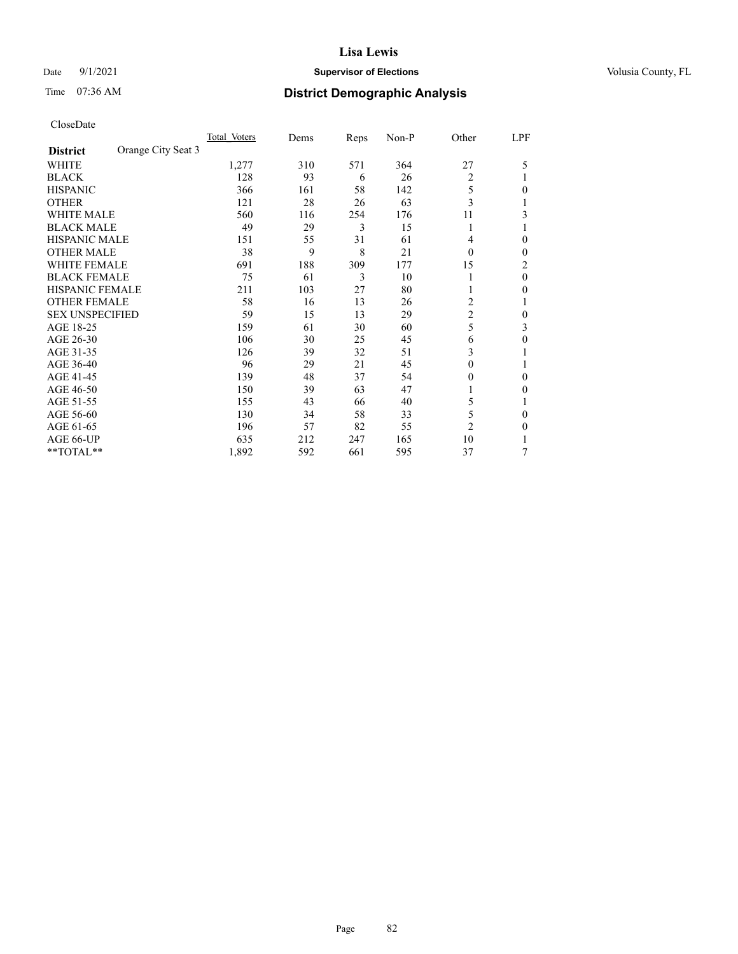### Date 9/1/2021 **Supervisor of Elections Supervisor of Elections** Volusia County, FL

# Time 07:36 AM **District Demographic Analysis**

|                        |                    | Total Voters | Dems | Reps | Non-P | Other          | LPF            |
|------------------------|--------------------|--------------|------|------|-------|----------------|----------------|
| <b>District</b>        | Orange City Seat 3 |              |      |      |       |                |                |
| WHITE                  |                    | 1,277        | 310  | 571  | 364   | 27             | 5              |
| <b>BLACK</b>           |                    | 128          | 93   | 6    | 26    | $\overline{2}$ |                |
| <b>HISPANIC</b>        |                    | 366          | 161  | 58   | 142   | 5              | 0              |
| <b>OTHER</b>           |                    | 121          | 28   | 26   | 63    | 3              |                |
| <b>WHITE MALE</b>      |                    | 560          | 116  | 254  | 176   | 11             | 3              |
| <b>BLACK MALE</b>      |                    | 49           | 29   | 3    | 15    | 1              |                |
| <b>HISPANIC MALE</b>   |                    | 151          | 55   | 31   | 61    | 4              | 0              |
| <b>OTHER MALE</b>      |                    | 38           | 9    | 8    | 21    | $\Omega$       | $\mathbf{0}$   |
| WHITE FEMALE           |                    | 691          | 188  | 309  | 177   | 15             | $\overline{2}$ |
| <b>BLACK FEMALE</b>    |                    | 75           | 61   | 3    | 10    |                | $\theta$       |
| <b>HISPANIC FEMALE</b> |                    | 211          | 103  | 27   | 80    |                | $\Omega$       |
| <b>OTHER FEMALE</b>    |                    | 58           | 16   | 13   | 26    | 2              |                |
| <b>SEX UNSPECIFIED</b> |                    | 59           | 15   | 13   | 29    | $\overline{c}$ | 0              |
| AGE 18-25              |                    | 159          | 61   | 30   | 60    | 5              | 3              |
| AGE 26-30              |                    | 106          | 30   | 25   | 45    | 6              | $\theta$       |
| AGE 31-35              |                    | 126          | 39   | 32   | 51    | 3              |                |
| AGE 36-40              |                    | 96           | 29   | 21   | 45    | 0              |                |
| AGE 41-45              |                    | 139          | 48   | 37   | 54    | 0              | $\Omega$       |
| AGE 46-50              |                    | 150          | 39   | 63   | 47    | 1              | $\Omega$       |
| AGE 51-55              |                    | 155          | 43   | 66   | 40    | 5              |                |
| AGE 56-60              |                    | 130          | 34   | 58   | 33    | 5              | $\theta$       |
| AGE 61-65              |                    | 196          | 57   | 82   | 55    | $\overline{2}$ | $\theta$       |
| AGE 66-UP              |                    | 635          | 212  | 247  | 165   | 10             |                |
| **TOTAL**              |                    | 1,892        | 592  | 661  | 595   | 37             | 7              |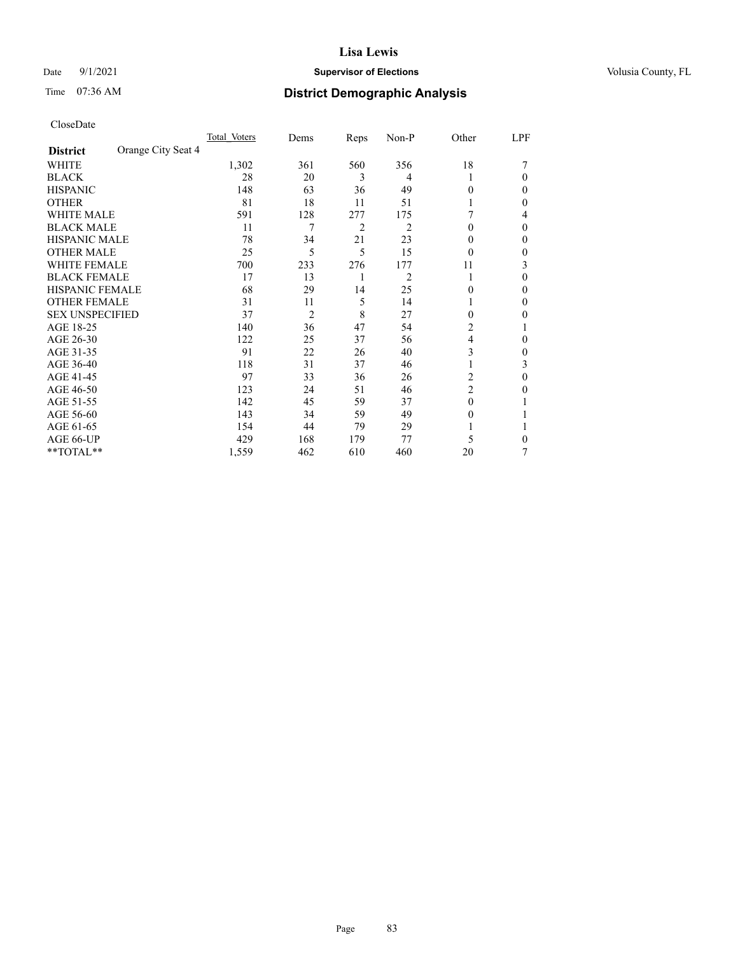### Date 9/1/2021 **Supervisor of Elections Supervisor of Elections** Volusia County, FL

# Time 07:36 AM **District Demographic Analysis**

|                        |                    | Total Voters | Dems           | Reps | Non-P          | Other          | LPF |
|------------------------|--------------------|--------------|----------------|------|----------------|----------------|-----|
| <b>District</b>        | Orange City Seat 4 |              |                |      |                |                |     |
| WHITE                  |                    | 1,302        | 361            | 560  | 356            | 18             |     |
| <b>BLACK</b>           |                    | 28           | 20             | 3    | 4              |                | 0   |
| <b>HISPANIC</b>        |                    | 148          | 63             | 36   | 49             | 0              | 0   |
| <b>OTHER</b>           |                    | 81           | 18             | 11   | 51             |                | 0   |
| <b>WHITE MALE</b>      |                    | 591          | 128            | 277  | 175            |                | 4   |
| <b>BLACK MALE</b>      |                    | 11           | 7              | 2    | $\overline{c}$ | $\theta$       | 0   |
| <b>HISPANIC MALE</b>   |                    | 78           | 34             | 21   | 23             | $_{0}$         | 0   |
| <b>OTHER MALE</b>      |                    | 25           | 5              | 5    | 15             | $\theta$       | 0   |
| <b>WHITE FEMALE</b>    |                    | 700          | 233            | 276  | 177            | 11             | 3   |
| <b>BLACK FEMALE</b>    |                    | 17           | 13             | 1    | $\overline{c}$ | 1              | 0   |
| <b>HISPANIC FEMALE</b> |                    | 68           | 29             | 14   | 25             | 0              | 0   |
| <b>OTHER FEMALE</b>    |                    | 31           | 11             | 5    | 14             |                | 0   |
| <b>SEX UNSPECIFIED</b> |                    | 37           | $\overline{2}$ | 8    | 27             | $\Omega$       | 0   |
| AGE 18-25              |                    | 140          | 36             | 47   | 54             | 2              |     |
| AGE 26-30              |                    | 122          | 25             | 37   | 56             | 4              | 0   |
| AGE 31-35              |                    | 91           | 22             | 26   | 40             | 3              | 0   |
| AGE 36-40              |                    | 118          | 31             | 37   | 46             |                | 3   |
| AGE 41-45              |                    | 97           | 33             | 36   | 26             | 2              | 0   |
| AGE 46-50              |                    | 123          | 24             | 51   | 46             | $\overline{2}$ | 0   |
| AGE 51-55              |                    | 142          | 45             | 59   | 37             | $\Omega$       |     |
| AGE 56-60              |                    | 143          | 34             | 59   | 49             | $\theta$       |     |
| AGE 61-65              |                    | 154          | 44             | 79   | 29             |                |     |
| AGE 66-UP              |                    | 429          | 168            | 179  | 77             | 5              | 0   |
| **TOTAL**              |                    | 1,559        | 462            | 610  | 460            | 20             | 7   |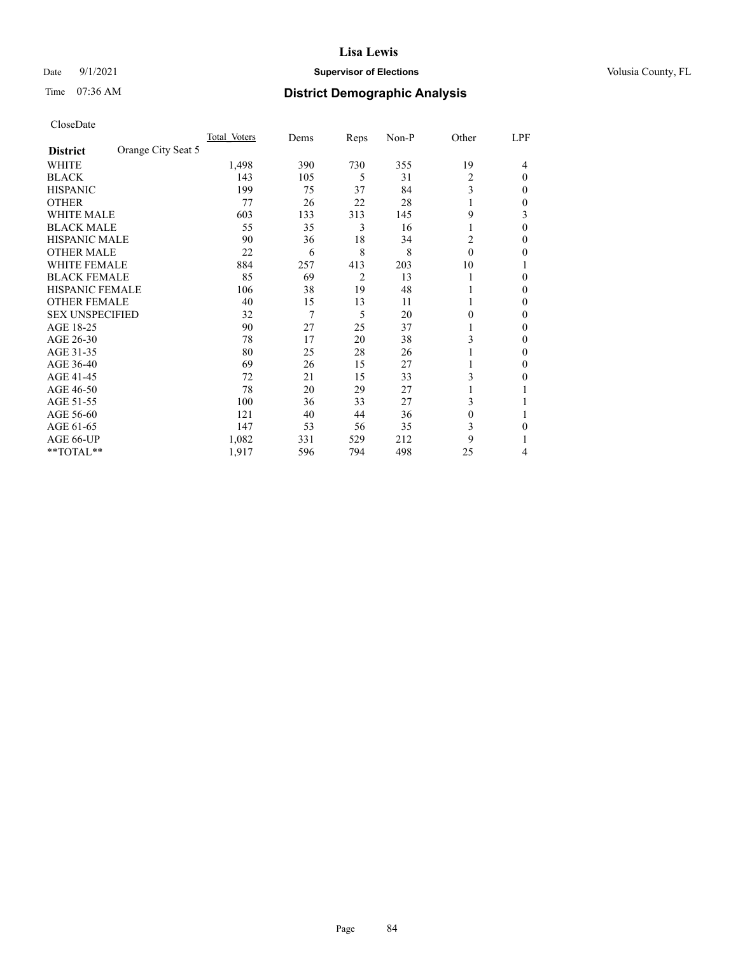### Date 9/1/2021 **Supervisor of Elections Supervisor of Elections** Volusia County, FL

# Time 07:36 AM **District Demographic Analysis**

|                        |                    | Total Voters | Dems | Reps           | Non-P | Other    | LPF      |
|------------------------|--------------------|--------------|------|----------------|-------|----------|----------|
| <b>District</b>        | Orange City Seat 5 |              |      |                |       |          |          |
| WHITE                  |                    | 1,498        | 390  | 730            | 355   | 19       | 4        |
| <b>BLACK</b>           |                    | 143          | 105  | 5              | 31    | 2        | $\Omega$ |
| <b>HISPANIC</b>        |                    | 199          | 75   | 37             | 84    | 3        | 0        |
| <b>OTHER</b>           |                    | 77           | 26   | 22             | 28    |          | 0        |
| WHITE MALE             |                    | 603          | 133  | 313            | 145   | 9        | 3        |
| <b>BLACK MALE</b>      |                    | 55           | 35   | 3              | 16    | 1        | 0        |
| <b>HISPANIC MALE</b>   |                    | 90           | 36   | 18             | 34    | 2        | 0        |
| <b>OTHER MALE</b>      |                    | 22           | 6    | 8              | 8     | $\theta$ | 0        |
| WHITE FEMALE           |                    | 884          | 257  | 413            | 203   | 10       |          |
| <b>BLACK FEMALE</b>    |                    | 85           | 69   | $\overline{2}$ | 13    |          | 0        |
| <b>HISPANIC FEMALE</b> |                    | 106          | 38   | 19             | 48    |          | 0        |
| <b>OTHER FEMALE</b>    |                    | 40           | 15   | 13             | 11    |          | 0        |
| <b>SEX UNSPECIFIED</b> |                    | 32           | 7    | 5              | 20    | 0        | 0        |
| AGE 18-25              |                    | 90           | 27   | 25             | 37    |          | 0        |
| AGE 26-30              |                    | 78           | 17   | 20             | 38    | 3        | 0        |
| AGE 31-35              |                    | 80           | 25   | 28             | 26    |          | 0        |
| AGE 36-40              |                    | 69           | 26   | 15             | 27    |          | 0        |
| AGE 41-45              |                    | 72           | 21   | 15             | 33    | 3        | 0        |
| AGE 46-50              |                    | 78           | 20   | 29             | 27    |          |          |
| AGE 51-55              |                    | 100          | 36   | 33             | 27    | 3        |          |
| AGE 56-60              |                    | 121          | 40   | 44             | 36    | $\theta$ |          |
| AGE 61-65              |                    | 147          | 53   | 56             | 35    | 3        | 0        |
| AGE 66-UP              |                    | 1,082        | 331  | 529            | 212   | 9        |          |
| **TOTAL**              |                    | 1,917        | 596  | 794            | 498   | 25       | 4        |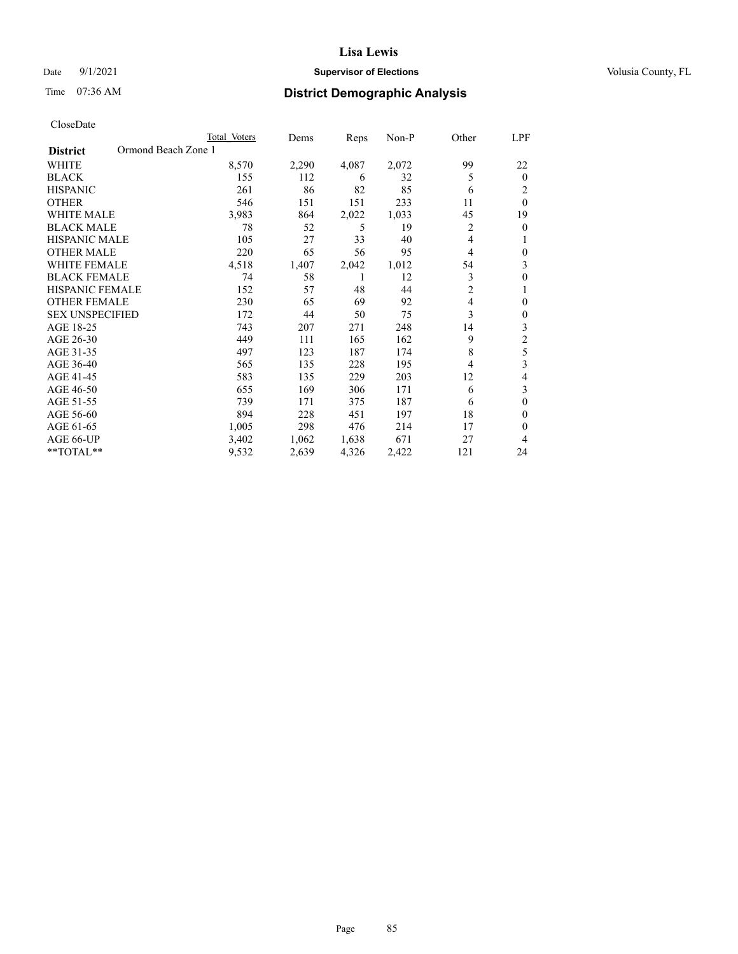### Date 9/1/2021 **Supervisor of Elections Supervisor of Elections** Volusia County, FL

# Time 07:36 AM **District Demographic Analysis**

| Total Voters | Dems                | Reps  | $Non-P$ | Other          | LPF            |
|--------------|---------------------|-------|---------|----------------|----------------|
|              |                     |       |         |                |                |
| 8,570        | 2,290               | 4,087 | 2,072   | 99             | 22             |
| 155          | 112                 | 6     | 32      | 5              | $\theta$       |
| 261          | 86                  | 82    | 85      | 6              | 2              |
| 546          | 151                 | 151   | 233     | 11             | $\theta$       |
| 3,983        | 864                 | 2,022 | 1,033   | 45             | 19             |
| 78           | 52                  | 5     | 19      | 2              | $\theta$       |
| 105          | 27                  | 33    | 40      | 4              |                |
| 220          | 65                  | 56    | 95      | 4              | $\theta$       |
| 4,518        | 1,407               | 2,042 | 1,012   | 54             | 3              |
| 74           | 58                  | 1     | 12      | 3              | $\theta$       |
| 152          | 57                  | 48    | 44      | $\overline{c}$ | 1              |
| 230          | 65                  | 69    | 92      | 4              | $\theta$       |
| 172          | 44                  | 50    | 75      | 3              | $\theta$       |
| 743          | 207                 | 271   | 248     | 14             | 3              |
| 449          | 111                 | 165   | 162     | 9              | $\overline{c}$ |
| 497          | 123                 | 187   | 174     | 8              | 5              |
| 565          | 135                 | 228   | 195     | 4              | 3              |
| 583          | 135                 | 229   | 203     | 12             | 4              |
| 655          | 169                 | 306   | 171     | 6              | 3              |
| 739          | 171                 | 375   | 187     | 6              | $\theta$       |
| 894          | 228                 | 451   | 197     | 18             | $\theta$       |
| 1,005        | 298                 | 476   | 214     | 17             | $\theta$       |
| 3,402        | 1,062               | 1,638 | 671     | 27             | 4              |
| 9,532        | 2,639               | 4,326 | 2,422   | 121            | 24             |
|              | Ormond Beach Zone 1 |       |         |                |                |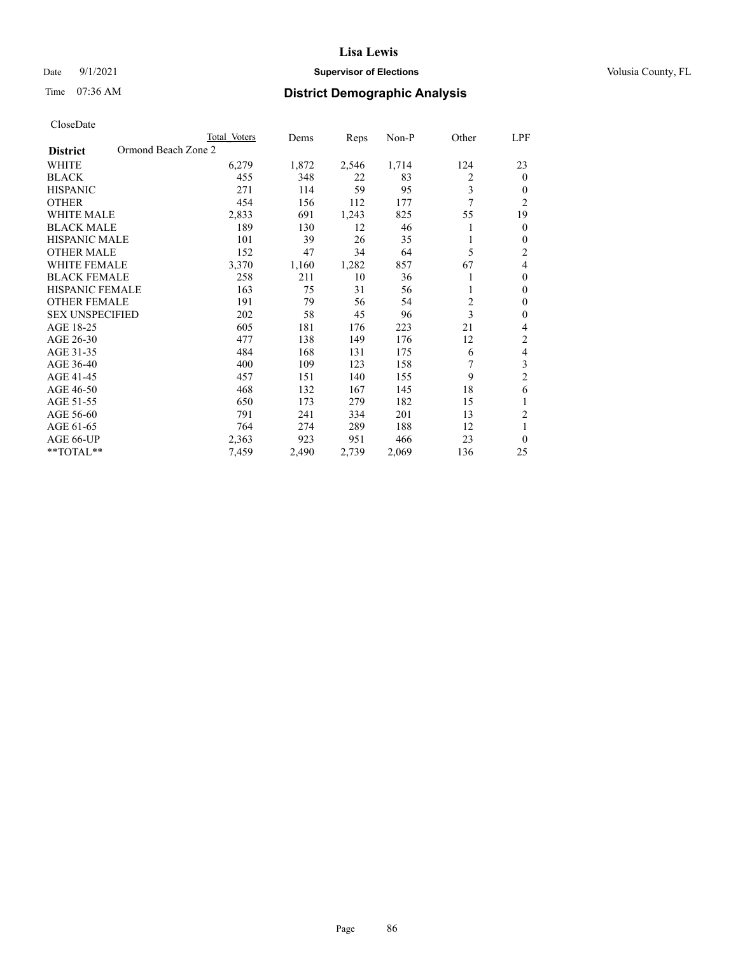### Date 9/1/2021 **Supervisor of Elections Supervisor of Elections** Volusia County, FL

# Time 07:36 AM **District Demographic Analysis**

|                                        | Total Voters | Dems  | Reps  | Non-P | Other          | LPF            |
|----------------------------------------|--------------|-------|-------|-------|----------------|----------------|
| Ormond Beach Zone 2<br><b>District</b> |              |       |       |       |                |                |
| WHITE                                  | 6,279        | 1,872 | 2,546 | 1,714 | 124            | 23             |
| <b>BLACK</b>                           | 455          | 348   | 22    | 83    | 2              | $\mathbf{0}$   |
| <b>HISPANIC</b>                        | 271          | 114   | 59    | 95    | 3              | $\Omega$       |
| <b>OTHER</b>                           | 454          | 156   | 112   | 177   | 7              | $\overline{2}$ |
| <b>WHITE MALE</b>                      | 2,833        | 691   | 1,243 | 825   | 55             | 19             |
| <b>BLACK MALE</b>                      | 189          | 130   | 12    | 46    |                | $\mathbf{0}$   |
| <b>HISPANIC MALE</b>                   | 101          | 39    | 26    | 35    |                | $\theta$       |
| <b>OTHER MALE</b>                      | 152          | 47    | 34    | 64    | 5              | $\overline{c}$ |
| <b>WHITE FEMALE</b>                    | 3,370        | 1,160 | 1,282 | 857   | 67             | 4              |
| <b>BLACK FEMALE</b>                    | 258          | 211   | 10    | 36    |                | $\theta$       |
| <b>HISPANIC FEMALE</b>                 | 163          | 75    | 31    | 56    |                | $\theta$       |
| <b>OTHER FEMALE</b>                    | 191          | 79    | 56    | 54    | $\overline{c}$ | $\theta$       |
| <b>SEX UNSPECIFIED</b>                 | 202          | 58    | 45    | 96    | 3              | $\theta$       |
| AGE 18-25                              | 605          | 181   | 176   | 223   | 21             | 4              |
| AGE 26-30                              | 477          | 138   | 149   | 176   | 12             | $\overline{2}$ |
| AGE 31-35                              | 484          | 168   | 131   | 175   | 6              | 4              |
| AGE 36-40                              | 400          | 109   | 123   | 158   | 7              | 3              |
| AGE 41-45                              | 457          | 151   | 140   | 155   | 9              | $\overline{c}$ |
| AGE 46-50                              | 468          | 132   | 167   | 145   | 18             | 6              |
| AGE 51-55                              | 650          | 173   | 279   | 182   | 15             | 1              |
| AGE 56-60                              | 791          | 241   | 334   | 201   | 13             | $\overline{2}$ |
| AGE 61-65                              | 764          | 274   | 289   | 188   | 12             | 1              |
| AGE 66-UP                              | 2,363        | 923   | 951   | 466   | 23             | $\theta$       |
| **TOTAL**                              | 7,459        | 2,490 | 2,739 | 2,069 | 136            | 25             |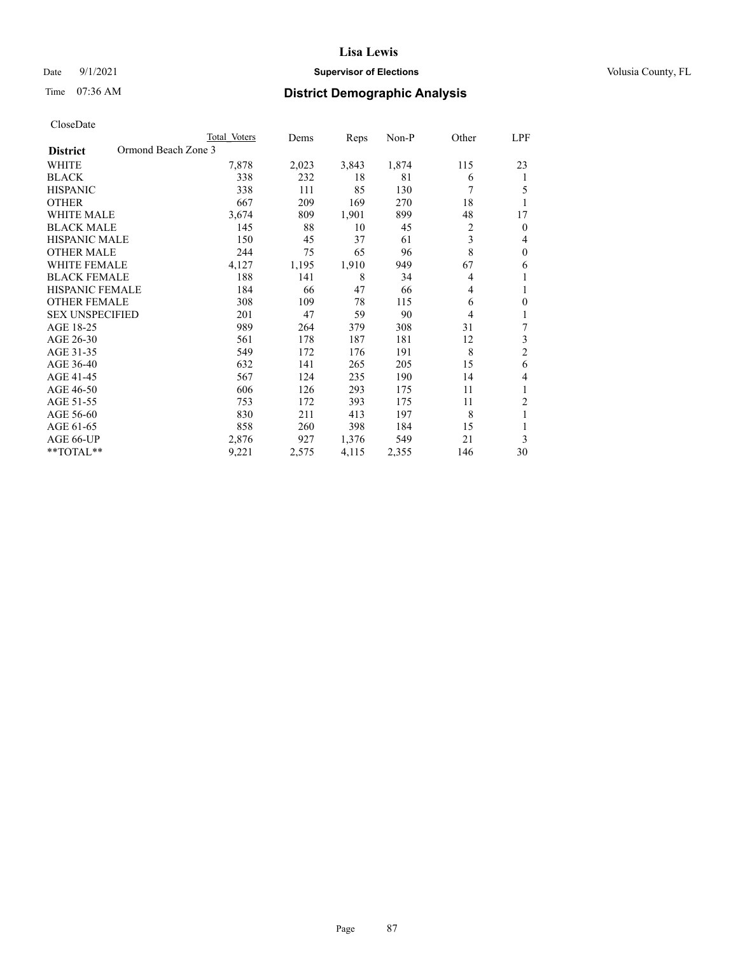### Date 9/1/2021 **Supervisor of Elections Supervisor of Elections** Volusia County, FL

# Time 07:36 AM **District Demographic Analysis**

|                                        | Total Voters | Dems  | Reps  | Non-P | Other          | <u>LPF</u>     |
|----------------------------------------|--------------|-------|-------|-------|----------------|----------------|
| Ormond Beach Zone 3<br><b>District</b> |              |       |       |       |                |                |
| WHITE                                  | 7,878        | 2,023 | 3,843 | 1,874 | 115            | 23             |
| <b>BLACK</b>                           | 338          | 232   | 18    | 81    | 6              | 1              |
| <b>HISPANIC</b>                        | 338          | 111   | 85    | 130   | 7              | 5              |
| <b>OTHER</b>                           | 667          | 209   | 169   | 270   | 18             | 1              |
| <b>WHITE MALE</b>                      | 3,674        | 809   | 1,901 | 899   | 48             | 17             |
| <b>BLACK MALE</b>                      | 145          | 88    | 10    | 45    | $\overline{c}$ | $\mathbf{0}$   |
| <b>HISPANIC MALE</b>                   | 150          | 45    | 37    | 61    | 3              | 4              |
| <b>OTHER MALE</b>                      | 244          | 75    | 65    | 96    | 8              | $\mathbf{0}$   |
| <b>WHITE FEMALE</b>                    | 4,127        | 1,195 | 1,910 | 949   | 67             | 6              |
| <b>BLACK FEMALE</b>                    | 188          | 141   | 8     | 34    | 4              | 1              |
| <b>HISPANIC FEMALE</b>                 | 184          | 66    | 47    | 66    | 4              | 1              |
| <b>OTHER FEMALE</b>                    | 308          | 109   | 78    | 115   | 6              | $\theta$       |
| <b>SEX UNSPECIFIED</b>                 | 201          | 47    | 59    | 90    | 4              | 1              |
| AGE 18-25                              | 989          | 264   | 379   | 308   | 31             | 7              |
| AGE 26-30                              | 561          | 178   | 187   | 181   | 12             | 3              |
| AGE 31-35                              | 549          | 172   | 176   | 191   | 8              | $\overline{2}$ |
| AGE 36-40                              | 632          | 141   | 265   | 205   | 15             | 6              |
| AGE 41-45                              | 567          | 124   | 235   | 190   | 14             | 4              |
| AGE 46-50                              | 606          | 126   | 293   | 175   | 11             | 1              |
| AGE 51-55                              | 753          | 172   | 393   | 175   | 11             | 2              |
| AGE 56-60                              | 830          | 211   | 413   | 197   | 8              | 1              |
| AGE 61-65                              | 858          | 260   | 398   | 184   | 15             | 1              |
| AGE 66-UP                              | 2,876        | 927   | 1,376 | 549   | 21             | 3              |
| **TOTAL**                              | 9,221        | 2,575 | 4,115 | 2,355 | 146            | 30             |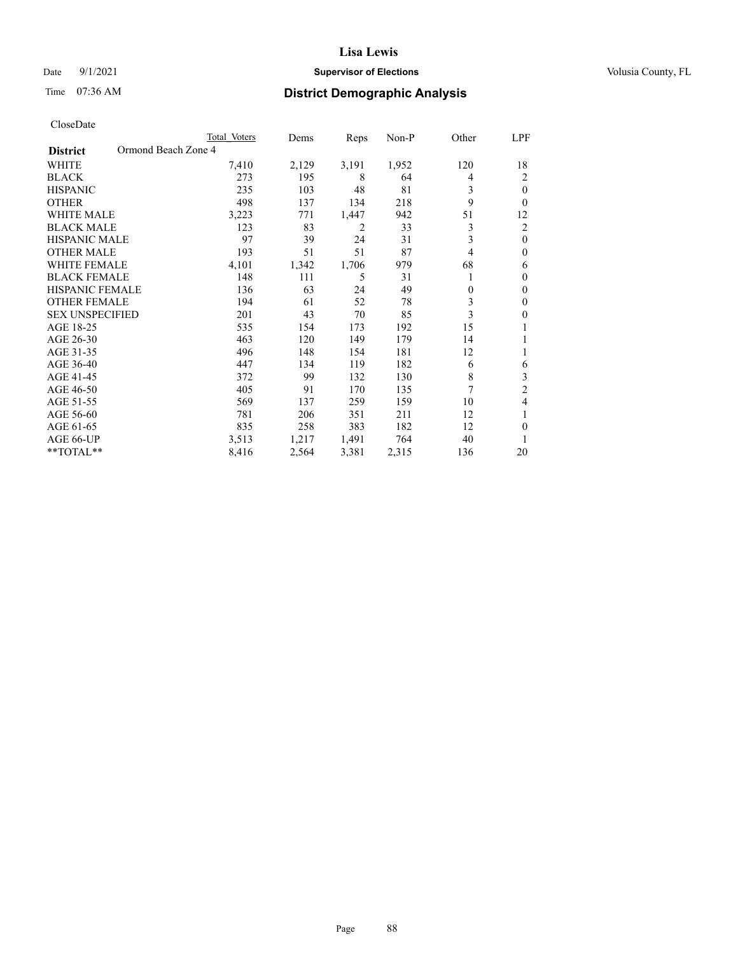### Date 9/1/2021 **Supervisor of Elections Supervisor of Elections** Volusia County, FL

# Time 07:36 AM **District Demographic Analysis**

|                                        | Total Voters | Dems  | Reps  | Non-P | Other    | LPF          |
|----------------------------------------|--------------|-------|-------|-------|----------|--------------|
| Ormond Beach Zone 4<br><b>District</b> |              |       |       |       |          |              |
| WHITE                                  | 7,410        | 2,129 | 3,191 | 1,952 | 120      | 18           |
| <b>BLACK</b>                           | 273          | 195   | 8     | 64    | 4        | 2            |
| <b>HISPANIC</b>                        | 235          | 103   | 48    | 81    | 3        | 0            |
| <b>OTHER</b>                           | 498          | 137   | 134   | 218   | 9        | 0            |
| WHITE MALE                             | 3,223        | 771   | 1,447 | 942   | 51       | 12           |
| <b>BLACK MALE</b>                      | 123          | 83    | 2     | 33    | 3        | 2            |
| HISPANIC MALE                          | 97           | 39    | 24    | 31    | 3        | $\mathbf{0}$ |
| <b>OTHER MALE</b>                      | 193          | 51    | 51    | 87    | 4        | 0            |
| WHITE FEMALE                           | 4,101        | 1,342 | 1,706 | 979   | 68       | 6            |
| <b>BLACK FEMALE</b>                    | 148          | 111   | 5     | 31    |          | 0            |
| <b>HISPANIC FEMALE</b>                 | 136          | 63    | 24    | 49    | $\theta$ | 0            |
| <b>OTHER FEMALE</b>                    | 194          | 61    | 52    | 78    | 3        | 0            |
| <b>SEX UNSPECIFIED</b>                 | 201          | 43    | 70    | 85    | 3        | 0            |
| AGE 18-25                              | 535          | 154   | 173   | 192   | 15       |              |
| AGE 26-30                              | 463          | 120   | 149   | 179   | 14       | 1            |
| AGE 31-35                              | 496          | 148   | 154   | 181   | 12       |              |
| AGE 36-40                              | 447          | 134   | 119   | 182   | 6        | 6            |
| AGE 41-45                              | 372          | 99    | 132   | 130   | 8        | 3            |
| AGE 46-50                              | 405          | 91    | 170   | 135   | 7        | 2            |
| AGE 51-55                              | 569          | 137   | 259   | 159   | 10       | 4            |
| AGE 56-60                              | 781          | 206   | 351   | 211   | 12       |              |
| AGE 61-65                              | 835          | 258   | 383   | 182   | 12       | 0            |
| AGE 66-UP                              | 3,513        | 1,217 | 1,491 | 764   | 40       |              |
| **TOTAL**                              | 8,416        | 2,564 | 3,381 | 2,315 | 136      | 20           |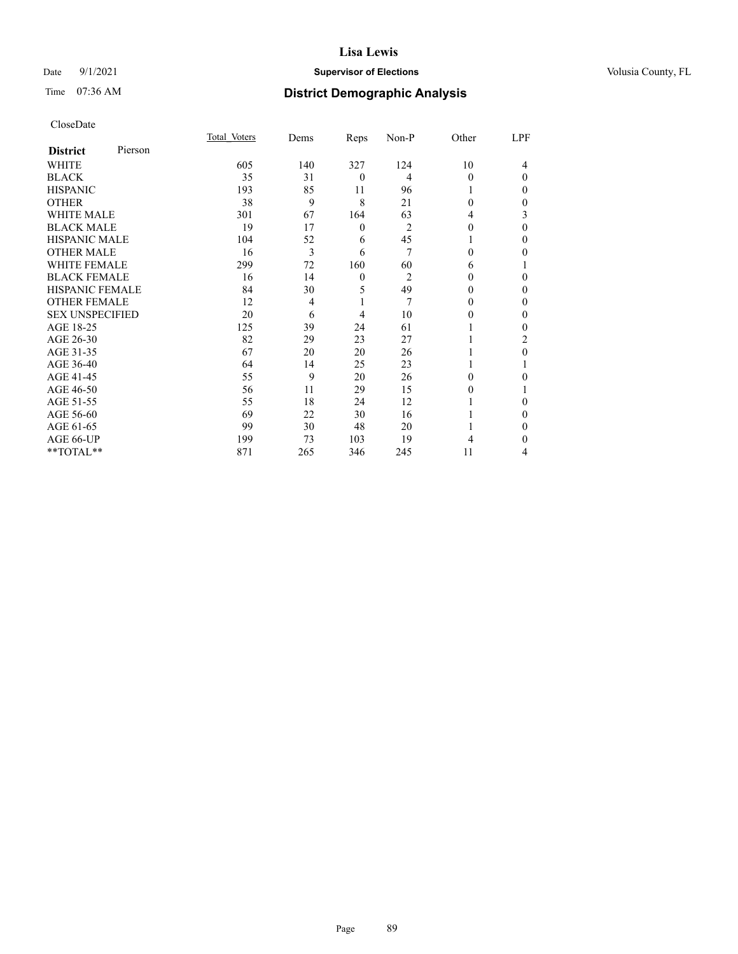### Date 9/1/2021 **Supervisor of Elections Supervisor of Elections** Volusia County, FL

# Time 07:36 AM **District Demographic Analysis**

|                        |         | Total Voters | Dems           | Reps           | Non-P          | Other    | LPF      |
|------------------------|---------|--------------|----------------|----------------|----------------|----------|----------|
| <b>District</b>        | Pierson |              |                |                |                |          |          |
| WHITE                  |         | 605          | 140            | 327            | 124            | 10       | 4        |
| <b>BLACK</b>           |         | 35           | 31             | $\overline{0}$ | 4              | $\Omega$ | $\Omega$ |
| <b>HISPANIC</b>        |         | 193          | 85             | 11             | 96             |          | 0        |
| <b>OTHER</b>           |         | 38           | 9              | 8              | 21             | $\Omega$ | 0        |
| WHITE MALE             |         | 301          | 67             | 164            | 63             | 4        | 3        |
| <b>BLACK MALE</b>      |         | 19           | 17             | $\theta$       | $\overline{2}$ | $\Omega$ | 0        |
| <b>HISPANIC MALE</b>   |         | 104          | 52             | 6              | 45             |          | 0        |
| <b>OTHER MALE</b>      |         | 16           | 3              | 6              | 7              | $\theta$ | 0        |
| WHITE FEMALE           |         | 299          | 72             | 160            | 60             | 6        |          |
| <b>BLACK FEMALE</b>    |         | 16           | 14             | $\overline{0}$ | $\overline{c}$ | $\Omega$ | 0        |
| <b>HISPANIC FEMALE</b> |         | 84           | 30             | 5              | 49             | $\Omega$ | 0        |
| <b>OTHER FEMALE</b>    |         | 12           | $\overline{4}$ | 1              | 7              | $\Omega$ | 0        |
| <b>SEX UNSPECIFIED</b> |         | 20           | 6              | 4              | 10             | $\theta$ | 0        |
| AGE 18-25              |         | 125          | 39             | 24             | 61             |          | 0        |
| AGE 26-30              |         | 82           | 29             | 23             | 27             |          | 2        |
| AGE 31-35              |         | 67           | 20             | 20             | 26             |          | 0        |
| AGE 36-40              |         | 64           | 14             | 25             | 23             | 1        |          |
| AGE 41-45              |         | 55           | 9              | 20             | 26             | 0        | 0        |
| AGE 46-50              |         | 56           | 11             | 29             | 15             | $\theta$ |          |
| AGE 51-55              |         | 55           | 18             | 24             | 12             |          | 0        |
| AGE 56-60              |         | 69           | 22             | 30             | 16             |          | 0        |
| AGE 61-65              |         | 99           | 30             | 48             | 20             |          | 0        |
| AGE 66-UP              |         | 199          | 73             | 103            | 19             | 4        | 0        |
| **TOTAL**              |         | 871          | 265            | 346            | 245            | 11       | 4        |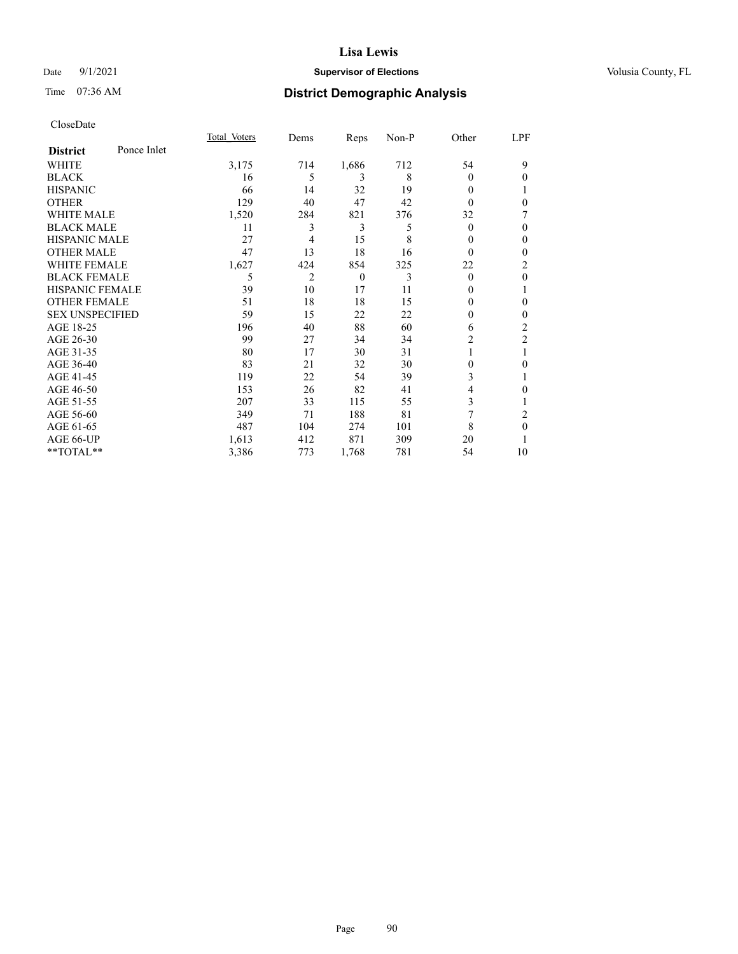### Date 9/1/2021 **Supervisor of Elections Supervisor of Elections** Volusia County, FL

# Time 07:36 AM **District Demographic Analysis**

|                        |             | Total Voters | Dems | Reps     | Non-P | Other    | LPF            |
|------------------------|-------------|--------------|------|----------|-------|----------|----------------|
| <b>District</b>        | Ponce Inlet |              |      |          |       |          |                |
| WHITE                  |             | 3,175        | 714  | 1,686    | 712   | 54       | 9              |
| <b>BLACK</b>           |             | 16           | 5    | 3        | 8     | 0        | 0              |
| <b>HISPANIC</b>        |             | 66           | 14   | 32       | 19    | 0        |                |
| <b>OTHER</b>           |             | 129          | 40   | 47       | 42    | 0        | 0              |
| <b>WHITE MALE</b>      |             | 1,520        | 284  | 821      | 376   | 32       | 7              |
| <b>BLACK MALE</b>      |             | 11           | 3    | 3        | 5     | $\theta$ | 0              |
| <b>HISPANIC MALE</b>   |             | 27           | 4    | 15       | 8     | 0        | $\theta$       |
| <b>OTHER MALE</b>      |             | 47           | 13   | 18       | 16    | $\Omega$ | $\mathbf{0}$   |
| <b>WHITE FEMALE</b>    |             | 1,627        | 424  | 854      | 325   | 22       | 2              |
| <b>BLACK FEMALE</b>    |             | 5            | 2    | $\theta$ | 3     | $\Omega$ | 0              |
| <b>HISPANIC FEMALE</b> |             | 39           | 10   | 17       | 11    | 0        |                |
| <b>OTHER FEMALE</b>    |             | 51           | 18   | 18       | 15    | 0        | $\Omega$       |
| <b>SEX UNSPECIFIED</b> |             | 59           | 15   | 22       | 22    | 0        | 0              |
| AGE 18-25              |             | 196          | 40   | 88       | 60    | 6        | $\overline{2}$ |
| AGE 26-30              |             | 99           | 27   | 34       | 34    | 2        | $\mathfrak{2}$ |
| AGE 31-35              |             | 80           | 17   | 30       | 31    |          | 1              |
| AGE 36-40              |             | 83           | 21   | 32       | 30    | 0        | 0              |
| AGE 41-45              |             | 119          | 22   | 54       | 39    | 3        |                |
| AGE 46-50              |             | 153          | 26   | 82       | 41    | 4        | 0              |
| AGE 51-55              |             | 207          | 33   | 115      | 55    | 3        | 1              |
| AGE 56-60              |             | 349          | 71   | 188      | 81    | 7        | 2              |
| AGE 61-65              |             | 487          | 104  | 274      | 101   | 8        | $\theta$       |
| AGE 66-UP              |             | 1,613        | 412  | 871      | 309   | 20       |                |
| **TOTAL**              |             | 3,386        | 773  | 1,768    | 781   | 54       | 10             |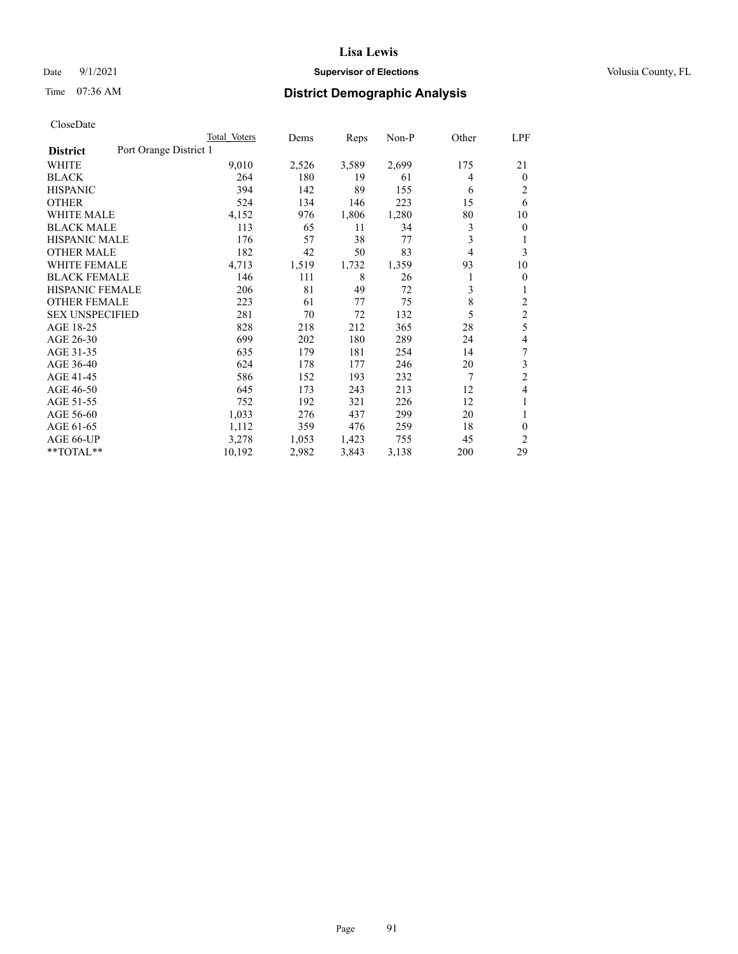### Date 9/1/2021 **Supervisor of Elections Supervisor of Elections** Volusia County, FL

# Time 07:36 AM **District Demographic Analysis**

|                                           | Total Voters | Dems  | Reps  | $Non-P$ | Other | LPF            |
|-------------------------------------------|--------------|-------|-------|---------|-------|----------------|
| Port Orange District 1<br><b>District</b> |              |       |       |         |       |                |
| WHITE                                     | 9,010        | 2,526 | 3,589 | 2,699   | 175   | 21             |
| <b>BLACK</b>                              | 264          | 180   | 19    | 61      | 4     | $\theta$       |
| <b>HISPANIC</b>                           | 394          | 142   | 89    | 155     | 6     | 2              |
| <b>OTHER</b>                              | 524          | 134   | 146   | 223     | 15    | 6              |
| <b>WHITE MALE</b>                         | 4,152        | 976   | 1,806 | 1,280   | 80    | 10             |
| <b>BLACK MALE</b>                         | 113          | 65    | 11    | 34      | 3     | $\theta$       |
| <b>HISPANIC MALE</b>                      | 176          | 57    | 38    | 77      | 3     | 1              |
| <b>OTHER MALE</b>                         | 182          | 42    | 50    | 83      | 4     | 3              |
| <b>WHITE FEMALE</b>                       | 4,713        | 1,519 | 1,732 | 1,359   | 93    | 10             |
| <b>BLACK FEMALE</b>                       | 146          | 111   | 8     | 26      |       | $\mathbf{0}$   |
| <b>HISPANIC FEMALE</b>                    | 206          | 81    | 49    | 72      | 3     | 1              |
| <b>OTHER FEMALE</b>                       | 223          | 61    | 77    | 75      | 8     | $\overline{2}$ |
| <b>SEX UNSPECIFIED</b>                    | 281          | 70    | 72    | 132     | 5     | $\overline{c}$ |
| AGE 18-25                                 | 828          | 218   | 212   | 365     | 28    | 5              |
| AGE 26-30                                 | 699          | 202   | 180   | 289     | 24    | 4              |
| AGE 31-35                                 | 635          | 179   | 181   | 254     | 14    | 7              |
| AGE 36-40                                 | 624          | 178   | 177   | 246     | 20    | 3              |
| AGE 41-45                                 | 586          | 152   | 193   | 232     | 7     | $\overline{2}$ |
| AGE 46-50                                 | 645          | 173   | 243   | 213     | 12    | 4              |
| AGE 51-55                                 | 752          | 192   | 321   | 226     | 12    | 1              |
| AGE 56-60                                 | 1,033        | 276   | 437   | 299     | 20    | 1              |
| AGE 61-65                                 | 1,112        | 359   | 476   | 259     | 18    | $\theta$       |
| AGE 66-UP                                 | 3,278        | 1,053 | 1,423 | 755     | 45    | 2              |
| **TOTAL**                                 | 10,192       | 2,982 | 3,843 | 3,138   | 200   | 29             |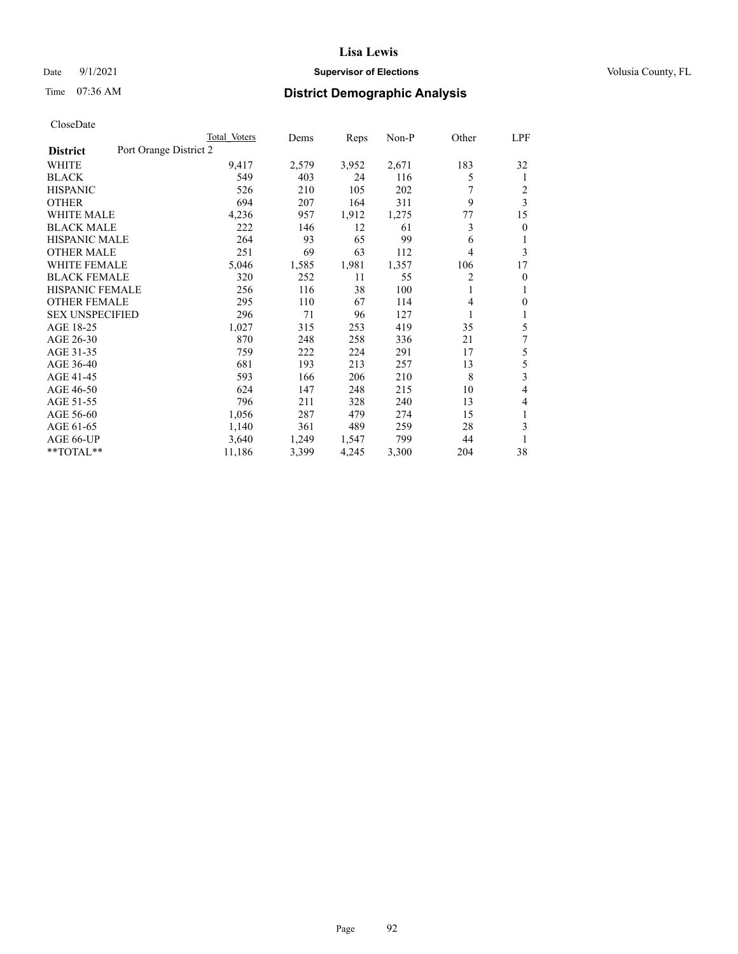### Date 9/1/2021 **Supervisor of Elections Supervisor of Elections** Volusia County, FL

# Time 07:36 AM **District Demographic Analysis**

|                                           | Total Voters | Dems  | Reps  | $Non-P$ | Other | LPF            |
|-------------------------------------------|--------------|-------|-------|---------|-------|----------------|
| Port Orange District 2<br><b>District</b> |              |       |       |         |       |                |
| WHITE                                     | 9,417        | 2,579 | 3,952 | 2,671   | 183   | 32             |
| <b>BLACK</b>                              | 549          | 403   | 24    | 116     | 5     | 1              |
| <b>HISPANIC</b>                           | 526          | 210   | 105   | 202     |       | 2              |
| <b>OTHER</b>                              | 694          | 207   | 164   | 311     | 9     | 3              |
| <b>WHITE MALE</b>                         | 4,236        | 957   | 1,912 | 1,275   | 77    | 15             |
| <b>BLACK MALE</b>                         | 222          | 146   | 12    | 61      | 3     | $\theta$       |
| <b>HISPANIC MALE</b>                      | 264          | 93    | 65    | 99      | 6     | 1              |
| <b>OTHER MALE</b>                         | 251          | 69    | 63    | 112     | 4     | 3              |
| <b>WHITE FEMALE</b>                       | 5,046        | 1,585 | 1,981 | 1,357   | 106   | 17             |
| <b>BLACK FEMALE</b>                       | 320          | 252   | 11    | 55      | 2     | $\overline{0}$ |
| <b>HISPANIC FEMALE</b>                    | 256          | 116   | 38    | 100     | 1     | 1              |
| <b>OTHER FEMALE</b>                       | 295          | 110   | 67    | 114     | 4     | $\theta$       |
| <b>SEX UNSPECIFIED</b>                    | 296          | 71    | 96    | 127     | 1     | 1              |
| AGE 18-25                                 | 1,027        | 315   | 253   | 419     | 35    | 5              |
| AGE 26-30                                 | 870          | 248   | 258   | 336     | 21    | 7              |
| AGE 31-35                                 | 759          | 222   | 224   | 291     | 17    | 5              |
| AGE 36-40                                 | 681          | 193   | 213   | 257     | 13    | 5              |
| AGE 41-45                                 | 593          | 166   | 206   | 210     | 8     | 3              |
| AGE 46-50                                 | 624          | 147   | 248   | 215     | 10    | 4              |
| AGE 51-55                                 | 796          | 211   | 328   | 240     | 13    | 4              |
| AGE 56-60                                 | 1,056        | 287   | 479   | 274     | 15    | 1              |
| AGE 61-65                                 | 1,140        | 361   | 489   | 259     | 28    | 3              |
| AGE 66-UP                                 | 3,640        | 1,249 | 1,547 | 799     | 44    |                |
| **TOTAL**                                 | 11,186       | 3,399 | 4,245 | 3,300   | 204   | 38             |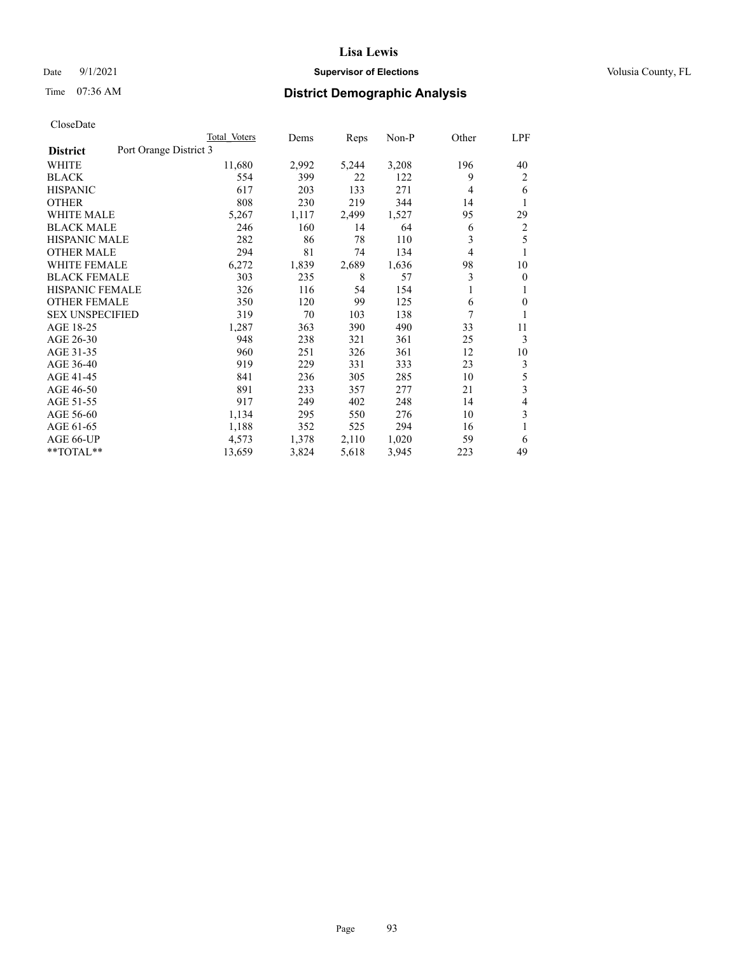### Date 9/1/2021 **Supervisor of Elections Supervisor of Elections** Volusia County, FL

# Time 07:36 AM **District Demographic Analysis**

|                        | Total Voters           | Dems  | Reps  | Non-P | Other | <u>LPF</u>     |  |  |
|------------------------|------------------------|-------|-------|-------|-------|----------------|--|--|
| <b>District</b>        | Port Orange District 3 |       |       |       |       |                |  |  |
| WHITE                  | 11,680                 | 2,992 | 5,244 | 3,208 | 196   | 40             |  |  |
| <b>BLACK</b>           | 554                    | 399   | 22    | 122   | 9     | 2              |  |  |
| <b>HISPANIC</b>        | 617                    | 203   | 133   | 271   | 4     | 6              |  |  |
| <b>OTHER</b>           | 808                    | 230   | 219   | 344   | 14    | 1              |  |  |
| <b>WHITE MALE</b>      | 5,267                  | 1,117 | 2,499 | 1,527 | 95    | 29             |  |  |
| <b>BLACK MALE</b>      | 246                    | 160   | 14    | 64    | 6     | 2              |  |  |
| <b>HISPANIC MALE</b>   | 282                    | 86    | 78    | 110   | 3     | 5              |  |  |
| <b>OTHER MALE</b>      | 294                    | 81    | 74    | 134   | 4     | 1              |  |  |
| <b>WHITE FEMALE</b>    | 6,272                  | 1,839 | 2,689 | 1,636 | 98    | 10             |  |  |
| <b>BLACK FEMALE</b>    | 303                    | 235   | 8     | 57    | 3     | $\theta$       |  |  |
| <b>HISPANIC FEMALE</b> | 326                    | 116   | 54    | 154   | 1     | 1              |  |  |
| <b>OTHER FEMALE</b>    | 350                    | 120   | 99    | 125   | 6     | $\Omega$       |  |  |
| <b>SEX UNSPECIFIED</b> | 319                    | 70    | 103   | 138   | 7     | 1              |  |  |
| AGE 18-25              | 1,287                  | 363   | 390   | 490   | 33    | 11             |  |  |
| AGE 26-30              | 948                    | 238   | 321   | 361   | 25    | 3              |  |  |
| AGE 31-35              | 960                    | 251   | 326   | 361   | 12    | 10             |  |  |
| AGE 36-40              | 919                    | 229   | 331   | 333   | 23    | 3              |  |  |
| AGE 41-45              | 841                    | 236   | 305   | 285   | 10    | 5              |  |  |
| AGE 46-50              | 891                    | 233   | 357   | 277   | 21    | 3              |  |  |
| AGE 51-55              | 917                    | 249   | 402   | 248   | 14    | $\overline{4}$ |  |  |
| AGE 56-60              | 1,134                  | 295   | 550   | 276   | 10    | 3              |  |  |
| AGE 61-65              | 1,188                  | 352   | 525   | 294   | 16    | 1              |  |  |
| AGE 66-UP              | 4,573                  | 1,378 | 2,110 | 1,020 | 59    | 6              |  |  |
| **TOTAL**              | 13,659                 | 3,824 | 5,618 | 3,945 | 223   | 49             |  |  |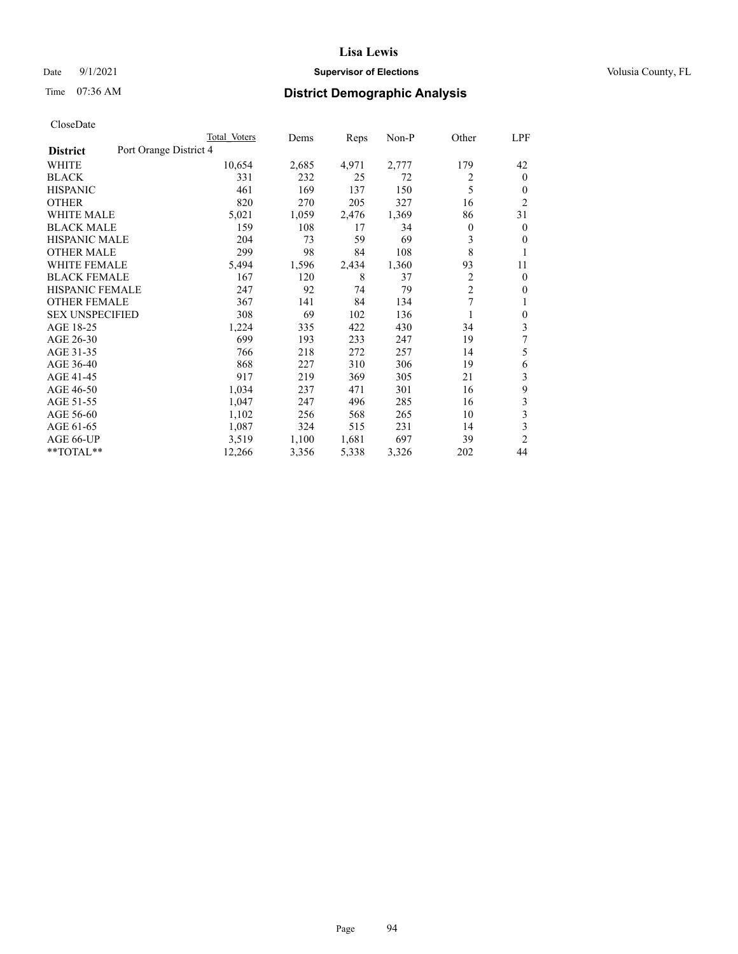### Date 9/1/2021 **Supervisor of Elections Supervisor of Elections** Volusia County, FL

# Time 07:36 AM **District Demographic Analysis**

|                                           | Total Voters | Dems  | Reps  | Non-P | Other          | LPF            |
|-------------------------------------------|--------------|-------|-------|-------|----------------|----------------|
| Port Orange District 4<br><b>District</b> |              |       |       |       |                |                |
| WHITE                                     | 10,654       | 2,685 | 4,971 | 2,777 | 179            | 42             |
| <b>BLACK</b>                              | 331          | 232   | 25    | 72    | 2              | $\mathbf{0}$   |
| <b>HISPANIC</b>                           | 461          | 169   | 137   | 150   | 5              | $\theta$       |
| <b>OTHER</b>                              | 820          | 270   | 205   | 327   | 16             | $\overline{2}$ |
| <b>WHITE MALE</b>                         | 5,021        | 1,059 | 2,476 | 1,369 | 86             | 31             |
| <b>BLACK MALE</b>                         | 159          | 108   | 17    | 34    | 0              | $\mathbf{0}$   |
| <b>HISPANIC MALE</b>                      | 204          | 73    | 59    | 69    | 3              | $\mathbf{0}$   |
| <b>OTHER MALE</b>                         | 299          | 98    | 84    | 108   | 8              | 1              |
| <b>WHITE FEMALE</b>                       | 5,494        | 1,596 | 2,434 | 1,360 | 93             | 11             |
| <b>BLACK FEMALE</b>                       | 167          | 120   | 8     | 37    | $\overline{c}$ | $\mathbf{0}$   |
| <b>HISPANIC FEMALE</b>                    | 247          | 92    | 74    | 79    | $\overline{2}$ | $\Omega$       |
| <b>OTHER FEMALE</b>                       | 367          | 141   | 84    | 134   | 7              | 1              |
| <b>SEX UNSPECIFIED</b>                    | 308          | 69    | 102   | 136   |                | $\theta$       |
| AGE 18-25                                 | 1,224        | 335   | 422   | 430   | 34             | 3              |
| AGE 26-30                                 | 699          | 193   | 233   | 247   | 19             | 7              |
| AGE 31-35                                 | 766          | 218   | 272   | 257   | 14             | 5              |
| AGE 36-40                                 | 868          | 227   | 310   | 306   | 19             | 6              |
| AGE 41-45                                 | 917          | 219   | 369   | 305   | 21             | 3              |
| AGE 46-50                                 | 1,034        | 237   | 471   | 301   | 16             | 9              |
| AGE 51-55                                 | 1,047        | 247   | 496   | 285   | 16             | 3              |
| AGE 56-60                                 | 1,102        | 256   | 568   | 265   | 10             | 3              |
| AGE 61-65                                 | 1,087        | 324   | 515   | 231   | 14             | 3              |
| AGE 66-UP                                 | 3,519        | 1,100 | 1,681 | 697   | 39             | $\overline{2}$ |
| $*$ $TOTAL**$                             | 12,266       | 3,356 | 5,338 | 3,326 | 202            | 44             |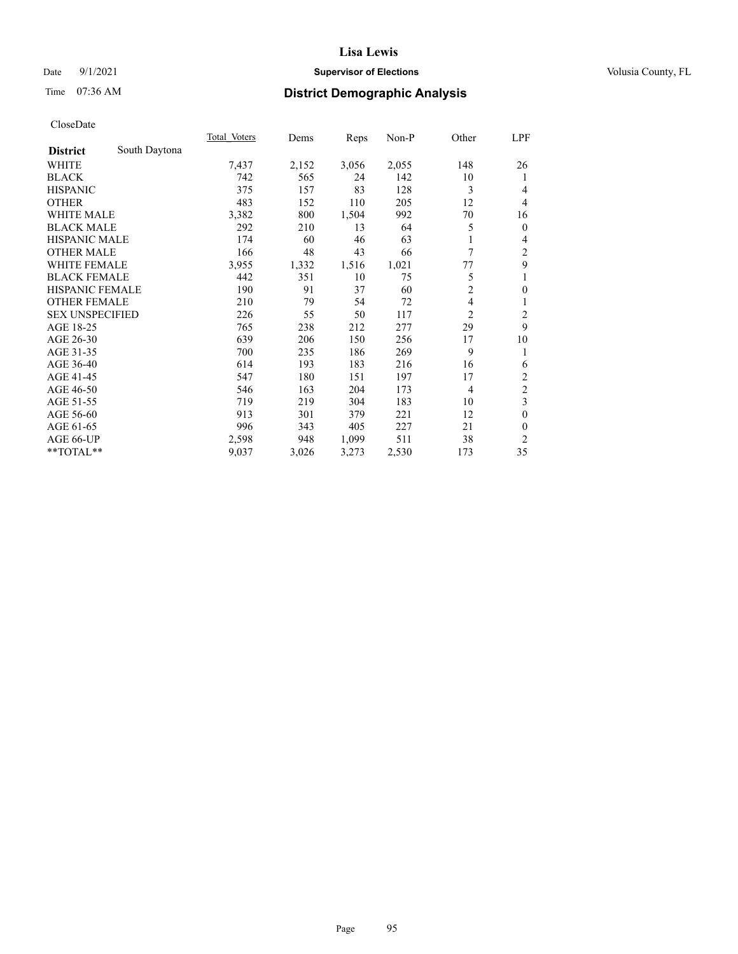### Date 9/1/2021 **Supervisor of Elections Supervisor of Elections** Volusia County, FL

# Time 07:36 AM **District Demographic Analysis**

|                        |               | Total Voters | Dems  | Reps  | Non-P | Other          | LPF            |
|------------------------|---------------|--------------|-------|-------|-------|----------------|----------------|
| <b>District</b>        | South Daytona |              |       |       |       |                |                |
| WHITE                  |               | 7,437        | 2,152 | 3,056 | 2,055 | 148            | 26             |
| <b>BLACK</b>           |               | 742          | 565   | 24    | 142   | 10             | 1              |
| <b>HISPANIC</b>        |               | 375          | 157   | 83    | 128   | 3              | 4              |
| <b>OTHER</b>           |               | 483          | 152   | 110   | 205   | 12             | 4              |
| WHITE MALE             |               | 3,382        | 800   | 1,504 | 992   | 70             | 16             |
| <b>BLACK MALE</b>      |               | 292          | 210   | 13    | 64    | 5              | $\mathbf{0}$   |
| <b>HISPANIC MALE</b>   |               | 174          | 60    | 46    | 63    | 1              | 4              |
| <b>OTHER MALE</b>      |               | 166          | 48    | 43    | 66    | 7              | $\overline{c}$ |
| WHITE FEMALE           |               | 3,955        | 1,332 | 1,516 | 1,021 | 77             | 9              |
| <b>BLACK FEMALE</b>    |               | 442          | 351   | 10    | 75    | 5              | 1              |
| <b>HISPANIC FEMALE</b> |               | 190          | 91    | 37    | 60    | $\overline{c}$ | $\mathbf{0}$   |
| <b>OTHER FEMALE</b>    |               | 210          | 79    | 54    | 72    | 4              | 1              |
| <b>SEX UNSPECIFIED</b> |               | 226          | 55    | 50    | 117   | $\overline{2}$ | $\overline{2}$ |
| AGE 18-25              |               | 765          | 238   | 212   | 277   | 29             | 9              |
| AGE 26-30              |               | 639          | 206   | 150   | 256   | 17             | 10             |
| AGE 31-35              |               | 700          | 235   | 186   | 269   | 9              | 1              |
| AGE 36-40              |               | 614          | 193   | 183   | 216   | 16             | 6              |
| AGE 41-45              |               | 547          | 180   | 151   | 197   | 17             | $\overline{2}$ |
| AGE 46-50              |               | 546          | 163   | 204   | 173   | $\overline{4}$ | $\overline{c}$ |
| AGE 51-55              |               | 719          | 219   | 304   | 183   | 10             | 3              |
| AGE 56-60              |               | 913          | 301   | 379   | 221   | 12             | $\theta$       |
| AGE 61-65              |               | 996          | 343   | 405   | 227   | 21             | $\mathbf{0}$   |
| AGE 66-UP              |               | 2,598        | 948   | 1,099 | 511   | 38             | $\overline{2}$ |
| $*$ $TOTAL**$          |               | 9,037        | 3,026 | 3,273 | 2,530 | 173            | 35             |